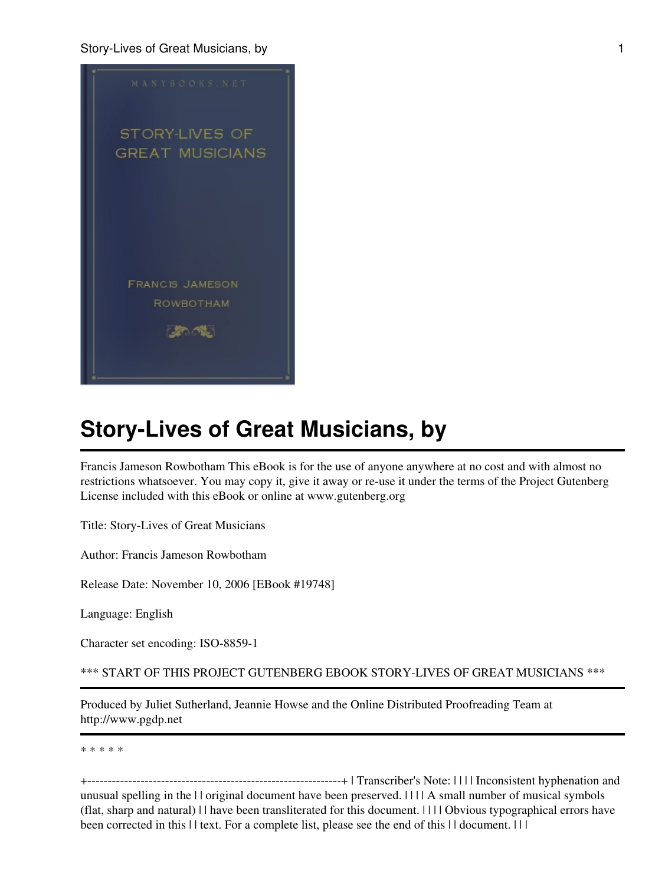

Francis Jameson Rowbotham This eBook is for the use of anyone anywhere at no cost and with almost no restrictions whatsoever. You may copy it, give it away or re-use it under the terms of the Project Gutenberg License included with this eBook or online at www.gutenberg.org

Title: Story-Lives of Great Musicians

Author: Francis Jameson Rowbotham

Release Date: November 10, 2006 [EBook #19748]

Language: English

Character set encoding: ISO-8859-1

\*\*\* START OF THIS PROJECT GUTENBERG EBOOK STORY-LIVES OF GREAT MUSICIANS \*\*\*

Produced by Juliet Sutherland, Jeannie Howse and the Online Distributed Proofreading Team at http://www.pgdp.net

\* \* \* \* \*

+--------------------------------------------------------------+ | Transcriber's Note: | | | | Inconsistent hyphenation and unusual spelling in the | | original document have been preserved. | | | | A small number of musical symbols (flat, sharp and natural) | | have been transliterated for this document. | | | | Obvious typographical errors have been corrected in this | | text. For a complete list, please see the end of this | | document. | | |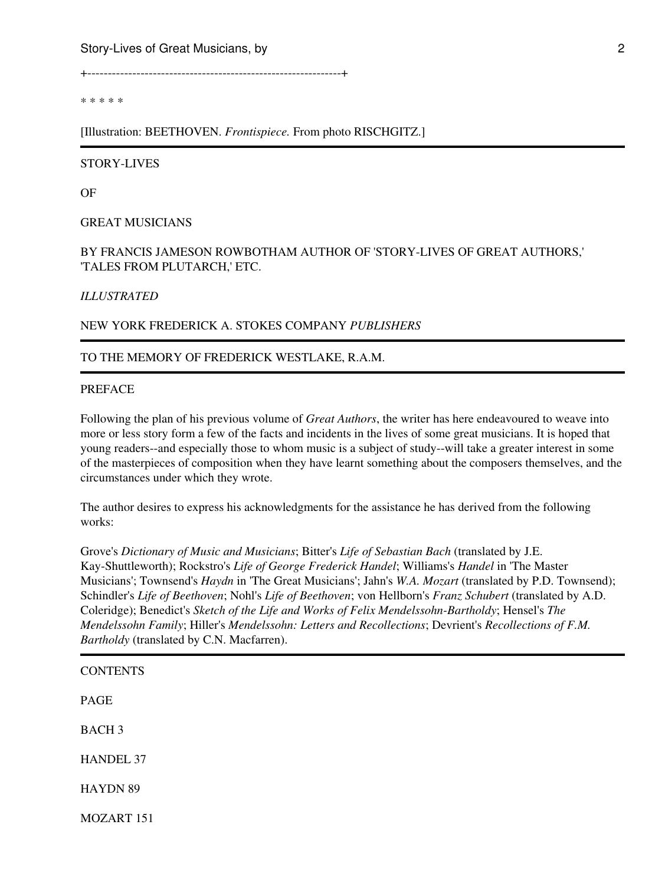+--------------------------------------------------------------+

\* \* \* \* \*

[Illustration: BEETHOVEN. *Frontispiece.* From photo RISCHGITZ.]

#### STORY-LIVES

OF

GREAT MUSICIANS

## BY FRANCIS JAMESON ROWBOTHAM AUTHOR OF 'STORY-LIVES OF GREAT AUTHORS,' 'TALES FROM PLUTARCH,' ETC.

#### *ILLUSTRATED*

#### NEW YORK FREDERICK A. STOKES COMPANY *PUBLISHERS*

#### TO THE MEMORY OF FREDERICK WESTLAKE, R.A.M.

#### PREFACE

Following the plan of his previous volume of *Great Authors*, the writer has here endeavoured to weave into more or less story form a few of the facts and incidents in the lives of some great musicians. It is hoped that young readers--and especially those to whom music is a subject of study--will take a greater interest in some of the masterpieces of composition when they have learnt something about the composers themselves, and the circumstances under which they wrote.

The author desires to express his acknowledgments for the assistance he has derived from the following works:

Grove's *Dictionary of Music and Musicians*; Bitter's *Life of Sebastian Bach* (translated by J.E. Kay-Shuttleworth); Rockstro's *Life of George Frederick Handel*; Williams's *Handel* in 'The Master Musicians'; Townsend's *Haydn* in 'The Great Musicians'; Jahn's *W.A. Mozart* (translated by P.D. Townsend); Schindler's *Life of Beethoven*; Nohl's *Life of Beethoven*; von Hellborn's *Franz Schubert* (translated by A.D. Coleridge); Benedict's *Sketch of the Life and Works of Felix Mendelssohn-Bartholdy*; Hensel's *The Mendelssohn Family*; Hiller's *Mendelssohn: Letters and Recollections*; Devrient's *Recollections of F.M. Bartholdy* (translated by C.N. Macfarren).

| <b>CONTENTS</b>  |  |  |  |
|------------------|--|--|--|
| <b>PAGE</b>      |  |  |  |
| <b>BACH3</b>     |  |  |  |
| <b>HANDEL 37</b> |  |  |  |
| <b>HAYDN 89</b>  |  |  |  |
| MOZART 151       |  |  |  |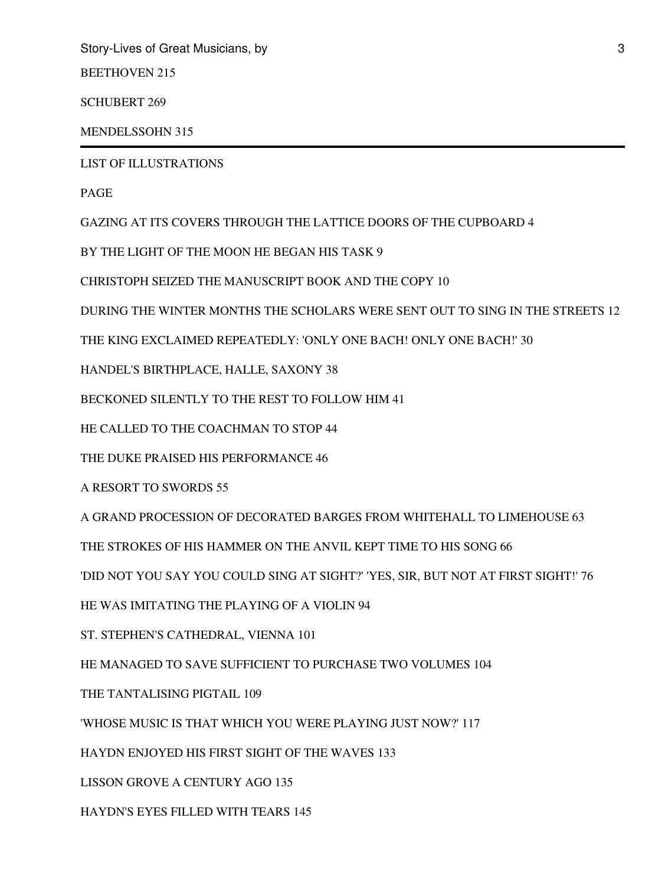BEETHOVEN 215

SCHUBERT 269

MENDELSSOHN 315

LIST OF ILLUSTRATIONS

PAGE

GAZING AT ITS COVERS THROUGH THE LATTICE DOORS OF THE CUPBOARD 4

BY THE LIGHT OF THE MOON HE BEGAN HIS TASK 9

CHRISTOPH SEIZED THE MANUSCRIPT BOOK AND THE COPY 10

DURING THE WINTER MONTHS THE SCHOLARS WERE SENT OUT TO SING IN THE STREETS 12

THE KING EXCLAIMED REPEATEDLY: 'ONLY ONE BACH! ONLY ONE BACH!' 30

HANDEL'S BIRTHPLACE, HALLE, SAXONY 38

BECKONED SILENTLY TO THE REST TO FOLLOW HIM 41

HE CALLED TO THE COACHMAN TO STOP 44

THE DUKE PRAISED HIS PERFORMANCE 46

A RESORT TO SWORDS 55

A GRAND PROCESSION OF DECORATED BARGES FROM WHITEHALL TO LIMEHOUSE 63

THE STROKES OF HIS HAMMER ON THE ANVIL KEPT TIME TO HIS SONG 66

'DID NOT YOU SAY YOU COULD SING AT SIGHT?' 'YES, SIR, BUT NOT AT FIRST SIGHT!' 76

HE WAS IMITATING THE PLAYING OF A VIOLIN 94

ST. STEPHEN'S CATHEDRAL, VIENNA 101

HE MANAGED TO SAVE SUFFICIENT TO PURCHASE TWO VOLUMES 104

THE TANTALISING PIGTAIL 109

'WHOSE MUSIC IS THAT WHICH YOU WERE PLAYING JUST NOW?' 117

HAYDN ENJOYED HIS FIRST SIGHT OF THE WAVES 133

LISSON GROVE A CENTURY AGO 135

HAYDN'S EYES FILLED WITH TEARS 145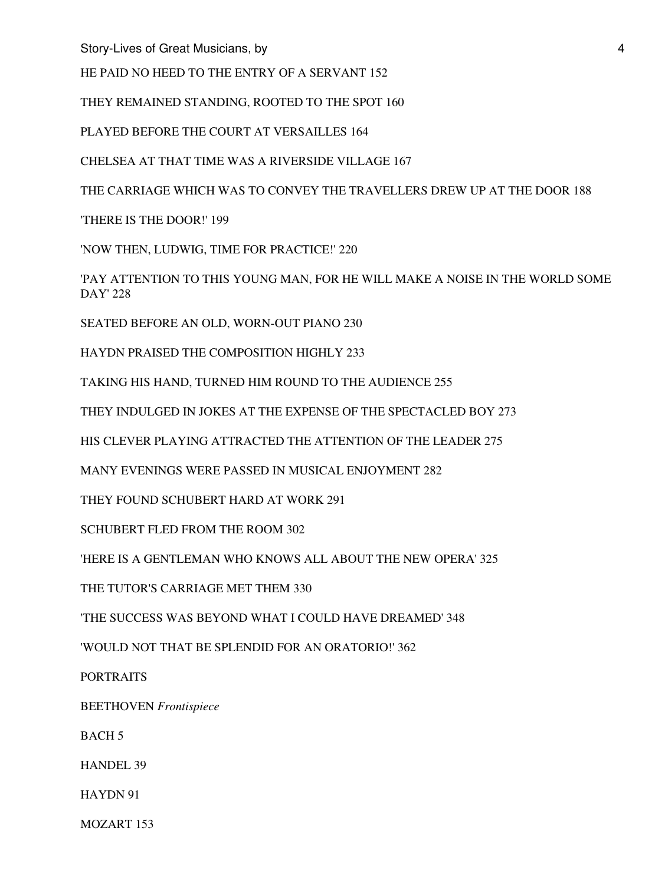HE PAID NO HEED TO THE ENTRY OF A SERVANT 152

THEY REMAINED STANDING, ROOTED TO THE SPOT 160

PLAYED BEFORE THE COURT AT VERSAILLES 164

CHELSEA AT THAT TIME WAS A RIVERSIDE VILLAGE 167

THE CARRIAGE WHICH WAS TO CONVEY THE TRAVELLERS DREW UP AT THE DOOR 188

'THERE IS THE DOOR!' 199

'NOW THEN, LUDWIG, TIME FOR PRACTICE!' 220

'PAY ATTENTION TO THIS YOUNG MAN, FOR HE WILL MAKE A NOISE IN THE WORLD SOME DAY' 228

SEATED BEFORE AN OLD, WORN-OUT PIANO 230

HAYDN PRAISED THE COMPOSITION HIGHLY 233

TAKING HIS HAND, TURNED HIM ROUND TO THE AUDIENCE 255

THEY INDULGED IN JOKES AT THE EXPENSE OF THE SPECTACLED BOY 273

HIS CLEVER PLAYING ATTRACTED THE ATTENTION OF THE LEADER 275

MANY EVENINGS WERE PASSED IN MUSICAL ENJOYMENT 282

THEY FOUND SCHUBERT HARD AT WORK 291

SCHUBERT FLED FROM THE ROOM 302

'HERE IS A GENTLEMAN WHO KNOWS ALL ABOUT THE NEW OPERA' 325

THE TUTOR'S CARRIAGE MET THEM 330

'THE SUCCESS WAS BEYOND WHAT I COULD HAVE DREAMED' 348

'WOULD NOT THAT BE SPLENDID FOR AN ORATORIO!' 362

PORTRAITS

BEETHOVEN *Frontispiece*

BACH 5

HANDEL 39

HAYDN 91

MOZART 153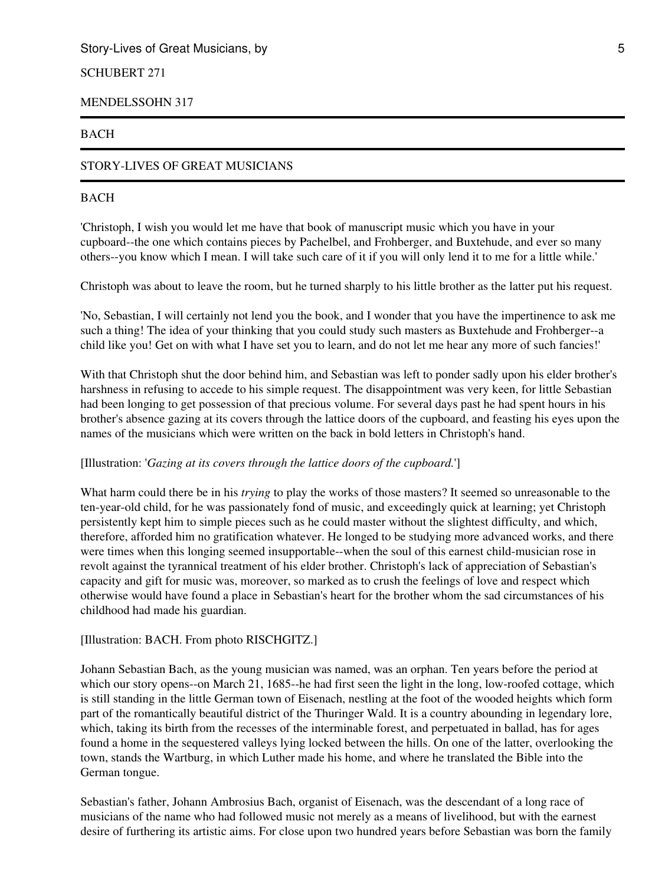# SCHUBERT 271

#### MENDELSSOHN 317

#### BACH

# STORY-LIVES OF GREAT MUSICIANS

## BACH

'Christoph, I wish you would let me have that book of manuscript music which you have in your cupboard--the one which contains pieces by Pachelbel, and Frohberger, and Buxtehude, and ever so many others--you know which I mean. I will take such care of it if you will only lend it to me for a little while.'

Christoph was about to leave the room, but he turned sharply to his little brother as the latter put his request.

'No, Sebastian, I will certainly not lend you the book, and I wonder that you have the impertinence to ask me such a thing! The idea of your thinking that you could study such masters as Buxtehude and Frohberger--a child like you! Get on with what I have set you to learn, and do not let me hear any more of such fancies!'

With that Christoph shut the door behind him, and Sebastian was left to ponder sadly upon his elder brother's harshness in refusing to accede to his simple request. The disappointment was very keen, for little Sebastian had been longing to get possession of that precious volume. For several days past he had spent hours in his brother's absence gazing at its covers through the lattice doors of the cupboard, and feasting his eyes upon the names of the musicians which were written on the back in bold letters in Christoph's hand.

#### [Illustration: '*Gazing at its covers through the lattice doors of the cupboard.*']

What harm could there be in his *trying* to play the works of those masters? It seemed so unreasonable to the ten-year-old child, for he was passionately fond of music, and exceedingly quick at learning; yet Christoph persistently kept him to simple pieces such as he could master without the slightest difficulty, and which, therefore, afforded him no gratification whatever. He longed to be studying more advanced works, and there were times when this longing seemed insupportable--when the soul of this earnest child-musician rose in revolt against the tyrannical treatment of his elder brother. Christoph's lack of appreciation of Sebastian's capacity and gift for music was, moreover, so marked as to crush the feelings of love and respect which otherwise would have found a place in Sebastian's heart for the brother whom the sad circumstances of his childhood had made his guardian.

## [Illustration: BACH. From photo RISCHGITZ.]

Johann Sebastian Bach, as the young musician was named, was an orphan. Ten years before the period at which our story opens--on March 21, 1685--he had first seen the light in the long, low-roofed cottage, which is still standing in the little German town of Eisenach, nestling at the foot of the wooded heights which form part of the romantically beautiful district of the Thuringer Wald. It is a country abounding in legendary lore, which, taking its birth from the recesses of the interminable forest, and perpetuated in ballad, has for ages found a home in the sequestered valleys lying locked between the hills. On one of the latter, overlooking the town, stands the Wartburg, in which Luther made his home, and where he translated the Bible into the German tongue.

Sebastian's father, Johann Ambrosius Bach, organist of Eisenach, was the descendant of a long race of musicians of the name who had followed music not merely as a means of livelihood, but with the earnest desire of furthering its artistic aims. For close upon two hundred years before Sebastian was born the family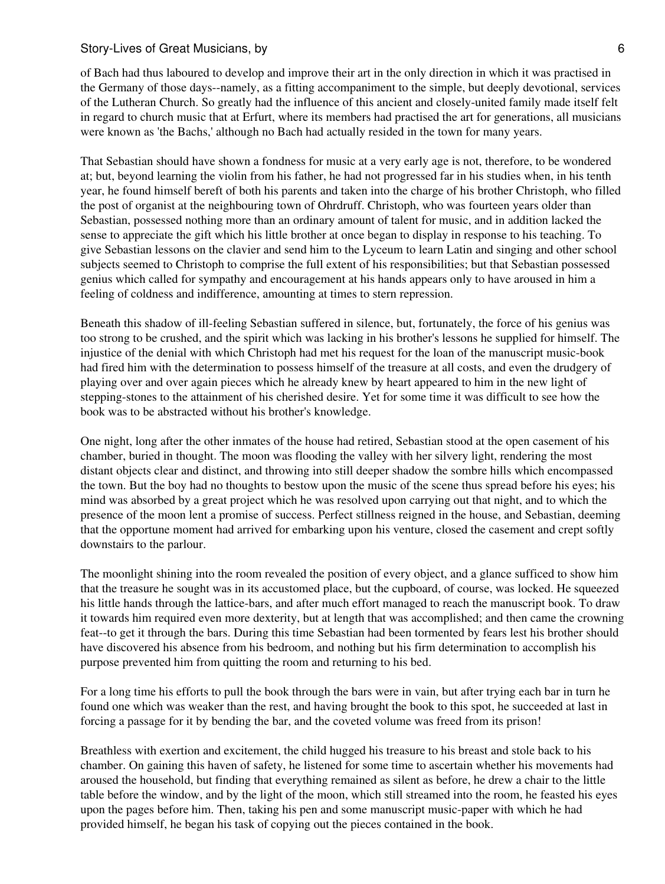of Bach had thus laboured to develop and improve their art in the only direction in which it was practised in the Germany of those days--namely, as a fitting accompaniment to the simple, but deeply devotional, services of the Lutheran Church. So greatly had the influence of this ancient and closely-united family made itself felt in regard to church music that at Erfurt, where its members had practised the art for generations, all musicians were known as 'the Bachs,' although no Bach had actually resided in the town for many years.

That Sebastian should have shown a fondness for music at a very early age is not, therefore, to be wondered at; but, beyond learning the violin from his father, he had not progressed far in his studies when, in his tenth year, he found himself bereft of both his parents and taken into the charge of his brother Christoph, who filled the post of organist at the neighbouring town of Ohrdruff. Christoph, who was fourteen years older than Sebastian, possessed nothing more than an ordinary amount of talent for music, and in addition lacked the sense to appreciate the gift which his little brother at once began to display in response to his teaching. To give Sebastian lessons on the clavier and send him to the Lyceum to learn Latin and singing and other school subjects seemed to Christoph to comprise the full extent of his responsibilities; but that Sebastian possessed genius which called for sympathy and encouragement at his hands appears only to have aroused in him a feeling of coldness and indifference, amounting at times to stern repression.

Beneath this shadow of ill-feeling Sebastian suffered in silence, but, fortunately, the force of his genius was too strong to be crushed, and the spirit which was lacking in his brother's lessons he supplied for himself. The injustice of the denial with which Christoph had met his request for the loan of the manuscript music-book had fired him with the determination to possess himself of the treasure at all costs, and even the drudgery of playing over and over again pieces which he already knew by heart appeared to him in the new light of stepping-stones to the attainment of his cherished desire. Yet for some time it was difficult to see how the book was to be abstracted without his brother's knowledge.

One night, long after the other inmates of the house had retired, Sebastian stood at the open casement of his chamber, buried in thought. The moon was flooding the valley with her silvery light, rendering the most distant objects clear and distinct, and throwing into still deeper shadow the sombre hills which encompassed the town. But the boy had no thoughts to bestow upon the music of the scene thus spread before his eyes; his mind was absorbed by a great project which he was resolved upon carrying out that night, and to which the presence of the moon lent a promise of success. Perfect stillness reigned in the house, and Sebastian, deeming that the opportune moment had arrived for embarking upon his venture, closed the casement and crept softly downstairs to the parlour.

The moonlight shining into the room revealed the position of every object, and a glance sufficed to show him that the treasure he sought was in its accustomed place, but the cupboard, of course, was locked. He squeezed his little hands through the lattice-bars, and after much effort managed to reach the manuscript book. To draw it towards him required even more dexterity, but at length that was accomplished; and then came the crowning feat--to get it through the bars. During this time Sebastian had been tormented by fears lest his brother should have discovered his absence from his bedroom, and nothing but his firm determination to accomplish his purpose prevented him from quitting the room and returning to his bed.

For a long time his efforts to pull the book through the bars were in vain, but after trying each bar in turn he found one which was weaker than the rest, and having brought the book to this spot, he succeeded at last in forcing a passage for it by bending the bar, and the coveted volume was freed from its prison!

Breathless with exertion and excitement, the child hugged his treasure to his breast and stole back to his chamber. On gaining this haven of safety, he listened for some time to ascertain whether his movements had aroused the household, but finding that everything remained as silent as before, he drew a chair to the little table before the window, and by the light of the moon, which still streamed into the room, he feasted his eyes upon the pages before him. Then, taking his pen and some manuscript music-paper with which he had provided himself, he began his task of copying out the pieces contained in the book.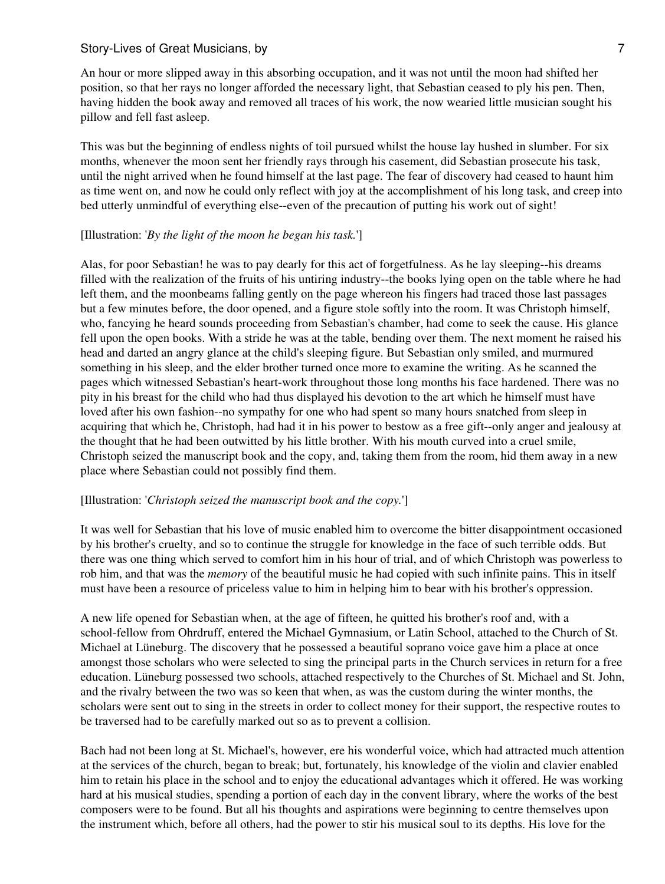An hour or more slipped away in this absorbing occupation, and it was not until the moon had shifted her position, so that her rays no longer afforded the necessary light, that Sebastian ceased to ply his pen. Then, having hidden the book away and removed all traces of his work, the now wearied little musician sought his pillow and fell fast asleep.

This was but the beginning of endless nights of toil pursued whilst the house lay hushed in slumber. For six months, whenever the moon sent her friendly rays through his casement, did Sebastian prosecute his task, until the night arrived when he found himself at the last page. The fear of discovery had ceased to haunt him as time went on, and now he could only reflect with joy at the accomplishment of his long task, and creep into bed utterly unmindful of everything else--even of the precaution of putting his work out of sight!

#### [Illustration: '*By the light of the moon he began his task.*']

Alas, for poor Sebastian! he was to pay dearly for this act of forgetfulness. As he lay sleeping--his dreams filled with the realization of the fruits of his untiring industry--the books lying open on the table where he had left them, and the moonbeams falling gently on the page whereon his fingers had traced those last passages but a few minutes before, the door opened, and a figure stole softly into the room. It was Christoph himself, who, fancying he heard sounds proceeding from Sebastian's chamber, had come to seek the cause. His glance fell upon the open books. With a stride he was at the table, bending over them. The next moment he raised his head and darted an angry glance at the child's sleeping figure. But Sebastian only smiled, and murmured something in his sleep, and the elder brother turned once more to examine the writing. As he scanned the pages which witnessed Sebastian's heart-work throughout those long months his face hardened. There was no pity in his breast for the child who had thus displayed his devotion to the art which he himself must have loved after his own fashion--no sympathy for one who had spent so many hours snatched from sleep in acquiring that which he, Christoph, had had it in his power to bestow as a free gift--only anger and jealousy at the thought that he had been outwitted by his little brother. With his mouth curved into a cruel smile, Christoph seized the manuscript book and the copy, and, taking them from the room, hid them away in a new place where Sebastian could not possibly find them.

#### [Illustration: '*Christoph seized the manuscript book and the copy.*']

It was well for Sebastian that his love of music enabled him to overcome the bitter disappointment occasioned by his brother's cruelty, and so to continue the struggle for knowledge in the face of such terrible odds. But there was one thing which served to comfort him in his hour of trial, and of which Christoph was powerless to rob him, and that was the *memory* of the beautiful music he had copied with such infinite pains. This in itself must have been a resource of priceless value to him in helping him to bear with his brother's oppression.

A new life opened for Sebastian when, at the age of fifteen, he quitted his brother's roof and, with a school-fellow from Ohrdruff, entered the Michael Gymnasium, or Latin School, attached to the Church of St. Michael at Lüneburg. The discovery that he possessed a beautiful soprano voice gave him a place at once amongst those scholars who were selected to sing the principal parts in the Church services in return for a free education. Lüneburg possessed two schools, attached respectively to the Churches of St. Michael and St. John, and the rivalry between the two was so keen that when, as was the custom during the winter months, the scholars were sent out to sing in the streets in order to collect money for their support, the respective routes to be traversed had to be carefully marked out so as to prevent a collision.

Bach had not been long at St. Michael's, however, ere his wonderful voice, which had attracted much attention at the services of the church, began to break; but, fortunately, his knowledge of the violin and clavier enabled him to retain his place in the school and to enjoy the educational advantages which it offered. He was working hard at his musical studies, spending a portion of each day in the convent library, where the works of the best composers were to be found. But all his thoughts and aspirations were beginning to centre themselves upon the instrument which, before all others, had the power to stir his musical soul to its depths. His love for the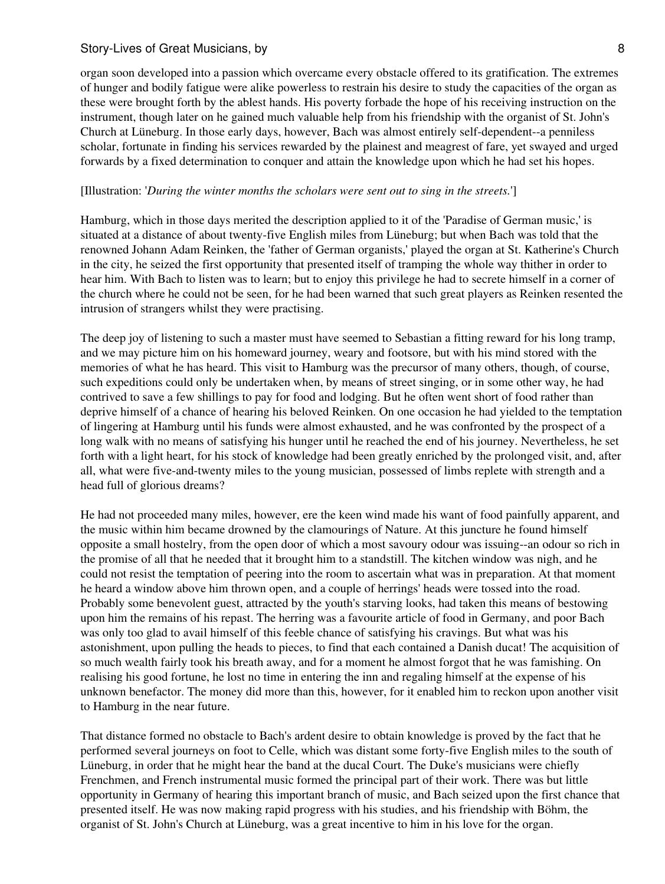organ soon developed into a passion which overcame every obstacle offered to its gratification. The extremes of hunger and bodily fatigue were alike powerless to restrain his desire to study the capacities of the organ as these were brought forth by the ablest hands. His poverty forbade the hope of his receiving instruction on the instrument, though later on he gained much valuable help from his friendship with the organist of St. John's Church at Lüneburg. In those early days, however, Bach was almost entirely self-dependent--a penniless scholar, fortunate in finding his services rewarded by the plainest and meagrest of fare, yet swayed and urged forwards by a fixed determination to conquer and attain the knowledge upon which he had set his hopes.

#### [Illustration: '*During the winter months the scholars were sent out to sing in the streets.*']

Hamburg, which in those days merited the description applied to it of the 'Paradise of German music,' is situated at a distance of about twenty-five English miles from Lüneburg; but when Bach was told that the renowned Johann Adam Reinken, the 'father of German organists,' played the organ at St. Katherine's Church in the city, he seized the first opportunity that presented itself of tramping the whole way thither in order to hear him. With Bach to listen was to learn; but to enjoy this privilege he had to secrete himself in a corner of the church where he could not be seen, for he had been warned that such great players as Reinken resented the intrusion of strangers whilst they were practising.

The deep joy of listening to such a master must have seemed to Sebastian a fitting reward for his long tramp, and we may picture him on his homeward journey, weary and footsore, but with his mind stored with the memories of what he has heard. This visit to Hamburg was the precursor of many others, though, of course, such expeditions could only be undertaken when, by means of street singing, or in some other way, he had contrived to save a few shillings to pay for food and lodging. But he often went short of food rather than deprive himself of a chance of hearing his beloved Reinken. On one occasion he had yielded to the temptation of lingering at Hamburg until his funds were almost exhausted, and he was confronted by the prospect of a long walk with no means of satisfying his hunger until he reached the end of his journey. Nevertheless, he set forth with a light heart, for his stock of knowledge had been greatly enriched by the prolonged visit, and, after all, what were five-and-twenty miles to the young musician, possessed of limbs replete with strength and a head full of glorious dreams?

He had not proceeded many miles, however, ere the keen wind made his want of food painfully apparent, and the music within him became drowned by the clamourings of Nature. At this juncture he found himself opposite a small hostelry, from the open door of which a most savoury odour was issuing--an odour so rich in the promise of all that he needed that it brought him to a standstill. The kitchen window was nigh, and he could not resist the temptation of peering into the room to ascertain what was in preparation. At that moment he heard a window above him thrown open, and a couple of herrings' heads were tossed into the road. Probably some benevolent guest, attracted by the youth's starving looks, had taken this means of bestowing upon him the remains of his repast. The herring was a favourite article of food in Germany, and poor Bach was only too glad to avail himself of this feeble chance of satisfying his cravings. But what was his astonishment, upon pulling the heads to pieces, to find that each contained a Danish ducat! The acquisition of so much wealth fairly took his breath away, and for a moment he almost forgot that he was famishing. On realising his good fortune, he lost no time in entering the inn and regaling himself at the expense of his unknown benefactor. The money did more than this, however, for it enabled him to reckon upon another visit to Hamburg in the near future.

That distance formed no obstacle to Bach's ardent desire to obtain knowledge is proved by the fact that he performed several journeys on foot to Celle, which was distant some forty-five English miles to the south of Lüneburg, in order that he might hear the band at the ducal Court. The Duke's musicians were chiefly Frenchmen, and French instrumental music formed the principal part of their work. There was but little opportunity in Germany of hearing this important branch of music, and Bach seized upon the first chance that presented itself. He was now making rapid progress with his studies, and his friendship with Böhm, the organist of St. John's Church at Lüneburg, was a great incentive to him in his love for the organ.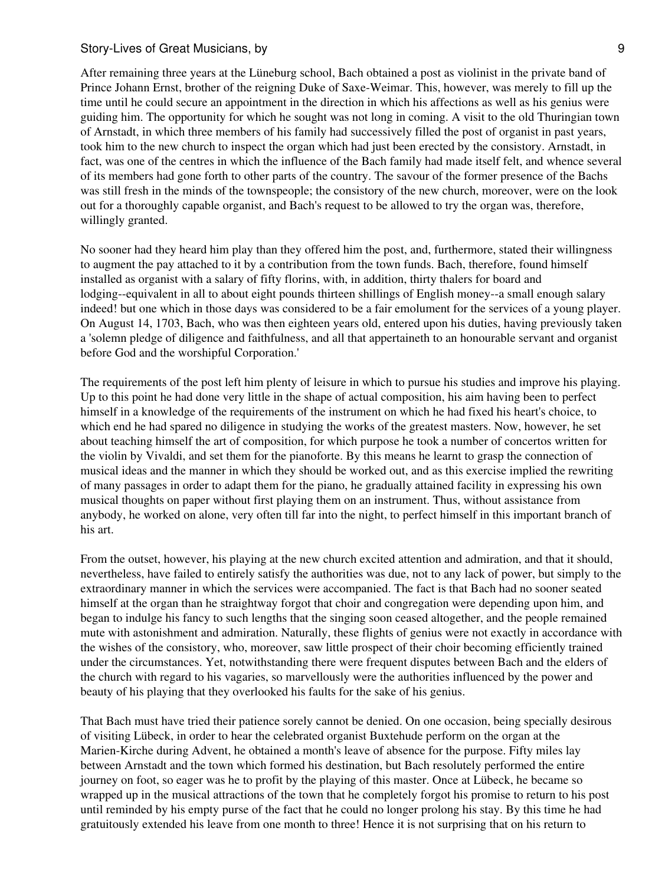After remaining three years at the Lüneburg school, Bach obtained a post as violinist in the private band of Prince Johann Ernst, brother of the reigning Duke of Saxe-Weimar. This, however, was merely to fill up the time until he could secure an appointment in the direction in which his affections as well as his genius were guiding him. The opportunity for which he sought was not long in coming. A visit to the old Thuringian town of Arnstadt, in which three members of his family had successively filled the post of organist in past years, took him to the new church to inspect the organ which had just been erected by the consistory. Arnstadt, in fact, was one of the centres in which the influence of the Bach family had made itself felt, and whence several of its members had gone forth to other parts of the country. The savour of the former presence of the Bachs was still fresh in the minds of the townspeople; the consistory of the new church, moreover, were on the look out for a thoroughly capable organist, and Bach's request to be allowed to try the organ was, therefore, willingly granted.

No sooner had they heard him play than they offered him the post, and, furthermore, stated their willingness to augment the pay attached to it by a contribution from the town funds. Bach, therefore, found himself installed as organist with a salary of fifty florins, with, in addition, thirty thalers for board and lodging--equivalent in all to about eight pounds thirteen shillings of English money--a small enough salary indeed! but one which in those days was considered to be a fair emolument for the services of a young player. On August 14, 1703, Bach, who was then eighteen years old, entered upon his duties, having previously taken a 'solemn pledge of diligence and faithfulness, and all that appertaineth to an honourable servant and organist before God and the worshipful Corporation.'

The requirements of the post left him plenty of leisure in which to pursue his studies and improve his playing. Up to this point he had done very little in the shape of actual composition, his aim having been to perfect himself in a knowledge of the requirements of the instrument on which he had fixed his heart's choice, to which end he had spared no diligence in studying the works of the greatest masters. Now, however, he set about teaching himself the art of composition, for which purpose he took a number of concertos written for the violin by Vivaldi, and set them for the pianoforte. By this means he learnt to grasp the connection of musical ideas and the manner in which they should be worked out, and as this exercise implied the rewriting of many passages in order to adapt them for the piano, he gradually attained facility in expressing his own musical thoughts on paper without first playing them on an instrument. Thus, without assistance from anybody, he worked on alone, very often till far into the night, to perfect himself in this important branch of his art.

From the outset, however, his playing at the new church excited attention and admiration, and that it should, nevertheless, have failed to entirely satisfy the authorities was due, not to any lack of power, but simply to the extraordinary manner in which the services were accompanied. The fact is that Bach had no sooner seated himself at the organ than he straightway forgot that choir and congregation were depending upon him, and began to indulge his fancy to such lengths that the singing soon ceased altogether, and the people remained mute with astonishment and admiration. Naturally, these flights of genius were not exactly in accordance with the wishes of the consistory, who, moreover, saw little prospect of their choir becoming efficiently trained under the circumstances. Yet, notwithstanding there were frequent disputes between Bach and the elders of the church with regard to his vagaries, so marvellously were the authorities influenced by the power and beauty of his playing that they overlooked his faults for the sake of his genius.

That Bach must have tried their patience sorely cannot be denied. On one occasion, being specially desirous of visiting Lübeck, in order to hear the celebrated organist Buxtehude perform on the organ at the Marien-Kirche during Advent, he obtained a month's leave of absence for the purpose. Fifty miles lay between Arnstadt and the town which formed his destination, but Bach resolutely performed the entire journey on foot, so eager was he to profit by the playing of this master. Once at Lübeck, he became so wrapped up in the musical attractions of the town that he completely forgot his promise to return to his post until reminded by his empty purse of the fact that he could no longer prolong his stay. By this time he had gratuitously extended his leave from one month to three! Hence it is not surprising that on his return to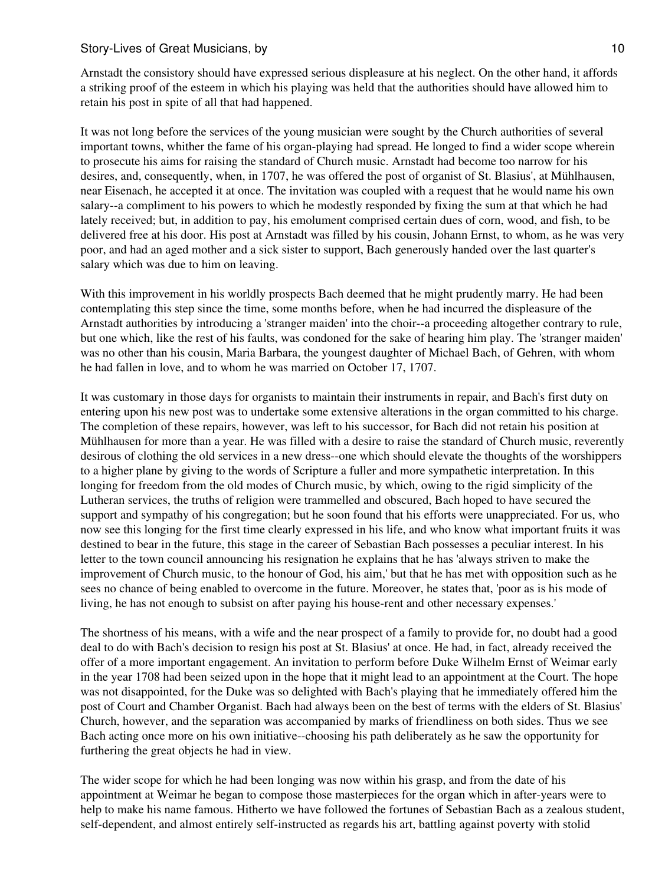Arnstadt the consistory should have expressed serious displeasure at his neglect. On the other hand, it affords a striking proof of the esteem in which his playing was held that the authorities should have allowed him to retain his post in spite of all that had happened.

It was not long before the services of the young musician were sought by the Church authorities of several important towns, whither the fame of his organ-playing had spread. He longed to find a wider scope wherein to prosecute his aims for raising the standard of Church music. Arnstadt had become too narrow for his desires, and, consequently, when, in 1707, he was offered the post of organist of St. Blasius', at Mühlhausen, near Eisenach, he accepted it at once. The invitation was coupled with a request that he would name his own salary--a compliment to his powers to which he modestly responded by fixing the sum at that which he had lately received; but, in addition to pay, his emolument comprised certain dues of corn, wood, and fish, to be delivered free at his door. His post at Arnstadt was filled by his cousin, Johann Ernst, to whom, as he was very poor, and had an aged mother and a sick sister to support, Bach generously handed over the last quarter's salary which was due to him on leaving.

With this improvement in his worldly prospects Bach deemed that he might prudently marry. He had been contemplating this step since the time, some months before, when he had incurred the displeasure of the Arnstadt authorities by introducing a 'stranger maiden' into the choir--a proceeding altogether contrary to rule, but one which, like the rest of his faults, was condoned for the sake of hearing him play. The 'stranger maiden' was no other than his cousin, Maria Barbara, the youngest daughter of Michael Bach, of Gehren, with whom he had fallen in love, and to whom he was married on October 17, 1707.

It was customary in those days for organists to maintain their instruments in repair, and Bach's first duty on entering upon his new post was to undertake some extensive alterations in the organ committed to his charge. The completion of these repairs, however, was left to his successor, for Bach did not retain his position at Mühlhausen for more than a year. He was filled with a desire to raise the standard of Church music, reverently desirous of clothing the old services in a new dress--one which should elevate the thoughts of the worshippers to a higher plane by giving to the words of Scripture a fuller and more sympathetic interpretation. In this longing for freedom from the old modes of Church music, by which, owing to the rigid simplicity of the Lutheran services, the truths of religion were trammelled and obscured, Bach hoped to have secured the support and sympathy of his congregation; but he soon found that his efforts were unappreciated. For us, who now see this longing for the first time clearly expressed in his life, and who know what important fruits it was destined to bear in the future, this stage in the career of Sebastian Bach possesses a peculiar interest. In his letter to the town council announcing his resignation he explains that he has 'always striven to make the improvement of Church music, to the honour of God, his aim,' but that he has met with opposition such as he sees no chance of being enabled to overcome in the future. Moreover, he states that, 'poor as is his mode of living, he has not enough to subsist on after paying his house-rent and other necessary expenses.'

The shortness of his means, with a wife and the near prospect of a family to provide for, no doubt had a good deal to do with Bach's decision to resign his post at St. Blasius' at once. He had, in fact, already received the offer of a more important engagement. An invitation to perform before Duke Wilhelm Ernst of Weimar early in the year 1708 had been seized upon in the hope that it might lead to an appointment at the Court. The hope was not disappointed, for the Duke was so delighted with Bach's playing that he immediately offered him the post of Court and Chamber Organist. Bach had always been on the best of terms with the elders of St. Blasius' Church, however, and the separation was accompanied by marks of friendliness on both sides. Thus we see Bach acting once more on his own initiative--choosing his path deliberately as he saw the opportunity for furthering the great objects he had in view.

The wider scope for which he had been longing was now within his grasp, and from the date of his appointment at Weimar he began to compose those masterpieces for the organ which in after-years were to help to make his name famous. Hitherto we have followed the fortunes of Sebastian Bach as a zealous student, self-dependent, and almost entirely self-instructed as regards his art, battling against poverty with stolid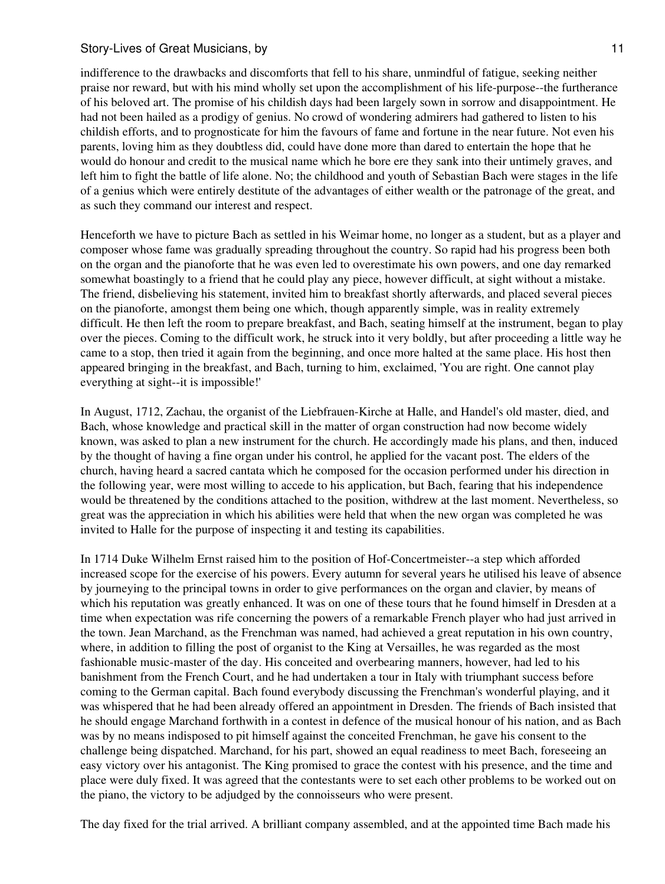## Story-Lives of Great Musicians, by 11 and 200 and 200 and 200 and 200 and 200 and 200 and 200 and 200 and 200  $\pm 11$

indifference to the drawbacks and discomforts that fell to his share, unmindful of fatigue, seeking neither praise nor reward, but with his mind wholly set upon the accomplishment of his life-purpose--the furtherance of his beloved art. The promise of his childish days had been largely sown in sorrow and disappointment. He had not been hailed as a prodigy of genius. No crowd of wondering admirers had gathered to listen to his childish efforts, and to prognosticate for him the favours of fame and fortune in the near future. Not even his parents, loving him as they doubtless did, could have done more than dared to entertain the hope that he would do honour and credit to the musical name which he bore ere they sank into their untimely graves, and left him to fight the battle of life alone. No; the childhood and youth of Sebastian Bach were stages in the life of a genius which were entirely destitute of the advantages of either wealth or the patronage of the great, and as such they command our interest and respect.

Henceforth we have to picture Bach as settled in his Weimar home, no longer as a student, but as a player and composer whose fame was gradually spreading throughout the country. So rapid had his progress been both on the organ and the pianoforte that he was even led to overestimate his own powers, and one day remarked somewhat boastingly to a friend that he could play any piece, however difficult, at sight without a mistake. The friend, disbelieving his statement, invited him to breakfast shortly afterwards, and placed several pieces on the pianoforte, amongst them being one which, though apparently simple, was in reality extremely difficult. He then left the room to prepare breakfast, and Bach, seating himself at the instrument, began to play over the pieces. Coming to the difficult work, he struck into it very boldly, but after proceeding a little way he came to a stop, then tried it again from the beginning, and once more halted at the same place. His host then appeared bringing in the breakfast, and Bach, turning to him, exclaimed, 'You are right. One cannot play everything at sight--it is impossible!'

In August, 1712, Zachau, the organist of the Liebfrauen-Kirche at Halle, and Handel's old master, died, and Bach, whose knowledge and practical skill in the matter of organ construction had now become widely known, was asked to plan a new instrument for the church. He accordingly made his plans, and then, induced by the thought of having a fine organ under his control, he applied for the vacant post. The elders of the church, having heard a sacred cantata which he composed for the occasion performed under his direction in the following year, were most willing to accede to his application, but Bach, fearing that his independence would be threatened by the conditions attached to the position, withdrew at the last moment. Nevertheless, so great was the appreciation in which his abilities were held that when the new organ was completed he was invited to Halle for the purpose of inspecting it and testing its capabilities.

In 1714 Duke Wilhelm Ernst raised him to the position of Hof-Concertmeister--a step which afforded increased scope for the exercise of his powers. Every autumn for several years he utilised his leave of absence by journeying to the principal towns in order to give performances on the organ and clavier, by means of which his reputation was greatly enhanced. It was on one of these tours that he found himself in Dresden at a time when expectation was rife concerning the powers of a remarkable French player who had just arrived in the town. Jean Marchand, as the Frenchman was named, had achieved a great reputation in his own country, where, in addition to filling the post of organist to the King at Versailles, he was regarded as the most fashionable music-master of the day. His conceited and overbearing manners, however, had led to his banishment from the French Court, and he had undertaken a tour in Italy with triumphant success before coming to the German capital. Bach found everybody discussing the Frenchman's wonderful playing, and it was whispered that he had been already offered an appointment in Dresden. The friends of Bach insisted that he should engage Marchand forthwith in a contest in defence of the musical honour of his nation, and as Bach was by no means indisposed to pit himself against the conceited Frenchman, he gave his consent to the challenge being dispatched. Marchand, for his part, showed an equal readiness to meet Bach, foreseeing an easy victory over his antagonist. The King promised to grace the contest with his presence, and the time and place were duly fixed. It was agreed that the contestants were to set each other problems to be worked out on the piano, the victory to be adjudged by the connoisseurs who were present.

The day fixed for the trial arrived. A brilliant company assembled, and at the appointed time Bach made his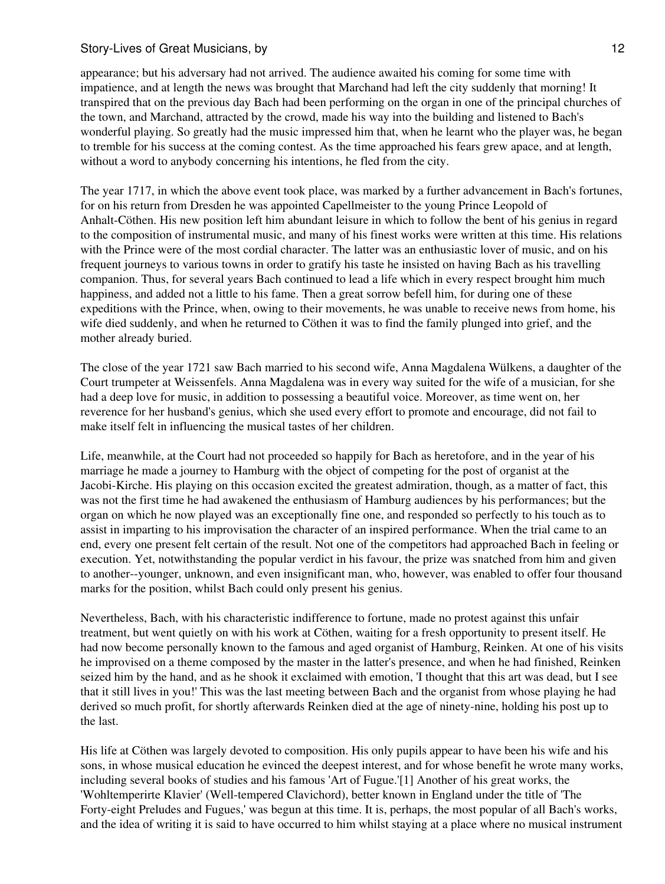appearance; but his adversary had not arrived. The audience awaited his coming for some time with impatience, and at length the news was brought that Marchand had left the city suddenly that morning! It transpired that on the previous day Bach had been performing on the organ in one of the principal churches of the town, and Marchand, attracted by the crowd, made his way into the building and listened to Bach's wonderful playing. So greatly had the music impressed him that, when he learnt who the player was, he began to tremble for his success at the coming contest. As the time approached his fears grew apace, and at length, without a word to anybody concerning his intentions, he fled from the city.

The year 1717, in which the above event took place, was marked by a further advancement in Bach's fortunes, for on his return from Dresden he was appointed Capellmeister to the young Prince Leopold of Anhalt-Cöthen. His new position left him abundant leisure in which to follow the bent of his genius in regard to the composition of instrumental music, and many of his finest works were written at this time. His relations with the Prince were of the most cordial character. The latter was an enthusiastic lover of music, and on his frequent journeys to various towns in order to gratify his taste he insisted on having Bach as his travelling companion. Thus, for several years Bach continued to lead a life which in every respect brought him much happiness, and added not a little to his fame. Then a great sorrow befell him, for during one of these expeditions with the Prince, when, owing to their movements, he was unable to receive news from home, his wife died suddenly, and when he returned to Cöthen it was to find the family plunged into grief, and the mother already buried.

The close of the year 1721 saw Bach married to his second wife, Anna Magdalena Wülkens, a daughter of the Court trumpeter at Weissenfels. Anna Magdalena was in every way suited for the wife of a musician, for she had a deep love for music, in addition to possessing a beautiful voice. Moreover, as time went on, her reverence for her husband's genius, which she used every effort to promote and encourage, did not fail to make itself felt in influencing the musical tastes of her children.

Life, meanwhile, at the Court had not proceeded so happily for Bach as heretofore, and in the year of his marriage he made a journey to Hamburg with the object of competing for the post of organist at the Jacobi-Kirche. His playing on this occasion excited the greatest admiration, though, as a matter of fact, this was not the first time he had awakened the enthusiasm of Hamburg audiences by his performances; but the organ on which he now played was an exceptionally fine one, and responded so perfectly to his touch as to assist in imparting to his improvisation the character of an inspired performance. When the trial came to an end, every one present felt certain of the result. Not one of the competitors had approached Bach in feeling or execution. Yet, notwithstanding the popular verdict in his favour, the prize was snatched from him and given to another--younger, unknown, and even insignificant man, who, however, was enabled to offer four thousand marks for the position, whilst Bach could only present his genius.

Nevertheless, Bach, with his characteristic indifference to fortune, made no protest against this unfair treatment, but went quietly on with his work at Cöthen, waiting for a fresh opportunity to present itself. He had now become personally known to the famous and aged organist of Hamburg, Reinken. At one of his visits he improvised on a theme composed by the master in the latter's presence, and when he had finished, Reinken seized him by the hand, and as he shook it exclaimed with emotion, 'I thought that this art was dead, but I see that it still lives in you!' This was the last meeting between Bach and the organist from whose playing he had derived so much profit, for shortly afterwards Reinken died at the age of ninety-nine, holding his post up to the last.

His life at Cöthen was largely devoted to composition. His only pupils appear to have been his wife and his sons, in whose musical education he evinced the deepest interest, and for whose benefit he wrote many works, including several books of studies and his famous 'Art of Fugue.'[1] Another of his great works, the 'Wohltemperirte Klavier' (Well-tempered Clavichord), better known in England under the title of 'The Forty-eight Preludes and Fugues,' was begun at this time. It is, perhaps, the most popular of all Bach's works, and the idea of writing it is said to have occurred to him whilst staying at a place where no musical instrument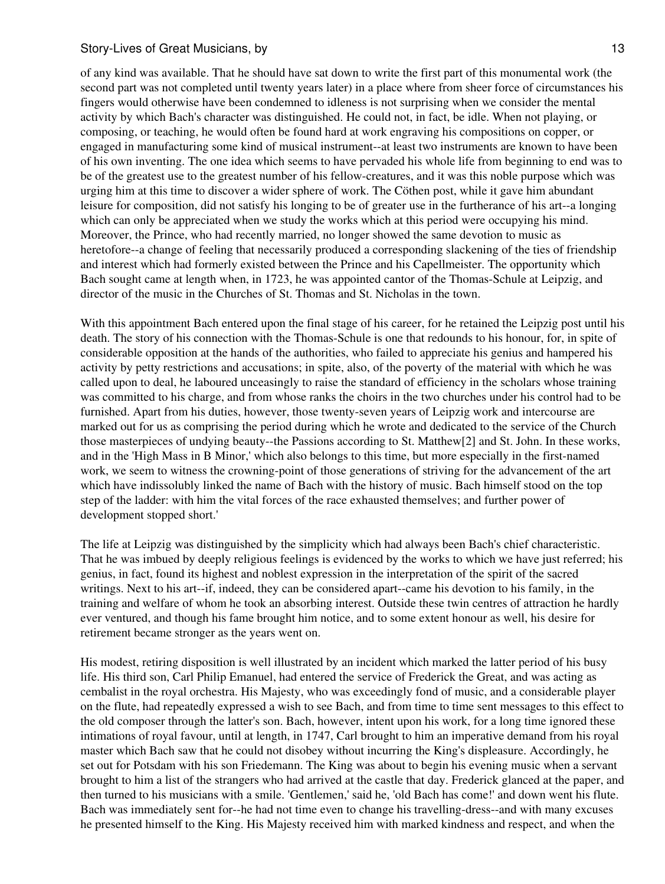of any kind was available. That he should have sat down to write the first part of this monumental work (the second part was not completed until twenty years later) in a place where from sheer force of circumstances his fingers would otherwise have been condemned to idleness is not surprising when we consider the mental activity by which Bach's character was distinguished. He could not, in fact, be idle. When not playing, or composing, or teaching, he would often be found hard at work engraving his compositions on copper, or engaged in manufacturing some kind of musical instrument--at least two instruments are known to have been of his own inventing. The one idea which seems to have pervaded his whole life from beginning to end was to be of the greatest use to the greatest number of his fellow-creatures, and it was this noble purpose which was urging him at this time to discover a wider sphere of work. The Cöthen post, while it gave him abundant leisure for composition, did not satisfy his longing to be of greater use in the furtherance of his art--a longing which can only be appreciated when we study the works which at this period were occupying his mind. Moreover, the Prince, who had recently married, no longer showed the same devotion to music as heretofore--a change of feeling that necessarily produced a corresponding slackening of the ties of friendship and interest which had formerly existed between the Prince and his Capellmeister. The opportunity which Bach sought came at length when, in 1723, he was appointed cantor of the Thomas-Schule at Leipzig, and director of the music in the Churches of St. Thomas and St. Nicholas in the town.

With this appointment Bach entered upon the final stage of his career, for he retained the Leipzig post until his death. The story of his connection with the Thomas-Schule is one that redounds to his honour, for, in spite of considerable opposition at the hands of the authorities, who failed to appreciate his genius and hampered his activity by petty restrictions and accusations; in spite, also, of the poverty of the material with which he was called upon to deal, he laboured unceasingly to raise the standard of efficiency in the scholars whose training was committed to his charge, and from whose ranks the choirs in the two churches under his control had to be furnished. Apart from his duties, however, those twenty-seven years of Leipzig work and intercourse are marked out for us as comprising the period during which he wrote and dedicated to the service of the Church those masterpieces of undying beauty--the Passions according to St. Matthew[2] and St. John. In these works, and in the 'High Mass in B Minor,' which also belongs to this time, but more especially in the first-named work, we seem to witness the crowning-point of those generations of striving for the advancement of the art which have indissolubly linked the name of Bach with the history of music. Bach himself stood on the top step of the ladder: with him the vital forces of the race exhausted themselves; and further power of development stopped short.'

The life at Leipzig was distinguished by the simplicity which had always been Bach's chief characteristic. That he was imbued by deeply religious feelings is evidenced by the works to which we have just referred; his genius, in fact, found its highest and noblest expression in the interpretation of the spirit of the sacred writings. Next to his art--if, indeed, they can be considered apart--came his devotion to his family, in the training and welfare of whom he took an absorbing interest. Outside these twin centres of attraction he hardly ever ventured, and though his fame brought him notice, and to some extent honour as well, his desire for retirement became stronger as the years went on.

His modest, retiring disposition is well illustrated by an incident which marked the latter period of his busy life. His third son, Carl Philip Emanuel, had entered the service of Frederick the Great, and was acting as cembalist in the royal orchestra. His Majesty, who was exceedingly fond of music, and a considerable player on the flute, had repeatedly expressed a wish to see Bach, and from time to time sent messages to this effect to the old composer through the latter's son. Bach, however, intent upon his work, for a long time ignored these intimations of royal favour, until at length, in 1747, Carl brought to him an imperative demand from his royal master which Bach saw that he could not disobey without incurring the King's displeasure. Accordingly, he set out for Potsdam with his son Friedemann. The King was about to begin his evening music when a servant brought to him a list of the strangers who had arrived at the castle that day. Frederick glanced at the paper, and then turned to his musicians with a smile. 'Gentlemen,' said he, 'old Bach has come!' and down went his flute. Bach was immediately sent for--he had not time even to change his travelling-dress--and with many excuses he presented himself to the King. His Majesty received him with marked kindness and respect, and when the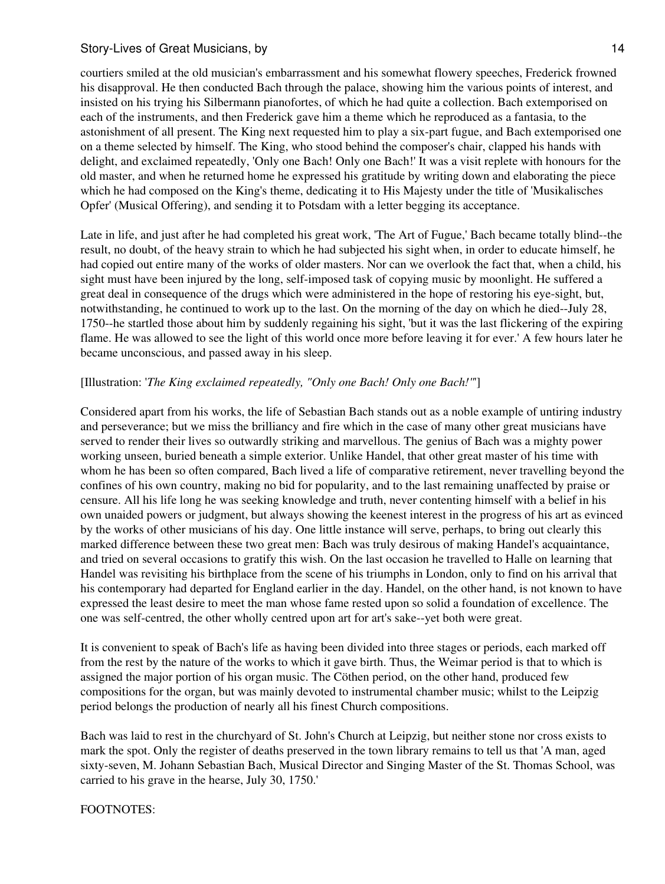courtiers smiled at the old musician's embarrassment and his somewhat flowery speeches, Frederick frowned his disapproval. He then conducted Bach through the palace, showing him the various points of interest, and insisted on his trying his Silbermann pianofortes, of which he had quite a collection. Bach extemporised on each of the instruments, and then Frederick gave him a theme which he reproduced as a fantasia, to the astonishment of all present. The King next requested him to play a six-part fugue, and Bach extemporised one on a theme selected by himself. The King, who stood behind the composer's chair, clapped his hands with delight, and exclaimed repeatedly, 'Only one Bach! Only one Bach!' It was a visit replete with honours for the old master, and when he returned home he expressed his gratitude by writing down and elaborating the piece which he had composed on the King's theme, dedicating it to His Majesty under the title of 'Musikalisches Opfer' (Musical Offering), and sending it to Potsdam with a letter begging its acceptance.

Late in life, and just after he had completed his great work, 'The Art of Fugue,' Bach became totally blind--the result, no doubt, of the heavy strain to which he had subjected his sight when, in order to educate himself, he had copied out entire many of the works of older masters. Nor can we overlook the fact that, when a child, his sight must have been injured by the long, self-imposed task of copying music by moonlight. He suffered a great deal in consequence of the drugs which were administered in the hope of restoring his eye-sight, but, notwithstanding, he continued to work up to the last. On the morning of the day on which he died--July 28, 1750--he startled those about him by suddenly regaining his sight, 'but it was the last flickering of the expiring flame. He was allowed to see the light of this world once more before leaving it for ever.' A few hours later he became unconscious, and passed away in his sleep.

## [Illustration: '*The King exclaimed repeatedly, "Only one Bach! Only one Bach!"*']

Considered apart from his works, the life of Sebastian Bach stands out as a noble example of untiring industry and perseverance; but we miss the brilliancy and fire which in the case of many other great musicians have served to render their lives so outwardly striking and marvellous. The genius of Bach was a mighty power working unseen, buried beneath a simple exterior. Unlike Handel, that other great master of his time with whom he has been so often compared, Bach lived a life of comparative retirement, never travelling beyond the confines of his own country, making no bid for popularity, and to the last remaining unaffected by praise or censure. All his life long he was seeking knowledge and truth, never contenting himself with a belief in his own unaided powers or judgment, but always showing the keenest interest in the progress of his art as evinced by the works of other musicians of his day. One little instance will serve, perhaps, to bring out clearly this marked difference between these two great men: Bach was truly desirous of making Handel's acquaintance, and tried on several occasions to gratify this wish. On the last occasion he travelled to Halle on learning that Handel was revisiting his birthplace from the scene of his triumphs in London, only to find on his arrival that his contemporary had departed for England earlier in the day. Handel, on the other hand, is not known to have expressed the least desire to meet the man whose fame rested upon so solid a foundation of excellence. The one was self-centred, the other wholly centred upon art for art's sake--yet both were great.

It is convenient to speak of Bach's life as having been divided into three stages or periods, each marked off from the rest by the nature of the works to which it gave birth. Thus, the Weimar period is that to which is assigned the major portion of his organ music. The Cöthen period, on the other hand, produced few compositions for the organ, but was mainly devoted to instrumental chamber music; whilst to the Leipzig period belongs the production of nearly all his finest Church compositions.

Bach was laid to rest in the churchyard of St. John's Church at Leipzig, but neither stone nor cross exists to mark the spot. Only the register of deaths preserved in the town library remains to tell us that 'A man, aged sixty-seven, M. Johann Sebastian Bach, Musical Director and Singing Master of the St. Thomas School, was carried to his grave in the hearse, July 30, 1750.'

## FOOTNOTES: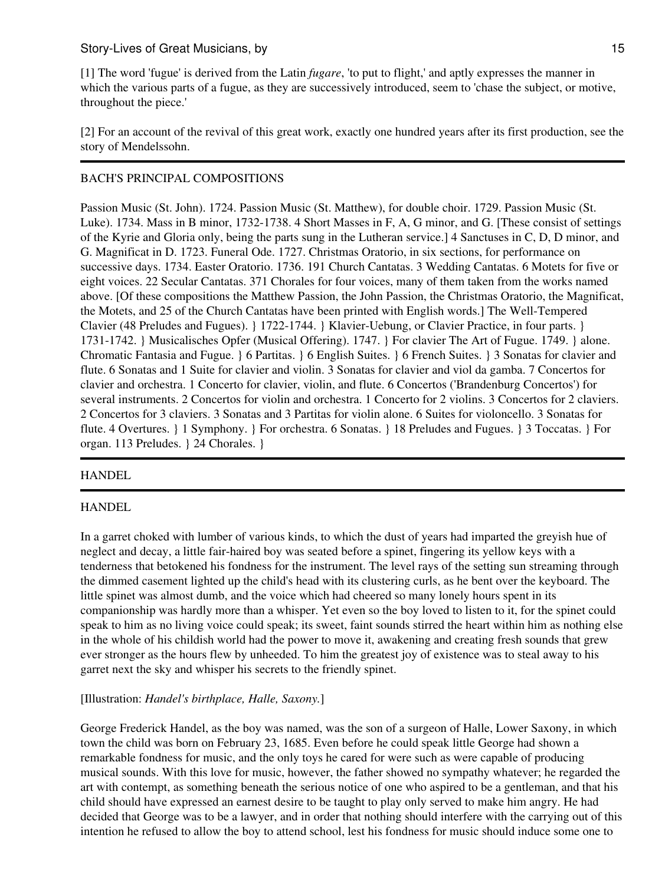[1] The word 'fugue' is derived from the Latin *fugare*, 'to put to flight,' and aptly expresses the manner in which the various parts of a fugue, as they are successively introduced, seem to 'chase the subject, or motive, throughout the piece.'

[2] For an account of the revival of this great work, exactly one hundred years after its first production, see the story of Mendelssohn.

# BACH'S PRINCIPAL COMPOSITIONS

Passion Music (St. John). 1724. Passion Music (St. Matthew), for double choir. 1729. Passion Music (St. Luke). 1734. Mass in B minor, 1732-1738. 4 Short Masses in F, A, G minor, and G. [These consist of settings of the Kyrie and Gloria only, being the parts sung in the Lutheran service.] 4 Sanctuses in C, D, D minor, and G. Magnificat in D. 1723. Funeral Ode. 1727. Christmas Oratorio, in six sections, for performance on successive days. 1734. Easter Oratorio. 1736. 191 Church Cantatas. 3 Wedding Cantatas. 6 Motets for five or eight voices. 22 Secular Cantatas. 371 Chorales for four voices, many of them taken from the works named above. [Of these compositions the Matthew Passion, the John Passion, the Christmas Oratorio, the Magnificat, the Motets, and 25 of the Church Cantatas have been printed with English words.] The Well-Tempered Clavier (48 Preludes and Fugues). } 1722-1744. } Klavier-Uebung, or Clavier Practice, in four parts. } 1731-1742. } Musicalisches Opfer (Musical Offering). 1747. } For clavier The Art of Fugue. 1749. } alone. Chromatic Fantasia and Fugue. } 6 Partitas. } 6 English Suites. } 6 French Suites. } 3 Sonatas for clavier and flute. 6 Sonatas and 1 Suite for clavier and violin. 3 Sonatas for clavier and viol da gamba. 7 Concertos for clavier and orchestra. 1 Concerto for clavier, violin, and flute. 6 Concertos ('Brandenburg Concertos') for several instruments. 2 Concertos for violin and orchestra. 1 Concerto for 2 violins. 3 Concertos for 2 claviers. 2 Concertos for 3 claviers. 3 Sonatas and 3 Partitas for violin alone. 6 Suites for violoncello. 3 Sonatas for flute. 4 Overtures. } 1 Symphony. } For orchestra. 6 Sonatas. } 18 Preludes and Fugues. } 3 Toccatas. } For organ. 113 Preludes. } 24 Chorales. }

## **HANDEL**

## HANDEL

In a garret choked with lumber of various kinds, to which the dust of years had imparted the greyish hue of neglect and decay, a little fair-haired boy was seated before a spinet, fingering its yellow keys with a tenderness that betokened his fondness for the instrument. The level rays of the setting sun streaming through the dimmed casement lighted up the child's head with its clustering curls, as he bent over the keyboard. The little spinet was almost dumb, and the voice which had cheered so many lonely hours spent in its companionship was hardly more than a whisper. Yet even so the boy loved to listen to it, for the spinet could speak to him as no living voice could speak; its sweet, faint sounds stirred the heart within him as nothing else in the whole of his childish world had the power to move it, awakening and creating fresh sounds that grew ever stronger as the hours flew by unheeded. To him the greatest joy of existence was to steal away to his garret next the sky and whisper his secrets to the friendly spinet.

## [Illustration: *Handel's birthplace, Halle, Saxony.*]

George Frederick Handel, as the boy was named, was the son of a surgeon of Halle, Lower Saxony, in which town the child was born on February 23, 1685. Even before he could speak little George had shown a remarkable fondness for music, and the only toys he cared for were such as were capable of producing musical sounds. With this love for music, however, the father showed no sympathy whatever; he regarded the art with contempt, as something beneath the serious notice of one who aspired to be a gentleman, and that his child should have expressed an earnest desire to be taught to play only served to make him angry. He had decided that George was to be a lawyer, and in order that nothing should interfere with the carrying out of this intention he refused to allow the boy to attend school, lest his fondness for music should induce some one to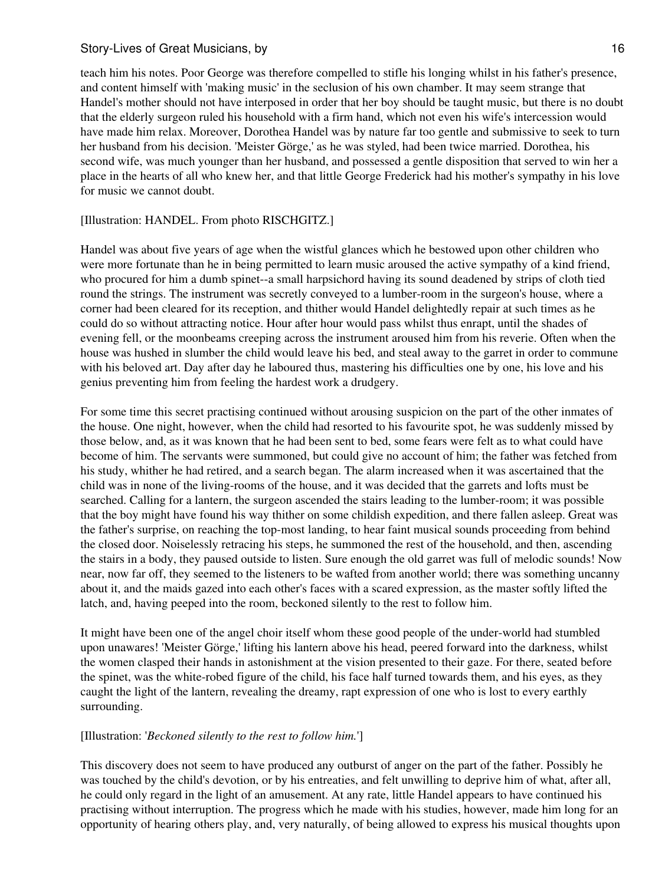teach him his notes. Poor George was therefore compelled to stifle his longing whilst in his father's presence, and content himself with 'making music' in the seclusion of his own chamber. It may seem strange that Handel's mother should not have interposed in order that her boy should be taught music, but there is no doubt that the elderly surgeon ruled his household with a firm hand, which not even his wife's intercession would have made him relax. Moreover, Dorothea Handel was by nature far too gentle and submissive to seek to turn her husband from his decision. 'Meister Görge,' as he was styled, had been twice married. Dorothea, his second wife, was much younger than her husband, and possessed a gentle disposition that served to win her a place in the hearts of all who knew her, and that little George Frederick had his mother's sympathy in his love for music we cannot doubt.

#### [Illustration: HANDEL. From photo RISCHGITZ.]

Handel was about five years of age when the wistful glances which he bestowed upon other children who were more fortunate than he in being permitted to learn music aroused the active sympathy of a kind friend, who procured for him a dumb spinet--a small harpsichord having its sound deadened by strips of cloth tied round the strings. The instrument was secretly conveyed to a lumber-room in the surgeon's house, where a corner had been cleared for its reception, and thither would Handel delightedly repair at such times as he could do so without attracting notice. Hour after hour would pass whilst thus enrapt, until the shades of evening fell, or the moonbeams creeping across the instrument aroused him from his reverie. Often when the house was hushed in slumber the child would leave his bed, and steal away to the garret in order to commune with his beloved art. Day after day he laboured thus, mastering his difficulties one by one, his love and his genius preventing him from feeling the hardest work a drudgery.

For some time this secret practising continued without arousing suspicion on the part of the other inmates of the house. One night, however, when the child had resorted to his favourite spot, he was suddenly missed by those below, and, as it was known that he had been sent to bed, some fears were felt as to what could have become of him. The servants were summoned, but could give no account of him; the father was fetched from his study, whither he had retired, and a search began. The alarm increased when it was ascertained that the child was in none of the living-rooms of the house, and it was decided that the garrets and lofts must be searched. Calling for a lantern, the surgeon ascended the stairs leading to the lumber-room; it was possible that the boy might have found his way thither on some childish expedition, and there fallen asleep. Great was the father's surprise, on reaching the top-most landing, to hear faint musical sounds proceeding from behind the closed door. Noiselessly retracing his steps, he summoned the rest of the household, and then, ascending the stairs in a body, they paused outside to listen. Sure enough the old garret was full of melodic sounds! Now near, now far off, they seemed to the listeners to be wafted from another world; there was something uncanny about it, and the maids gazed into each other's faces with a scared expression, as the master softly lifted the latch, and, having peeped into the room, beckoned silently to the rest to follow him.

It might have been one of the angel choir itself whom these good people of the under-world had stumbled upon unawares! 'Meister Görge,' lifting his lantern above his head, peered forward into the darkness, whilst the women clasped their hands in astonishment at the vision presented to their gaze. For there, seated before the spinet, was the white-robed figure of the child, his face half turned towards them, and his eyes, as they caught the light of the lantern, revealing the dreamy, rapt expression of one who is lost to every earthly surrounding.

#### [Illustration: '*Beckoned silently to the rest to follow him.*']

This discovery does not seem to have produced any outburst of anger on the part of the father. Possibly he was touched by the child's devotion, or by his entreaties, and felt unwilling to deprive him of what, after all, he could only regard in the light of an amusement. At any rate, little Handel appears to have continued his practising without interruption. The progress which he made with his studies, however, made him long for an opportunity of hearing others play, and, very naturally, of being allowed to express his musical thoughts upon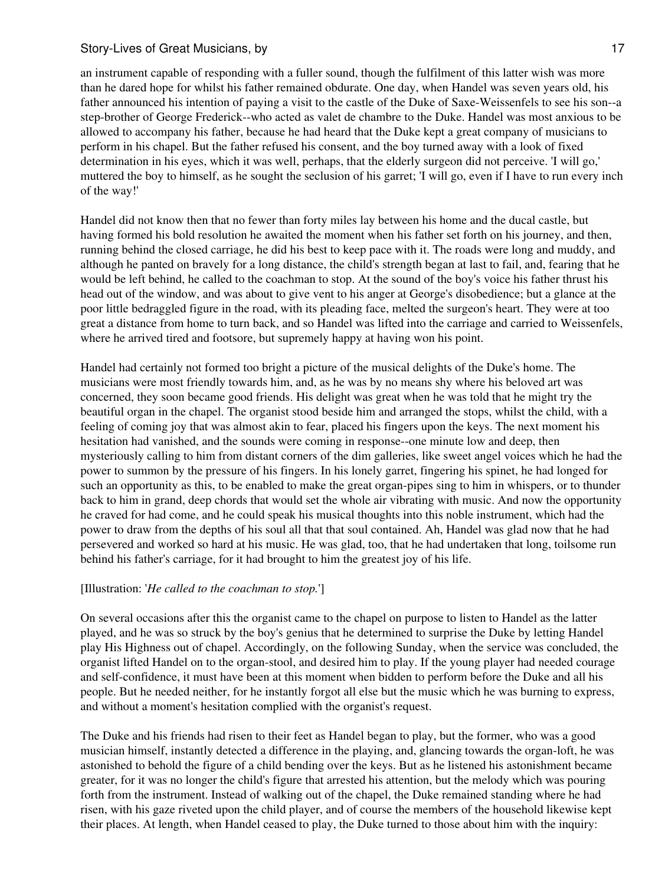an instrument capable of responding with a fuller sound, though the fulfilment of this latter wish was more than he dared hope for whilst his father remained obdurate. One day, when Handel was seven years old, his father announced his intention of paying a visit to the castle of the Duke of Saxe-Weissenfels to see his son--a step-brother of George Frederick--who acted as valet de chambre to the Duke. Handel was most anxious to be allowed to accompany his father, because he had heard that the Duke kept a great company of musicians to perform in his chapel. But the father refused his consent, and the boy turned away with a look of fixed determination in his eyes, which it was well, perhaps, that the elderly surgeon did not perceive. 'I will go,' muttered the boy to himself, as he sought the seclusion of his garret; 'I will go, even if I have to run every inch of the way!'

Handel did not know then that no fewer than forty miles lay between his home and the ducal castle, but having formed his bold resolution he awaited the moment when his father set forth on his journey, and then, running behind the closed carriage, he did his best to keep pace with it. The roads were long and muddy, and although he panted on bravely for a long distance, the child's strength began at last to fail, and, fearing that he would be left behind, he called to the coachman to stop. At the sound of the boy's voice his father thrust his head out of the window, and was about to give vent to his anger at George's disobedience; but a glance at the poor little bedraggled figure in the road, with its pleading face, melted the surgeon's heart. They were at too great a distance from home to turn back, and so Handel was lifted into the carriage and carried to Weissenfels, where he arrived tired and footsore, but supremely happy at having won his point.

Handel had certainly not formed too bright a picture of the musical delights of the Duke's home. The musicians were most friendly towards him, and, as he was by no means shy where his beloved art was concerned, they soon became good friends. His delight was great when he was told that he might try the beautiful organ in the chapel. The organist stood beside him and arranged the stops, whilst the child, with a feeling of coming joy that was almost akin to fear, placed his fingers upon the keys. The next moment his hesitation had vanished, and the sounds were coming in response--one minute low and deep, then mysteriously calling to him from distant corners of the dim galleries, like sweet angel voices which he had the power to summon by the pressure of his fingers. In his lonely garret, fingering his spinet, he had longed for such an opportunity as this, to be enabled to make the great organ-pipes sing to him in whispers, or to thunder back to him in grand, deep chords that would set the whole air vibrating with music. And now the opportunity he craved for had come, and he could speak his musical thoughts into this noble instrument, which had the power to draw from the depths of his soul all that that soul contained. Ah, Handel was glad now that he had persevered and worked so hard at his music. He was glad, too, that he had undertaken that long, toilsome run behind his father's carriage, for it had brought to him the greatest joy of his life.

## [Illustration: '*He called to the coachman to stop.*']

On several occasions after this the organist came to the chapel on purpose to listen to Handel as the latter played, and he was so struck by the boy's genius that he determined to surprise the Duke by letting Handel play His Highness out of chapel. Accordingly, on the following Sunday, when the service was concluded, the organist lifted Handel on to the organ-stool, and desired him to play. If the young player had needed courage and self-confidence, it must have been at this moment when bidden to perform before the Duke and all his people. But he needed neither, for he instantly forgot all else but the music which he was burning to express, and without a moment's hesitation complied with the organist's request.

The Duke and his friends had risen to their feet as Handel began to play, but the former, who was a good musician himself, instantly detected a difference in the playing, and, glancing towards the organ-loft, he was astonished to behold the figure of a child bending over the keys. But as he listened his astonishment became greater, for it was no longer the child's figure that arrested his attention, but the melody which was pouring forth from the instrument. Instead of walking out of the chapel, the Duke remained standing where he had risen, with his gaze riveted upon the child player, and of course the members of the household likewise kept their places. At length, when Handel ceased to play, the Duke turned to those about him with the inquiry: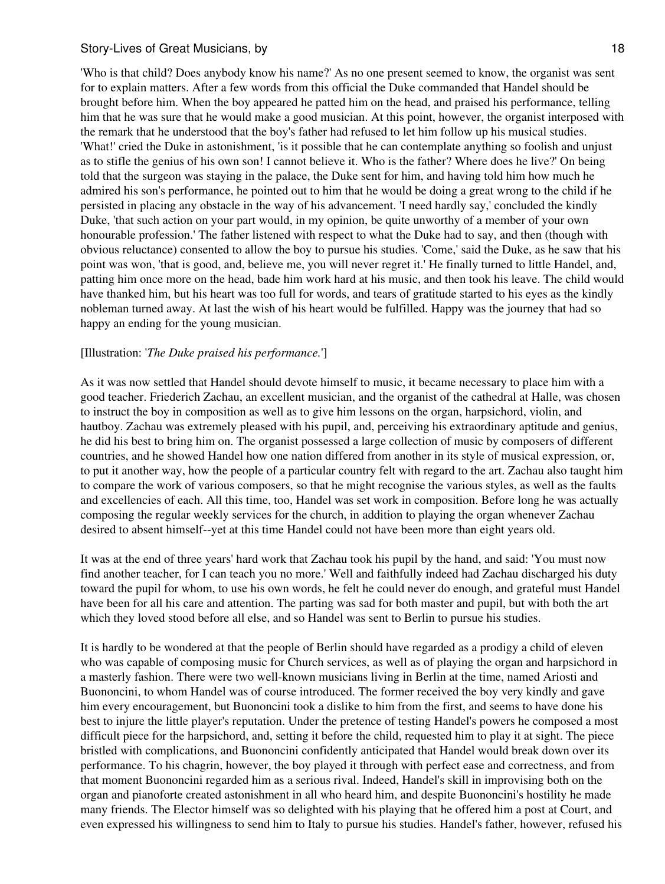'Who is that child? Does anybody know his name?' As no one present seemed to know, the organist was sent for to explain matters. After a few words from this official the Duke commanded that Handel should be brought before him. When the boy appeared he patted him on the head, and praised his performance, telling him that he was sure that he would make a good musician. At this point, however, the organist interposed with the remark that he understood that the boy's father had refused to let him follow up his musical studies. 'What!' cried the Duke in astonishment, 'is it possible that he can contemplate anything so foolish and unjust as to stifle the genius of his own son! I cannot believe it. Who is the father? Where does he live?' On being told that the surgeon was staying in the palace, the Duke sent for him, and having told him how much he admired his son's performance, he pointed out to him that he would be doing a great wrong to the child if he persisted in placing any obstacle in the way of his advancement. 'I need hardly say,' concluded the kindly Duke, 'that such action on your part would, in my opinion, be quite unworthy of a member of your own honourable profession.' The father listened with respect to what the Duke had to say, and then (though with obvious reluctance) consented to allow the boy to pursue his studies. 'Come,' said the Duke, as he saw that his point was won, 'that is good, and, believe me, you will never regret it.' He finally turned to little Handel, and, patting him once more on the head, bade him work hard at his music, and then took his leave. The child would have thanked him, but his heart was too full for words, and tears of gratitude started to his eyes as the kindly nobleman turned away. At last the wish of his heart would be fulfilled. Happy was the journey that had so happy an ending for the young musician.

#### [Illustration: '*The Duke praised his performance.*']

As it was now settled that Handel should devote himself to music, it became necessary to place him with a good teacher. Friederich Zachau, an excellent musician, and the organist of the cathedral at Halle, was chosen to instruct the boy in composition as well as to give him lessons on the organ, harpsichord, violin, and hautboy. Zachau was extremely pleased with his pupil, and, perceiving his extraordinary aptitude and genius, he did his best to bring him on. The organist possessed a large collection of music by composers of different countries, and he showed Handel how one nation differed from another in its style of musical expression, or, to put it another way, how the people of a particular country felt with regard to the art. Zachau also taught him to compare the work of various composers, so that he might recognise the various styles, as well as the faults and excellencies of each. All this time, too, Handel was set work in composition. Before long he was actually composing the regular weekly services for the church, in addition to playing the organ whenever Zachau desired to absent himself--yet at this time Handel could not have been more than eight years old.

It was at the end of three years' hard work that Zachau took his pupil by the hand, and said: 'You must now find another teacher, for I can teach you no more.' Well and faithfully indeed had Zachau discharged his duty toward the pupil for whom, to use his own words, he felt he could never do enough, and grateful must Handel have been for all his care and attention. The parting was sad for both master and pupil, but with both the art which they loved stood before all else, and so Handel was sent to Berlin to pursue his studies.

It is hardly to be wondered at that the people of Berlin should have regarded as a prodigy a child of eleven who was capable of composing music for Church services, as well as of playing the organ and harpsichord in a masterly fashion. There were two well-known musicians living in Berlin at the time, named Ariosti and Buononcini, to whom Handel was of course introduced. The former received the boy very kindly and gave him every encouragement, but Buononcini took a dislike to him from the first, and seems to have done his best to injure the little player's reputation. Under the pretence of testing Handel's powers he composed a most difficult piece for the harpsichord, and, setting it before the child, requested him to play it at sight. The piece bristled with complications, and Buononcini confidently anticipated that Handel would break down over its performance. To his chagrin, however, the boy played it through with perfect ease and correctness, and from that moment Buononcini regarded him as a serious rival. Indeed, Handel's skill in improvising both on the organ and pianoforte created astonishment in all who heard him, and despite Buononcini's hostility he made many friends. The Elector himself was so delighted with his playing that he offered him a post at Court, and even expressed his willingness to send him to Italy to pursue his studies. Handel's father, however, refused his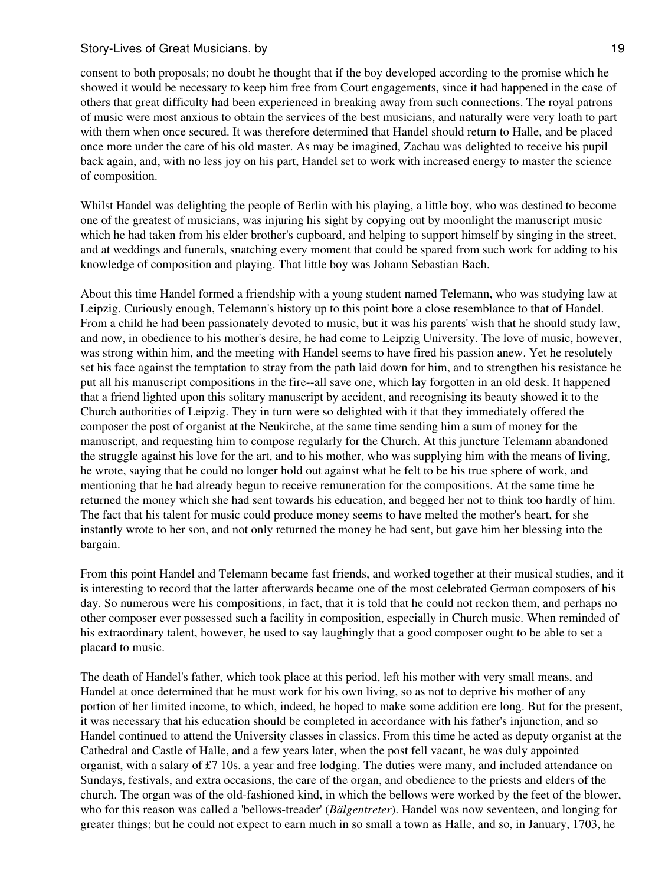consent to both proposals; no doubt he thought that if the boy developed according to the promise which he showed it would be necessary to keep him free from Court engagements, since it had happened in the case of others that great difficulty had been experienced in breaking away from such connections. The royal patrons of music were most anxious to obtain the services of the best musicians, and naturally were very loath to part with them when once secured. It was therefore determined that Handel should return to Halle, and be placed once more under the care of his old master. As may be imagined, Zachau was delighted to receive his pupil back again, and, with no less joy on his part, Handel set to work with increased energy to master the science of composition.

Whilst Handel was delighting the people of Berlin with his playing, a little boy, who was destined to become one of the greatest of musicians, was injuring his sight by copying out by moonlight the manuscript music which he had taken from his elder brother's cupboard, and helping to support himself by singing in the street, and at weddings and funerals, snatching every moment that could be spared from such work for adding to his knowledge of composition and playing. That little boy was Johann Sebastian Bach.

About this time Handel formed a friendship with a young student named Telemann, who was studying law at Leipzig. Curiously enough, Telemann's history up to this point bore a close resemblance to that of Handel. From a child he had been passionately devoted to music, but it was his parents' wish that he should study law, and now, in obedience to his mother's desire, he had come to Leipzig University. The love of music, however, was strong within him, and the meeting with Handel seems to have fired his passion anew. Yet he resolutely set his face against the temptation to stray from the path laid down for him, and to strengthen his resistance he put all his manuscript compositions in the fire--all save one, which lay forgotten in an old desk. It happened that a friend lighted upon this solitary manuscript by accident, and recognising its beauty showed it to the Church authorities of Leipzig. They in turn were so delighted with it that they immediately offered the composer the post of organist at the Neukirche, at the same time sending him a sum of money for the manuscript, and requesting him to compose regularly for the Church. At this juncture Telemann abandoned the struggle against his love for the art, and to his mother, who was supplying him with the means of living, he wrote, saying that he could no longer hold out against what he felt to be his true sphere of work, and mentioning that he had already begun to receive remuneration for the compositions. At the same time he returned the money which she had sent towards his education, and begged her not to think too hardly of him. The fact that his talent for music could produce money seems to have melted the mother's heart, for she instantly wrote to her son, and not only returned the money he had sent, but gave him her blessing into the bargain.

From this point Handel and Telemann became fast friends, and worked together at their musical studies, and it is interesting to record that the latter afterwards became one of the most celebrated German composers of his day. So numerous were his compositions, in fact, that it is told that he could not reckon them, and perhaps no other composer ever possessed such a facility in composition, especially in Church music. When reminded of his extraordinary talent, however, he used to say laughingly that a good composer ought to be able to set a placard to music.

The death of Handel's father, which took place at this period, left his mother with very small means, and Handel at once determined that he must work for his own living, so as not to deprive his mother of any portion of her limited income, to which, indeed, he hoped to make some addition ere long. But for the present, it was necessary that his education should be completed in accordance with his father's injunction, and so Handel continued to attend the University classes in classics. From this time he acted as deputy organist at the Cathedral and Castle of Halle, and a few years later, when the post fell vacant, he was duly appointed organist, with a salary of £7 10s. a year and free lodging. The duties were many, and included attendance on Sundays, festivals, and extra occasions, the care of the organ, and obedience to the priests and elders of the church. The organ was of the old-fashioned kind, in which the bellows were worked by the feet of the blower, who for this reason was called a 'bellows-treader' (*Bälgentreter*). Handel was now seventeen, and longing for greater things; but he could not expect to earn much in so small a town as Halle, and so, in January, 1703, he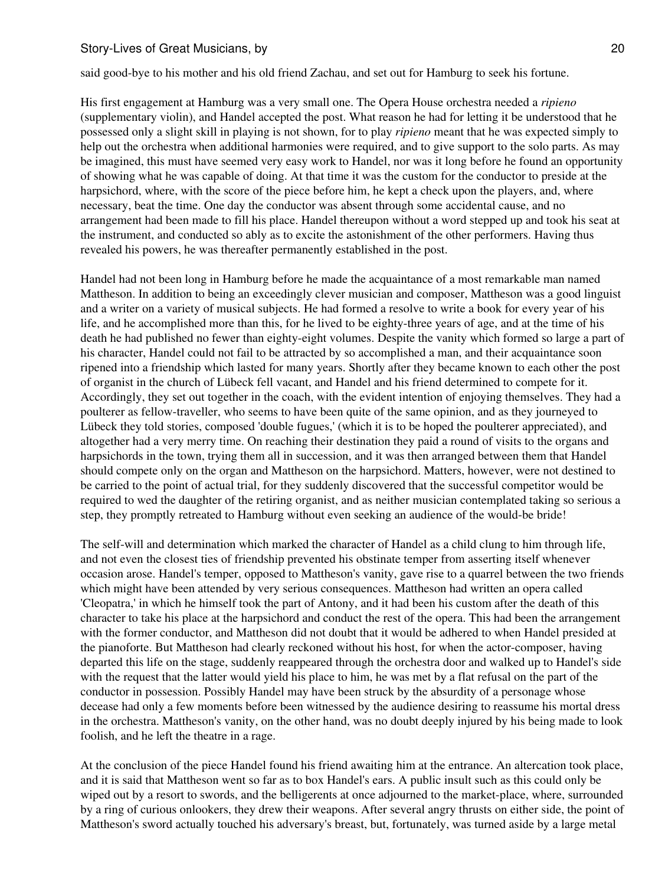said good-bye to his mother and his old friend Zachau, and set out for Hamburg to seek his fortune.

His first engagement at Hamburg was a very small one. The Opera House orchestra needed a *ripieno* (supplementary violin), and Handel accepted the post. What reason he had for letting it be understood that he possessed only a slight skill in playing is not shown, for to play *ripieno* meant that he was expected simply to help out the orchestra when additional harmonies were required, and to give support to the solo parts. As may be imagined, this must have seemed very easy work to Handel, nor was it long before he found an opportunity of showing what he was capable of doing. At that time it was the custom for the conductor to preside at the harpsichord, where, with the score of the piece before him, he kept a check upon the players, and, where necessary, beat the time. One day the conductor was absent through some accidental cause, and no arrangement had been made to fill his place. Handel thereupon without a word stepped up and took his seat at the instrument, and conducted so ably as to excite the astonishment of the other performers. Having thus revealed his powers, he was thereafter permanently established in the post.

Handel had not been long in Hamburg before he made the acquaintance of a most remarkable man named Mattheson. In addition to being an exceedingly clever musician and composer, Mattheson was a good linguist and a writer on a variety of musical subjects. He had formed a resolve to write a book for every year of his life, and he accomplished more than this, for he lived to be eighty-three years of age, and at the time of his death he had published no fewer than eighty-eight volumes. Despite the vanity which formed so large a part of his character, Handel could not fail to be attracted by so accomplished a man, and their acquaintance soon ripened into a friendship which lasted for many years. Shortly after they became known to each other the post of organist in the church of Lübeck fell vacant, and Handel and his friend determined to compete for it. Accordingly, they set out together in the coach, with the evident intention of enjoying themselves. They had a poulterer as fellow-traveller, who seems to have been quite of the same opinion, and as they journeyed to Lübeck they told stories, composed 'double fugues,' (which it is to be hoped the poulterer appreciated), and altogether had a very merry time. On reaching their destination they paid a round of visits to the organs and harpsichords in the town, trying them all in succession, and it was then arranged between them that Handel should compete only on the organ and Mattheson on the harpsichord. Matters, however, were not destined to be carried to the point of actual trial, for they suddenly discovered that the successful competitor would be required to wed the daughter of the retiring organist, and as neither musician contemplated taking so serious a step, they promptly retreated to Hamburg without even seeking an audience of the would-be bride!

The self-will and determination which marked the character of Handel as a child clung to him through life, and not even the closest ties of friendship prevented his obstinate temper from asserting itself whenever occasion arose. Handel's temper, opposed to Mattheson's vanity, gave rise to a quarrel between the two friends which might have been attended by very serious consequences. Mattheson had written an opera called 'Cleopatra,' in which he himself took the part of Antony, and it had been his custom after the death of this character to take his place at the harpsichord and conduct the rest of the opera. This had been the arrangement with the former conductor, and Mattheson did not doubt that it would be adhered to when Handel presided at the pianoforte. But Mattheson had clearly reckoned without his host, for when the actor-composer, having departed this life on the stage, suddenly reappeared through the orchestra door and walked up to Handel's side with the request that the latter would yield his place to him, he was met by a flat refusal on the part of the conductor in possession. Possibly Handel may have been struck by the absurdity of a personage whose decease had only a few moments before been witnessed by the audience desiring to reassume his mortal dress in the orchestra. Mattheson's vanity, on the other hand, was no doubt deeply injured by his being made to look foolish, and he left the theatre in a rage.

At the conclusion of the piece Handel found his friend awaiting him at the entrance. An altercation took place, and it is said that Mattheson went so far as to box Handel's ears. A public insult such as this could only be wiped out by a resort to swords, and the belligerents at once adjourned to the market-place, where, surrounded by a ring of curious onlookers, they drew their weapons. After several angry thrusts on either side, the point of Mattheson's sword actually touched his adversary's breast, but, fortunately, was turned aside by a large metal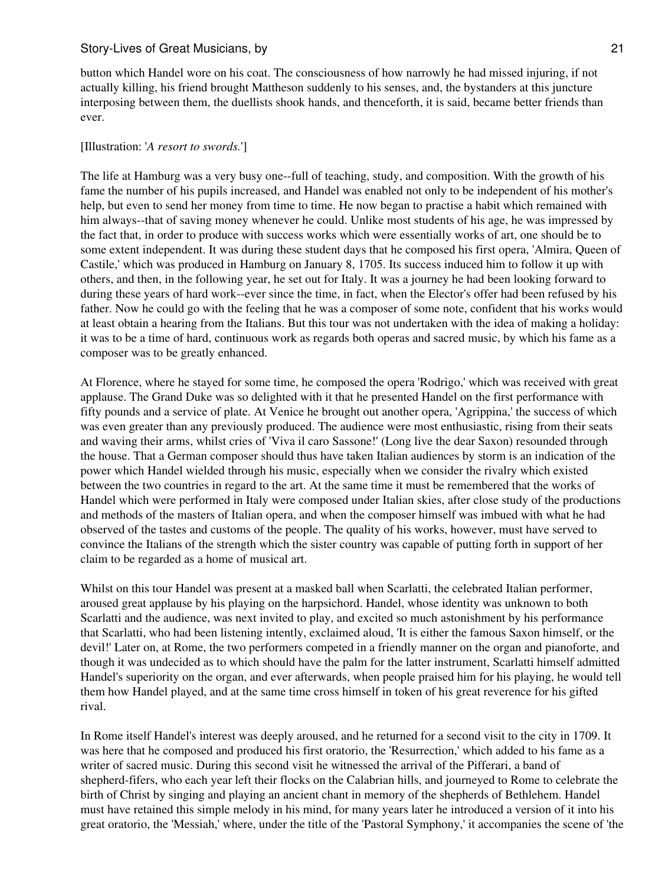button which Handel wore on his coat. The consciousness of how narrowly he had missed injuring, if not actually killing, his friend brought Mattheson suddenly to his senses, and, the bystanders at this juncture interposing between them, the duellists shook hands, and thenceforth, it is said, became better friends than ever.

#### [Illustration: '*A resort to swords.*']

The life at Hamburg was a very busy one--full of teaching, study, and composition. With the growth of his fame the number of his pupils increased, and Handel was enabled not only to be independent of his mother's help, but even to send her money from time to time. He now began to practise a habit which remained with him always--that of saving money whenever he could. Unlike most students of his age, he was impressed by the fact that, in order to produce with success works which were essentially works of art, one should be to some extent independent. It was during these student days that he composed his first opera, 'Almira, Queen of Castile,' which was produced in Hamburg on January 8, 1705. Its success induced him to follow it up with others, and then, in the following year, he set out for Italy. It was a journey he had been looking forward to during these years of hard work--ever since the time, in fact, when the Elector's offer had been refused by his father. Now he could go with the feeling that he was a composer of some note, confident that his works would at least obtain a hearing from the Italians. But this tour was not undertaken with the idea of making a holiday: it was to be a time of hard, continuous work as regards both operas and sacred music, by which his fame as a composer was to be greatly enhanced.

At Florence, where he stayed for some time, he composed the opera 'Rodrigo,' which was received with great applause. The Grand Duke was so delighted with it that he presented Handel on the first performance with fifty pounds and a service of plate. At Venice he brought out another opera, 'Agrippina,' the success of which was even greater than any previously produced. The audience were most enthusiastic, rising from their seats and waving their arms, whilst cries of 'Viva il caro Sassone!' (Long live the dear Saxon) resounded through the house. That a German composer should thus have taken Italian audiences by storm is an indication of the power which Handel wielded through his music, especially when we consider the rivalry which existed between the two countries in regard to the art. At the same time it must be remembered that the works of Handel which were performed in Italy were composed under Italian skies, after close study of the productions and methods of the masters of Italian opera, and when the composer himself was imbued with what he had observed of the tastes and customs of the people. The quality of his works, however, must have served to convince the Italians of the strength which the sister country was capable of putting forth in support of her claim to be regarded as a home of musical art.

Whilst on this tour Handel was present at a masked ball when Scarlatti, the celebrated Italian performer, aroused great applause by his playing on the harpsichord. Handel, whose identity was unknown to both Scarlatti and the audience, was next invited to play, and excited so much astonishment by his performance that Scarlatti, who had been listening intently, exclaimed aloud, 'It is either the famous Saxon himself, or the devil!' Later on, at Rome, the two performers competed in a friendly manner on the organ and pianoforte, and though it was undecided as to which should have the palm for the latter instrument, Scarlatti himself admitted Handel's superiority on the organ, and ever afterwards, when people praised him for his playing, he would tell them how Handel played, and at the same time cross himself in token of his great reverence for his gifted rival.

In Rome itself Handel's interest was deeply aroused, and he returned for a second visit to the city in 1709. It was here that he composed and produced his first oratorio, the 'Resurrection,' which added to his fame as a writer of sacred music. During this second visit he witnessed the arrival of the Pifferari, a band of shepherd-fifers, who each year left their flocks on the Calabrian hills, and journeyed to Rome to celebrate the birth of Christ by singing and playing an ancient chant in memory of the shepherds of Bethlehem. Handel must have retained this simple melody in his mind, for many years later he introduced a version of it into his great oratorio, the 'Messiah,' where, under the title of the 'Pastoral Symphony,' it accompanies the scene of 'the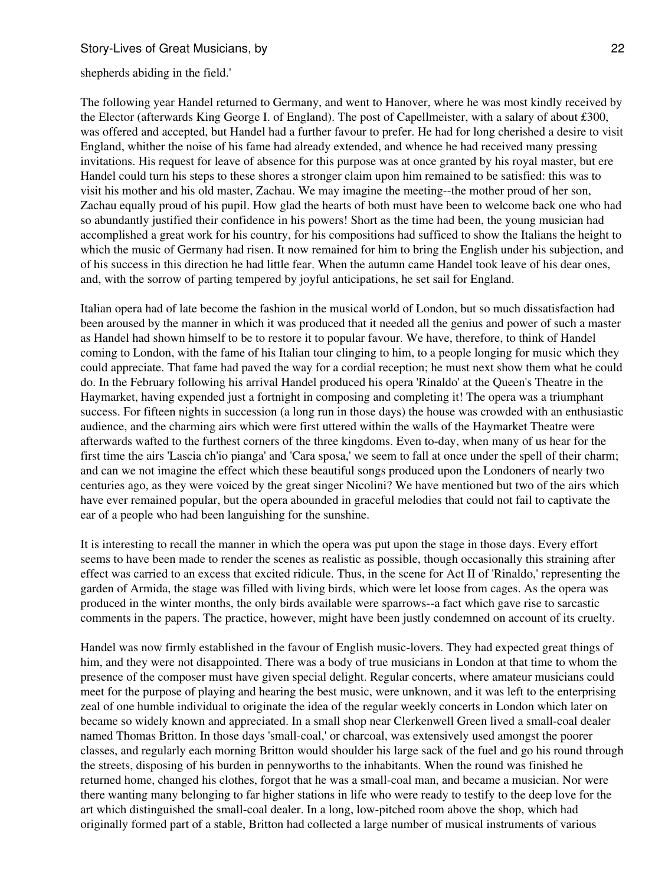shepherds abiding in the field.'

The following year Handel returned to Germany, and went to Hanover, where he was most kindly received by the Elector (afterwards King George I. of England). The post of Capellmeister, with a salary of about £300, was offered and accepted, but Handel had a further favour to prefer. He had for long cherished a desire to visit England, whither the noise of his fame had already extended, and whence he had received many pressing invitations. His request for leave of absence for this purpose was at once granted by his royal master, but ere Handel could turn his steps to these shores a stronger claim upon him remained to be satisfied: this was to visit his mother and his old master, Zachau. We may imagine the meeting--the mother proud of her son, Zachau equally proud of his pupil. How glad the hearts of both must have been to welcome back one who had so abundantly justified their confidence in his powers! Short as the time had been, the young musician had accomplished a great work for his country, for his compositions had sufficed to show the Italians the height to which the music of Germany had risen. It now remained for him to bring the English under his subjection, and of his success in this direction he had little fear. When the autumn came Handel took leave of his dear ones, and, with the sorrow of parting tempered by joyful anticipations, he set sail for England.

Italian opera had of late become the fashion in the musical world of London, but so much dissatisfaction had been aroused by the manner in which it was produced that it needed all the genius and power of such a master as Handel had shown himself to be to restore it to popular favour. We have, therefore, to think of Handel coming to London, with the fame of his Italian tour clinging to him, to a people longing for music which they could appreciate. That fame had paved the way for a cordial reception; he must next show them what he could do. In the February following his arrival Handel produced his opera 'Rinaldo' at the Queen's Theatre in the Haymarket, having expended just a fortnight in composing and completing it! The opera was a triumphant success. For fifteen nights in succession (a long run in those days) the house was crowded with an enthusiastic audience, and the charming airs which were first uttered within the walls of the Haymarket Theatre were afterwards wafted to the furthest corners of the three kingdoms. Even to-day, when many of us hear for the first time the airs 'Lascia ch'io pianga' and 'Cara sposa,' we seem to fall at once under the spell of their charm; and can we not imagine the effect which these beautiful songs produced upon the Londoners of nearly two centuries ago, as they were voiced by the great singer Nicolini? We have mentioned but two of the airs which have ever remained popular, but the opera abounded in graceful melodies that could not fail to captivate the ear of a people who had been languishing for the sunshine.

It is interesting to recall the manner in which the opera was put upon the stage in those days. Every effort seems to have been made to render the scenes as realistic as possible, though occasionally this straining after effect was carried to an excess that excited ridicule. Thus, in the scene for Act II of 'Rinaldo,' representing the garden of Armida, the stage was filled with living birds, which were let loose from cages. As the opera was produced in the winter months, the only birds available were sparrows--a fact which gave rise to sarcastic comments in the papers. The practice, however, might have been justly condemned on account of its cruelty.

Handel was now firmly established in the favour of English music-lovers. They had expected great things of him, and they were not disappointed. There was a body of true musicians in London at that time to whom the presence of the composer must have given special delight. Regular concerts, where amateur musicians could meet for the purpose of playing and hearing the best music, were unknown, and it was left to the enterprising zeal of one humble individual to originate the idea of the regular weekly concerts in London which later on became so widely known and appreciated. In a small shop near Clerkenwell Green lived a small-coal dealer named Thomas Britton. In those days 'small-coal,' or charcoal, was extensively used amongst the poorer classes, and regularly each morning Britton would shoulder his large sack of the fuel and go his round through the streets, disposing of his burden in pennyworths to the inhabitants. When the round was finished he returned home, changed his clothes, forgot that he was a small-coal man, and became a musician. Nor were there wanting many belonging to far higher stations in life who were ready to testify to the deep love for the art which distinguished the small-coal dealer. In a long, low-pitched room above the shop, which had originally formed part of a stable, Britton had collected a large number of musical instruments of various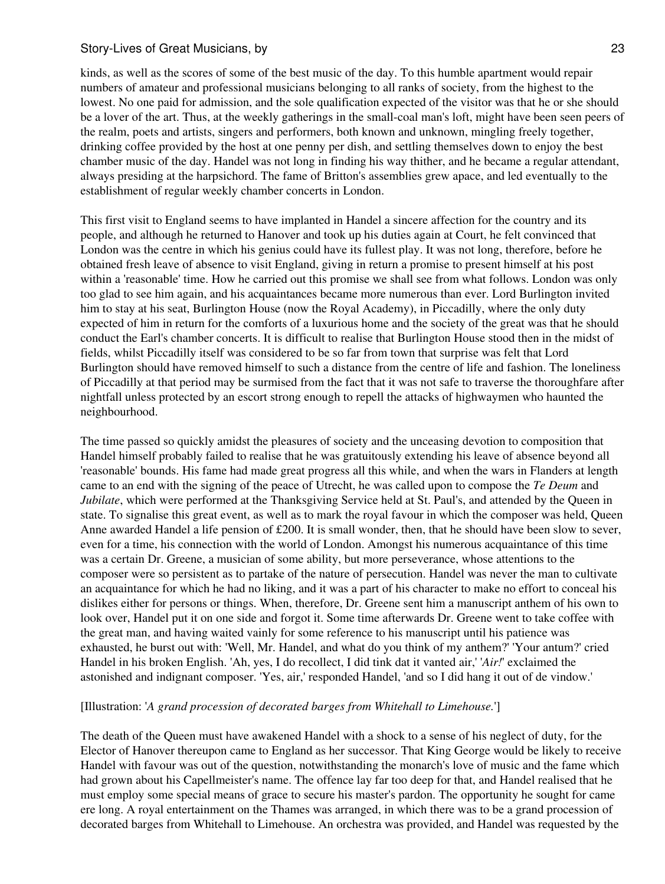kinds, as well as the scores of some of the best music of the day. To this humble apartment would repair numbers of amateur and professional musicians belonging to all ranks of society, from the highest to the lowest. No one paid for admission, and the sole qualification expected of the visitor was that he or she should be a lover of the art. Thus, at the weekly gatherings in the small-coal man's loft, might have been seen peers of the realm, poets and artists, singers and performers, both known and unknown, mingling freely together, drinking coffee provided by the host at one penny per dish, and settling themselves down to enjoy the best chamber music of the day. Handel was not long in finding his way thither, and he became a regular attendant, always presiding at the harpsichord. The fame of Britton's assemblies grew apace, and led eventually to the establishment of regular weekly chamber concerts in London.

This first visit to England seems to have implanted in Handel a sincere affection for the country and its people, and although he returned to Hanover and took up his duties again at Court, he felt convinced that London was the centre in which his genius could have its fullest play. It was not long, therefore, before he obtained fresh leave of absence to visit England, giving in return a promise to present himself at his post within a 'reasonable' time. How he carried out this promise we shall see from what follows. London was only too glad to see him again, and his acquaintances became more numerous than ever. Lord Burlington invited him to stay at his seat, Burlington House (now the Royal Academy), in Piccadilly, where the only duty expected of him in return for the comforts of a luxurious home and the society of the great was that he should conduct the Earl's chamber concerts. It is difficult to realise that Burlington House stood then in the midst of fields, whilst Piccadilly itself was considered to be so far from town that surprise was felt that Lord Burlington should have removed himself to such a distance from the centre of life and fashion. The loneliness of Piccadilly at that period may be surmised from the fact that it was not safe to traverse the thoroughfare after nightfall unless protected by an escort strong enough to repell the attacks of highwaymen who haunted the neighbourhood.

The time passed so quickly amidst the pleasures of society and the unceasing devotion to composition that Handel himself probably failed to realise that he was gratuitously extending his leave of absence beyond all 'reasonable' bounds. His fame had made great progress all this while, and when the wars in Flanders at length came to an end with the signing of the peace of Utrecht, he was called upon to compose the *Te Deum* and *Jubilate*, which were performed at the Thanksgiving Service held at St. Paul's, and attended by the Queen in state. To signalise this great event, as well as to mark the royal favour in which the composer was held, Queen Anne awarded Handel a life pension of £200. It is small wonder, then, that he should have been slow to sever, even for a time, his connection with the world of London. Amongst his numerous acquaintance of this time was a certain Dr. Greene, a musician of some ability, but more perseverance, whose attentions to the composer were so persistent as to partake of the nature of persecution. Handel was never the man to cultivate an acquaintance for which he had no liking, and it was a part of his character to make no effort to conceal his dislikes either for persons or things. When, therefore, Dr. Greene sent him a manuscript anthem of his own to look over, Handel put it on one side and forgot it. Some time afterwards Dr. Greene went to take coffee with the great man, and having waited vainly for some reference to his manuscript until his patience was exhausted, he burst out with: 'Well, Mr. Handel, and what do you think of my anthem?' 'Your antum?' cried Handel in his broken English. 'Ah, yes, I do recollect, I did tink dat it vanted air,' '*Air!*' exclaimed the astonished and indignant composer. 'Yes, air,' responded Handel, 'and so I did hang it out of de vindow.'

#### [Illustration: '*A grand procession of decorated barges from Whitehall to Limehouse.*']

The death of the Queen must have awakened Handel with a shock to a sense of his neglect of duty, for the Elector of Hanover thereupon came to England as her successor. That King George would be likely to receive Handel with favour was out of the question, notwithstanding the monarch's love of music and the fame which had grown about his Capellmeister's name. The offence lay far too deep for that, and Handel realised that he must employ some special means of grace to secure his master's pardon. The opportunity he sought for came ere long. A royal entertainment on the Thames was arranged, in which there was to be a grand procession of decorated barges from Whitehall to Limehouse. An orchestra was provided, and Handel was requested by the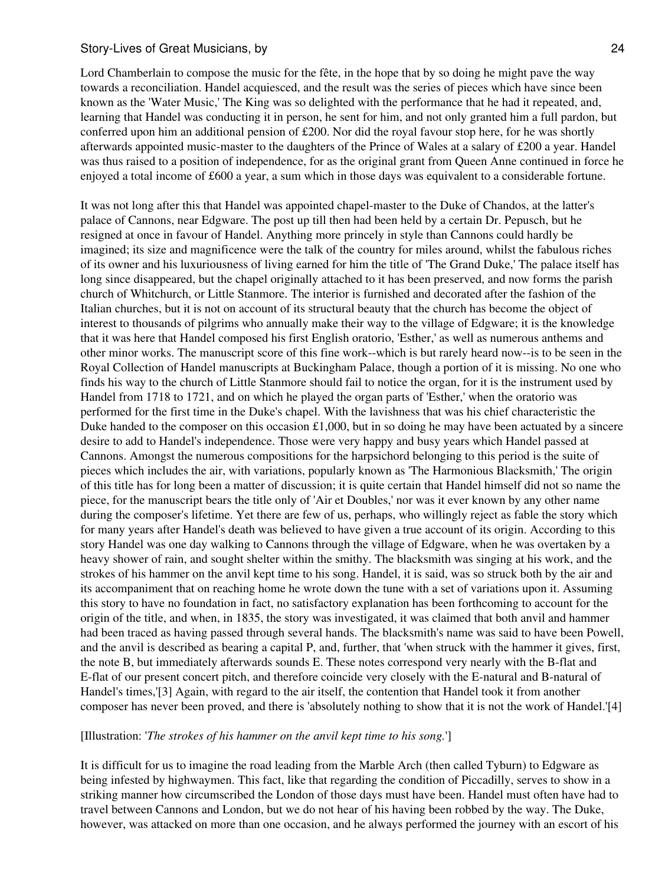Lord Chamberlain to compose the music for the fête, in the hope that by so doing he might pave the way towards a reconciliation. Handel acquiesced, and the result was the series of pieces which have since been known as the 'Water Music,' The King was so delighted with the performance that he had it repeated, and, learning that Handel was conducting it in person, he sent for him, and not only granted him a full pardon, but conferred upon him an additional pension of £200. Nor did the royal favour stop here, for he was shortly afterwards appointed music-master to the daughters of the Prince of Wales at a salary of £200 a year. Handel was thus raised to a position of independence, for as the original grant from Queen Anne continued in force he enjoyed a total income of £600 a year, a sum which in those days was equivalent to a considerable fortune.

It was not long after this that Handel was appointed chapel-master to the Duke of Chandos, at the latter's palace of Cannons, near Edgware. The post up till then had been held by a certain Dr. Pepusch, but he resigned at once in favour of Handel. Anything more princely in style than Cannons could hardly be imagined; its size and magnificence were the talk of the country for miles around, whilst the fabulous riches of its owner and his luxuriousness of living earned for him the title of 'The Grand Duke,' The palace itself has long since disappeared, but the chapel originally attached to it has been preserved, and now forms the parish church of Whitchurch, or Little Stanmore. The interior is furnished and decorated after the fashion of the Italian churches, but it is not on account of its structural beauty that the church has become the object of interest to thousands of pilgrims who annually make their way to the village of Edgware; it is the knowledge that it was here that Handel composed his first English oratorio, 'Esther,' as well as numerous anthems and other minor works. The manuscript score of this fine work--which is but rarely heard now--is to be seen in the Royal Collection of Handel manuscripts at Buckingham Palace, though a portion of it is missing. No one who finds his way to the church of Little Stanmore should fail to notice the organ, for it is the instrument used by Handel from 1718 to 1721, and on which he played the organ parts of 'Esther,' when the oratorio was performed for the first time in the Duke's chapel. With the lavishness that was his chief characteristic the Duke handed to the composer on this occasion  $\pounds1,000$ , but in so doing he may have been actuated by a sincere desire to add to Handel's independence. Those were very happy and busy years which Handel passed at Cannons. Amongst the numerous compositions for the harpsichord belonging to this period is the suite of pieces which includes the air, with variations, popularly known as 'The Harmonious Blacksmith,' The origin of this title has for long been a matter of discussion; it is quite certain that Handel himself did not so name the piece, for the manuscript bears the title only of 'Air et Doubles,' nor was it ever known by any other name during the composer's lifetime. Yet there are few of us, perhaps, who willingly reject as fable the story which for many years after Handel's death was believed to have given a true account of its origin. According to this story Handel was one day walking to Cannons through the village of Edgware, when he was overtaken by a heavy shower of rain, and sought shelter within the smithy. The blacksmith was singing at his work, and the strokes of his hammer on the anvil kept time to his song. Handel, it is said, was so struck both by the air and its accompaniment that on reaching home he wrote down the tune with a set of variations upon it. Assuming this story to have no foundation in fact, no satisfactory explanation has been forthcoming to account for the origin of the title, and when, in 1835, the story was investigated, it was claimed that both anvil and hammer had been traced as having passed through several hands. The blacksmith's name was said to have been Powell, and the anvil is described as bearing a capital P, and, further, that 'when struck with the hammer it gives, first, the note B, but immediately afterwards sounds E. These notes correspond very nearly with the B-flat and E-flat of our present concert pitch, and therefore coincide very closely with the E-natural and B-natural of Handel's times,'[3] Again, with regard to the air itself, the contention that Handel took it from another composer has never been proved, and there is 'absolutely nothing to show that it is not the work of Handel.'[4]

#### [Illustration: '*The strokes of his hammer on the anvil kept time to his song.*']

It is difficult for us to imagine the road leading from the Marble Arch (then called Tyburn) to Edgware as being infested by highwaymen. This fact, like that regarding the condition of Piccadilly, serves to show in a striking manner how circumscribed the London of those days must have been. Handel must often have had to travel between Cannons and London, but we do not hear of his having been robbed by the way. The Duke, however, was attacked on more than one occasion, and he always performed the journey with an escort of his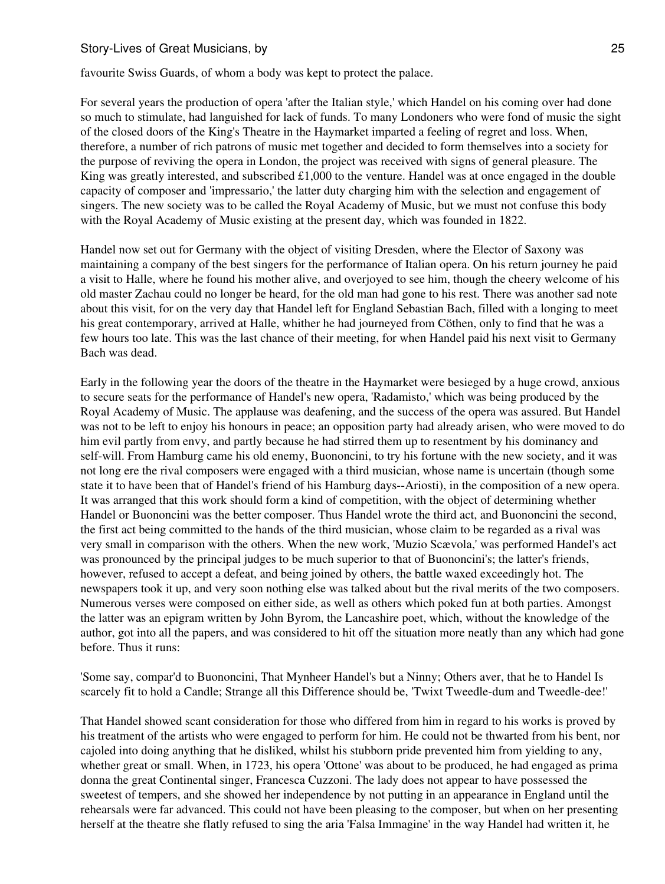favourite Swiss Guards, of whom a body was kept to protect the palace.

For several years the production of opera 'after the Italian style,' which Handel on his coming over had done so much to stimulate, had languished for lack of funds. To many Londoners who were fond of music the sight of the closed doors of the King's Theatre in the Haymarket imparted a feeling of regret and loss. When, therefore, a number of rich patrons of music met together and decided to form themselves into a society for the purpose of reviving the opera in London, the project was received with signs of general pleasure. The King was greatly interested, and subscribed  $\pounds1,000$  to the venture. Handel was at once engaged in the double capacity of composer and 'impressario,' the latter duty charging him with the selection and engagement of singers. The new society was to be called the Royal Academy of Music, but we must not confuse this body with the Royal Academy of Music existing at the present day, which was founded in 1822.

Handel now set out for Germany with the object of visiting Dresden, where the Elector of Saxony was maintaining a company of the best singers for the performance of Italian opera. On his return journey he paid a visit to Halle, where he found his mother alive, and overjoyed to see him, though the cheery welcome of his old master Zachau could no longer be heard, for the old man had gone to his rest. There was another sad note about this visit, for on the very day that Handel left for England Sebastian Bach, filled with a longing to meet his great contemporary, arrived at Halle, whither he had journeyed from Cöthen, only to find that he was a few hours too late. This was the last chance of their meeting, for when Handel paid his next visit to Germany Bach was dead.

Early in the following year the doors of the theatre in the Haymarket were besieged by a huge crowd, anxious to secure seats for the performance of Handel's new opera, 'Radamisto,' which was being produced by the Royal Academy of Music. The applause was deafening, and the success of the opera was assured. But Handel was not to be left to enjoy his honours in peace; an opposition party had already arisen, who were moved to do him evil partly from envy, and partly because he had stirred them up to resentment by his dominancy and self-will. From Hamburg came his old enemy, Buononcini, to try his fortune with the new society, and it was not long ere the rival composers were engaged with a third musician, whose name is uncertain (though some state it to have been that of Handel's friend of his Hamburg days--Ariosti), in the composition of a new opera. It was arranged that this work should form a kind of competition, with the object of determining whether Handel or Buononcini was the better composer. Thus Handel wrote the third act, and Buononcini the second, the first act being committed to the hands of the third musician, whose claim to be regarded as a rival was very small in comparison with the others. When the new work, 'Muzio Scævola,' was performed Handel's act was pronounced by the principal judges to be much superior to that of Buononcini's; the latter's friends, however, refused to accept a defeat, and being joined by others, the battle waxed exceedingly hot. The newspapers took it up, and very soon nothing else was talked about but the rival merits of the two composers. Numerous verses were composed on either side, as well as others which poked fun at both parties. Amongst the latter was an epigram written by John Byrom, the Lancashire poet, which, without the knowledge of the author, got into all the papers, and was considered to hit off the situation more neatly than any which had gone before. Thus it runs:

'Some say, compar'd to Buononcini, That Mynheer Handel's but a Ninny; Others aver, that he to Handel Is scarcely fit to hold a Candle; Strange all this Difference should be, 'Twixt Tweedle-dum and Tweedle-dee!'

That Handel showed scant consideration for those who differed from him in regard to his works is proved by his treatment of the artists who were engaged to perform for him. He could not be thwarted from his bent, nor cajoled into doing anything that he disliked, whilst his stubborn pride prevented him from yielding to any, whether great or small. When, in 1723, his opera 'Ottone' was about to be produced, he had engaged as prima donna the great Continental singer, Francesca Cuzzoni. The lady does not appear to have possessed the sweetest of tempers, and she showed her independence by not putting in an appearance in England until the rehearsals were far advanced. This could not have been pleasing to the composer, but when on her presenting herself at the theatre she flatly refused to sing the aria 'Falsa Immagine' in the way Handel had written it, he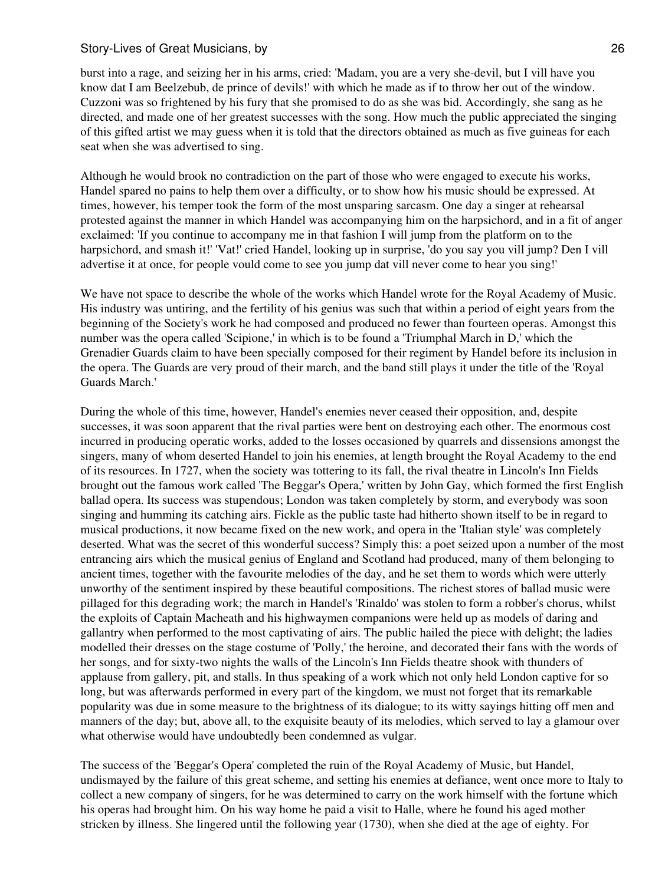burst into a rage, and seizing her in his arms, cried: 'Madam, you are a very she-devil, but I vill have you know dat I am Beelzebub, de prince of devils!' with which he made as if to throw her out of the window. Cuzzoni was so frightened by his fury that she promised to do as she was bid. Accordingly, she sang as he directed, and made one of her greatest successes with the song. How much the public appreciated the singing of this gifted artist we may guess when it is told that the directors obtained as much as five guineas for each seat when she was advertised to sing.

Although he would brook no contradiction on the part of those who were engaged to execute his works, Handel spared no pains to help them over a difficulty, or to show how his music should be expressed. At times, however, his temper took the form of the most unsparing sarcasm. One day a singer at rehearsal protested against the manner in which Handel was accompanying him on the harpsichord, and in a fit of anger exclaimed: 'If you continue to accompany me in that fashion I will jump from the platform on to the harpsichord, and smash it!' 'Vat!' cried Handel, looking up in surprise, 'do you say you vill jump? Den I vill advertise it at once, for people vould come to see you jump dat vill never come to hear you sing!'

We have not space to describe the whole of the works which Handel wrote for the Royal Academy of Music. His industry was untiring, and the fertility of his genius was such that within a period of eight years from the beginning of the Society's work he had composed and produced no fewer than fourteen operas. Amongst this number was the opera called 'Scipione,' in which is to be found a 'Triumphal March in D,' which the Grenadier Guards claim to have been specially composed for their regiment by Handel before its inclusion in the opera. The Guards are very proud of their march, and the band still plays it under the title of the 'Royal Guards March.'

During the whole of this time, however, Handel's enemies never ceased their opposition, and, despite successes, it was soon apparent that the rival parties were bent on destroying each other. The enormous cost incurred in producing operatic works, added to the losses occasioned by quarrels and dissensions amongst the singers, many of whom deserted Handel to join his enemies, at length brought the Royal Academy to the end of its resources. In 1727, when the society was tottering to its fall, the rival theatre in Lincoln's Inn Fields brought out the famous work called 'The Beggar's Opera,' written by John Gay, which formed the first English ballad opera. Its success was stupendous; London was taken completely by storm, and everybody was soon singing and humming its catching airs. Fickle as the public taste had hitherto shown itself to be in regard to musical productions, it now became fixed on the new work, and opera in the 'Italian style' was completely deserted. What was the secret of this wonderful success? Simply this: a poet seized upon a number of the most entrancing airs which the musical genius of England and Scotland had produced, many of them belonging to ancient times, together with the favourite melodies of the day, and he set them to words which were utterly unworthy of the sentiment inspired by these beautiful compositions. The richest stores of ballad music were pillaged for this degrading work; the march in Handel's 'Rinaldo' was stolen to form a robber's chorus, whilst the exploits of Captain Macheath and his highwaymen companions were held up as models of daring and gallantry when performed to the most captivating of airs. The public hailed the piece with delight; the ladies modelled their dresses on the stage costume of 'Polly,' the heroine, and decorated their fans with the words of her songs, and for sixty-two nights the walls of the Lincoln's Inn Fields theatre shook with thunders of applause from gallery, pit, and stalls. In thus speaking of a work which not only held London captive for so long, but was afterwards performed in every part of the kingdom, we must not forget that its remarkable popularity was due in some measure to the brightness of its dialogue; to its witty sayings hitting off men and manners of the day; but, above all, to the exquisite beauty of its melodies, which served to lay a glamour over what otherwise would have undoubtedly been condemned as vulgar.

The success of the 'Beggar's Opera' completed the ruin of the Royal Academy of Music, but Handel, undismayed by the failure of this great scheme, and setting his enemies at defiance, went once more to Italy to collect a new company of singers, for he was determined to carry on the work himself with the fortune which his operas had brought him. On his way home he paid a visit to Halle, where he found his aged mother stricken by illness. She lingered until the following year (1730), when she died at the age of eighty. For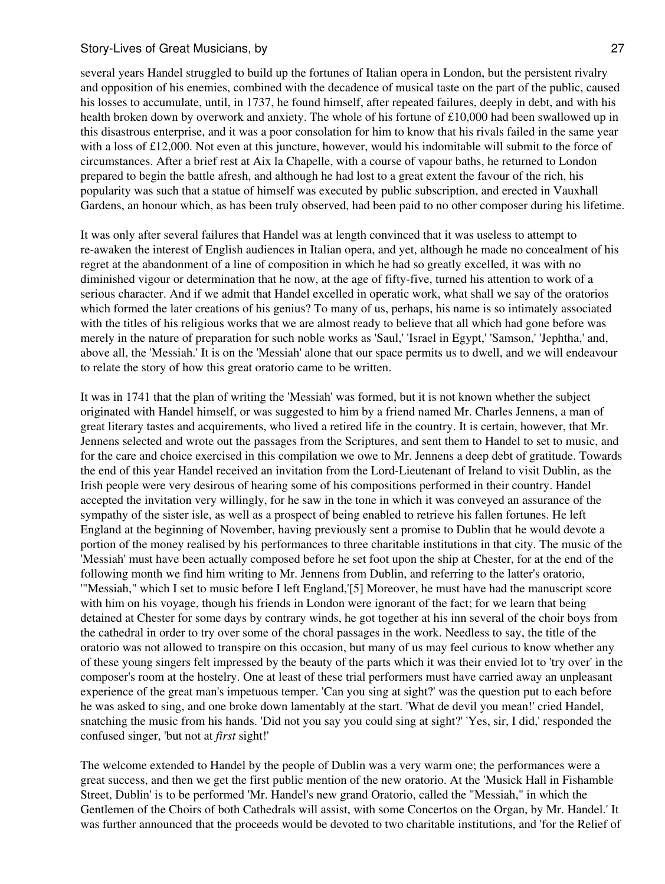several years Handel struggled to build up the fortunes of Italian opera in London, but the persistent rivalry and opposition of his enemies, combined with the decadence of musical taste on the part of the public, caused his losses to accumulate, until, in 1737, he found himself, after repeated failures, deeply in debt, and with his health broken down by overwork and anxiety. The whole of his fortune of £10,000 had been swallowed up in this disastrous enterprise, and it was a poor consolation for him to know that his rivals failed in the same year with a loss of £12,000. Not even at this juncture, however, would his indomitable will submit to the force of circumstances. After a brief rest at Aix la Chapelle, with a course of vapour baths, he returned to London prepared to begin the battle afresh, and although he had lost to a great extent the favour of the rich, his popularity was such that a statue of himself was executed by public subscription, and erected in Vauxhall Gardens, an honour which, as has been truly observed, had been paid to no other composer during his lifetime.

It was only after several failures that Handel was at length convinced that it was useless to attempt to re-awaken the interest of English audiences in Italian opera, and yet, although he made no concealment of his regret at the abandonment of a line of composition in which he had so greatly excelled, it was with no diminished vigour or determination that he now, at the age of fifty-five, turned his attention to work of a serious character. And if we admit that Handel excelled in operatic work, what shall we say of the oratorios which formed the later creations of his genius? To many of us, perhaps, his name is so intimately associated with the titles of his religious works that we are almost ready to believe that all which had gone before was merely in the nature of preparation for such noble works as 'Saul,' 'Israel in Egypt,' 'Samson,' 'Jephtha,' and, above all, the 'Messiah.' It is on the 'Messiah' alone that our space permits us to dwell, and we will endeavour to relate the story of how this great oratorio came to be written.

It was in 1741 that the plan of writing the 'Messiah' was formed, but it is not known whether the subject originated with Handel himself, or was suggested to him by a friend named Mr. Charles Jennens, a man of great literary tastes and acquirements, who lived a retired life in the country. It is certain, however, that Mr. Jennens selected and wrote out the passages from the Scriptures, and sent them to Handel to set to music, and for the care and choice exercised in this compilation we owe to Mr. Jennens a deep debt of gratitude. Towards the end of this year Handel received an invitation from the Lord-Lieutenant of Ireland to visit Dublin, as the Irish people were very desirous of hearing some of his compositions performed in their country. Handel accepted the invitation very willingly, for he saw in the tone in which it was conveyed an assurance of the sympathy of the sister isle, as well as a prospect of being enabled to retrieve his fallen fortunes. He left England at the beginning of November, having previously sent a promise to Dublin that he would devote a portion of the money realised by his performances to three charitable institutions in that city. The music of the 'Messiah' must have been actually composed before he set foot upon the ship at Chester, for at the end of the following month we find him writing to Mr. Jennens from Dublin, and referring to the latter's oratorio, '"Messiah," which I set to music before I left England,'[5] Moreover, he must have had the manuscript score with him on his voyage, though his friends in London were ignorant of the fact; for we learn that being detained at Chester for some days by contrary winds, he got together at his inn several of the choir boys from the cathedral in order to try over some of the choral passages in the work. Needless to say, the title of the oratorio was not allowed to transpire on this occasion, but many of us may feel curious to know whether any of these young singers felt impressed by the beauty of the parts which it was their envied lot to 'try over' in the composer's room at the hostelry. One at least of these trial performers must have carried away an unpleasant experience of the great man's impetuous temper. 'Can you sing at sight?' was the question put to each before he was asked to sing, and one broke down lamentably at the start. 'What de devil you mean!' cried Handel, snatching the music from his hands. 'Did not you say you could sing at sight?' 'Yes, sir, I did,' responded the confused singer, 'but not at *first* sight!'

The welcome extended to Handel by the people of Dublin was a very warm one; the performances were a great success, and then we get the first public mention of the new oratorio. At the 'Musick Hall in Fishamble Street, Dublin' is to be performed 'Mr. Handel's new grand Oratorio, called the "Messiah," in which the Gentlemen of the Choirs of both Cathedrals will assist, with some Concertos on the Organ, by Mr. Handel.' It was further announced that the proceeds would be devoted to two charitable institutions, and 'for the Relief of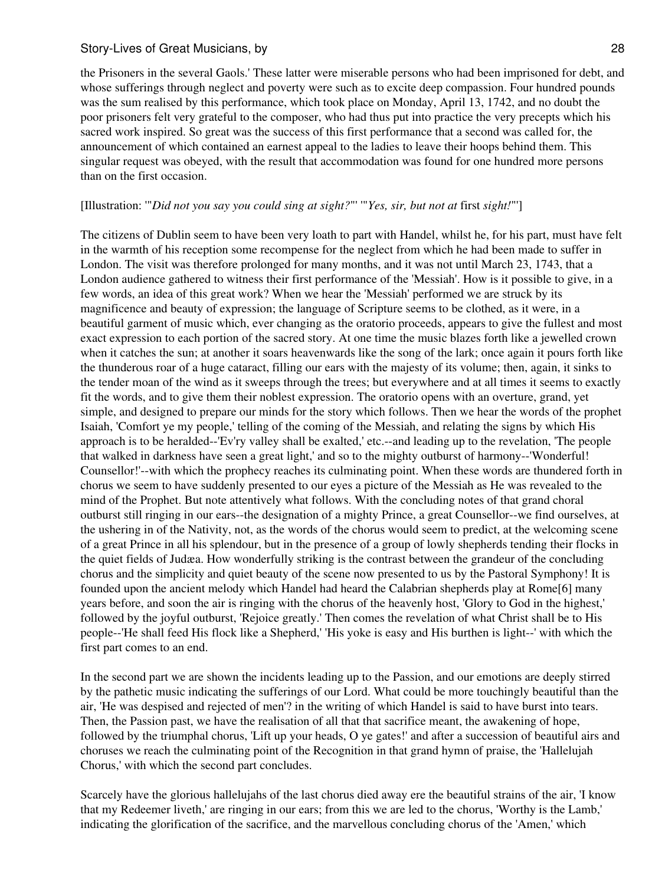the Prisoners in the several Gaols.' These latter were miserable persons who had been imprisoned for debt, and whose sufferings through neglect and poverty were such as to excite deep compassion. Four hundred pounds was the sum realised by this performance, which took place on Monday, April 13, 1742, and no doubt the poor prisoners felt very grateful to the composer, who had thus put into practice the very precepts which his sacred work inspired. So great was the success of this first performance that a second was called for, the announcement of which contained an earnest appeal to the ladies to leave their hoops behind them. This singular request was obeyed, with the result that accommodation was found for one hundred more persons than on the first occasion.

## [Illustration: '"*Did not you say you could sing at sight?*"' '"*Yes, sir, but not at* first *sight!*"']

The citizens of Dublin seem to have been very loath to part with Handel, whilst he, for his part, must have felt in the warmth of his reception some recompense for the neglect from which he had been made to suffer in London. The visit was therefore prolonged for many months, and it was not until March 23, 1743, that a London audience gathered to witness their first performance of the 'Messiah'. How is it possible to give, in a few words, an idea of this great work? When we hear the 'Messiah' performed we are struck by its magnificence and beauty of expression; the language of Scripture seems to be clothed, as it were, in a beautiful garment of music which, ever changing as the oratorio proceeds, appears to give the fullest and most exact expression to each portion of the sacred story. At one time the music blazes forth like a jewelled crown when it catches the sun; at another it soars heavenwards like the song of the lark; once again it pours forth like the thunderous roar of a huge cataract, filling our ears with the majesty of its volume; then, again, it sinks to the tender moan of the wind as it sweeps through the trees; but everywhere and at all times it seems to exactly fit the words, and to give them their noblest expression. The oratorio opens with an overture, grand, yet simple, and designed to prepare our minds for the story which follows. Then we hear the words of the prophet Isaiah, 'Comfort ye my people,' telling of the coming of the Messiah, and relating the signs by which His approach is to be heralded--'Ev'ry valley shall be exalted,' etc.--and leading up to the revelation, 'The people that walked in darkness have seen a great light,' and so to the mighty outburst of harmony--'Wonderful! Counsellor!'--with which the prophecy reaches its culminating point. When these words are thundered forth in chorus we seem to have suddenly presented to our eyes a picture of the Messiah as He was revealed to the mind of the Prophet. But note attentively what follows. With the concluding notes of that grand choral outburst still ringing in our ears--the designation of a mighty Prince, a great Counsellor--we find ourselves, at the ushering in of the Nativity, not, as the words of the chorus would seem to predict, at the welcoming scene of a great Prince in all his splendour, but in the presence of a group of lowly shepherds tending their flocks in the quiet fields of Judæa. How wonderfully striking is the contrast between the grandeur of the concluding chorus and the simplicity and quiet beauty of the scene now presented to us by the Pastoral Symphony! It is founded upon the ancient melody which Handel had heard the Calabrian shepherds play at Rome[6] many years before, and soon the air is ringing with the chorus of the heavenly host, 'Glory to God in the highest,' followed by the joyful outburst, 'Rejoice greatly.' Then comes the revelation of what Christ shall be to His people--'He shall feed His flock like a Shepherd,' 'His yoke is easy and His burthen is light--' with which the first part comes to an end.

In the second part we are shown the incidents leading up to the Passion, and our emotions are deeply stirred by the pathetic music indicating the sufferings of our Lord. What could be more touchingly beautiful than the air, 'He was despised and rejected of men'? in the writing of which Handel is said to have burst into tears. Then, the Passion past, we have the realisation of all that that sacrifice meant, the awakening of hope, followed by the triumphal chorus, 'Lift up your heads, O ye gates!' and after a succession of beautiful airs and choruses we reach the culminating point of the Recognition in that grand hymn of praise, the 'Hallelujah Chorus,' with which the second part concludes.

Scarcely have the glorious hallelujahs of the last chorus died away ere the beautiful strains of the air, 'I know that my Redeemer liveth,' are ringing in our ears; from this we are led to the chorus, 'Worthy is the Lamb,' indicating the glorification of the sacrifice, and the marvellous concluding chorus of the 'Amen,' which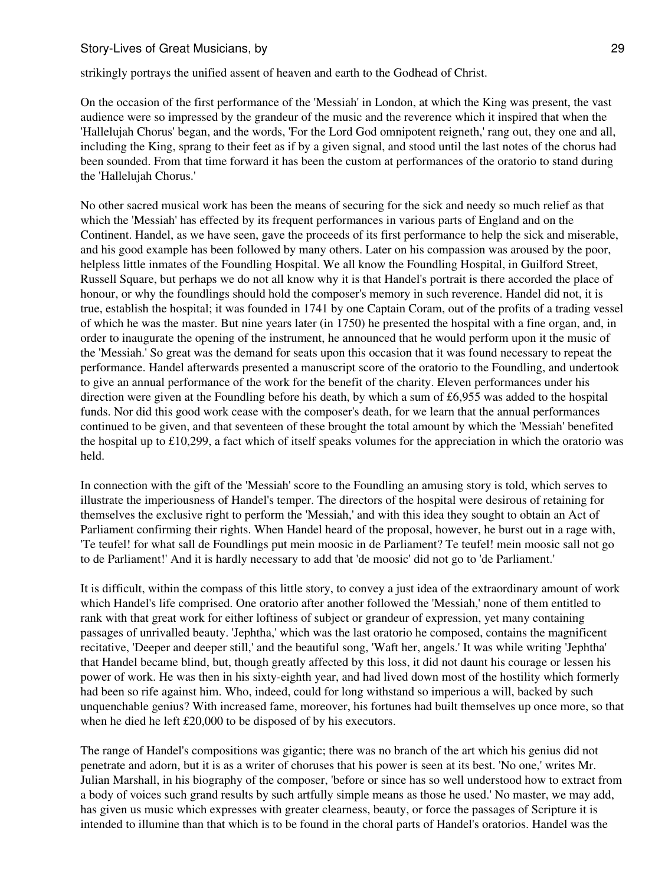strikingly portrays the unified assent of heaven and earth to the Godhead of Christ.

On the occasion of the first performance of the 'Messiah' in London, at which the King was present, the vast audience were so impressed by the grandeur of the music and the reverence which it inspired that when the 'Hallelujah Chorus' began, and the words, 'For the Lord God omnipotent reigneth,' rang out, they one and all, including the King, sprang to their feet as if by a given signal, and stood until the last notes of the chorus had been sounded. From that time forward it has been the custom at performances of the oratorio to stand during the 'Hallelujah Chorus.'

No other sacred musical work has been the means of securing for the sick and needy so much relief as that which the 'Messiah' has effected by its frequent performances in various parts of England and on the Continent. Handel, as we have seen, gave the proceeds of its first performance to help the sick and miserable, and his good example has been followed by many others. Later on his compassion was aroused by the poor, helpless little inmates of the Foundling Hospital. We all know the Foundling Hospital, in Guilford Street, Russell Square, but perhaps we do not all know why it is that Handel's portrait is there accorded the place of honour, or why the foundlings should hold the composer's memory in such reverence. Handel did not, it is true, establish the hospital; it was founded in 1741 by one Captain Coram, out of the profits of a trading vessel of which he was the master. But nine years later (in 1750) he presented the hospital with a fine organ, and, in order to inaugurate the opening of the instrument, he announced that he would perform upon it the music of the 'Messiah.' So great was the demand for seats upon this occasion that it was found necessary to repeat the performance. Handel afterwards presented a manuscript score of the oratorio to the Foundling, and undertook to give an annual performance of the work for the benefit of the charity. Eleven performances under his direction were given at the Foundling before his death, by which a sum of £6,955 was added to the hospital funds. Nor did this good work cease with the composer's death, for we learn that the annual performances continued to be given, and that seventeen of these brought the total amount by which the 'Messiah' benefited the hospital up to £10,299, a fact which of itself speaks volumes for the appreciation in which the oratorio was held.

In connection with the gift of the 'Messiah' score to the Foundling an amusing story is told, which serves to illustrate the imperiousness of Handel's temper. The directors of the hospital were desirous of retaining for themselves the exclusive right to perform the 'Messiah,' and with this idea they sought to obtain an Act of Parliament confirming their rights. When Handel heard of the proposal, however, he burst out in a rage with, 'Te teufel! for what sall de Foundlings put mein moosic in de Parliament? Te teufel! mein moosic sall not go to de Parliament!' And it is hardly necessary to add that 'de moosic' did not go to 'de Parliament.'

It is difficult, within the compass of this little story, to convey a just idea of the extraordinary amount of work which Handel's life comprised. One oratorio after another followed the 'Messiah,' none of them entitled to rank with that great work for either loftiness of subject or grandeur of expression, yet many containing passages of unrivalled beauty. 'Jephtha,' which was the last oratorio he composed, contains the magnificent recitative, 'Deeper and deeper still,' and the beautiful song, 'Waft her, angels.' It was while writing 'Jephtha' that Handel became blind, but, though greatly affected by this loss, it did not daunt his courage or lessen his power of work. He was then in his sixty-eighth year, and had lived down most of the hostility which formerly had been so rife against him. Who, indeed, could for long withstand so imperious a will, backed by such unquenchable genius? With increased fame, moreover, his fortunes had built themselves up once more, so that when he died he left £20,000 to be disposed of by his executors.

The range of Handel's compositions was gigantic; there was no branch of the art which his genius did not penetrate and adorn, but it is as a writer of choruses that his power is seen at its best. 'No one,' writes Mr. Julian Marshall, in his biography of the composer, 'before or since has so well understood how to extract from a body of voices such grand results by such artfully simple means as those he used.' No master, we may add, has given us music which expresses with greater clearness, beauty, or force the passages of Scripture it is intended to illumine than that which is to be found in the choral parts of Handel's oratorios. Handel was the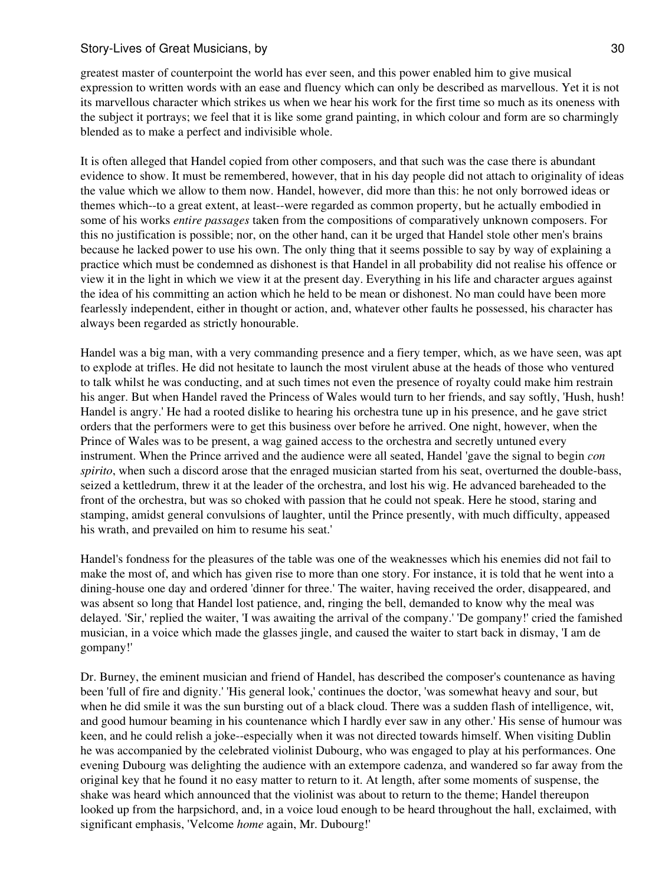greatest master of counterpoint the world has ever seen, and this power enabled him to give musical expression to written words with an ease and fluency which can only be described as marvellous. Yet it is not its marvellous character which strikes us when we hear his work for the first time so much as its oneness with the subject it portrays; we feel that it is like some grand painting, in which colour and form are so charmingly blended as to make a perfect and indivisible whole.

It is often alleged that Handel copied from other composers, and that such was the case there is abundant evidence to show. It must be remembered, however, that in his day people did not attach to originality of ideas the value which we allow to them now. Handel, however, did more than this: he not only borrowed ideas or themes which--to a great extent, at least--were regarded as common property, but he actually embodied in some of his works *entire passages* taken from the compositions of comparatively unknown composers. For this no justification is possible; nor, on the other hand, can it be urged that Handel stole other men's brains because he lacked power to use his own. The only thing that it seems possible to say by way of explaining a practice which must be condemned as dishonest is that Handel in all probability did not realise his offence or view it in the light in which we view it at the present day. Everything in his life and character argues against the idea of his committing an action which he held to be mean or dishonest. No man could have been more fearlessly independent, either in thought or action, and, whatever other faults he possessed, his character has always been regarded as strictly honourable.

Handel was a big man, with a very commanding presence and a fiery temper, which, as we have seen, was apt to explode at trifles. He did not hesitate to launch the most virulent abuse at the heads of those who ventured to talk whilst he was conducting, and at such times not even the presence of royalty could make him restrain his anger. But when Handel raved the Princess of Wales would turn to her friends, and say softly, 'Hush, hush! Handel is angry.' He had a rooted dislike to hearing his orchestra tune up in his presence, and he gave strict orders that the performers were to get this business over before he arrived. One night, however, when the Prince of Wales was to be present, a wag gained access to the orchestra and secretly untuned every instrument. When the Prince arrived and the audience were all seated, Handel 'gave the signal to begin *con spirito*, when such a discord arose that the enraged musician started from his seat, overturned the double-bass, seized a kettledrum, threw it at the leader of the orchestra, and lost his wig. He advanced bareheaded to the front of the orchestra, but was so choked with passion that he could not speak. Here he stood, staring and stamping, amidst general convulsions of laughter, until the Prince presently, with much difficulty, appeased his wrath, and prevailed on him to resume his seat.'

Handel's fondness for the pleasures of the table was one of the weaknesses which his enemies did not fail to make the most of, and which has given rise to more than one story. For instance, it is told that he went into a dining-house one day and ordered 'dinner for three.' The waiter, having received the order, disappeared, and was absent so long that Handel lost patience, and, ringing the bell, demanded to know why the meal was delayed. 'Sir,' replied the waiter, 'I was awaiting the arrival of the company.' 'De gompany!' cried the famished musician, in a voice which made the glasses jingle, and caused the waiter to start back in dismay, 'I am de gompany!'

Dr. Burney, the eminent musician and friend of Handel, has described the composer's countenance as having been 'full of fire and dignity.' 'His general look,' continues the doctor, 'was somewhat heavy and sour, but when he did smile it was the sun bursting out of a black cloud. There was a sudden flash of intelligence, wit, and good humour beaming in his countenance which I hardly ever saw in any other.' His sense of humour was keen, and he could relish a joke--especially when it was not directed towards himself. When visiting Dublin he was accompanied by the celebrated violinist Dubourg, who was engaged to play at his performances. One evening Dubourg was delighting the audience with an extempore cadenza, and wandered so far away from the original key that he found it no easy matter to return to it. At length, after some moments of suspense, the shake was heard which announced that the violinist was about to return to the theme; Handel thereupon looked up from the harpsichord, and, in a voice loud enough to be heard throughout the hall, exclaimed, with significant emphasis, 'Velcome *home* again, Mr. Dubourg!'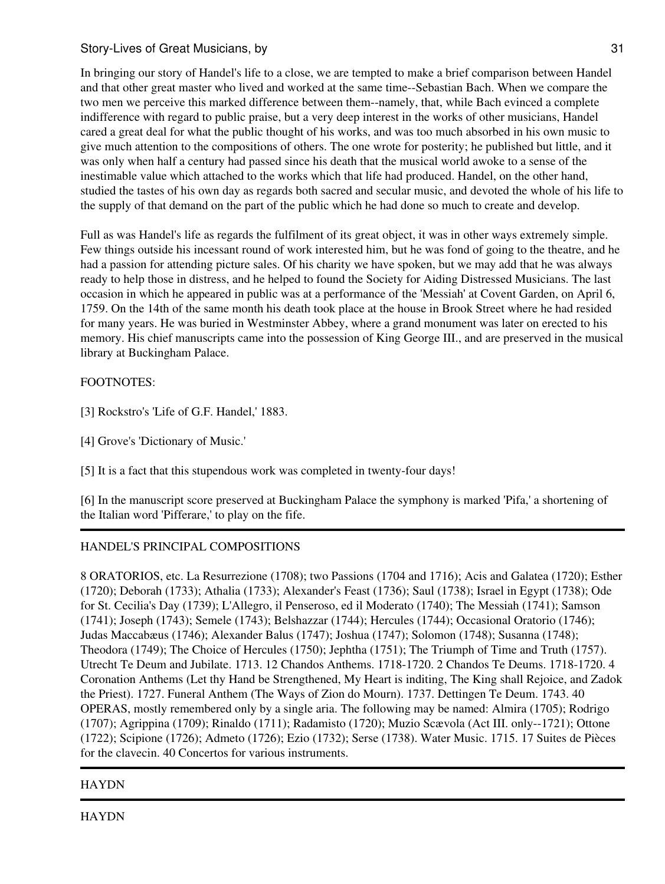In bringing our story of Handel's life to a close, we are tempted to make a brief comparison between Handel and that other great master who lived and worked at the same time--Sebastian Bach. When we compare the two men we perceive this marked difference between them--namely, that, while Bach evinced a complete indifference with regard to public praise, but a very deep interest in the works of other musicians, Handel cared a great deal for what the public thought of his works, and was too much absorbed in his own music to give much attention to the compositions of others. The one wrote for posterity; he published but little, and it was only when half a century had passed since his death that the musical world awoke to a sense of the inestimable value which attached to the works which that life had produced. Handel, on the other hand, studied the tastes of his own day as regards both sacred and secular music, and devoted the whole of his life to the supply of that demand on the part of the public which he had done so much to create and develop.

Full as was Handel's life as regards the fulfilment of its great object, it was in other ways extremely simple. Few things outside his incessant round of work interested him, but he was fond of going to the theatre, and he had a passion for attending picture sales. Of his charity we have spoken, but we may add that he was always ready to help those in distress, and he helped to found the Society for Aiding Distressed Musicians. The last occasion in which he appeared in public was at a performance of the 'Messiah' at Covent Garden, on April 6, 1759. On the 14th of the same month his death took place at the house in Brook Street where he had resided for many years. He was buried in Westminster Abbey, where a grand monument was later on erected to his memory. His chief manuscripts came into the possession of King George III., and are preserved in the musical library at Buckingham Palace.

# FOOTNOTES:

[3] Rockstro's 'Life of G.F. Handel,' 1883.

[4] Grove's 'Dictionary of Music.'

[5] It is a fact that this stupendous work was completed in twenty-four days!

[6] In the manuscript score preserved at Buckingham Palace the symphony is marked 'Pifa,' a shortening of the Italian word 'Pifferare,' to play on the fife.

# HANDEL'S PRINCIPAL COMPOSITIONS

8 ORATORIOS, etc. La Resurrezione (1708); two Passions (1704 and 1716); Acis and Galatea (1720); Esther (1720); Deborah (1733); Athalia (1733); Alexander's Feast (1736); Saul (1738); Israel in Egypt (1738); Ode for St. Cecilia's Day (1739); L'Allegro, il Penseroso, ed il Moderato (1740); The Messiah (1741); Samson (1741); Joseph (1743); Semele (1743); Belshazzar (1744); Hercules (1744); Occasional Oratorio (1746); Judas Maccabæus (1746); Alexander Balus (1747); Joshua (1747); Solomon (1748); Susanna (1748); Theodora (1749); The Choice of Hercules (1750); Jephtha (1751); The Triumph of Time and Truth (1757). Utrecht Te Deum and Jubilate. 1713. 12 Chandos Anthems. 1718-1720. 2 Chandos Te Deums. 1718-1720. 4 Coronation Anthems (Let thy Hand be Strengthened, My Heart is inditing, The King shall Rejoice, and Zadok the Priest). 1727. Funeral Anthem (The Ways of Zion do Mourn). 1737. Dettingen Te Deum. 1743. 40 OPERAS, mostly remembered only by a single aria. The following may be named: Almira (1705); Rodrigo (1707); Agrippina (1709); Rinaldo (1711); Radamisto (1720); Muzio Scævola (Act III. only--1721); Ottone (1722); Scipione (1726); Admeto (1726); Ezio (1732); Serse (1738). Water Music. 1715. 17 Suites de Pièces for the clavecin. 40 Concertos for various instruments.

# **HAYDN**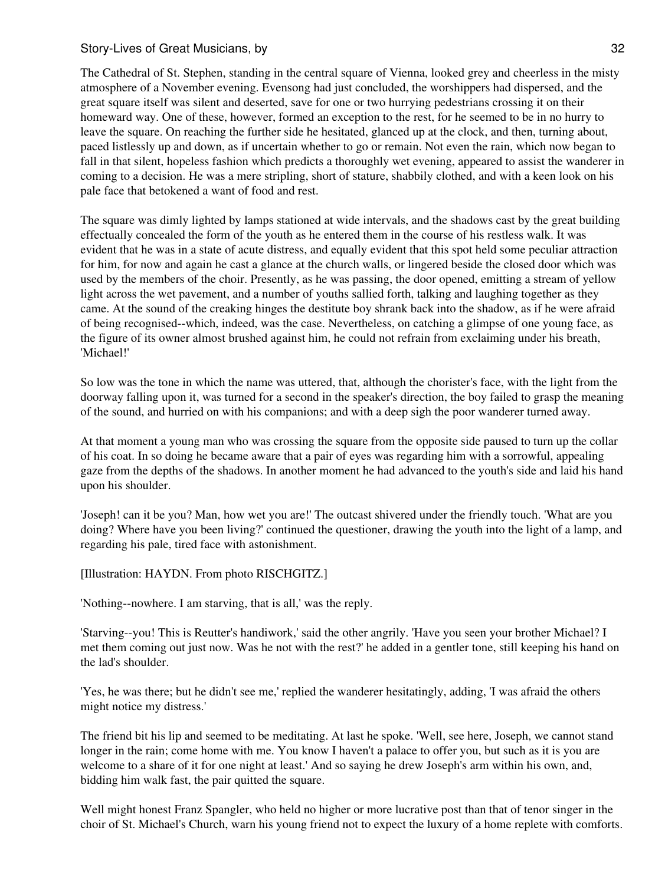The Cathedral of St. Stephen, standing in the central square of Vienna, looked grey and cheerless in the misty atmosphere of a November evening. Evensong had just concluded, the worshippers had dispersed, and the great square itself was silent and deserted, save for one or two hurrying pedestrians crossing it on their homeward way. One of these, however, formed an exception to the rest, for he seemed to be in no hurry to leave the square. On reaching the further side he hesitated, glanced up at the clock, and then, turning about, paced listlessly up and down, as if uncertain whether to go or remain. Not even the rain, which now began to fall in that silent, hopeless fashion which predicts a thoroughly wet evening, appeared to assist the wanderer in coming to a decision. He was a mere stripling, short of stature, shabbily clothed, and with a keen look on his pale face that betokened a want of food and rest.

The square was dimly lighted by lamps stationed at wide intervals, and the shadows cast by the great building effectually concealed the form of the youth as he entered them in the course of his restless walk. It was evident that he was in a state of acute distress, and equally evident that this spot held some peculiar attraction for him, for now and again he cast a glance at the church walls, or lingered beside the closed door which was used by the members of the choir. Presently, as he was passing, the door opened, emitting a stream of yellow light across the wet pavement, and a number of youths sallied forth, talking and laughing together as they came. At the sound of the creaking hinges the destitute boy shrank back into the shadow, as if he were afraid of being recognised--which, indeed, was the case. Nevertheless, on catching a glimpse of one young face, as the figure of its owner almost brushed against him, he could not refrain from exclaiming under his breath, 'Michael!'

So low was the tone in which the name was uttered, that, although the chorister's face, with the light from the doorway falling upon it, was turned for a second in the speaker's direction, the boy failed to grasp the meaning of the sound, and hurried on with his companions; and with a deep sigh the poor wanderer turned away.

At that moment a young man who was crossing the square from the opposite side paused to turn up the collar of his coat. In so doing he became aware that a pair of eyes was regarding him with a sorrowful, appealing gaze from the depths of the shadows. In another moment he had advanced to the youth's side and laid his hand upon his shoulder.

'Joseph! can it be you? Man, how wet you are!' The outcast shivered under the friendly touch. 'What are you doing? Where have you been living?' continued the questioner, drawing the youth into the light of a lamp, and regarding his pale, tired face with astonishment.

[Illustration: HAYDN. From photo RISCHGITZ.]

'Nothing--nowhere. I am starving, that is all,' was the reply.

'Starving--you! This is Reutter's handiwork,' said the other angrily. 'Have you seen your brother Michael? I met them coming out just now. Was he not with the rest?' he added in a gentler tone, still keeping his hand on the lad's shoulder.

'Yes, he was there; but he didn't see me,' replied the wanderer hesitatingly, adding, 'I was afraid the others might notice my distress.'

The friend bit his lip and seemed to be meditating. At last he spoke. 'Well, see here, Joseph, we cannot stand longer in the rain; come home with me. You know I haven't a palace to offer you, but such as it is you are welcome to a share of it for one night at least.' And so saying he drew Joseph's arm within his own, and, bidding him walk fast, the pair quitted the square.

Well might honest Franz Spangler, who held no higher or more lucrative post than that of tenor singer in the choir of St. Michael's Church, warn his young friend not to expect the luxury of a home replete with comforts.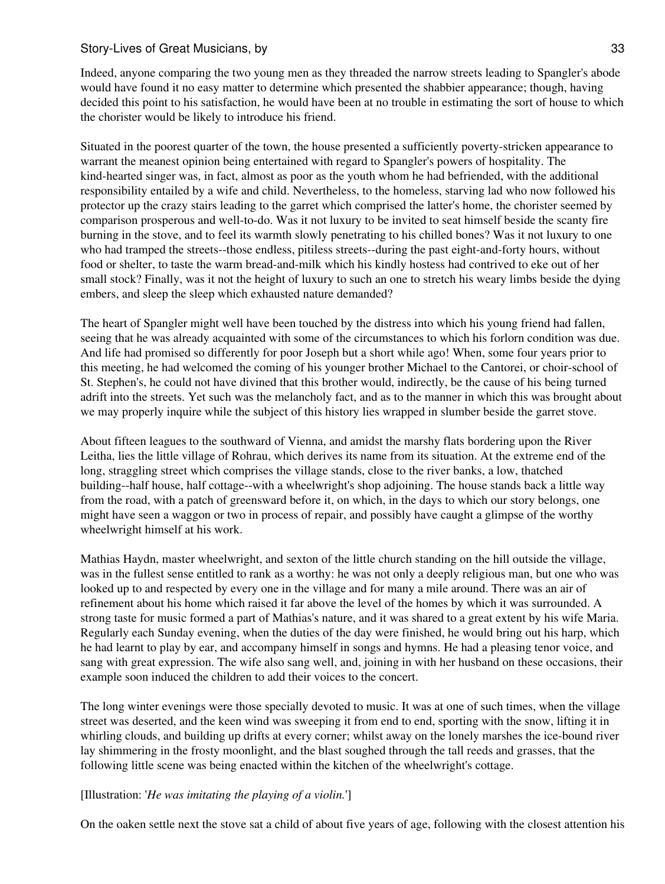Indeed, anyone comparing the two young men as they threaded the narrow streets leading to Spangler's abode would have found it no easy matter to determine which presented the shabbier appearance; though, having decided this point to his satisfaction, he would have been at no trouble in estimating the sort of house to which the chorister would be likely to introduce his friend.

Situated in the poorest quarter of the town, the house presented a sufficiently poverty-stricken appearance to warrant the meanest opinion being entertained with regard to Spangler's powers of hospitality. The kind-hearted singer was, in fact, almost as poor as the youth whom he had befriended, with the additional responsibility entailed by a wife and child. Nevertheless, to the homeless, starving lad who now followed his protector up the crazy stairs leading to the garret which comprised the latter's home, the chorister seemed by comparison prosperous and well-to-do. Was it not luxury to be invited to seat himself beside the scanty fire burning in the stove, and to feel its warmth slowly penetrating to his chilled bones? Was it not luxury to one who had tramped the streets--those endless, pitiless streets--during the past eight-and-forty hours, without food or shelter, to taste the warm bread-and-milk which his kindly hostess had contrived to eke out of her small stock? Finally, was it not the height of luxury to such an one to stretch his weary limbs beside the dying embers, and sleep the sleep which exhausted nature demanded?

The heart of Spangler might well have been touched by the distress into which his young friend had fallen, seeing that he was already acquainted with some of the circumstances to which his forlorn condition was due. And life had promised so differently for poor Joseph but a short while ago! When, some four years prior to this meeting, he had welcomed the coming of his younger brother Michael to the Cantorei, or choir-school of St. Stephen's, he could not have divined that this brother would, indirectly, be the cause of his being turned adrift into the streets. Yet such was the melancholy fact, and as to the manner in which this was brought about we may properly inquire while the subject of this history lies wrapped in slumber beside the garret stove.

About fifteen leagues to the southward of Vienna, and amidst the marshy flats bordering upon the River Leitha, lies the little village of Rohrau, which derives its name from its situation. At the extreme end of the long, straggling street which comprises the village stands, close to the river banks, a low, thatched building--half house, half cottage--with a wheelwright's shop adjoining. The house stands back a little way from the road, with a patch of greensward before it, on which, in the days to which our story belongs, one might have seen a waggon or two in process of repair, and possibly have caught a glimpse of the worthy wheelwright himself at his work.

Mathias Haydn, master wheelwright, and sexton of the little church standing on the hill outside the village, was in the fullest sense entitled to rank as a worthy: he was not only a deeply religious man, but one who was looked up to and respected by every one in the village and for many a mile around. There was an air of refinement about his home which raised it far above the level of the homes by which it was surrounded. A strong taste for music formed a part of Mathias's nature, and it was shared to a great extent by his wife Maria. Regularly each Sunday evening, when the duties of the day were finished, he would bring out his harp, which he had learnt to play by ear, and accompany himself in songs and hymns. He had a pleasing tenor voice, and sang with great expression. The wife also sang well, and, joining in with her husband on these occasions, their example soon induced the children to add their voices to the concert.

The long winter evenings were those specially devoted to music. It was at one of such times, when the village street was deserted, and the keen wind was sweeping it from end to end, sporting with the snow, lifting it in whirling clouds, and building up drifts at every corner; whilst away on the lonely marshes the ice-bound river lay shimmering in the frosty moonlight, and the blast soughed through the tall reeds and grasses, that the following little scene was being enacted within the kitchen of the wheelwright's cottage.

## [Illustration: '*He was imitating the playing of a violin.*']

On the oaken settle next the stove sat a child of about five years of age, following with the closest attention his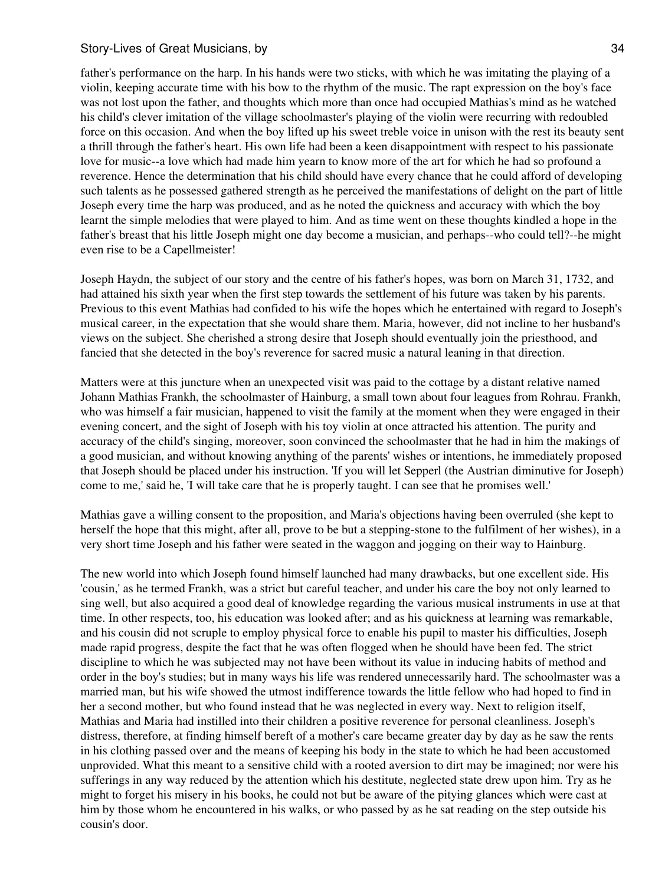father's performance on the harp. In his hands were two sticks, with which he was imitating the playing of a violin, keeping accurate time with his bow to the rhythm of the music. The rapt expression on the boy's face was not lost upon the father, and thoughts which more than once had occupied Mathias's mind as he watched his child's clever imitation of the village schoolmaster's playing of the violin were recurring with redoubled force on this occasion. And when the boy lifted up his sweet treble voice in unison with the rest its beauty sent a thrill through the father's heart. His own life had been a keen disappointment with respect to his passionate love for music--a love which had made him yearn to know more of the art for which he had so profound a reverence. Hence the determination that his child should have every chance that he could afford of developing such talents as he possessed gathered strength as he perceived the manifestations of delight on the part of little Joseph every time the harp was produced, and as he noted the quickness and accuracy with which the boy learnt the simple melodies that were played to him. And as time went on these thoughts kindled a hope in the father's breast that his little Joseph might one day become a musician, and perhaps--who could tell?--he might even rise to be a Capellmeister!

Joseph Haydn, the subject of our story and the centre of his father's hopes, was born on March 31, 1732, and had attained his sixth year when the first step towards the settlement of his future was taken by his parents. Previous to this event Mathias had confided to his wife the hopes which he entertained with regard to Joseph's musical career, in the expectation that she would share them. Maria, however, did not incline to her husband's views on the subject. She cherished a strong desire that Joseph should eventually join the priesthood, and fancied that she detected in the boy's reverence for sacred music a natural leaning in that direction.

Matters were at this juncture when an unexpected visit was paid to the cottage by a distant relative named Johann Mathias Frankh, the schoolmaster of Hainburg, a small town about four leagues from Rohrau. Frankh, who was himself a fair musician, happened to visit the family at the moment when they were engaged in their evening concert, and the sight of Joseph with his toy violin at once attracted his attention. The purity and accuracy of the child's singing, moreover, soon convinced the schoolmaster that he had in him the makings of a good musician, and without knowing anything of the parents' wishes or intentions, he immediately proposed that Joseph should be placed under his instruction. 'If you will let Sepperl (the Austrian diminutive for Joseph) come to me,' said he, 'I will take care that he is properly taught. I can see that he promises well.'

Mathias gave a willing consent to the proposition, and Maria's objections having been overruled (she kept to herself the hope that this might, after all, prove to be but a stepping-stone to the fulfilment of her wishes), in a very short time Joseph and his father were seated in the waggon and jogging on their way to Hainburg.

The new world into which Joseph found himself launched had many drawbacks, but one excellent side. His 'cousin,' as he termed Frankh, was a strict but careful teacher, and under his care the boy not only learned to sing well, but also acquired a good deal of knowledge regarding the various musical instruments in use at that time. In other respects, too, his education was looked after; and as his quickness at learning was remarkable, and his cousin did not scruple to employ physical force to enable his pupil to master his difficulties, Joseph made rapid progress, despite the fact that he was often flogged when he should have been fed. The strict discipline to which he was subjected may not have been without its value in inducing habits of method and order in the boy's studies; but in many ways his life was rendered unnecessarily hard. The schoolmaster was a married man, but his wife showed the utmost indifference towards the little fellow who had hoped to find in her a second mother, but who found instead that he was neglected in every way. Next to religion itself, Mathias and Maria had instilled into their children a positive reverence for personal cleanliness. Joseph's distress, therefore, at finding himself bereft of a mother's care became greater day by day as he saw the rents in his clothing passed over and the means of keeping his body in the state to which he had been accustomed unprovided. What this meant to a sensitive child with a rooted aversion to dirt may be imagined; nor were his sufferings in any way reduced by the attention which his destitute, neglected state drew upon him. Try as he might to forget his misery in his books, he could not but be aware of the pitying glances which were cast at him by those whom he encountered in his walks, or who passed by as he sat reading on the step outside his cousin's door.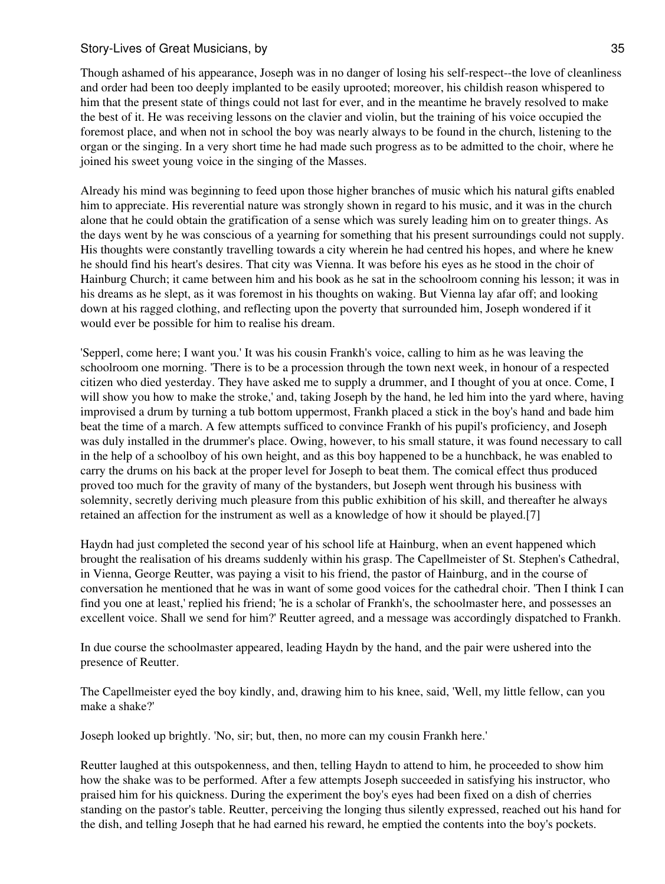Though ashamed of his appearance, Joseph was in no danger of losing his self-respect--the love of cleanliness and order had been too deeply implanted to be easily uprooted; moreover, his childish reason whispered to him that the present state of things could not last for ever, and in the meantime he bravely resolved to make the best of it. He was receiving lessons on the clavier and violin, but the training of his voice occupied the foremost place, and when not in school the boy was nearly always to be found in the church, listening to the organ or the singing. In a very short time he had made such progress as to be admitted to the choir, where he joined his sweet young voice in the singing of the Masses.

Already his mind was beginning to feed upon those higher branches of music which his natural gifts enabled him to appreciate. His reverential nature was strongly shown in regard to his music, and it was in the church alone that he could obtain the gratification of a sense which was surely leading him on to greater things. As the days went by he was conscious of a yearning for something that his present surroundings could not supply. His thoughts were constantly travelling towards a city wherein he had centred his hopes, and where he knew he should find his heart's desires. That city was Vienna. It was before his eyes as he stood in the choir of Hainburg Church; it came between him and his book as he sat in the schoolroom conning his lesson; it was in his dreams as he slept, as it was foremost in his thoughts on waking. But Vienna lay afar off; and looking down at his ragged clothing, and reflecting upon the poverty that surrounded him, Joseph wondered if it would ever be possible for him to realise his dream.

'Sepperl, come here; I want you.' It was his cousin Frankh's voice, calling to him as he was leaving the schoolroom one morning. 'There is to be a procession through the town next week, in honour of a respected citizen who died yesterday. They have asked me to supply a drummer, and I thought of you at once. Come, I will show you how to make the stroke,' and, taking Joseph by the hand, he led him into the yard where, having improvised a drum by turning a tub bottom uppermost, Frankh placed a stick in the boy's hand and bade him beat the time of a march. A few attempts sufficed to convince Frankh of his pupil's proficiency, and Joseph was duly installed in the drummer's place. Owing, however, to his small stature, it was found necessary to call in the help of a schoolboy of his own height, and as this boy happened to be a hunchback, he was enabled to carry the drums on his back at the proper level for Joseph to beat them. The comical effect thus produced proved too much for the gravity of many of the bystanders, but Joseph went through his business with solemnity, secretly deriving much pleasure from this public exhibition of his skill, and thereafter he always retained an affection for the instrument as well as a knowledge of how it should be played.[7]

Haydn had just completed the second year of his school life at Hainburg, when an event happened which brought the realisation of his dreams suddenly within his grasp. The Capellmeister of St. Stephen's Cathedral, in Vienna, George Reutter, was paying a visit to his friend, the pastor of Hainburg, and in the course of conversation he mentioned that he was in want of some good voices for the cathedral choir. 'Then I think I can find you one at least,' replied his friend; 'he is a scholar of Frankh's, the schoolmaster here, and possesses an excellent voice. Shall we send for him?' Reutter agreed, and a message was accordingly dispatched to Frankh.

In due course the schoolmaster appeared, leading Haydn by the hand, and the pair were ushered into the presence of Reutter.

The Capellmeister eyed the boy kindly, and, drawing him to his knee, said, 'Well, my little fellow, can you make a shake?'

Joseph looked up brightly. 'No, sir; but, then, no more can my cousin Frankh here.'

Reutter laughed at this outspokenness, and then, telling Haydn to attend to him, he proceeded to show him how the shake was to be performed. After a few attempts Joseph succeeded in satisfying his instructor, who praised him for his quickness. During the experiment the boy's eyes had been fixed on a dish of cherries standing on the pastor's table. Reutter, perceiving the longing thus silently expressed, reached out his hand for the dish, and telling Joseph that he had earned his reward, he emptied the contents into the boy's pockets.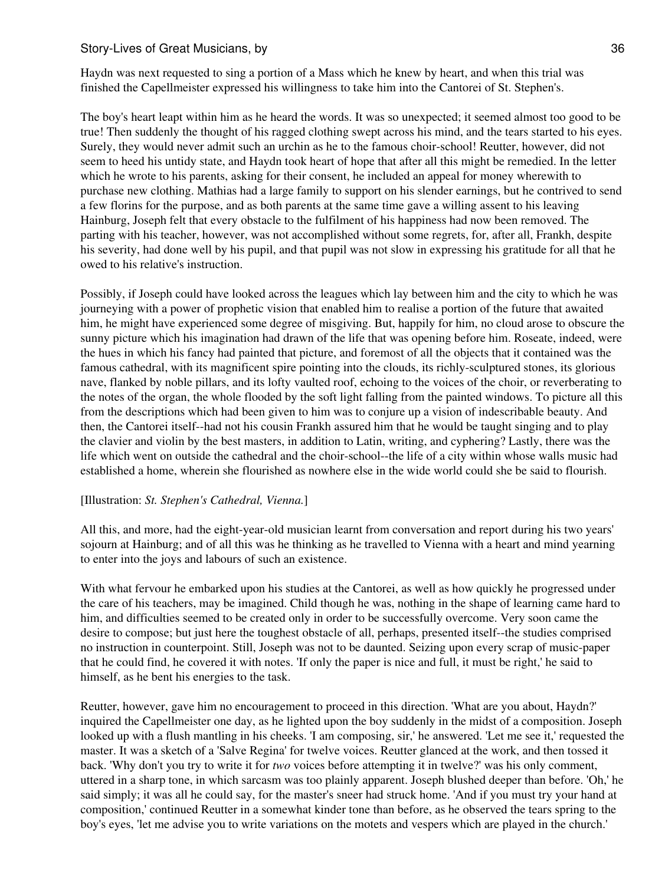Haydn was next requested to sing a portion of a Mass which he knew by heart, and when this trial was finished the Capellmeister expressed his willingness to take him into the Cantorei of St. Stephen's.

The boy's heart leapt within him as he heard the words. It was so unexpected; it seemed almost too good to be true! Then suddenly the thought of his ragged clothing swept across his mind, and the tears started to his eyes. Surely, they would never admit such an urchin as he to the famous choir-school! Reutter, however, did not seem to heed his untidy state, and Haydn took heart of hope that after all this might be remedied. In the letter which he wrote to his parents, asking for their consent, he included an appeal for money wherewith to purchase new clothing. Mathias had a large family to support on his slender earnings, but he contrived to send a few florins for the purpose, and as both parents at the same time gave a willing assent to his leaving Hainburg, Joseph felt that every obstacle to the fulfilment of his happiness had now been removed. The parting with his teacher, however, was not accomplished without some regrets, for, after all, Frankh, despite his severity, had done well by his pupil, and that pupil was not slow in expressing his gratitude for all that he owed to his relative's instruction.

Possibly, if Joseph could have looked across the leagues which lay between him and the city to which he was journeying with a power of prophetic vision that enabled him to realise a portion of the future that awaited him, he might have experienced some degree of misgiving. But, happily for him, no cloud arose to obscure the sunny picture which his imagination had drawn of the life that was opening before him. Roseate, indeed, were the hues in which his fancy had painted that picture, and foremost of all the objects that it contained was the famous cathedral, with its magnificent spire pointing into the clouds, its richly-sculptured stones, its glorious nave, flanked by noble pillars, and its lofty vaulted roof, echoing to the voices of the choir, or reverberating to the notes of the organ, the whole flooded by the soft light falling from the painted windows. To picture all this from the descriptions which had been given to him was to conjure up a vision of indescribable beauty. And then, the Cantorei itself--had not his cousin Frankh assured him that he would be taught singing and to play the clavier and violin by the best masters, in addition to Latin, writing, and cyphering? Lastly, there was the life which went on outside the cathedral and the choir-school--the life of a city within whose walls music had established a home, wherein she flourished as nowhere else in the wide world could she be said to flourish.

#### [Illustration: *St. Stephen's Cathedral, Vienna.*]

All this, and more, had the eight-year-old musician learnt from conversation and report during his two years' sojourn at Hainburg; and of all this was he thinking as he travelled to Vienna with a heart and mind yearning to enter into the joys and labours of such an existence.

With what fervour he embarked upon his studies at the Cantorei, as well as how quickly he progressed under the care of his teachers, may be imagined. Child though he was, nothing in the shape of learning came hard to him, and difficulties seemed to be created only in order to be successfully overcome. Very soon came the desire to compose; but just here the toughest obstacle of all, perhaps, presented itself--the studies comprised no instruction in counterpoint. Still, Joseph was not to be daunted. Seizing upon every scrap of music-paper that he could find, he covered it with notes. 'If only the paper is nice and full, it must be right,' he said to himself, as he bent his energies to the task.

Reutter, however, gave him no encouragement to proceed in this direction. 'What are you about, Haydn?' inquired the Capellmeister one day, as he lighted upon the boy suddenly in the midst of a composition. Joseph looked up with a flush mantling in his cheeks. 'I am composing, sir,' he answered. 'Let me see it,' requested the master. It was a sketch of a 'Salve Regina' for twelve voices. Reutter glanced at the work, and then tossed it back. 'Why don't you try to write it for *two* voices before attempting it in twelve?' was his only comment, uttered in a sharp tone, in which sarcasm was too plainly apparent. Joseph blushed deeper than before. 'Oh,' he said simply; it was all he could say, for the master's sneer had struck home. 'And if you must try your hand at composition,' continued Reutter in a somewhat kinder tone than before, as he observed the tears spring to the boy's eyes, 'let me advise you to write variations on the motets and vespers which are played in the church.'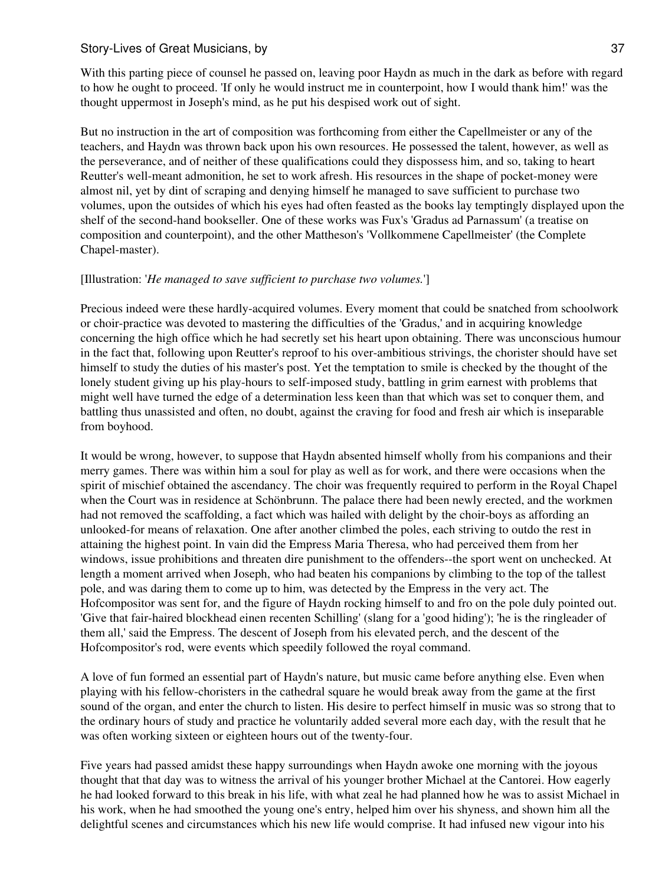With this parting piece of counsel he passed on, leaving poor Haydn as much in the dark as before with regard to how he ought to proceed. 'If only he would instruct me in counterpoint, how I would thank him!' was the thought uppermost in Joseph's mind, as he put his despised work out of sight.

But no instruction in the art of composition was forthcoming from either the Capellmeister or any of the teachers, and Haydn was thrown back upon his own resources. He possessed the talent, however, as well as the perseverance, and of neither of these qualifications could they dispossess him, and so, taking to heart Reutter's well-meant admonition, he set to work afresh. His resources in the shape of pocket-money were almost nil, yet by dint of scraping and denying himself he managed to save sufficient to purchase two volumes, upon the outsides of which his eyes had often feasted as the books lay temptingly displayed upon the shelf of the second-hand bookseller. One of these works was Fux's 'Gradus ad Parnassum' (a treatise on composition and counterpoint), and the other Mattheson's 'Vollkommene Capellmeister' (the Complete Chapel-master).

## [Illustration: '*He managed to save sufficient to purchase two volumes.*']

Precious indeed were these hardly-acquired volumes. Every moment that could be snatched from schoolwork or choir-practice was devoted to mastering the difficulties of the 'Gradus,' and in acquiring knowledge concerning the high office which he had secretly set his heart upon obtaining. There was unconscious humour in the fact that, following upon Reutter's reproof to his over-ambitious strivings, the chorister should have set himself to study the duties of his master's post. Yet the temptation to smile is checked by the thought of the lonely student giving up his play-hours to self-imposed study, battling in grim earnest with problems that might well have turned the edge of a determination less keen than that which was set to conquer them, and battling thus unassisted and often, no doubt, against the craving for food and fresh air which is inseparable from boyhood.

It would be wrong, however, to suppose that Haydn absented himself wholly from his companions and their merry games. There was within him a soul for play as well as for work, and there were occasions when the spirit of mischief obtained the ascendancy. The choir was frequently required to perform in the Royal Chapel when the Court was in residence at Schönbrunn. The palace there had been newly erected, and the workmen had not removed the scaffolding, a fact which was hailed with delight by the choir-boys as affording an unlooked-for means of relaxation. One after another climbed the poles, each striving to outdo the rest in attaining the highest point. In vain did the Empress Maria Theresa, who had perceived them from her windows, issue prohibitions and threaten dire punishment to the offenders--the sport went on unchecked. At length a moment arrived when Joseph, who had beaten his companions by climbing to the top of the tallest pole, and was daring them to come up to him, was detected by the Empress in the very act. The Hofcompositor was sent for, and the figure of Haydn rocking himself to and fro on the pole duly pointed out. 'Give that fair-haired blockhead einen recenten Schilling' (slang for a 'good hiding'); 'he is the ringleader of them all,' said the Empress. The descent of Joseph from his elevated perch, and the descent of the Hofcompositor's rod, were events which speedily followed the royal command.

A love of fun formed an essential part of Haydn's nature, but music came before anything else. Even when playing with his fellow-choristers in the cathedral square he would break away from the game at the first sound of the organ, and enter the church to listen. His desire to perfect himself in music was so strong that to the ordinary hours of study and practice he voluntarily added several more each day, with the result that he was often working sixteen or eighteen hours out of the twenty-four.

Five years had passed amidst these happy surroundings when Haydn awoke one morning with the joyous thought that that day was to witness the arrival of his younger brother Michael at the Cantorei. How eagerly he had looked forward to this break in his life, with what zeal he had planned how he was to assist Michael in his work, when he had smoothed the young one's entry, helped him over his shyness, and shown him all the delightful scenes and circumstances which his new life would comprise. It had infused new vigour into his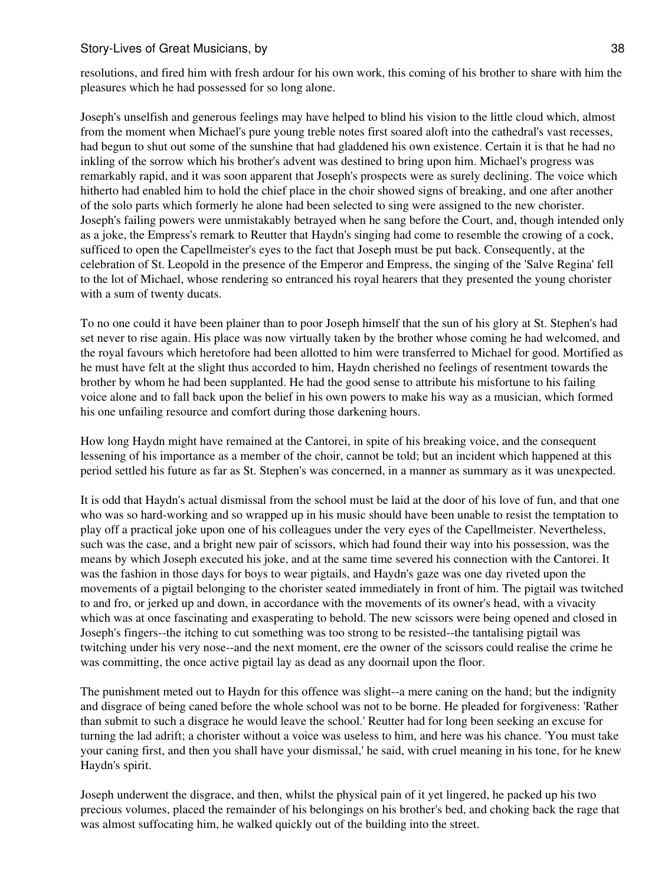resolutions, and fired him with fresh ardour for his own work, this coming of his brother to share with him the pleasures which he had possessed for so long alone.

Joseph's unselfish and generous feelings may have helped to blind his vision to the little cloud which, almost from the moment when Michael's pure young treble notes first soared aloft into the cathedral's vast recesses, had begun to shut out some of the sunshine that had gladdened his own existence. Certain it is that he had no inkling of the sorrow which his brother's advent was destined to bring upon him. Michael's progress was remarkably rapid, and it was soon apparent that Joseph's prospects were as surely declining. The voice which hitherto had enabled him to hold the chief place in the choir showed signs of breaking, and one after another of the solo parts which formerly he alone had been selected to sing were assigned to the new chorister. Joseph's failing powers were unmistakably betrayed when he sang before the Court, and, though intended only as a joke, the Empress's remark to Reutter that Haydn's singing had come to resemble the crowing of a cock, sufficed to open the Capellmeister's eyes to the fact that Joseph must be put back. Consequently, at the celebration of St. Leopold in the presence of the Emperor and Empress, the singing of the 'Salve Regina' fell to the lot of Michael, whose rendering so entranced his royal hearers that they presented the young chorister with a sum of twenty ducats.

To no one could it have been plainer than to poor Joseph himself that the sun of his glory at St. Stephen's had set never to rise again. His place was now virtually taken by the brother whose coming he had welcomed, and the royal favours which heretofore had been allotted to him were transferred to Michael for good. Mortified as he must have felt at the slight thus accorded to him, Haydn cherished no feelings of resentment towards the brother by whom he had been supplanted. He had the good sense to attribute his misfortune to his failing voice alone and to fall back upon the belief in his own powers to make his way as a musician, which formed his one unfailing resource and comfort during those darkening hours.

How long Haydn might have remained at the Cantorei, in spite of his breaking voice, and the consequent lessening of his importance as a member of the choir, cannot be told; but an incident which happened at this period settled his future as far as St. Stephen's was concerned, in a manner as summary as it was unexpected.

It is odd that Haydn's actual dismissal from the school must be laid at the door of his love of fun, and that one who was so hard-working and so wrapped up in his music should have been unable to resist the temptation to play off a practical joke upon one of his colleagues under the very eyes of the Capellmeister. Nevertheless, such was the case, and a bright new pair of scissors, which had found their way into his possession, was the means by which Joseph executed his joke, and at the same time severed his connection with the Cantorei. It was the fashion in those days for boys to wear pigtails, and Haydn's gaze was one day riveted upon the movements of a pigtail belonging to the chorister seated immediately in front of him. The pigtail was twitched to and fro, or jerked up and down, in accordance with the movements of its owner's head, with a vivacity which was at once fascinating and exasperating to behold. The new scissors were being opened and closed in Joseph's fingers--the itching to cut something was too strong to be resisted--the tantalising pigtail was twitching under his very nose--and the next moment, ere the owner of the scissors could realise the crime he was committing, the once active pigtail lay as dead as any doornail upon the floor.

The punishment meted out to Haydn for this offence was slight--a mere caning on the hand; but the indignity and disgrace of being caned before the whole school was not to be borne. He pleaded for forgiveness: 'Rather than submit to such a disgrace he would leave the school.' Reutter had for long been seeking an excuse for turning the lad adrift; a chorister without a voice was useless to him, and here was his chance. 'You must take your caning first, and then you shall have your dismissal,' he said, with cruel meaning in his tone, for he knew Haydn's spirit.

Joseph underwent the disgrace, and then, whilst the physical pain of it yet lingered, he packed up his two precious volumes, placed the remainder of his belongings on his brother's bed, and choking back the rage that was almost suffocating him, he walked quickly out of the building into the street.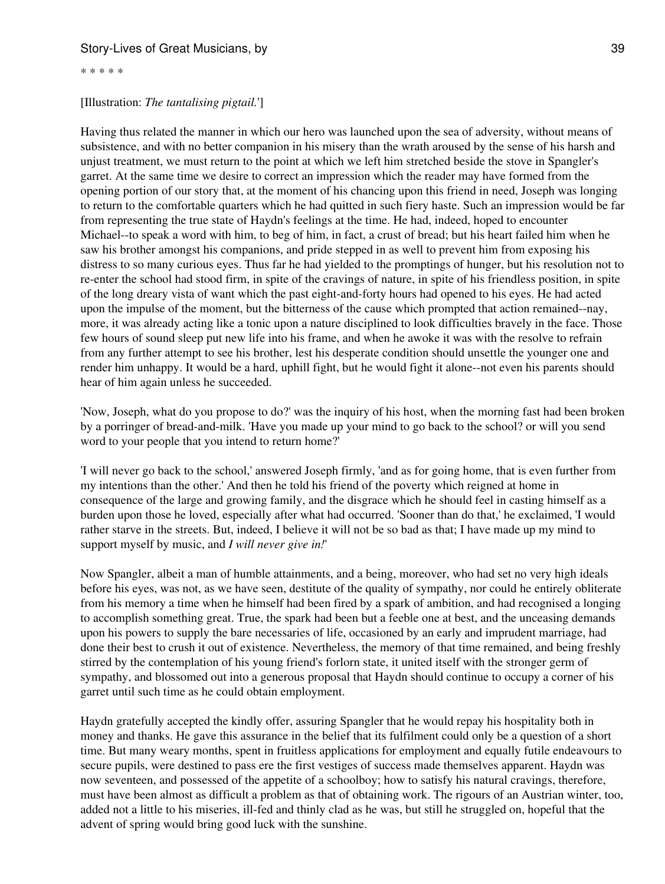\* \* \* \* \*

#### [Illustration: *The tantalising pigtail.*']

Having thus related the manner in which our hero was launched upon the sea of adversity, without means of subsistence, and with no better companion in his misery than the wrath aroused by the sense of his harsh and unjust treatment, we must return to the point at which we left him stretched beside the stove in Spangler's garret. At the same time we desire to correct an impression which the reader may have formed from the opening portion of our story that, at the moment of his chancing upon this friend in need, Joseph was longing to return to the comfortable quarters which he had quitted in such fiery haste. Such an impression would be far from representing the true state of Haydn's feelings at the time. He had, indeed, hoped to encounter Michael--to speak a word with him, to beg of him, in fact, a crust of bread; but his heart failed him when he saw his brother amongst his companions, and pride stepped in as well to prevent him from exposing his distress to so many curious eyes. Thus far he had yielded to the promptings of hunger, but his resolution not to re-enter the school had stood firm, in spite of the cravings of nature, in spite of his friendless position, in spite of the long dreary vista of want which the past eight-and-forty hours had opened to his eyes. He had acted upon the impulse of the moment, but the bitterness of the cause which prompted that action remained--nay, more, it was already acting like a tonic upon a nature disciplined to look difficulties bravely in the face. Those few hours of sound sleep put new life into his frame, and when he awoke it was with the resolve to refrain from any further attempt to see his brother, lest his desperate condition should unsettle the younger one and render him unhappy. It would be a hard, uphill fight, but he would fight it alone--not even his parents should hear of him again unless he succeeded.

'Now, Joseph, what do you propose to do?' was the inquiry of his host, when the morning fast had been broken by a porringer of bread-and-milk. 'Have you made up your mind to go back to the school? or will you send word to your people that you intend to return home?'

'I will never go back to the school,' answered Joseph firmly, 'and as for going home, that is even further from my intentions than the other.' And then he told his friend of the poverty which reigned at home in consequence of the large and growing family, and the disgrace which he should feel in casting himself as a burden upon those he loved, especially after what had occurred. 'Sooner than do that,' he exclaimed, 'I would rather starve in the streets. But, indeed, I believe it will not be so bad as that; I have made up my mind to support myself by music, and *I will never give in!*'

Now Spangler, albeit a man of humble attainments, and a being, moreover, who had set no very high ideals before his eyes, was not, as we have seen, destitute of the quality of sympathy, nor could he entirely obliterate from his memory a time when he himself had been fired by a spark of ambition, and had recognised a longing to accomplish something great. True, the spark had been but a feeble one at best, and the unceasing demands upon his powers to supply the bare necessaries of life, occasioned by an early and imprudent marriage, had done their best to crush it out of existence. Nevertheless, the memory of that time remained, and being freshly stirred by the contemplation of his young friend's forlorn state, it united itself with the stronger germ of sympathy, and blossomed out into a generous proposal that Haydn should continue to occupy a corner of his garret until such time as he could obtain employment.

Haydn gratefully accepted the kindly offer, assuring Spangler that he would repay his hospitality both in money and thanks. He gave this assurance in the belief that its fulfilment could only be a question of a short time. But many weary months, spent in fruitless applications for employment and equally futile endeavours to secure pupils, were destined to pass ere the first vestiges of success made themselves apparent. Haydn was now seventeen, and possessed of the appetite of a schoolboy; how to satisfy his natural cravings, therefore, must have been almost as difficult a problem as that of obtaining work. The rigours of an Austrian winter, too, added not a little to his miseries, ill-fed and thinly clad as he was, but still he struggled on, hopeful that the advent of spring would bring good luck with the sunshine.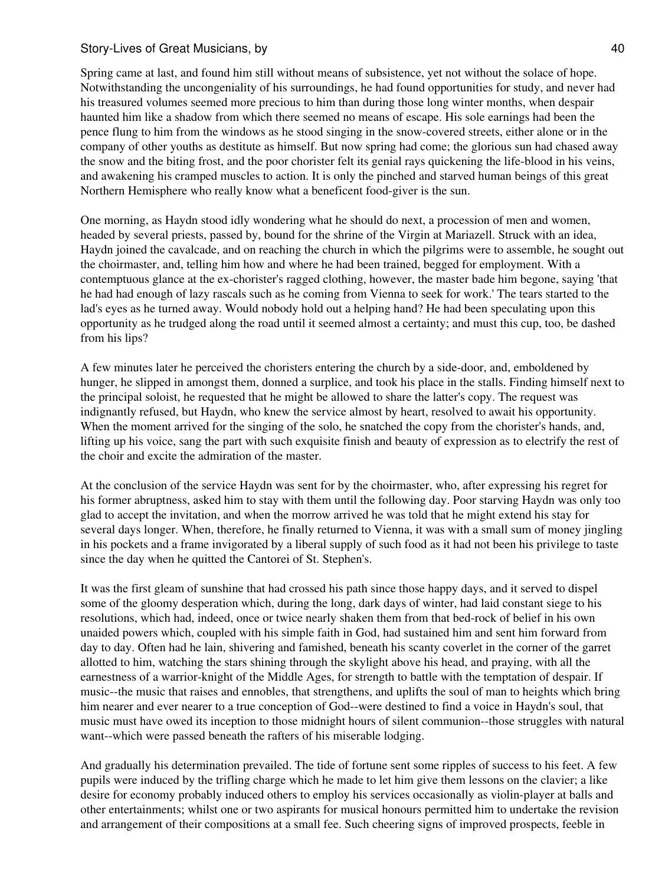Spring came at last, and found him still without means of subsistence, yet not without the solace of hope. Notwithstanding the uncongeniality of his surroundings, he had found opportunities for study, and never had his treasured volumes seemed more precious to him than during those long winter months, when despair haunted him like a shadow from which there seemed no means of escape. His sole earnings had been the pence flung to him from the windows as he stood singing in the snow-covered streets, either alone or in the company of other youths as destitute as himself. But now spring had come; the glorious sun had chased away the snow and the biting frost, and the poor chorister felt its genial rays quickening the life-blood in his veins, and awakening his cramped muscles to action. It is only the pinched and starved human beings of this great Northern Hemisphere who really know what a beneficent food-giver is the sun.

One morning, as Haydn stood idly wondering what he should do next, a procession of men and women, headed by several priests, passed by, bound for the shrine of the Virgin at Mariazell. Struck with an idea, Haydn joined the cavalcade, and on reaching the church in which the pilgrims were to assemble, he sought out the choirmaster, and, telling him how and where he had been trained, begged for employment. With a contemptuous glance at the ex-chorister's ragged clothing, however, the master bade him begone, saying 'that he had had enough of lazy rascals such as he coming from Vienna to seek for work.' The tears started to the lad's eyes as he turned away. Would nobody hold out a helping hand? He had been speculating upon this opportunity as he trudged along the road until it seemed almost a certainty; and must this cup, too, be dashed from his lips?

A few minutes later he perceived the choristers entering the church by a side-door, and, emboldened by hunger, he slipped in amongst them, donned a surplice, and took his place in the stalls. Finding himself next to the principal soloist, he requested that he might be allowed to share the latter's copy. The request was indignantly refused, but Haydn, who knew the service almost by heart, resolved to await his opportunity. When the moment arrived for the singing of the solo, he snatched the copy from the chorister's hands, and, lifting up his voice, sang the part with such exquisite finish and beauty of expression as to electrify the rest of the choir and excite the admiration of the master.

At the conclusion of the service Haydn was sent for by the choirmaster, who, after expressing his regret for his former abruptness, asked him to stay with them until the following day. Poor starving Haydn was only too glad to accept the invitation, and when the morrow arrived he was told that he might extend his stay for several days longer. When, therefore, he finally returned to Vienna, it was with a small sum of money jingling in his pockets and a frame invigorated by a liberal supply of such food as it had not been his privilege to taste since the day when he quitted the Cantorei of St. Stephen's.

It was the first gleam of sunshine that had crossed his path since those happy days, and it served to dispel some of the gloomy desperation which, during the long, dark days of winter, had laid constant siege to his resolutions, which had, indeed, once or twice nearly shaken them from that bed-rock of belief in his own unaided powers which, coupled with his simple faith in God, had sustained him and sent him forward from day to day. Often had he lain, shivering and famished, beneath his scanty coverlet in the corner of the garret allotted to him, watching the stars shining through the skylight above his head, and praying, with all the earnestness of a warrior-knight of the Middle Ages, for strength to battle with the temptation of despair. If music--the music that raises and ennobles, that strengthens, and uplifts the soul of man to heights which bring him nearer and ever nearer to a true conception of God--were destined to find a voice in Haydn's soul, that music must have owed its inception to those midnight hours of silent communion--those struggles with natural want--which were passed beneath the rafters of his miserable lodging.

And gradually his determination prevailed. The tide of fortune sent some ripples of success to his feet. A few pupils were induced by the trifling charge which he made to let him give them lessons on the clavier; a like desire for economy probably induced others to employ his services occasionally as violin-player at balls and other entertainments; whilst one or two aspirants for musical honours permitted him to undertake the revision and arrangement of their compositions at a small fee. Such cheering signs of improved prospects, feeble in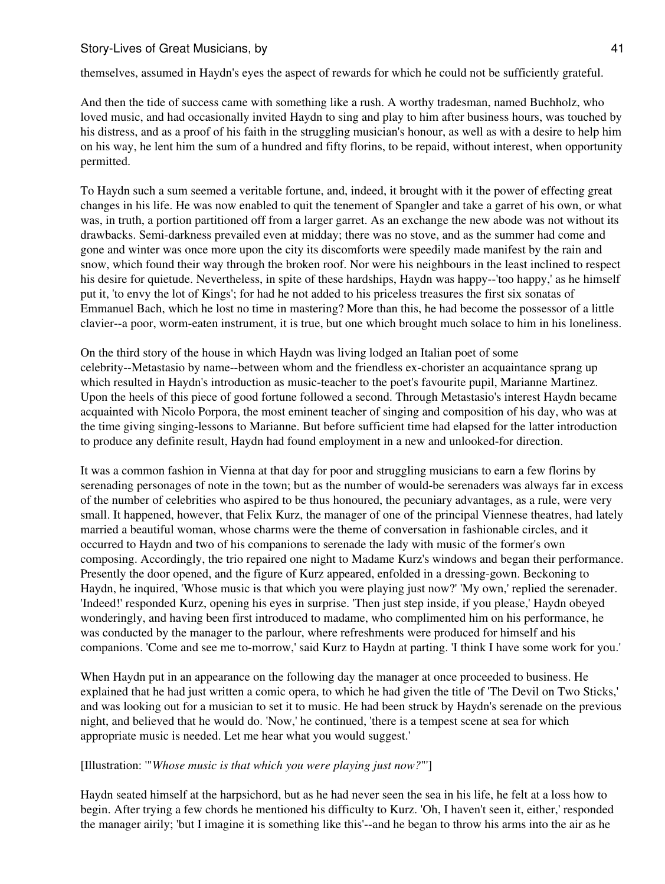themselves, assumed in Haydn's eyes the aspect of rewards for which he could not be sufficiently grateful.

And then the tide of success came with something like a rush. A worthy tradesman, named Buchholz, who loved music, and had occasionally invited Haydn to sing and play to him after business hours, was touched by his distress, and as a proof of his faith in the struggling musician's honour, as well as with a desire to help him on his way, he lent him the sum of a hundred and fifty florins, to be repaid, without interest, when opportunity permitted.

To Haydn such a sum seemed a veritable fortune, and, indeed, it brought with it the power of effecting great changes in his life. He was now enabled to quit the tenement of Spangler and take a garret of his own, or what was, in truth, a portion partitioned off from a larger garret. As an exchange the new abode was not without its drawbacks. Semi-darkness prevailed even at midday; there was no stove, and as the summer had come and gone and winter was once more upon the city its discomforts were speedily made manifest by the rain and snow, which found their way through the broken roof. Nor were his neighbours in the least inclined to respect his desire for quietude. Nevertheless, in spite of these hardships, Haydn was happy--'too happy,' as he himself put it, 'to envy the lot of Kings'; for had he not added to his priceless treasures the first six sonatas of Emmanuel Bach, which he lost no time in mastering? More than this, he had become the possessor of a little clavier--a poor, worm-eaten instrument, it is true, but one which brought much solace to him in his loneliness.

On the third story of the house in which Haydn was living lodged an Italian poet of some celebrity--Metastasio by name--between whom and the friendless ex-chorister an acquaintance sprang up which resulted in Haydn's introduction as music-teacher to the poet's favourite pupil, Marianne Martinez. Upon the heels of this piece of good fortune followed a second. Through Metastasio's interest Haydn became acquainted with Nicolo Porpora, the most eminent teacher of singing and composition of his day, who was at the time giving singing-lessons to Marianne. But before sufficient time had elapsed for the latter introduction to produce any definite result, Haydn had found employment in a new and unlooked-for direction.

It was a common fashion in Vienna at that day for poor and struggling musicians to earn a few florins by serenading personages of note in the town; but as the number of would-be serenaders was always far in excess of the number of celebrities who aspired to be thus honoured, the pecuniary advantages, as a rule, were very small. It happened, however, that Felix Kurz, the manager of one of the principal Viennese theatres, had lately married a beautiful woman, whose charms were the theme of conversation in fashionable circles, and it occurred to Haydn and two of his companions to serenade the lady with music of the former's own composing. Accordingly, the trio repaired one night to Madame Kurz's windows and began their performance. Presently the door opened, and the figure of Kurz appeared, enfolded in a dressing-gown. Beckoning to Haydn, he inquired, 'Whose music is that which you were playing just now?' 'My own,' replied the serenader. 'Indeed!' responded Kurz, opening his eyes in surprise. 'Then just step inside, if you please,' Haydn obeyed wonderingly, and having been first introduced to madame, who complimented him on his performance, he was conducted by the manager to the parlour, where refreshments were produced for himself and his companions. 'Come and see me to-morrow,' said Kurz to Haydn at parting. 'I think I have some work for you.'

When Haydn put in an appearance on the following day the manager at once proceeded to business. He explained that he had just written a comic opera, to which he had given the title of 'The Devil on Two Sticks,' and was looking out for a musician to set it to music. He had been struck by Haydn's serenade on the previous night, and believed that he would do. 'Now,' he continued, 'there is a tempest scene at sea for which appropriate music is needed. Let me hear what you would suggest.'

#### [Illustration: '"*Whose music is that which you were playing just now?*"']

Haydn seated himself at the harpsichord, but as he had never seen the sea in his life, he felt at a loss how to begin. After trying a few chords he mentioned his difficulty to Kurz. 'Oh, I haven't seen it, either,' responded the manager airily; 'but I imagine it is something like this'--and he began to throw his arms into the air as he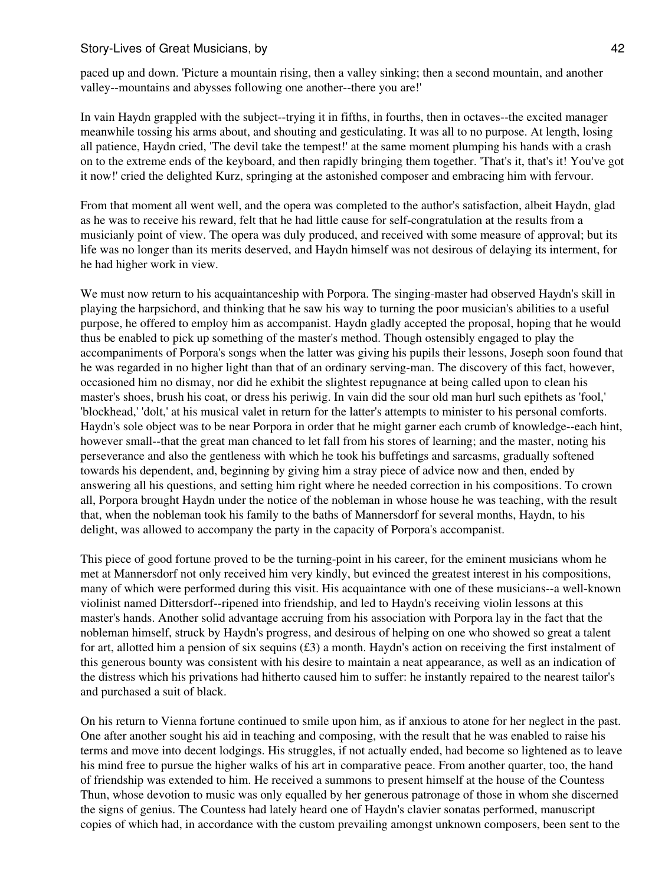paced up and down. 'Picture a mountain rising, then a valley sinking; then a second mountain, and another valley--mountains and abysses following one another--there you are!'

In vain Haydn grappled with the subject--trying it in fifths, in fourths, then in octaves--the excited manager meanwhile tossing his arms about, and shouting and gesticulating. It was all to no purpose. At length, losing all patience, Haydn cried, 'The devil take the tempest!' at the same moment plumping his hands with a crash on to the extreme ends of the keyboard, and then rapidly bringing them together. 'That's it, that's it! You've got it now!' cried the delighted Kurz, springing at the astonished composer and embracing him with fervour.

From that moment all went well, and the opera was completed to the author's satisfaction, albeit Haydn, glad as he was to receive his reward, felt that he had little cause for self-congratulation at the results from a musicianly point of view. The opera was duly produced, and received with some measure of approval; but its life was no longer than its merits deserved, and Haydn himself was not desirous of delaying its interment, for he had higher work in view.

We must now return to his acquaintanceship with Porpora. The singing-master had observed Haydn's skill in playing the harpsichord, and thinking that he saw his way to turning the poor musician's abilities to a useful purpose, he offered to employ him as accompanist. Haydn gladly accepted the proposal, hoping that he would thus be enabled to pick up something of the master's method. Though ostensibly engaged to play the accompaniments of Porpora's songs when the latter was giving his pupils their lessons, Joseph soon found that he was regarded in no higher light than that of an ordinary serving-man. The discovery of this fact, however, occasioned him no dismay, nor did he exhibit the slightest repugnance at being called upon to clean his master's shoes, brush his coat, or dress his periwig. In vain did the sour old man hurl such epithets as 'fool,' 'blockhead,' 'dolt,' at his musical valet in return for the latter's attempts to minister to his personal comforts. Haydn's sole object was to be near Porpora in order that he might garner each crumb of knowledge--each hint, however small--that the great man chanced to let fall from his stores of learning; and the master, noting his perseverance and also the gentleness with which he took his buffetings and sarcasms, gradually softened towards his dependent, and, beginning by giving him a stray piece of advice now and then, ended by answering all his questions, and setting him right where he needed correction in his compositions. To crown all, Porpora brought Haydn under the notice of the nobleman in whose house he was teaching, with the result that, when the nobleman took his family to the baths of Mannersdorf for several months, Haydn, to his delight, was allowed to accompany the party in the capacity of Porpora's accompanist.

This piece of good fortune proved to be the turning-point in his career, for the eminent musicians whom he met at Mannersdorf not only received him very kindly, but evinced the greatest interest in his compositions, many of which were performed during this visit. His acquaintance with one of these musicians--a well-known violinist named Dittersdorf--ripened into friendship, and led to Haydn's receiving violin lessons at this master's hands. Another solid advantage accruing from his association with Porpora lay in the fact that the nobleman himself, struck by Haydn's progress, and desirous of helping on one who showed so great a talent for art, allotted him a pension of six sequins  $(\text{\pounds}3)$  a month. Haydn's action on receiving the first instalment of this generous bounty was consistent with his desire to maintain a neat appearance, as well as an indication of the distress which his privations had hitherto caused him to suffer: he instantly repaired to the nearest tailor's and purchased a suit of black.

On his return to Vienna fortune continued to smile upon him, as if anxious to atone for her neglect in the past. One after another sought his aid in teaching and composing, with the result that he was enabled to raise his terms and move into decent lodgings. His struggles, if not actually ended, had become so lightened as to leave his mind free to pursue the higher walks of his art in comparative peace. From another quarter, too, the hand of friendship was extended to him. He received a summons to present himself at the house of the Countess Thun, whose devotion to music was only equalled by her generous patronage of those in whom she discerned the signs of genius. The Countess had lately heard one of Haydn's clavier sonatas performed, manuscript copies of which had, in accordance with the custom prevailing amongst unknown composers, been sent to the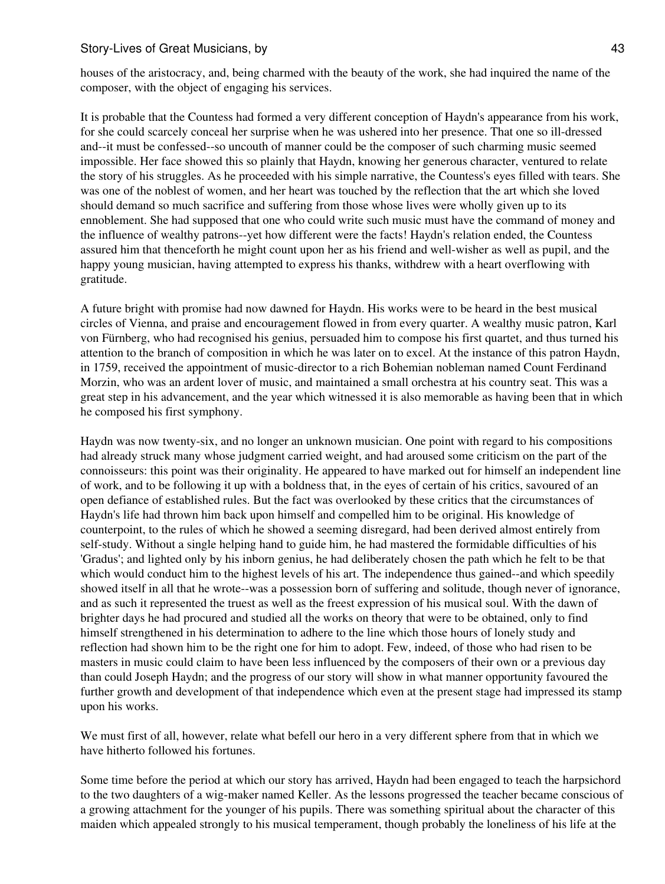houses of the aristocracy, and, being charmed with the beauty of the work, she had inquired the name of the composer, with the object of engaging his services.

It is probable that the Countess had formed a very different conception of Haydn's appearance from his work, for she could scarcely conceal her surprise when he was ushered into her presence. That one so ill-dressed and--it must be confessed--so uncouth of manner could be the composer of such charming music seemed impossible. Her face showed this so plainly that Haydn, knowing her generous character, ventured to relate the story of his struggles. As he proceeded with his simple narrative, the Countess's eyes filled with tears. She was one of the noblest of women, and her heart was touched by the reflection that the art which she loved should demand so much sacrifice and suffering from those whose lives were wholly given up to its ennoblement. She had supposed that one who could write such music must have the command of money and the influence of wealthy patrons--yet how different were the facts! Haydn's relation ended, the Countess assured him that thenceforth he might count upon her as his friend and well-wisher as well as pupil, and the happy young musician, having attempted to express his thanks, withdrew with a heart overflowing with gratitude.

A future bright with promise had now dawned for Haydn. His works were to be heard in the best musical circles of Vienna, and praise and encouragement flowed in from every quarter. A wealthy music patron, Karl von Fürnberg, who had recognised his genius, persuaded him to compose his first quartet, and thus turned his attention to the branch of composition in which he was later on to excel. At the instance of this patron Haydn, in 1759, received the appointment of music-director to a rich Bohemian nobleman named Count Ferdinand Morzin, who was an ardent lover of music, and maintained a small orchestra at his country seat. This was a great step in his advancement, and the year which witnessed it is also memorable as having been that in which he composed his first symphony.

Haydn was now twenty-six, and no longer an unknown musician. One point with regard to his compositions had already struck many whose judgment carried weight, and had aroused some criticism on the part of the connoisseurs: this point was their originality. He appeared to have marked out for himself an independent line of work, and to be following it up with a boldness that, in the eyes of certain of his critics, savoured of an open defiance of established rules. But the fact was overlooked by these critics that the circumstances of Haydn's life had thrown him back upon himself and compelled him to be original. His knowledge of counterpoint, to the rules of which he showed a seeming disregard, had been derived almost entirely from self-study. Without a single helping hand to guide him, he had mastered the formidable difficulties of his 'Gradus'; and lighted only by his inborn genius, he had deliberately chosen the path which he felt to be that which would conduct him to the highest levels of his art. The independence thus gained--and which speedily showed itself in all that he wrote--was a possession born of suffering and solitude, though never of ignorance, and as such it represented the truest as well as the freest expression of his musical soul. With the dawn of brighter days he had procured and studied all the works on theory that were to be obtained, only to find himself strengthened in his determination to adhere to the line which those hours of lonely study and reflection had shown him to be the right one for him to adopt. Few, indeed, of those who had risen to be masters in music could claim to have been less influenced by the composers of their own or a previous day than could Joseph Haydn; and the progress of our story will show in what manner opportunity favoured the further growth and development of that independence which even at the present stage had impressed its stamp upon his works.

We must first of all, however, relate what befell our hero in a very different sphere from that in which we have hitherto followed his fortunes.

Some time before the period at which our story has arrived, Haydn had been engaged to teach the harpsichord to the two daughters of a wig-maker named Keller. As the lessons progressed the teacher became conscious of a growing attachment for the younger of his pupils. There was something spiritual about the character of this maiden which appealed strongly to his musical temperament, though probably the loneliness of his life at the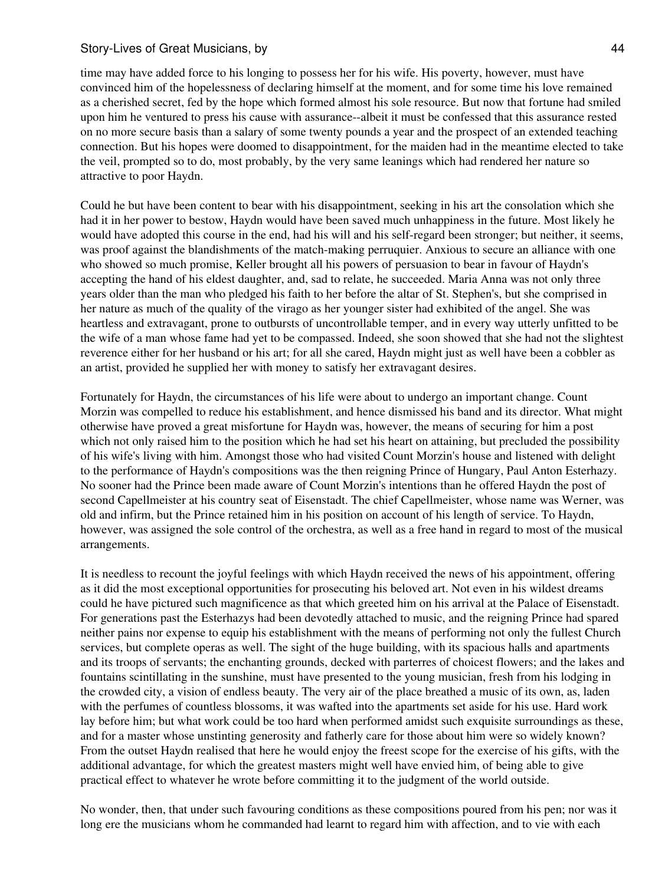time may have added force to his longing to possess her for his wife. His poverty, however, must have convinced him of the hopelessness of declaring himself at the moment, and for some time his love remained as a cherished secret, fed by the hope which formed almost his sole resource. But now that fortune had smiled upon him he ventured to press his cause with assurance--albeit it must be confessed that this assurance rested on no more secure basis than a salary of some twenty pounds a year and the prospect of an extended teaching connection. But his hopes were doomed to disappointment, for the maiden had in the meantime elected to take the veil, prompted so to do, most probably, by the very same leanings which had rendered her nature so attractive to poor Haydn.

Could he but have been content to bear with his disappointment, seeking in his art the consolation which she had it in her power to bestow, Haydn would have been saved much unhappiness in the future. Most likely he would have adopted this course in the end, had his will and his self-regard been stronger; but neither, it seems, was proof against the blandishments of the match-making perruquier. Anxious to secure an alliance with one who showed so much promise, Keller brought all his powers of persuasion to bear in favour of Haydn's accepting the hand of his eldest daughter, and, sad to relate, he succeeded. Maria Anna was not only three years older than the man who pledged his faith to her before the altar of St. Stephen's, but she comprised in her nature as much of the quality of the virago as her younger sister had exhibited of the angel. She was heartless and extravagant, prone to outbursts of uncontrollable temper, and in every way utterly unfitted to be the wife of a man whose fame had yet to be compassed. Indeed, she soon showed that she had not the slightest reverence either for her husband or his art; for all she cared, Haydn might just as well have been a cobbler as an artist, provided he supplied her with money to satisfy her extravagant desires.

Fortunately for Haydn, the circumstances of his life were about to undergo an important change. Count Morzin was compelled to reduce his establishment, and hence dismissed his band and its director. What might otherwise have proved a great misfortune for Haydn was, however, the means of securing for him a post which not only raised him to the position which he had set his heart on attaining, but precluded the possibility of his wife's living with him. Amongst those who had visited Count Morzin's house and listened with delight to the performance of Haydn's compositions was the then reigning Prince of Hungary, Paul Anton Esterhazy. No sooner had the Prince been made aware of Count Morzin's intentions than he offered Haydn the post of second Capellmeister at his country seat of Eisenstadt. The chief Capellmeister, whose name was Werner, was old and infirm, but the Prince retained him in his position on account of his length of service. To Haydn, however, was assigned the sole control of the orchestra, as well as a free hand in regard to most of the musical arrangements.

It is needless to recount the joyful feelings with which Haydn received the news of his appointment, offering as it did the most exceptional opportunities for prosecuting his beloved art. Not even in his wildest dreams could he have pictured such magnificence as that which greeted him on his arrival at the Palace of Eisenstadt. For generations past the Esterhazys had been devotedly attached to music, and the reigning Prince had spared neither pains nor expense to equip his establishment with the means of performing not only the fullest Church services, but complete operas as well. The sight of the huge building, with its spacious halls and apartments and its troops of servants; the enchanting grounds, decked with parterres of choicest flowers; and the lakes and fountains scintillating in the sunshine, must have presented to the young musician, fresh from his lodging in the crowded city, a vision of endless beauty. The very air of the place breathed a music of its own, as, laden with the perfumes of countless blossoms, it was wafted into the apartments set aside for his use. Hard work lay before him; but what work could be too hard when performed amidst such exquisite surroundings as these, and for a master whose unstinting generosity and fatherly care for those about him were so widely known? From the outset Haydn realised that here he would enjoy the freest scope for the exercise of his gifts, with the additional advantage, for which the greatest masters might well have envied him, of being able to give practical effect to whatever he wrote before committing it to the judgment of the world outside.

No wonder, then, that under such favouring conditions as these compositions poured from his pen; nor was it long ere the musicians whom he commanded had learnt to regard him with affection, and to vie with each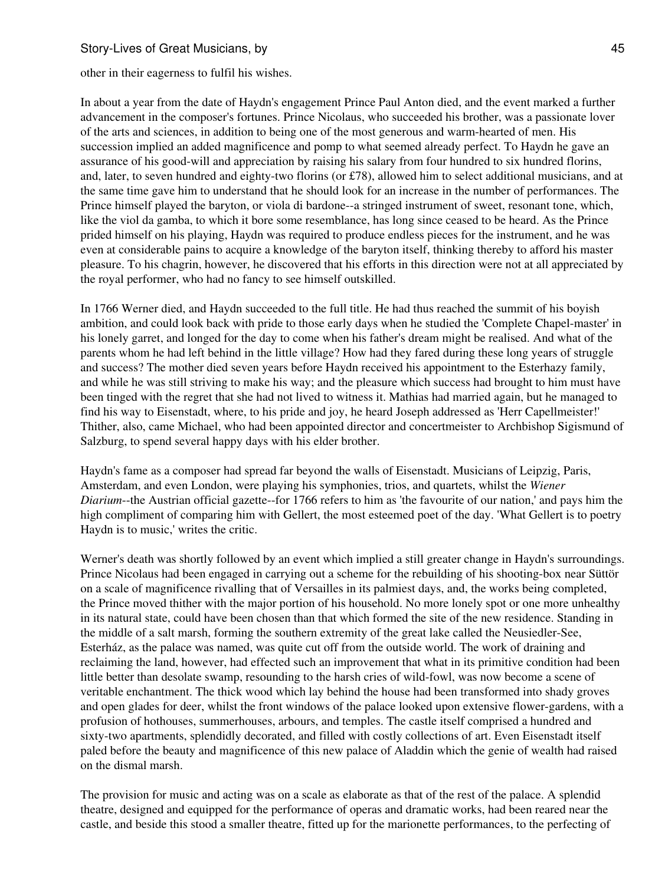other in their eagerness to fulfil his wishes.

In about a year from the date of Haydn's engagement Prince Paul Anton died, and the event marked a further advancement in the composer's fortunes. Prince Nicolaus, who succeeded his brother, was a passionate lover of the arts and sciences, in addition to being one of the most generous and warm-hearted of men. His succession implied an added magnificence and pomp to what seemed already perfect. To Haydn he gave an assurance of his good-will and appreciation by raising his salary from four hundred to six hundred florins, and, later, to seven hundred and eighty-two florins (or £78), allowed him to select additional musicians, and at the same time gave him to understand that he should look for an increase in the number of performances. The Prince himself played the baryton, or viola di bardone--a stringed instrument of sweet, resonant tone, which, like the viol da gamba, to which it bore some resemblance, has long since ceased to be heard. As the Prince prided himself on his playing, Haydn was required to produce endless pieces for the instrument, and he was even at considerable pains to acquire a knowledge of the baryton itself, thinking thereby to afford his master pleasure. To his chagrin, however, he discovered that his efforts in this direction were not at all appreciated by the royal performer, who had no fancy to see himself outskilled.

In 1766 Werner died, and Haydn succeeded to the full title. He had thus reached the summit of his boyish ambition, and could look back with pride to those early days when he studied the 'Complete Chapel-master' in his lonely garret, and longed for the day to come when his father's dream might be realised. And what of the parents whom he had left behind in the little village? How had they fared during these long years of struggle and success? The mother died seven years before Haydn received his appointment to the Esterhazy family, and while he was still striving to make his way; and the pleasure which success had brought to him must have been tinged with the regret that she had not lived to witness it. Mathias had married again, but he managed to find his way to Eisenstadt, where, to his pride and joy, he heard Joseph addressed as 'Herr Capellmeister!' Thither, also, came Michael, who had been appointed director and concertmeister to Archbishop Sigismund of Salzburg, to spend several happy days with his elder brother.

Haydn's fame as a composer had spread far beyond the walls of Eisenstadt. Musicians of Leipzig, Paris, Amsterdam, and even London, were playing his symphonies, trios, and quartets, whilst the *Wiener Diarium*--the Austrian official gazette--for 1766 refers to him as 'the favourite of our nation,' and pays him the high compliment of comparing him with Gellert, the most esteemed poet of the day. 'What Gellert is to poetry Haydn is to music,' writes the critic.

Werner's death was shortly followed by an event which implied a still greater change in Haydn's surroundings. Prince Nicolaus had been engaged in carrying out a scheme for the rebuilding of his shooting-box near Süttör on a scale of magnificence rivalling that of Versailles in its palmiest days, and, the works being completed, the Prince moved thither with the major portion of his household. No more lonely spot or one more unhealthy in its natural state, could have been chosen than that which formed the site of the new residence. Standing in the middle of a salt marsh, forming the southern extremity of the great lake called the Neusiedler-See, Esterház, as the palace was named, was quite cut off from the outside world. The work of draining and reclaiming the land, however, had effected such an improvement that what in its primitive condition had been little better than desolate swamp, resounding to the harsh cries of wild-fowl, was now become a scene of veritable enchantment. The thick wood which lay behind the house had been transformed into shady groves and open glades for deer, whilst the front windows of the palace looked upon extensive flower-gardens, with a profusion of hothouses, summerhouses, arbours, and temples. The castle itself comprised a hundred and sixty-two apartments, splendidly decorated, and filled with costly collections of art. Even Eisenstadt itself paled before the beauty and magnificence of this new palace of Aladdin which the genie of wealth had raised on the dismal marsh.

The provision for music and acting was on a scale as elaborate as that of the rest of the palace. A splendid theatre, designed and equipped for the performance of operas and dramatic works, had been reared near the castle, and beside this stood a smaller theatre, fitted up for the marionette performances, to the perfecting of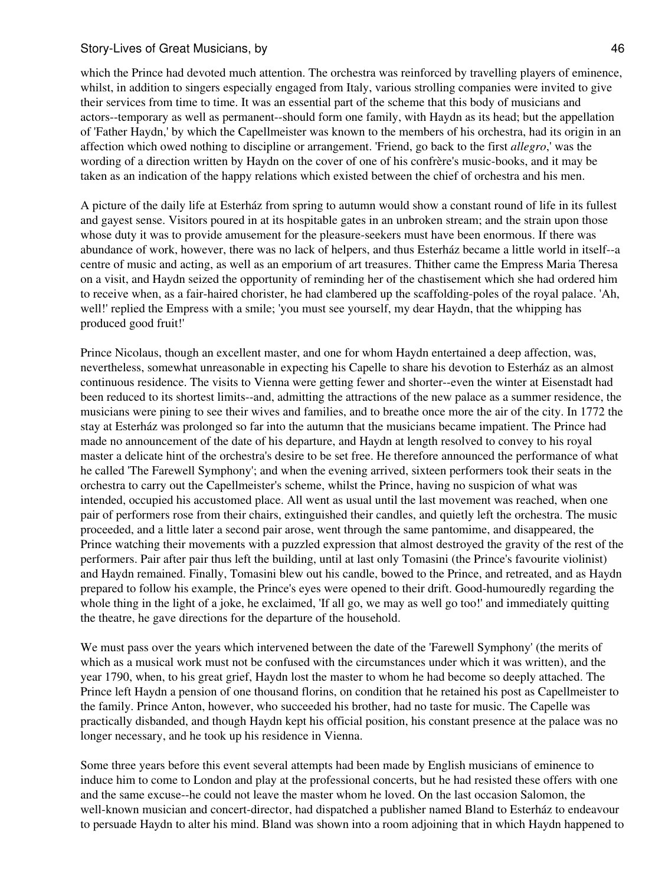which the Prince had devoted much attention. The orchestra was reinforced by travelling players of eminence, whilst, in addition to singers especially engaged from Italy, various strolling companies were invited to give their services from time to time. It was an essential part of the scheme that this body of musicians and actors--temporary as well as permanent--should form one family, with Haydn as its head; but the appellation of 'Father Haydn,' by which the Capellmeister was known to the members of his orchestra, had its origin in an affection which owed nothing to discipline or arrangement. 'Friend, go back to the first *allegro*,' was the wording of a direction written by Haydn on the cover of one of his confrère's music-books, and it may be taken as an indication of the happy relations which existed between the chief of orchestra and his men.

A picture of the daily life at Esterház from spring to autumn would show a constant round of life in its fullest and gayest sense. Visitors poured in at its hospitable gates in an unbroken stream; and the strain upon those whose duty it was to provide amusement for the pleasure-seekers must have been enormous. If there was abundance of work, however, there was no lack of helpers, and thus Esterház became a little world in itself--a centre of music and acting, as well as an emporium of art treasures. Thither came the Empress Maria Theresa on a visit, and Haydn seized the opportunity of reminding her of the chastisement which she had ordered him to receive when, as a fair-haired chorister, he had clambered up the scaffolding-poles of the royal palace. 'Ah, well!' replied the Empress with a smile; 'you must see yourself, my dear Haydn, that the whipping has produced good fruit!'

Prince Nicolaus, though an excellent master, and one for whom Haydn entertained a deep affection, was, nevertheless, somewhat unreasonable in expecting his Capelle to share his devotion to Esterház as an almost continuous residence. The visits to Vienna were getting fewer and shorter--even the winter at Eisenstadt had been reduced to its shortest limits--and, admitting the attractions of the new palace as a summer residence, the musicians were pining to see their wives and families, and to breathe once more the air of the city. In 1772 the stay at Esterház was prolonged so far into the autumn that the musicians became impatient. The Prince had made no announcement of the date of his departure, and Haydn at length resolved to convey to his royal master a delicate hint of the orchestra's desire to be set free. He therefore announced the performance of what he called 'The Farewell Symphony'; and when the evening arrived, sixteen performers took their seats in the orchestra to carry out the Capellmeister's scheme, whilst the Prince, having no suspicion of what was intended, occupied his accustomed place. All went as usual until the last movement was reached, when one pair of performers rose from their chairs, extinguished their candles, and quietly left the orchestra. The music proceeded, and a little later a second pair arose, went through the same pantomime, and disappeared, the Prince watching their movements with a puzzled expression that almost destroyed the gravity of the rest of the performers. Pair after pair thus left the building, until at last only Tomasini (the Prince's favourite violinist) and Haydn remained. Finally, Tomasini blew out his candle, bowed to the Prince, and retreated, and as Haydn prepared to follow his example, the Prince's eyes were opened to their drift. Good-humouredly regarding the whole thing in the light of a joke, he exclaimed, 'If all go, we may as well go too!' and immediately quitting the theatre, he gave directions for the departure of the household.

We must pass over the years which intervened between the date of the 'Farewell Symphony' (the merits of which as a musical work must not be confused with the circumstances under which it was written), and the year 1790, when, to his great grief, Haydn lost the master to whom he had become so deeply attached. The Prince left Haydn a pension of one thousand florins, on condition that he retained his post as Capellmeister to the family. Prince Anton, however, who succeeded his brother, had no taste for music. The Capelle was practically disbanded, and though Haydn kept his official position, his constant presence at the palace was no longer necessary, and he took up his residence in Vienna.

Some three years before this event several attempts had been made by English musicians of eminence to induce him to come to London and play at the professional concerts, but he had resisted these offers with one and the same excuse--he could not leave the master whom he loved. On the last occasion Salomon, the well-known musician and concert-director, had dispatched a publisher named Bland to Esterház to endeavour to persuade Haydn to alter his mind. Bland was shown into a room adjoining that in which Haydn happened to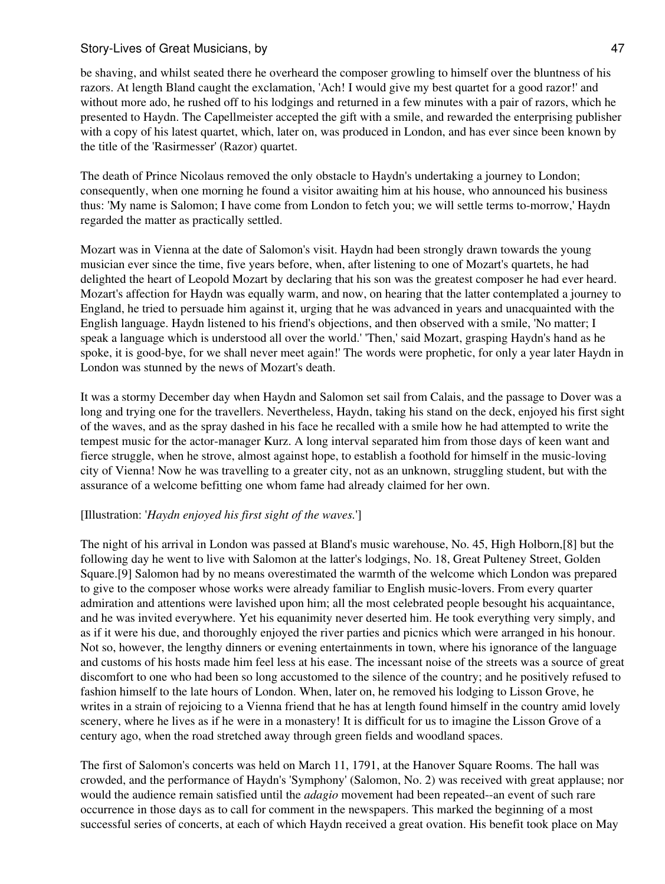be shaving, and whilst seated there he overheard the composer growling to himself over the bluntness of his razors. At length Bland caught the exclamation, 'Ach! I would give my best quartet for a good razor!' and without more ado, he rushed off to his lodgings and returned in a few minutes with a pair of razors, which he presented to Haydn. The Capellmeister accepted the gift with a smile, and rewarded the enterprising publisher with a copy of his latest quartet, which, later on, was produced in London, and has ever since been known by the title of the 'Rasirmesser' (Razor) quartet.

The death of Prince Nicolaus removed the only obstacle to Haydn's undertaking a journey to London; consequently, when one morning he found a visitor awaiting him at his house, who announced his business thus: 'My name is Salomon; I have come from London to fetch you; we will settle terms to-morrow,' Haydn regarded the matter as practically settled.

Mozart was in Vienna at the date of Salomon's visit. Haydn had been strongly drawn towards the young musician ever since the time, five years before, when, after listening to one of Mozart's quartets, he had delighted the heart of Leopold Mozart by declaring that his son was the greatest composer he had ever heard. Mozart's affection for Haydn was equally warm, and now, on hearing that the latter contemplated a journey to England, he tried to persuade him against it, urging that he was advanced in years and unacquainted with the English language. Haydn listened to his friend's objections, and then observed with a smile, 'No matter; I speak a language which is understood all over the world.' 'Then,' said Mozart, grasping Haydn's hand as he spoke, it is good-bye, for we shall never meet again!' The words were prophetic, for only a year later Haydn in London was stunned by the news of Mozart's death.

It was a stormy December day when Haydn and Salomon set sail from Calais, and the passage to Dover was a long and trying one for the travellers. Nevertheless, Haydn, taking his stand on the deck, enjoyed his first sight of the waves, and as the spray dashed in his face he recalled with a smile how he had attempted to write the tempest music for the actor-manager Kurz. A long interval separated him from those days of keen want and fierce struggle, when he strove, almost against hope, to establish a foothold for himself in the music-loving city of Vienna! Now he was travelling to a greater city, not as an unknown, struggling student, but with the assurance of a welcome befitting one whom fame had already claimed for her own.

## [Illustration: '*Haydn enjoyed his first sight of the waves.*']

The night of his arrival in London was passed at Bland's music warehouse, No. 45, High Holborn,[8] but the following day he went to live with Salomon at the latter's lodgings, No. 18, Great Pulteney Street, Golden Square.[9] Salomon had by no means overestimated the warmth of the welcome which London was prepared to give to the composer whose works were already familiar to English music-lovers. From every quarter admiration and attentions were lavished upon him; all the most celebrated people besought his acquaintance, and he was invited everywhere. Yet his equanimity never deserted him. He took everything very simply, and as if it were his due, and thoroughly enjoyed the river parties and picnics which were arranged in his honour. Not so, however, the lengthy dinners or evening entertainments in town, where his ignorance of the language and customs of his hosts made him feel less at his ease. The incessant noise of the streets was a source of great discomfort to one who had been so long accustomed to the silence of the country; and he positively refused to fashion himself to the late hours of London. When, later on, he removed his lodging to Lisson Grove, he writes in a strain of rejoicing to a Vienna friend that he has at length found himself in the country amid lovely scenery, where he lives as if he were in a monastery! It is difficult for us to imagine the Lisson Grove of a century ago, when the road stretched away through green fields and woodland spaces.

The first of Salomon's concerts was held on March 11, 1791, at the Hanover Square Rooms. The hall was crowded, and the performance of Haydn's 'Symphony' (Salomon, No. 2) was received with great applause; nor would the audience remain satisfied until the *adagio* movement had been repeated--an event of such rare occurrence in those days as to call for comment in the newspapers. This marked the beginning of a most successful series of concerts, at each of which Haydn received a great ovation. His benefit took place on May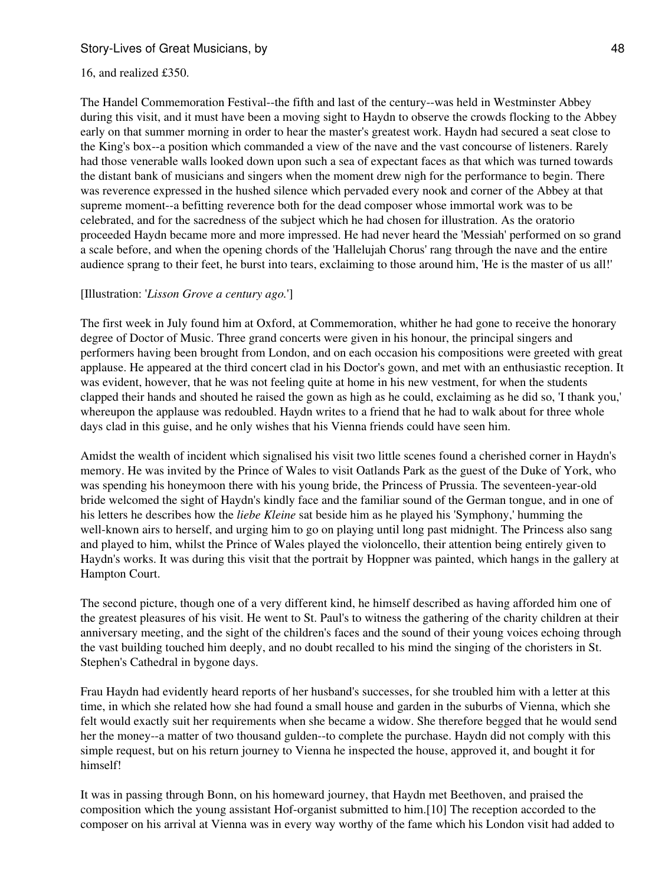#### 16, and realized £350.

The Handel Commemoration Festival--the fifth and last of the century--was held in Westminster Abbey during this visit, and it must have been a moving sight to Haydn to observe the crowds flocking to the Abbey early on that summer morning in order to hear the master's greatest work. Haydn had secured a seat close to the King's box--a position which commanded a view of the nave and the vast concourse of listeners. Rarely had those venerable walls looked down upon such a sea of expectant faces as that which was turned towards the distant bank of musicians and singers when the moment drew nigh for the performance to begin. There was reverence expressed in the hushed silence which pervaded every nook and corner of the Abbey at that supreme moment--a befitting reverence both for the dead composer whose immortal work was to be celebrated, and for the sacredness of the subject which he had chosen for illustration. As the oratorio proceeded Haydn became more and more impressed. He had never heard the 'Messiah' performed on so grand a scale before, and when the opening chords of the 'Hallelujah Chorus' rang through the nave and the entire audience sprang to their feet, he burst into tears, exclaiming to those around him, 'He is the master of us all!'

#### [Illustration: '*Lisson Grove a century ago.*']

The first week in July found him at Oxford, at Commemoration, whither he had gone to receive the honorary degree of Doctor of Music. Three grand concerts were given in his honour, the principal singers and performers having been brought from London, and on each occasion his compositions were greeted with great applause. He appeared at the third concert clad in his Doctor's gown, and met with an enthusiastic reception. It was evident, however, that he was not feeling quite at home in his new vestment, for when the students clapped their hands and shouted he raised the gown as high as he could, exclaiming as he did so, 'I thank you,' whereupon the applause was redoubled. Haydn writes to a friend that he had to walk about for three whole days clad in this guise, and he only wishes that his Vienna friends could have seen him.

Amidst the wealth of incident which signalised his visit two little scenes found a cherished corner in Haydn's memory. He was invited by the Prince of Wales to visit Oatlands Park as the guest of the Duke of York, who was spending his honeymoon there with his young bride, the Princess of Prussia. The seventeen-year-old bride welcomed the sight of Haydn's kindly face and the familiar sound of the German tongue, and in one of his letters he describes how the *liebe Kleine* sat beside him as he played his 'Symphony,' humming the well-known airs to herself, and urging him to go on playing until long past midnight. The Princess also sang and played to him, whilst the Prince of Wales played the violoncello, their attention being entirely given to Haydn's works. It was during this visit that the portrait by Hoppner was painted, which hangs in the gallery at Hampton Court.

The second picture, though one of a very different kind, he himself described as having afforded him one of the greatest pleasures of his visit. He went to St. Paul's to witness the gathering of the charity children at their anniversary meeting, and the sight of the children's faces and the sound of their young voices echoing through the vast building touched him deeply, and no doubt recalled to his mind the singing of the choristers in St. Stephen's Cathedral in bygone days.

Frau Haydn had evidently heard reports of her husband's successes, for she troubled him with a letter at this time, in which she related how she had found a small house and garden in the suburbs of Vienna, which she felt would exactly suit her requirements when she became a widow. She therefore begged that he would send her the money--a matter of two thousand gulden--to complete the purchase. Haydn did not comply with this simple request, but on his return journey to Vienna he inspected the house, approved it, and bought it for himself!

It was in passing through Bonn, on his homeward journey, that Haydn met Beethoven, and praised the composition which the young assistant Hof-organist submitted to him.[10] The reception accorded to the composer on his arrival at Vienna was in every way worthy of the fame which his London visit had added to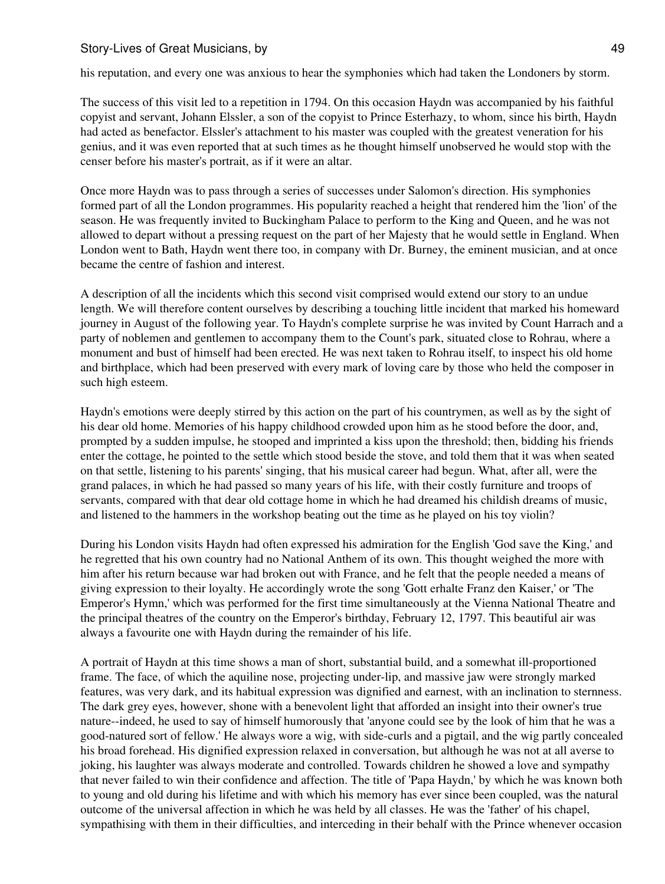his reputation, and every one was anxious to hear the symphonies which had taken the Londoners by storm.

The success of this visit led to a repetition in 1794. On this occasion Haydn was accompanied by his faithful copyist and servant, Johann Elssler, a son of the copyist to Prince Esterhazy, to whom, since his birth, Haydn had acted as benefactor. Elssler's attachment to his master was coupled with the greatest veneration for his genius, and it was even reported that at such times as he thought himself unobserved he would stop with the censer before his master's portrait, as if it were an altar.

Once more Haydn was to pass through a series of successes under Salomon's direction. His symphonies formed part of all the London programmes. His popularity reached a height that rendered him the 'lion' of the season. He was frequently invited to Buckingham Palace to perform to the King and Queen, and he was not allowed to depart without a pressing request on the part of her Majesty that he would settle in England. When London went to Bath, Haydn went there too, in company with Dr. Burney, the eminent musician, and at once became the centre of fashion and interest.

A description of all the incidents which this second visit comprised would extend our story to an undue length. We will therefore content ourselves by describing a touching little incident that marked his homeward journey in August of the following year. To Haydn's complete surprise he was invited by Count Harrach and a party of noblemen and gentlemen to accompany them to the Count's park, situated close to Rohrau, where a monument and bust of himself had been erected. He was next taken to Rohrau itself, to inspect his old home and birthplace, which had been preserved with every mark of loving care by those who held the composer in such high esteem.

Haydn's emotions were deeply stirred by this action on the part of his countrymen, as well as by the sight of his dear old home. Memories of his happy childhood crowded upon him as he stood before the door, and, prompted by a sudden impulse, he stooped and imprinted a kiss upon the threshold; then, bidding his friends enter the cottage, he pointed to the settle which stood beside the stove, and told them that it was when seated on that settle, listening to his parents' singing, that his musical career had begun. What, after all, were the grand palaces, in which he had passed so many years of his life, with their costly furniture and troops of servants, compared with that dear old cottage home in which he had dreamed his childish dreams of music, and listened to the hammers in the workshop beating out the time as he played on his toy violin?

During his London visits Haydn had often expressed his admiration for the English 'God save the King,' and he regretted that his own country had no National Anthem of its own. This thought weighed the more with him after his return because war had broken out with France, and he felt that the people needed a means of giving expression to their loyalty. He accordingly wrote the song 'Gott erhalte Franz den Kaiser,' or 'The Emperor's Hymn,' which was performed for the first time simultaneously at the Vienna National Theatre and the principal theatres of the country on the Emperor's birthday, February 12, 1797. This beautiful air was always a favourite one with Haydn during the remainder of his life.

A portrait of Haydn at this time shows a man of short, substantial build, and a somewhat ill-proportioned frame. The face, of which the aquiline nose, projecting under-lip, and massive jaw were strongly marked features, was very dark, and its habitual expression was dignified and earnest, with an inclination to sternness. The dark grey eyes, however, shone with a benevolent light that afforded an insight into their owner's true nature--indeed, he used to say of himself humorously that 'anyone could see by the look of him that he was a good-natured sort of fellow.' He always wore a wig, with side-curls and a pigtail, and the wig partly concealed his broad forehead. His dignified expression relaxed in conversation, but although he was not at all averse to joking, his laughter was always moderate and controlled. Towards children he showed a love and sympathy that never failed to win their confidence and affection. The title of 'Papa Haydn,' by which he was known both to young and old during his lifetime and with which his memory has ever since been coupled, was the natural outcome of the universal affection in which he was held by all classes. He was the 'father' of his chapel, sympathising with them in their difficulties, and interceding in their behalf with the Prince whenever occasion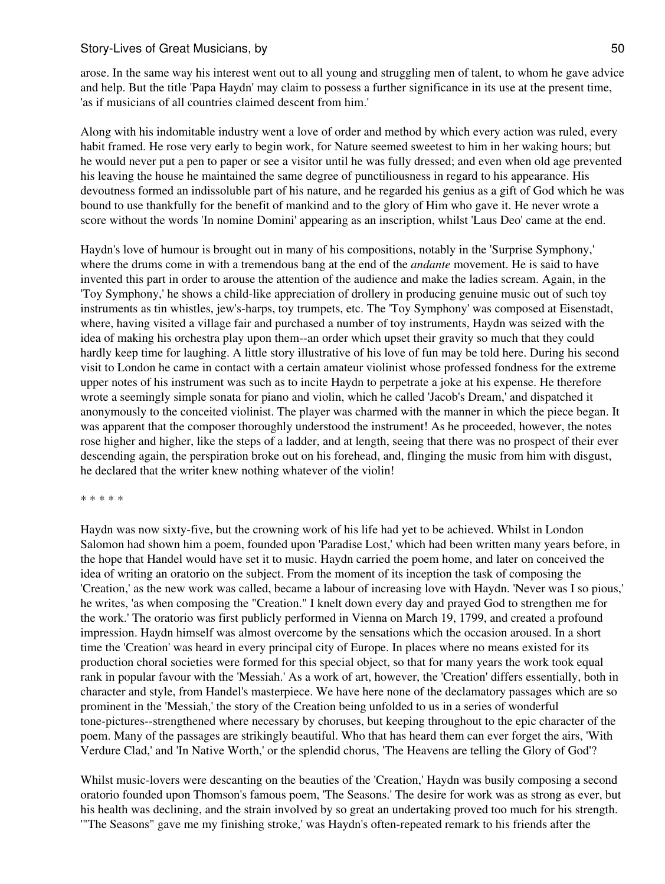arose. In the same way his interest went out to all young and struggling men of talent, to whom he gave advice and help. But the title 'Papa Haydn' may claim to possess a further significance in its use at the present time, 'as if musicians of all countries claimed descent from him.'

Along with his indomitable industry went a love of order and method by which every action was ruled, every habit framed. He rose very early to begin work, for Nature seemed sweetest to him in her waking hours; but he would never put a pen to paper or see a visitor until he was fully dressed; and even when old age prevented his leaving the house he maintained the same degree of punctiliousness in regard to his appearance. His devoutness formed an indissoluble part of his nature, and he regarded his genius as a gift of God which he was bound to use thankfully for the benefit of mankind and to the glory of Him who gave it. He never wrote a score without the words 'In nomine Domini' appearing as an inscription, whilst 'Laus Deo' came at the end.

Haydn's love of humour is brought out in many of his compositions, notably in the 'Surprise Symphony,' where the drums come in with a tremendous bang at the end of the *andante* movement. He is said to have invented this part in order to arouse the attention of the audience and make the ladies scream. Again, in the 'Toy Symphony,' he shows a child-like appreciation of drollery in producing genuine music out of such toy instruments as tin whistles, jew's-harps, toy trumpets, etc. The 'Toy Symphony' was composed at Eisenstadt, where, having visited a village fair and purchased a number of toy instruments, Haydn was seized with the idea of making his orchestra play upon them--an order which upset their gravity so much that they could hardly keep time for laughing. A little story illustrative of his love of fun may be told here. During his second visit to London he came in contact with a certain amateur violinist whose professed fondness for the extreme upper notes of his instrument was such as to incite Haydn to perpetrate a joke at his expense. He therefore wrote a seemingly simple sonata for piano and violin, which he called 'Jacob's Dream,' and dispatched it anonymously to the conceited violinist. The player was charmed with the manner in which the piece began. It was apparent that the composer thoroughly understood the instrument! As he proceeded, however, the notes rose higher and higher, like the steps of a ladder, and at length, seeing that there was no prospect of their ever descending again, the perspiration broke out on his forehead, and, flinging the music from him with disgust, he declared that the writer knew nothing whatever of the violin!

\* \* \* \* \*

Haydn was now sixty-five, but the crowning work of his life had yet to be achieved. Whilst in London Salomon had shown him a poem, founded upon 'Paradise Lost,' which had been written many years before, in the hope that Handel would have set it to music. Haydn carried the poem home, and later on conceived the idea of writing an oratorio on the subject. From the moment of its inception the task of composing the 'Creation,' as the new work was called, became a labour of increasing love with Haydn. 'Never was I so pious,' he writes, 'as when composing the "Creation." I knelt down every day and prayed God to strengthen me for the work.' The oratorio was first publicly performed in Vienna on March 19, 1799, and created a profound impression. Haydn himself was almost overcome by the sensations which the occasion aroused. In a short time the 'Creation' was heard in every principal city of Europe. In places where no means existed for its production choral societies were formed for this special object, so that for many years the work took equal rank in popular favour with the 'Messiah.' As a work of art, however, the 'Creation' differs essentially, both in character and style, from Handel's masterpiece. We have here none of the declamatory passages which are so prominent in the 'Messiah,' the story of the Creation being unfolded to us in a series of wonderful tone-pictures--strengthened where necessary by choruses, but keeping throughout to the epic character of the poem. Many of the passages are strikingly beautiful. Who that has heard them can ever forget the airs, 'With Verdure Clad,' and 'In Native Worth,' or the splendid chorus, 'The Heavens are telling the Glory of God'?

Whilst music-lovers were descanting on the beauties of the 'Creation,' Haydn was busily composing a second oratorio founded upon Thomson's famous poem, 'The Seasons.' The desire for work was as strong as ever, but his health was declining, and the strain involved by so great an undertaking proved too much for his strength. '"The Seasons" gave me my finishing stroke,' was Haydn's often-repeated remark to his friends after the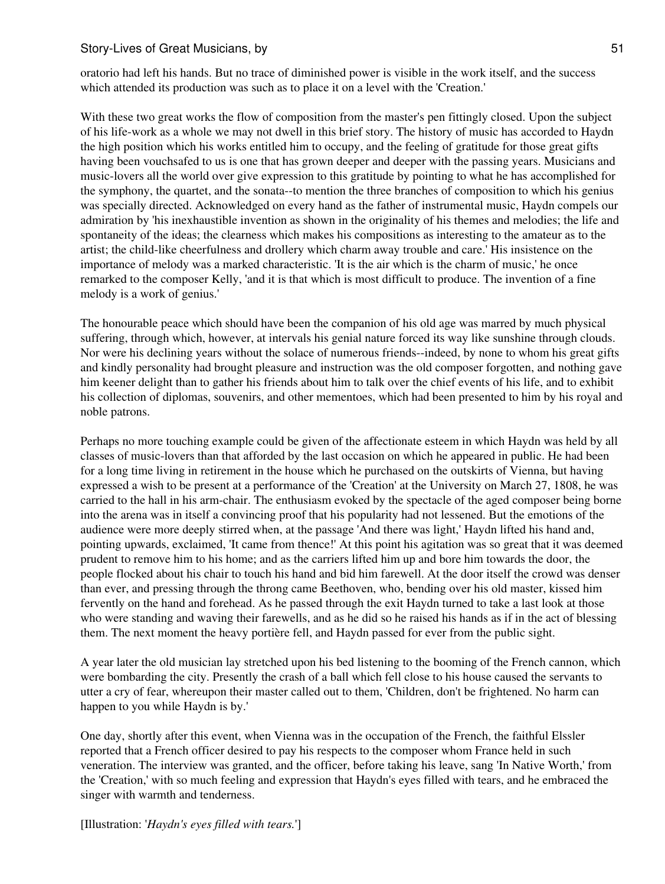oratorio had left his hands. But no trace of diminished power is visible in the work itself, and the success which attended its production was such as to place it on a level with the 'Creation.'

With these two great works the flow of composition from the master's pen fittingly closed. Upon the subject of his life-work as a whole we may not dwell in this brief story. The history of music has accorded to Haydn the high position which his works entitled him to occupy, and the feeling of gratitude for those great gifts having been vouchsafed to us is one that has grown deeper and deeper with the passing years. Musicians and music-lovers all the world over give expression to this gratitude by pointing to what he has accomplished for the symphony, the quartet, and the sonata--to mention the three branches of composition to which his genius was specially directed. Acknowledged on every hand as the father of instrumental music, Haydn compels our admiration by 'his inexhaustible invention as shown in the originality of his themes and melodies; the life and spontaneity of the ideas; the clearness which makes his compositions as interesting to the amateur as to the artist; the child-like cheerfulness and drollery which charm away trouble and care.' His insistence on the importance of melody was a marked characteristic. 'It is the air which is the charm of music,' he once remarked to the composer Kelly, 'and it is that which is most difficult to produce. The invention of a fine melody is a work of genius.'

The honourable peace which should have been the companion of his old age was marred by much physical suffering, through which, however, at intervals his genial nature forced its way like sunshine through clouds. Nor were his declining years without the solace of numerous friends--indeed, by none to whom his great gifts and kindly personality had brought pleasure and instruction was the old composer forgotten, and nothing gave him keener delight than to gather his friends about him to talk over the chief events of his life, and to exhibit his collection of diplomas, souvenirs, and other mementoes, which had been presented to him by his royal and noble patrons.

Perhaps no more touching example could be given of the affectionate esteem in which Haydn was held by all classes of music-lovers than that afforded by the last occasion on which he appeared in public. He had been for a long time living in retirement in the house which he purchased on the outskirts of Vienna, but having expressed a wish to be present at a performance of the 'Creation' at the University on March 27, 1808, he was carried to the hall in his arm-chair. The enthusiasm evoked by the spectacle of the aged composer being borne into the arena was in itself a convincing proof that his popularity had not lessened. But the emotions of the audience were more deeply stirred when, at the passage 'And there was light,' Haydn lifted his hand and, pointing upwards, exclaimed, 'It came from thence!' At this point his agitation was so great that it was deemed prudent to remove him to his home; and as the carriers lifted him up and bore him towards the door, the people flocked about his chair to touch his hand and bid him farewell. At the door itself the crowd was denser than ever, and pressing through the throng came Beethoven, who, bending over his old master, kissed him fervently on the hand and forehead. As he passed through the exit Haydn turned to take a last look at those who were standing and waving their farewells, and as he did so he raised his hands as if in the act of blessing them. The next moment the heavy portière fell, and Haydn passed for ever from the public sight.

A year later the old musician lay stretched upon his bed listening to the booming of the French cannon, which were bombarding the city. Presently the crash of a ball which fell close to his house caused the servants to utter a cry of fear, whereupon their master called out to them, 'Children, don't be frightened. No harm can happen to you while Haydn is by.'

One day, shortly after this event, when Vienna was in the occupation of the French, the faithful Elssler reported that a French officer desired to pay his respects to the composer whom France held in such veneration. The interview was granted, and the officer, before taking his leave, sang 'In Native Worth,' from the 'Creation,' with so much feeling and expression that Haydn's eyes filled with tears, and he embraced the singer with warmth and tenderness.

[Illustration: '*Haydn's eyes filled with tears.*']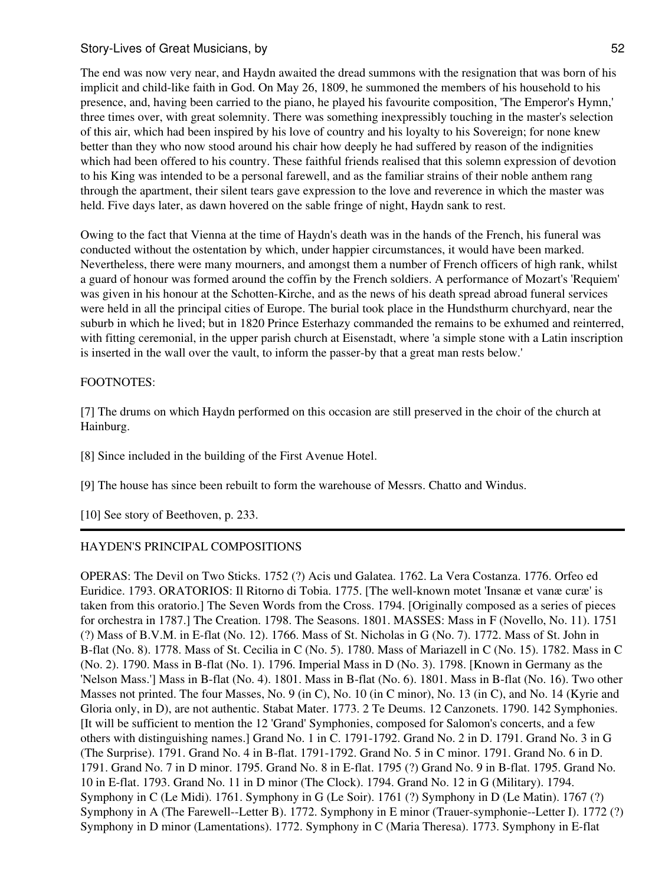The end was now very near, and Haydn awaited the dread summons with the resignation that was born of his implicit and child-like faith in God. On May 26, 1809, he summoned the members of his household to his presence, and, having been carried to the piano, he played his favourite composition, 'The Emperor's Hymn,' three times over, with great solemnity. There was something inexpressibly touching in the master's selection of this air, which had been inspired by his love of country and his loyalty to his Sovereign; for none knew better than they who now stood around his chair how deeply he had suffered by reason of the indignities which had been offered to his country. These faithful friends realised that this solemn expression of devotion to his King was intended to be a personal farewell, and as the familiar strains of their noble anthem rang through the apartment, their silent tears gave expression to the love and reverence in which the master was held. Five days later, as dawn hovered on the sable fringe of night, Haydn sank to rest.

Owing to the fact that Vienna at the time of Haydn's death was in the hands of the French, his funeral was conducted without the ostentation by which, under happier circumstances, it would have been marked. Nevertheless, there were many mourners, and amongst them a number of French officers of high rank, whilst a guard of honour was formed around the coffin by the French soldiers. A performance of Mozart's 'Requiem' was given in his honour at the Schotten-Kirche, and as the news of his death spread abroad funeral services were held in all the principal cities of Europe. The burial took place in the Hundsthurm churchyard, near the suburb in which he lived; but in 1820 Prince Esterhazy commanded the remains to be exhumed and reinterred, with fitting ceremonial, in the upper parish church at Eisenstadt, where 'a simple stone with a Latin inscription is inserted in the wall over the vault, to inform the passer-by that a great man rests below.'

## FOOTNOTES:

[7] The drums on which Haydn performed on this occasion are still preserved in the choir of the church at Hainburg.

[8] Since included in the building of the First Avenue Hotel.

[9] The house has since been rebuilt to form the warehouse of Messrs. Chatto and Windus.

[10] See story of Beethoven, p. 233.

# HAYDEN'S PRINCIPAL COMPOSITIONS

OPERAS: The Devil on Two Sticks. 1752 (?) Acis und Galatea. 1762. La Vera Costanza. 1776. Orfeo ed Euridice. 1793. ORATORIOS: Il Ritorno di Tobia. 1775. [The well-known motet 'Insanæ et vanæ curæ' is taken from this oratorio.] The Seven Words from the Cross. 1794. [Originally composed as a series of pieces for orchestra in 1787.] The Creation. 1798. The Seasons. 1801. MASSES: Mass in F (Novello, No. 11). 1751 (?) Mass of B.V.M. in E-flat (No. 12). 1766. Mass of St. Nicholas in G (No. 7). 1772. Mass of St. John in B-flat (No. 8). 1778. Mass of St. Cecilia in C (No. 5). 1780. Mass of Mariazell in C (No. 15). 1782. Mass in C (No. 2). 1790. Mass in B-flat (No. 1). 1796. Imperial Mass in D (No. 3). 1798. [Known in Germany as the 'Nelson Mass.'] Mass in B-flat (No. 4). 1801. Mass in B-flat (No. 6). 1801. Mass in B-flat (No. 16). Two other Masses not printed. The four Masses, No. 9 (in C), No. 10 (in C minor), No. 13 (in C), and No. 14 (Kyrie and Gloria only, in D), are not authentic. Stabat Mater. 1773. 2 Te Deums. 12 Canzonets. 1790. 142 Symphonies. [It will be sufficient to mention the 12 'Grand' Symphonies, composed for Salomon's concerts, and a few others with distinguishing names.] Grand No. 1 in C. 1791-1792. Grand No. 2 in D. 1791. Grand No. 3 in G (The Surprise). 1791. Grand No. 4 in B-flat. 1791-1792. Grand No. 5 in C minor. 1791. Grand No. 6 in D. 1791. Grand No. 7 in D minor. 1795. Grand No. 8 in E-flat. 1795 (?) Grand No. 9 in B-flat. 1795. Grand No. 10 in E-flat. 1793. Grand No. 11 in D minor (The Clock). 1794. Grand No. 12 in G (Military). 1794. Symphony in C (Le Midi). 1761. Symphony in G (Le Soir). 1761 (?) Symphony in D (Le Matin). 1767 (?) Symphony in A (The Farewell--Letter B). 1772. Symphony in E minor (Trauer-symphonie--Letter I). 1772 (?) Symphony in D minor (Lamentations). 1772. Symphony in C (Maria Theresa). 1773. Symphony in E-flat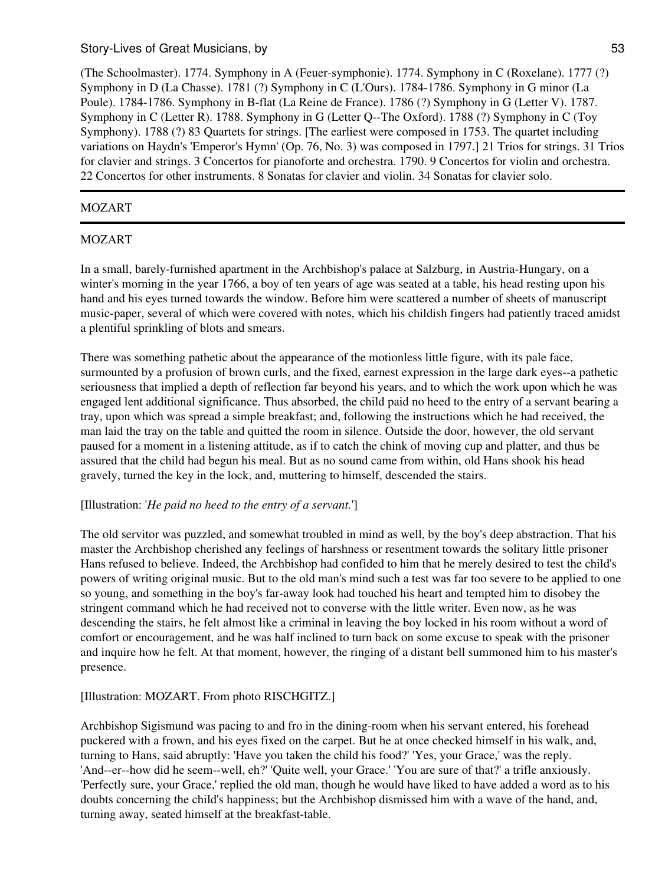(The Schoolmaster). 1774. Symphony in A (Feuer-symphonie). 1774. Symphony in C (Roxelane). 1777 (?) Symphony in D (La Chasse). 1781 (?) Symphony in C (L'Ours). 1784-1786. Symphony in G minor (La Poule). 1784-1786. Symphony in B-flat (La Reine de France). 1786 (?) Symphony in G (Letter V). 1787. Symphony in C (Letter R). 1788. Symphony in G (Letter Q--The Oxford). 1788 (?) Symphony in C (Toy Symphony). 1788 (?) 83 Quartets for strings. [The earliest were composed in 1753. The quartet including variations on Haydn's 'Emperor's Hymn' (Op. 76, No. 3) was composed in 1797.] 21 Trios for strings. 31 Trios for clavier and strings. 3 Concertos for pianoforte and orchestra. 1790. 9 Concertos for violin and orchestra. 22 Concertos for other instruments. 8 Sonatas for clavier and violin. 34 Sonatas for clavier solo.

# MOZART

# MOZART

In a small, barely-furnished apartment in the Archbishop's palace at Salzburg, in Austria-Hungary, on a winter's morning in the year 1766, a boy of ten years of age was seated at a table, his head resting upon his hand and his eyes turned towards the window. Before him were scattered a number of sheets of manuscript music-paper, several of which were covered with notes, which his childish fingers had patiently traced amidst a plentiful sprinkling of blots and smears.

There was something pathetic about the appearance of the motionless little figure, with its pale face, surmounted by a profusion of brown curls, and the fixed, earnest expression in the large dark eyes--a pathetic seriousness that implied a depth of reflection far beyond his years, and to which the work upon which he was engaged lent additional significance. Thus absorbed, the child paid no heed to the entry of a servant bearing a tray, upon which was spread a simple breakfast; and, following the instructions which he had received, the man laid the tray on the table and quitted the room in silence. Outside the door, however, the old servant paused for a moment in a listening attitude, as if to catch the chink of moving cup and platter, and thus be assured that the child had begun his meal. But as no sound came from within, old Hans shook his head gravely, turned the key in the lock, and, muttering to himself, descended the stairs.

## [Illustration: '*He paid no heed to the entry of a servant.*']

The old servitor was puzzled, and somewhat troubled in mind as well, by the boy's deep abstraction. That his master the Archbishop cherished any feelings of harshness or resentment towards the solitary little prisoner Hans refused to believe. Indeed, the Archbishop had confided to him that he merely desired to test the child's powers of writing original music. But to the old man's mind such a test was far too severe to be applied to one so young, and something in the boy's far-away look had touched his heart and tempted him to disobey the stringent command which he had received not to converse with the little writer. Even now, as he was descending the stairs, he felt almost like a criminal in leaving the boy locked in his room without a word of comfort or encouragement, and he was half inclined to turn back on some excuse to speak with the prisoner and inquire how he felt. At that moment, however, the ringing of a distant bell summoned him to his master's presence.

## [Illustration: MOZART. From photo RISCHGITZ.]

Archbishop Sigismund was pacing to and fro in the dining-room when his servant entered, his forehead puckered with a frown, and his eyes fixed on the carpet. But he at once checked himself in his walk, and, turning to Hans, said abruptly: 'Have you taken the child his food?' 'Yes, your Grace,' was the reply. 'And--er--how did he seem--well, eh?' 'Quite well, your Grace.' 'You are sure of that?' a trifle anxiously. 'Perfectly sure, your Grace,' replied the old man, though he would have liked to have added a word as to his doubts concerning the child's happiness; but the Archbishop dismissed him with a wave of the hand, and, turning away, seated himself at the breakfast-table.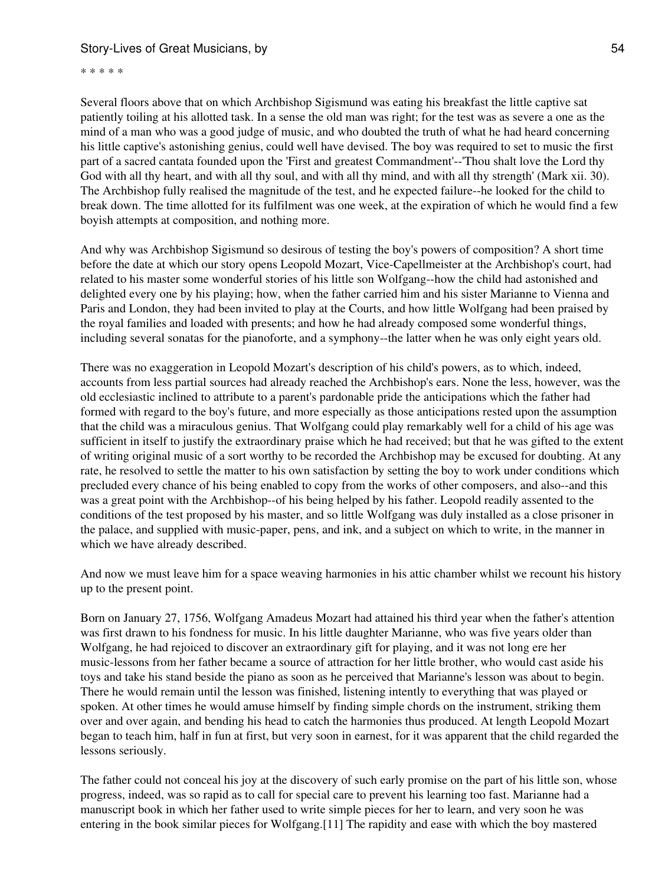\* \* \* \* \*

Several floors above that on which Archbishop Sigismund was eating his breakfast the little captive sat patiently toiling at his allotted task. In a sense the old man was right; for the test was as severe a one as the mind of a man who was a good judge of music, and who doubted the truth of what he had heard concerning his little captive's astonishing genius, could well have devised. The boy was required to set to music the first part of a sacred cantata founded upon the 'First and greatest Commandment'--'Thou shalt love the Lord thy God with all thy heart, and with all thy soul, and with all thy mind, and with all thy strength' (Mark xii. 30). The Archbishop fully realised the magnitude of the test, and he expected failure--he looked for the child to break down. The time allotted for its fulfilment was one week, at the expiration of which he would find a few boyish attempts at composition, and nothing more.

And why was Archbishop Sigismund so desirous of testing the boy's powers of composition? A short time before the date at which our story opens Leopold Mozart, Vice-Capellmeister at the Archbishop's court, had related to his master some wonderful stories of his little son Wolfgang--how the child had astonished and delighted every one by his playing; how, when the father carried him and his sister Marianne to Vienna and Paris and London, they had been invited to play at the Courts, and how little Wolfgang had been praised by the royal families and loaded with presents; and how he had already composed some wonderful things, including several sonatas for the pianoforte, and a symphony--the latter when he was only eight years old.

There was no exaggeration in Leopold Mozart's description of his child's powers, as to which, indeed, accounts from less partial sources had already reached the Archbishop's ears. None the less, however, was the old ecclesiastic inclined to attribute to a parent's pardonable pride the anticipations which the father had formed with regard to the boy's future, and more especially as those anticipations rested upon the assumption that the child was a miraculous genius. That Wolfgang could play remarkably well for a child of his age was sufficient in itself to justify the extraordinary praise which he had received; but that he was gifted to the extent of writing original music of a sort worthy to be recorded the Archbishop may be excused for doubting. At any rate, he resolved to settle the matter to his own satisfaction by setting the boy to work under conditions which precluded every chance of his being enabled to copy from the works of other composers, and also--and this was a great point with the Archbishop--of his being helped by his father. Leopold readily assented to the conditions of the test proposed by his master, and so little Wolfgang was duly installed as a close prisoner in the palace, and supplied with music-paper, pens, and ink, and a subject on which to write, in the manner in which we have already described.

And now we must leave him for a space weaving harmonies in his attic chamber whilst we recount his history up to the present point.

Born on January 27, 1756, Wolfgang Amadeus Mozart had attained his third year when the father's attention was first drawn to his fondness for music. In his little daughter Marianne, who was five years older than Wolfgang, he had rejoiced to discover an extraordinary gift for playing, and it was not long ere her music-lessons from her father became a source of attraction for her little brother, who would cast aside his toys and take his stand beside the piano as soon as he perceived that Marianne's lesson was about to begin. There he would remain until the lesson was finished, listening intently to everything that was played or spoken. At other times he would amuse himself by finding simple chords on the instrument, striking them over and over again, and bending his head to catch the harmonies thus produced. At length Leopold Mozart began to teach him, half in fun at first, but very soon in earnest, for it was apparent that the child regarded the lessons seriously.

The father could not conceal his joy at the discovery of such early promise on the part of his little son, whose progress, indeed, was so rapid as to call for special care to prevent his learning too fast. Marianne had a manuscript book in which her father used to write simple pieces for her to learn, and very soon he was entering in the book similar pieces for Wolfgang.[11] The rapidity and ease with which the boy mastered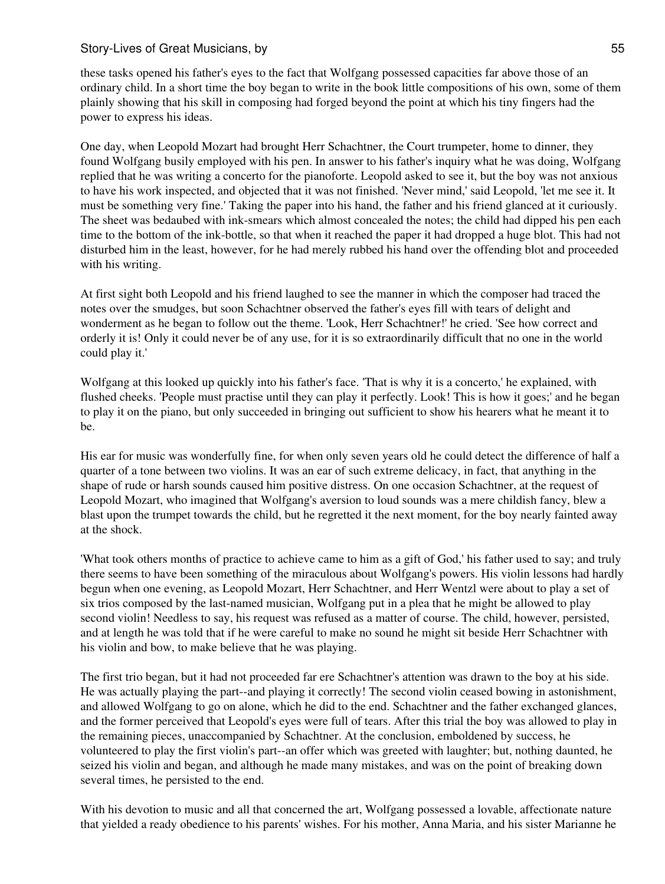these tasks opened his father's eyes to the fact that Wolfgang possessed capacities far above those of an ordinary child. In a short time the boy began to write in the book little compositions of his own, some of them plainly showing that his skill in composing had forged beyond the point at which his tiny fingers had the power to express his ideas.

One day, when Leopold Mozart had brought Herr Schachtner, the Court trumpeter, home to dinner, they found Wolfgang busily employed with his pen. In answer to his father's inquiry what he was doing, Wolfgang replied that he was writing a concerto for the pianoforte. Leopold asked to see it, but the boy was not anxious to have his work inspected, and objected that it was not finished. 'Never mind,' said Leopold, 'let me see it. It must be something very fine.' Taking the paper into his hand, the father and his friend glanced at it curiously. The sheet was bedaubed with ink-smears which almost concealed the notes; the child had dipped his pen each time to the bottom of the ink-bottle, so that when it reached the paper it had dropped a huge blot. This had not disturbed him in the least, however, for he had merely rubbed his hand over the offending blot and proceeded with his writing.

At first sight both Leopold and his friend laughed to see the manner in which the composer had traced the notes over the smudges, but soon Schachtner observed the father's eyes fill with tears of delight and wonderment as he began to follow out the theme. 'Look, Herr Schachtner!' he cried. 'See how correct and orderly it is! Only it could never be of any use, for it is so extraordinarily difficult that no one in the world could play it.'

Wolfgang at this looked up quickly into his father's face. 'That is why it is a concerto,' he explained, with flushed cheeks. 'People must practise until they can play it perfectly. Look! This is how it goes;' and he began to play it on the piano, but only succeeded in bringing out sufficient to show his hearers what he meant it to be.

His ear for music was wonderfully fine, for when only seven years old he could detect the difference of half a quarter of a tone between two violins. It was an ear of such extreme delicacy, in fact, that anything in the shape of rude or harsh sounds caused him positive distress. On one occasion Schachtner, at the request of Leopold Mozart, who imagined that Wolfgang's aversion to loud sounds was a mere childish fancy, blew a blast upon the trumpet towards the child, but he regretted it the next moment, for the boy nearly fainted away at the shock.

'What took others months of practice to achieve came to him as a gift of God,' his father used to say; and truly there seems to have been something of the miraculous about Wolfgang's powers. His violin lessons had hardly begun when one evening, as Leopold Mozart, Herr Schachtner, and Herr Wentzl were about to play a set of six trios composed by the last-named musician, Wolfgang put in a plea that he might be allowed to play second violin! Needless to say, his request was refused as a matter of course. The child, however, persisted, and at length he was told that if he were careful to make no sound he might sit beside Herr Schachtner with his violin and bow, to make believe that he was playing.

The first trio began, but it had not proceeded far ere Schachtner's attention was drawn to the boy at his side. He was actually playing the part--and playing it correctly! The second violin ceased bowing in astonishment, and allowed Wolfgang to go on alone, which he did to the end. Schachtner and the father exchanged glances, and the former perceived that Leopold's eyes were full of tears. After this trial the boy was allowed to play in the remaining pieces, unaccompanied by Schachtner. At the conclusion, emboldened by success, he volunteered to play the first violin's part--an offer which was greeted with laughter; but, nothing daunted, he seized his violin and began, and although he made many mistakes, and was on the point of breaking down several times, he persisted to the end.

With his devotion to music and all that concerned the art, Wolfgang possessed a lovable, affectionate nature that yielded a ready obedience to his parents' wishes. For his mother, Anna Maria, and his sister Marianne he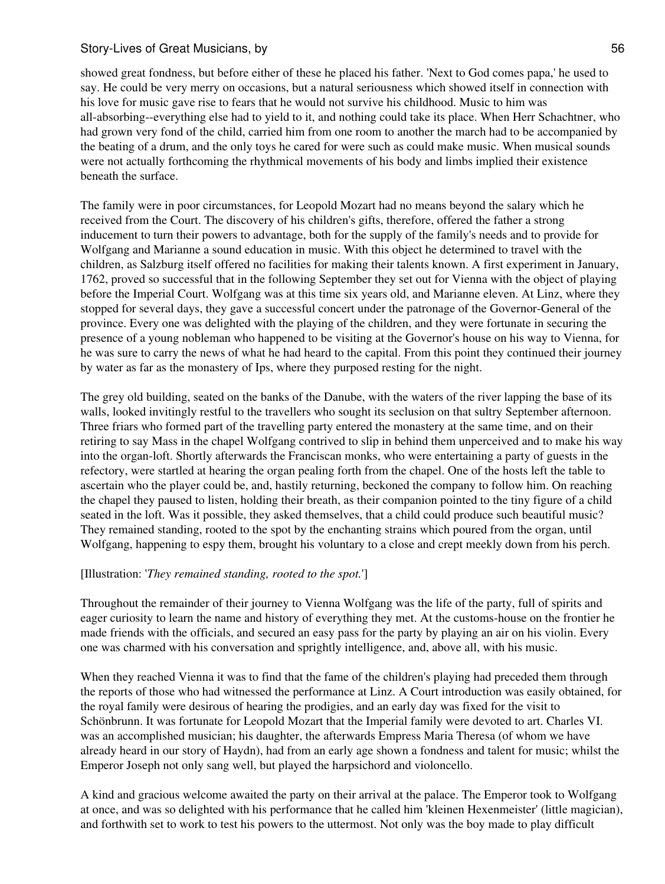showed great fondness, but before either of these he placed his father. 'Next to God comes papa,' he used to say. He could be very merry on occasions, but a natural seriousness which showed itself in connection with his love for music gave rise to fears that he would not survive his childhood. Music to him was all-absorbing--everything else had to yield to it, and nothing could take its place. When Herr Schachtner, who had grown very fond of the child, carried him from one room to another the march had to be accompanied by the beating of a drum, and the only toys he cared for were such as could make music. When musical sounds were not actually forthcoming the rhythmical movements of his body and limbs implied their existence beneath the surface.

The family were in poor circumstances, for Leopold Mozart had no means beyond the salary which he received from the Court. The discovery of his children's gifts, therefore, offered the father a strong inducement to turn their powers to advantage, both for the supply of the family's needs and to provide for Wolfgang and Marianne a sound education in music. With this object he determined to travel with the children, as Salzburg itself offered no facilities for making their talents known. A first experiment in January, 1762, proved so successful that in the following September they set out for Vienna with the object of playing before the Imperial Court. Wolfgang was at this time six years old, and Marianne eleven. At Linz, where they stopped for several days, they gave a successful concert under the patronage of the Governor-General of the province. Every one was delighted with the playing of the children, and they were fortunate in securing the presence of a young nobleman who happened to be visiting at the Governor's house on his way to Vienna, for he was sure to carry the news of what he had heard to the capital. From this point they continued their journey by water as far as the monastery of Ips, where they purposed resting for the night.

The grey old building, seated on the banks of the Danube, with the waters of the river lapping the base of its walls, looked invitingly restful to the travellers who sought its seclusion on that sultry September afternoon. Three friars who formed part of the travelling party entered the monastery at the same time, and on their retiring to say Mass in the chapel Wolfgang contrived to slip in behind them unperceived and to make his way into the organ-loft. Shortly afterwards the Franciscan monks, who were entertaining a party of guests in the refectory, were startled at hearing the organ pealing forth from the chapel. One of the hosts left the table to ascertain who the player could be, and, hastily returning, beckoned the company to follow him. On reaching the chapel they paused to listen, holding their breath, as their companion pointed to the tiny figure of a child seated in the loft. Was it possible, they asked themselves, that a child could produce such beautiful music? They remained standing, rooted to the spot by the enchanting strains which poured from the organ, until Wolfgang, happening to espy them, brought his voluntary to a close and crept meekly down from his perch.

## [Illustration: '*They remained standing, rooted to the spot.*']

Throughout the remainder of their journey to Vienna Wolfgang was the life of the party, full of spirits and eager curiosity to learn the name and history of everything they met. At the customs-house on the frontier he made friends with the officials, and secured an easy pass for the party by playing an air on his violin. Every one was charmed with his conversation and sprightly intelligence, and, above all, with his music.

When they reached Vienna it was to find that the fame of the children's playing had preceded them through the reports of those who had witnessed the performance at Linz. A Court introduction was easily obtained, for the royal family were desirous of hearing the prodigies, and an early day was fixed for the visit to Schönbrunn. It was fortunate for Leopold Mozart that the Imperial family were devoted to art. Charles VI. was an accomplished musician; his daughter, the afterwards Empress Maria Theresa (of whom we have already heard in our story of Haydn), had from an early age shown a fondness and talent for music; whilst the Emperor Joseph not only sang well, but played the harpsichord and violoncello.

A kind and gracious welcome awaited the party on their arrival at the palace. The Emperor took to Wolfgang at once, and was so delighted with his performance that he called him 'kleinen Hexenmeister' (little magician), and forthwith set to work to test his powers to the uttermost. Not only was the boy made to play difficult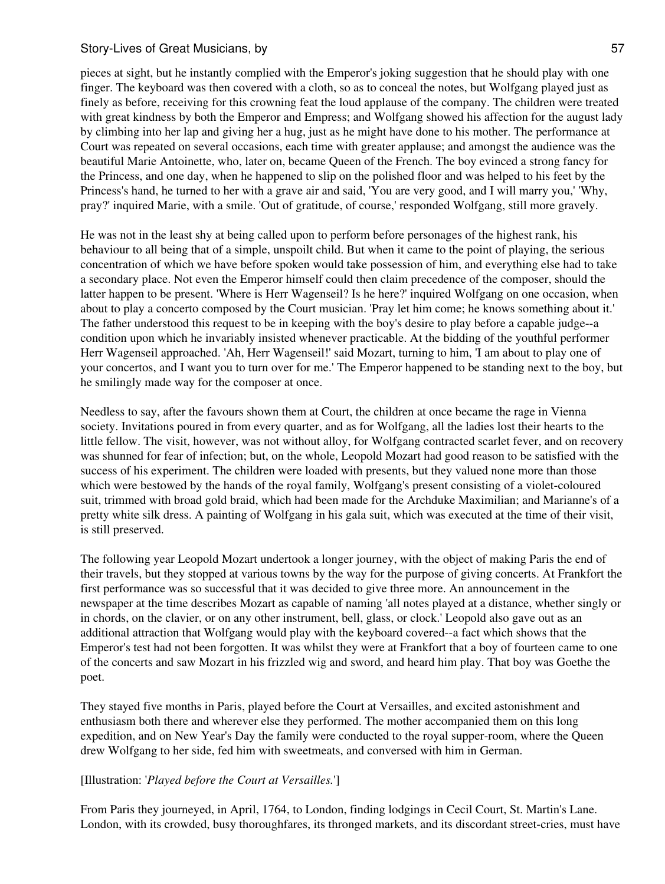pieces at sight, but he instantly complied with the Emperor's joking suggestion that he should play with one finger. The keyboard was then covered with a cloth, so as to conceal the notes, but Wolfgang played just as finely as before, receiving for this crowning feat the loud applause of the company. The children were treated with great kindness by both the Emperor and Empress; and Wolfgang showed his affection for the august lady by climbing into her lap and giving her a hug, just as he might have done to his mother. The performance at Court was repeated on several occasions, each time with greater applause; and amongst the audience was the beautiful Marie Antoinette, who, later on, became Queen of the French. The boy evinced a strong fancy for the Princess, and one day, when he happened to slip on the polished floor and was helped to his feet by the Princess's hand, he turned to her with a grave air and said, 'You are very good, and I will marry you,' 'Why, pray?' inquired Marie, with a smile. 'Out of gratitude, of course,' responded Wolfgang, still more gravely.

He was not in the least shy at being called upon to perform before personages of the highest rank, his behaviour to all being that of a simple, unspoilt child. But when it came to the point of playing, the serious concentration of which we have before spoken would take possession of him, and everything else had to take a secondary place. Not even the Emperor himself could then claim precedence of the composer, should the latter happen to be present. 'Where is Herr Wagenseil? Is he here?' inquired Wolfgang on one occasion, when about to play a concerto composed by the Court musician. 'Pray let him come; he knows something about it.' The father understood this request to be in keeping with the boy's desire to play before a capable judge--a condition upon which he invariably insisted whenever practicable. At the bidding of the youthful performer Herr Wagenseil approached. 'Ah, Herr Wagenseil!' said Mozart, turning to him, 'I am about to play one of your concertos, and I want you to turn over for me.' The Emperor happened to be standing next to the boy, but he smilingly made way for the composer at once.

Needless to say, after the favours shown them at Court, the children at once became the rage in Vienna society. Invitations poured in from every quarter, and as for Wolfgang, all the ladies lost their hearts to the little fellow. The visit, however, was not without alloy, for Wolfgang contracted scarlet fever, and on recovery was shunned for fear of infection; but, on the whole, Leopold Mozart had good reason to be satisfied with the success of his experiment. The children were loaded with presents, but they valued none more than those which were bestowed by the hands of the royal family, Wolfgang's present consisting of a violet-coloured suit, trimmed with broad gold braid, which had been made for the Archduke Maximilian; and Marianne's of a pretty white silk dress. A painting of Wolfgang in his gala suit, which was executed at the time of their visit, is still preserved.

The following year Leopold Mozart undertook a longer journey, with the object of making Paris the end of their travels, but they stopped at various towns by the way for the purpose of giving concerts. At Frankfort the first performance was so successful that it was decided to give three more. An announcement in the newspaper at the time describes Mozart as capable of naming 'all notes played at a distance, whether singly or in chords, on the clavier, or on any other instrument, bell, glass, or clock.' Leopold also gave out as an additional attraction that Wolfgang would play with the keyboard covered--a fact which shows that the Emperor's test had not been forgotten. It was whilst they were at Frankfort that a boy of fourteen came to one of the concerts and saw Mozart in his frizzled wig and sword, and heard him play. That boy was Goethe the poet.

They stayed five months in Paris, played before the Court at Versailles, and excited astonishment and enthusiasm both there and wherever else they performed. The mother accompanied them on this long expedition, and on New Year's Day the family were conducted to the royal supper-room, where the Queen drew Wolfgang to her side, fed him with sweetmeats, and conversed with him in German.

## [Illustration: '*Played before the Court at Versailles.*']

From Paris they journeyed, in April, 1764, to London, finding lodgings in Cecil Court, St. Martin's Lane. London, with its crowded, busy thoroughfares, its thronged markets, and its discordant street-cries, must have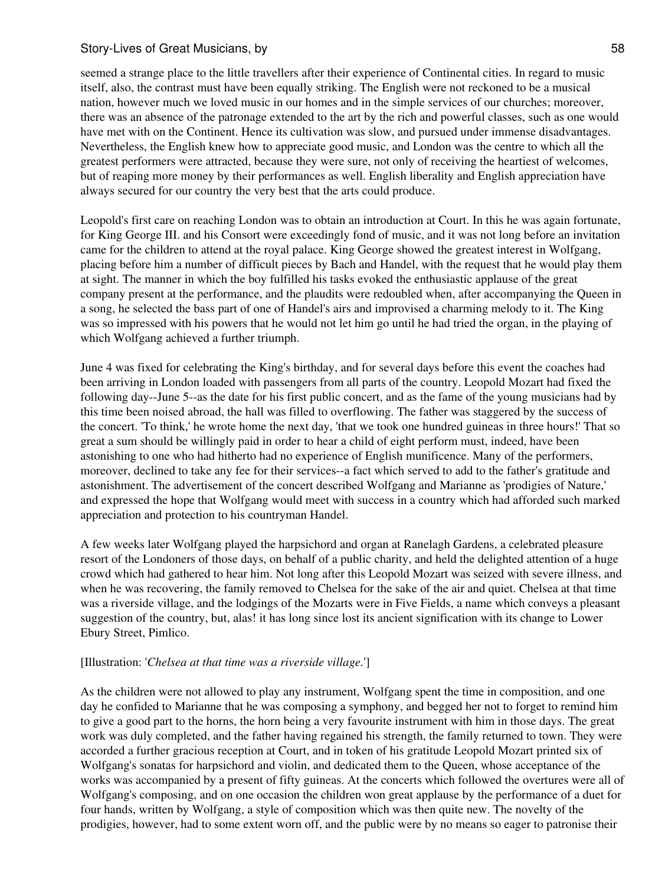seemed a strange place to the little travellers after their experience of Continental cities. In regard to music itself, also, the contrast must have been equally striking. The English were not reckoned to be a musical nation, however much we loved music in our homes and in the simple services of our churches; moreover, there was an absence of the patronage extended to the art by the rich and powerful classes, such as one would have met with on the Continent. Hence its cultivation was slow, and pursued under immense disadvantages. Nevertheless, the English knew how to appreciate good music, and London was the centre to which all the greatest performers were attracted, because they were sure, not only of receiving the heartiest of welcomes, but of reaping more money by their performances as well. English liberality and English appreciation have always secured for our country the very best that the arts could produce.

Leopold's first care on reaching London was to obtain an introduction at Court. In this he was again fortunate, for King George III. and his Consort were exceedingly fond of music, and it was not long before an invitation came for the children to attend at the royal palace. King George showed the greatest interest in Wolfgang, placing before him a number of difficult pieces by Bach and Handel, with the request that he would play them at sight. The manner in which the boy fulfilled his tasks evoked the enthusiastic applause of the great company present at the performance, and the plaudits were redoubled when, after accompanying the Queen in a song, he selected the bass part of one of Handel's airs and improvised a charming melody to it. The King was so impressed with his powers that he would not let him go until he had tried the organ, in the playing of which Wolfgang achieved a further triumph.

June 4 was fixed for celebrating the King's birthday, and for several days before this event the coaches had been arriving in London loaded with passengers from all parts of the country. Leopold Mozart had fixed the following day--June 5--as the date for his first public concert, and as the fame of the young musicians had by this time been noised abroad, the hall was filled to overflowing. The father was staggered by the success of the concert. 'To think,' he wrote home the next day, 'that we took one hundred guineas in three hours!' That so great a sum should be willingly paid in order to hear a child of eight perform must, indeed, have been astonishing to one who had hitherto had no experience of English munificence. Many of the performers, moreover, declined to take any fee for their services--a fact which served to add to the father's gratitude and astonishment. The advertisement of the concert described Wolfgang and Marianne as 'prodigies of Nature,' and expressed the hope that Wolfgang would meet with success in a country which had afforded such marked appreciation and protection to his countryman Handel.

A few weeks later Wolfgang played the harpsichord and organ at Ranelagh Gardens, a celebrated pleasure resort of the Londoners of those days, on behalf of a public charity, and held the delighted attention of a huge crowd which had gathered to hear him. Not long after this Leopold Mozart was seized with severe illness, and when he was recovering, the family removed to Chelsea for the sake of the air and quiet. Chelsea at that time was a riverside village, and the lodgings of the Mozarts were in Five Fields, a name which conveys a pleasant suggestion of the country, but, alas! it has long since lost its ancient signification with its change to Lower Ebury Street, Pimlico.

#### [Illustration: '*Chelsea at that time was a riverside village.*']

As the children were not allowed to play any instrument, Wolfgang spent the time in composition, and one day he confided to Marianne that he was composing a symphony, and begged her not to forget to remind him to give a good part to the horns, the horn being a very favourite instrument with him in those days. The great work was duly completed, and the father having regained his strength, the family returned to town. They were accorded a further gracious reception at Court, and in token of his gratitude Leopold Mozart printed six of Wolfgang's sonatas for harpsichord and violin, and dedicated them to the Queen, whose acceptance of the works was accompanied by a present of fifty guineas. At the concerts which followed the overtures were all of Wolfgang's composing, and on one occasion the children won great applause by the performance of a duet for four hands, written by Wolfgang, a style of composition which was then quite new. The novelty of the prodigies, however, had to some extent worn off, and the public were by no means so eager to patronise their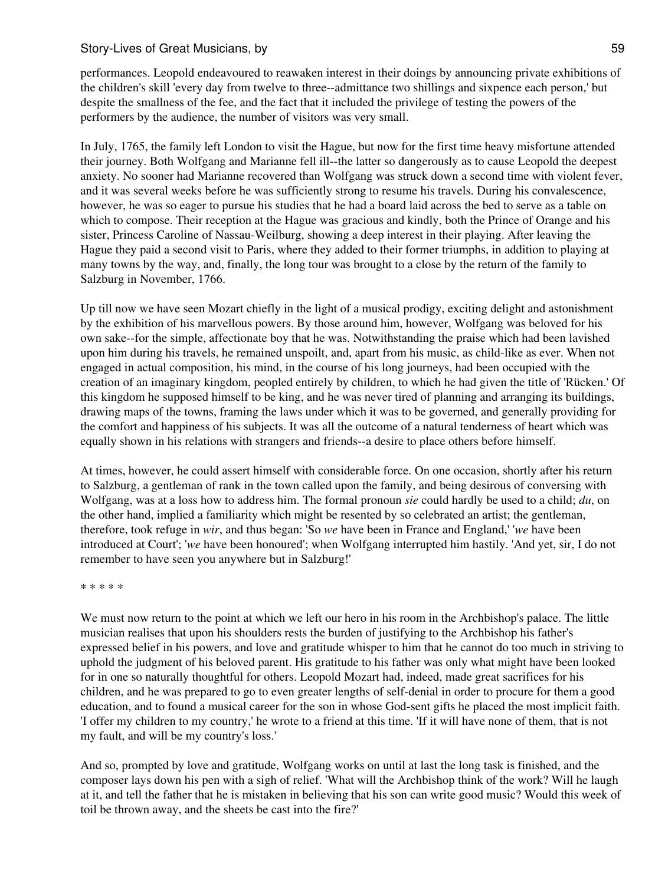performances. Leopold endeavoured to reawaken interest in their doings by announcing private exhibitions of the children's skill 'every day from twelve to three--admittance two shillings and sixpence each person,' but despite the smallness of the fee, and the fact that it included the privilege of testing the powers of the performers by the audience, the number of visitors was very small.

In July, 1765, the family left London to visit the Hague, but now for the first time heavy misfortune attended their journey. Both Wolfgang and Marianne fell ill--the latter so dangerously as to cause Leopold the deepest anxiety. No sooner had Marianne recovered than Wolfgang was struck down a second time with violent fever, and it was several weeks before he was sufficiently strong to resume his travels. During his convalescence, however, he was so eager to pursue his studies that he had a board laid across the bed to serve as a table on which to compose. Their reception at the Hague was gracious and kindly, both the Prince of Orange and his sister, Princess Caroline of Nassau-Weilburg, showing a deep interest in their playing. After leaving the Hague they paid a second visit to Paris, where they added to their former triumphs, in addition to playing at many towns by the way, and, finally, the long tour was brought to a close by the return of the family to Salzburg in November, 1766.

Up till now we have seen Mozart chiefly in the light of a musical prodigy, exciting delight and astonishment by the exhibition of his marvellous powers. By those around him, however, Wolfgang was beloved for his own sake--for the simple, affectionate boy that he was. Notwithstanding the praise which had been lavished upon him during his travels, he remained unspoilt, and, apart from his music, as child-like as ever. When not engaged in actual composition, his mind, in the course of his long journeys, had been occupied with the creation of an imaginary kingdom, peopled entirely by children, to which he had given the title of 'Rücken.' Of this kingdom he supposed himself to be king, and he was never tired of planning and arranging its buildings, drawing maps of the towns, framing the laws under which it was to be governed, and generally providing for the comfort and happiness of his subjects. It was all the outcome of a natural tenderness of heart which was equally shown in his relations with strangers and friends--a desire to place others before himself.

At times, however, he could assert himself with considerable force. On one occasion, shortly after his return to Salzburg, a gentleman of rank in the town called upon the family, and being desirous of conversing with Wolfgang, was at a loss how to address him. The formal pronoun *sie* could hardly be used to a child; *du*, on the other hand, implied a familiarity which might be resented by so celebrated an artist; the gentleman, therefore, took refuge in *wir*, and thus began: 'So *we* have been in France and England,' '*we* have been introduced at Court'; '*we* have been honoured'; when Wolfgang interrupted him hastily. 'And yet, sir, I do not remember to have seen you anywhere but in Salzburg!'

\* \* \* \* \*

We must now return to the point at which we left our hero in his room in the Archbishop's palace. The little musician realises that upon his shoulders rests the burden of justifying to the Archbishop his father's expressed belief in his powers, and love and gratitude whisper to him that he cannot do too much in striving to uphold the judgment of his beloved parent. His gratitude to his father was only what might have been looked for in one so naturally thoughtful for others. Leopold Mozart had, indeed, made great sacrifices for his children, and he was prepared to go to even greater lengths of self-denial in order to procure for them a good education, and to found a musical career for the son in whose God-sent gifts he placed the most implicit faith. 'I offer my children to my country,' he wrote to a friend at this time. 'If it will have none of them, that is not my fault, and will be my country's loss.'

And so, prompted by love and gratitude, Wolfgang works on until at last the long task is finished, and the composer lays down his pen with a sigh of relief. 'What will the Archbishop think of the work? Will he laugh at it, and tell the father that he is mistaken in believing that his son can write good music? Would this week of toil be thrown away, and the sheets be cast into the fire?'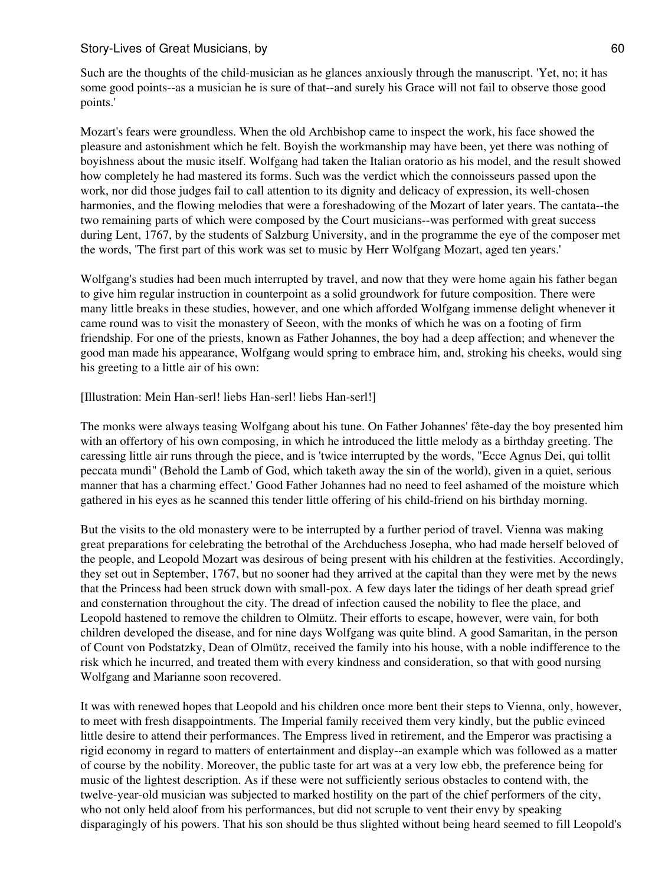Such are the thoughts of the child-musician as he glances anxiously through the manuscript. 'Yet, no; it has some good points--as a musician he is sure of that--and surely his Grace will not fail to observe those good points.'

Mozart's fears were groundless. When the old Archbishop came to inspect the work, his face showed the pleasure and astonishment which he felt. Boyish the workmanship may have been, yet there was nothing of boyishness about the music itself. Wolfgang had taken the Italian oratorio as his model, and the result showed how completely he had mastered its forms. Such was the verdict which the connoisseurs passed upon the work, nor did those judges fail to call attention to its dignity and delicacy of expression, its well-chosen harmonies, and the flowing melodies that were a foreshadowing of the Mozart of later years. The cantata--the two remaining parts of which were composed by the Court musicians--was performed with great success during Lent, 1767, by the students of Salzburg University, and in the programme the eye of the composer met the words, 'The first part of this work was set to music by Herr Wolfgang Mozart, aged ten years.'

Wolfgang's studies had been much interrupted by travel, and now that they were home again his father began to give him regular instruction in counterpoint as a solid groundwork for future composition. There were many little breaks in these studies, however, and one which afforded Wolfgang immense delight whenever it came round was to visit the monastery of Seeon, with the monks of which he was on a footing of firm friendship. For one of the priests, known as Father Johannes, the boy had a deep affection; and whenever the good man made his appearance, Wolfgang would spring to embrace him, and, stroking his cheeks, would sing his greeting to a little air of his own:

#### [Illustration: Mein Han-serl! liebs Han-serl! liebs Han-serl!]

The monks were always teasing Wolfgang about his tune. On Father Johannes' fête-day the boy presented him with an offertory of his own composing, in which he introduced the little melody as a birthday greeting. The caressing little air runs through the piece, and is 'twice interrupted by the words, "Ecce Agnus Dei, qui tollit peccata mundi" (Behold the Lamb of God, which taketh away the sin of the world), given in a quiet, serious manner that has a charming effect.' Good Father Johannes had no need to feel ashamed of the moisture which gathered in his eyes as he scanned this tender little offering of his child-friend on his birthday morning.

But the visits to the old monastery were to be interrupted by a further period of travel. Vienna was making great preparations for celebrating the betrothal of the Archduchess Josepha, who had made herself beloved of the people, and Leopold Mozart was desirous of being present with his children at the festivities. Accordingly, they set out in September, 1767, but no sooner had they arrived at the capital than they were met by the news that the Princess had been struck down with small-pox. A few days later the tidings of her death spread grief and consternation throughout the city. The dread of infection caused the nobility to flee the place, and Leopold hastened to remove the children to Olmütz. Their efforts to escape, however, were vain, for both children developed the disease, and for nine days Wolfgang was quite blind. A good Samaritan, in the person of Count von Podstatzky, Dean of Olmütz, received the family into his house, with a noble indifference to the risk which he incurred, and treated them with every kindness and consideration, so that with good nursing Wolfgang and Marianne soon recovered.

It was with renewed hopes that Leopold and his children once more bent their steps to Vienna, only, however, to meet with fresh disappointments. The Imperial family received them very kindly, but the public evinced little desire to attend their performances. The Empress lived in retirement, and the Emperor was practising a rigid economy in regard to matters of entertainment and display--an example which was followed as a matter of course by the nobility. Moreover, the public taste for art was at a very low ebb, the preference being for music of the lightest description. As if these were not sufficiently serious obstacles to contend with, the twelve-year-old musician was subjected to marked hostility on the part of the chief performers of the city, who not only held aloof from his performances, but did not scruple to vent their envy by speaking disparagingly of his powers. That his son should be thus slighted without being heard seemed to fill Leopold's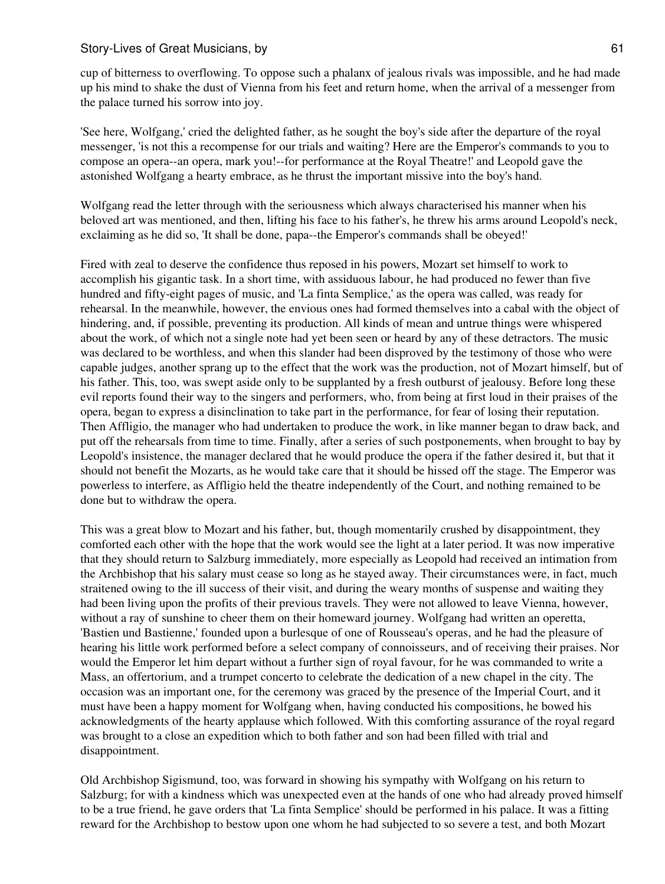cup of bitterness to overflowing. To oppose such a phalanx of jealous rivals was impossible, and he had made up his mind to shake the dust of Vienna from his feet and return home, when the arrival of a messenger from the palace turned his sorrow into joy.

'See here, Wolfgang,' cried the delighted father, as he sought the boy's side after the departure of the royal messenger, 'is not this a recompense for our trials and waiting? Here are the Emperor's commands to you to compose an opera--an opera, mark you!--for performance at the Royal Theatre!' and Leopold gave the astonished Wolfgang a hearty embrace, as he thrust the important missive into the boy's hand.

Wolfgang read the letter through with the seriousness which always characterised his manner when his beloved art was mentioned, and then, lifting his face to his father's, he threw his arms around Leopold's neck, exclaiming as he did so, 'It shall be done, papa--the Emperor's commands shall be obeyed!'

Fired with zeal to deserve the confidence thus reposed in his powers, Mozart set himself to work to accomplish his gigantic task. In a short time, with assiduous labour, he had produced no fewer than five hundred and fifty-eight pages of music, and 'La finta Semplice,' as the opera was called, was ready for rehearsal. In the meanwhile, however, the envious ones had formed themselves into a cabal with the object of hindering, and, if possible, preventing its production. All kinds of mean and untrue things were whispered about the work, of which not a single note had yet been seen or heard by any of these detractors. The music was declared to be worthless, and when this slander had been disproved by the testimony of those who were capable judges, another sprang up to the effect that the work was the production, not of Mozart himself, but of his father. This, too, was swept aside only to be supplanted by a fresh outburst of jealousy. Before long these evil reports found their way to the singers and performers, who, from being at first loud in their praises of the opera, began to express a disinclination to take part in the performance, for fear of losing their reputation. Then Affligio, the manager who had undertaken to produce the work, in like manner began to draw back, and put off the rehearsals from time to time. Finally, after a series of such postponements, when brought to bay by Leopold's insistence, the manager declared that he would produce the opera if the father desired it, but that it should not benefit the Mozarts, as he would take care that it should be hissed off the stage. The Emperor was powerless to interfere, as Affligio held the theatre independently of the Court, and nothing remained to be done but to withdraw the opera.

This was a great blow to Mozart and his father, but, though momentarily crushed by disappointment, they comforted each other with the hope that the work would see the light at a later period. It was now imperative that they should return to Salzburg immediately, more especially as Leopold had received an intimation from the Archbishop that his salary must cease so long as he stayed away. Their circumstances were, in fact, much straitened owing to the ill success of their visit, and during the weary months of suspense and waiting they had been living upon the profits of their previous travels. They were not allowed to leave Vienna, however, without a ray of sunshine to cheer them on their homeward journey. Wolfgang had written an operetta, 'Bastien und Bastienne,' founded upon a burlesque of one of Rousseau's operas, and he had the pleasure of hearing his little work performed before a select company of connoisseurs, and of receiving their praises. Nor would the Emperor let him depart without a further sign of royal favour, for he was commanded to write a Mass, an offertorium, and a trumpet concerto to celebrate the dedication of a new chapel in the city. The occasion was an important one, for the ceremony was graced by the presence of the Imperial Court, and it must have been a happy moment for Wolfgang when, having conducted his compositions, he bowed his acknowledgments of the hearty applause which followed. With this comforting assurance of the royal regard was brought to a close an expedition which to both father and son had been filled with trial and disappointment.

Old Archbishop Sigismund, too, was forward in showing his sympathy with Wolfgang on his return to Salzburg; for with a kindness which was unexpected even at the hands of one who had already proved himself to be a true friend, he gave orders that 'La finta Semplice' should be performed in his palace. It was a fitting reward for the Archbishop to bestow upon one whom he had subjected to so severe a test, and both Mozart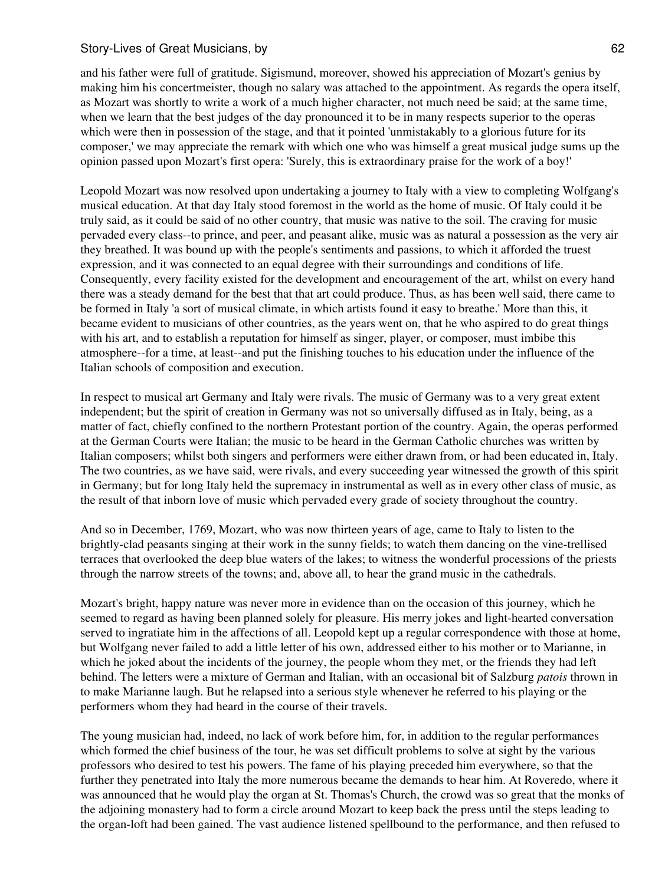and his father were full of gratitude. Sigismund, moreover, showed his appreciation of Mozart's genius by making him his concertmeister, though no salary was attached to the appointment. As regards the opera itself, as Mozart was shortly to write a work of a much higher character, not much need be said; at the same time, when we learn that the best judges of the day pronounced it to be in many respects superior to the operas which were then in possession of the stage, and that it pointed 'unmistakably to a glorious future for its composer,' we may appreciate the remark with which one who was himself a great musical judge sums up the opinion passed upon Mozart's first opera: 'Surely, this is extraordinary praise for the work of a boy!'

Leopold Mozart was now resolved upon undertaking a journey to Italy with a view to completing Wolfgang's musical education. At that day Italy stood foremost in the world as the home of music. Of Italy could it be truly said, as it could be said of no other country, that music was native to the soil. The craving for music pervaded every class--to prince, and peer, and peasant alike, music was as natural a possession as the very air they breathed. It was bound up with the people's sentiments and passions, to which it afforded the truest expression, and it was connected to an equal degree with their surroundings and conditions of life. Consequently, every facility existed for the development and encouragement of the art, whilst on every hand there was a steady demand for the best that that art could produce. Thus, as has been well said, there came to be formed in Italy 'a sort of musical climate, in which artists found it easy to breathe.' More than this, it became evident to musicians of other countries, as the years went on, that he who aspired to do great things with his art, and to establish a reputation for himself as singer, player, or composer, must imbibe this atmosphere--for a time, at least--and put the finishing touches to his education under the influence of the Italian schools of composition and execution.

In respect to musical art Germany and Italy were rivals. The music of Germany was to a very great extent independent; but the spirit of creation in Germany was not so universally diffused as in Italy, being, as a matter of fact, chiefly confined to the northern Protestant portion of the country. Again, the operas performed at the German Courts were Italian; the music to be heard in the German Catholic churches was written by Italian composers; whilst both singers and performers were either drawn from, or had been educated in, Italy. The two countries, as we have said, were rivals, and every succeeding year witnessed the growth of this spirit in Germany; but for long Italy held the supremacy in instrumental as well as in every other class of music, as the result of that inborn love of music which pervaded every grade of society throughout the country.

And so in December, 1769, Mozart, who was now thirteen years of age, came to Italy to listen to the brightly-clad peasants singing at their work in the sunny fields; to watch them dancing on the vine-trellised terraces that overlooked the deep blue waters of the lakes; to witness the wonderful processions of the priests through the narrow streets of the towns; and, above all, to hear the grand music in the cathedrals.

Mozart's bright, happy nature was never more in evidence than on the occasion of this journey, which he seemed to regard as having been planned solely for pleasure. His merry jokes and light-hearted conversation served to ingratiate him in the affections of all. Leopold kept up a regular correspondence with those at home, but Wolfgang never failed to add a little letter of his own, addressed either to his mother or to Marianne, in which he joked about the incidents of the journey, the people whom they met, or the friends they had left behind. The letters were a mixture of German and Italian, with an occasional bit of Salzburg *patois* thrown in to make Marianne laugh. But he relapsed into a serious style whenever he referred to his playing or the performers whom they had heard in the course of their travels.

The young musician had, indeed, no lack of work before him, for, in addition to the regular performances which formed the chief business of the tour, he was set difficult problems to solve at sight by the various professors who desired to test his powers. The fame of his playing preceded him everywhere, so that the further they penetrated into Italy the more numerous became the demands to hear him. At Roveredo, where it was announced that he would play the organ at St. Thomas's Church, the crowd was so great that the monks of the adjoining monastery had to form a circle around Mozart to keep back the press until the steps leading to the organ-loft had been gained. The vast audience listened spellbound to the performance, and then refused to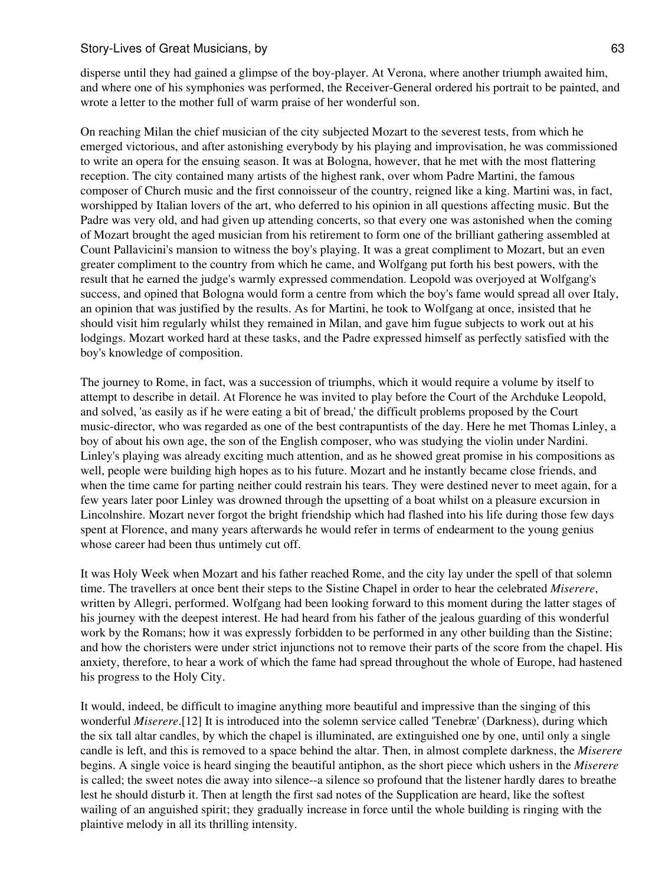disperse until they had gained a glimpse of the boy-player. At Verona, where another triumph awaited him, and where one of his symphonies was performed, the Receiver-General ordered his portrait to be painted, and wrote a letter to the mother full of warm praise of her wonderful son.

On reaching Milan the chief musician of the city subjected Mozart to the severest tests, from which he emerged victorious, and after astonishing everybody by his playing and improvisation, he was commissioned to write an opera for the ensuing season. It was at Bologna, however, that he met with the most flattering reception. The city contained many artists of the highest rank, over whom Padre Martini, the famous composer of Church music and the first connoisseur of the country, reigned like a king. Martini was, in fact, worshipped by Italian lovers of the art, who deferred to his opinion in all questions affecting music. But the Padre was very old, and had given up attending concerts, so that every one was astonished when the coming of Mozart brought the aged musician from his retirement to form one of the brilliant gathering assembled at Count Pallavicini's mansion to witness the boy's playing. It was a great compliment to Mozart, but an even greater compliment to the country from which he came, and Wolfgang put forth his best powers, with the result that he earned the judge's warmly expressed commendation. Leopold was overjoyed at Wolfgang's success, and opined that Bologna would form a centre from which the boy's fame would spread all over Italy, an opinion that was justified by the results. As for Martini, he took to Wolfgang at once, insisted that he should visit him regularly whilst they remained in Milan, and gave him fugue subjects to work out at his lodgings. Mozart worked hard at these tasks, and the Padre expressed himself as perfectly satisfied with the boy's knowledge of composition.

The journey to Rome, in fact, was a succession of triumphs, which it would require a volume by itself to attempt to describe in detail. At Florence he was invited to play before the Court of the Archduke Leopold, and solved, 'as easily as if he were eating a bit of bread,' the difficult problems proposed by the Court music-director, who was regarded as one of the best contrapuntists of the day. Here he met Thomas Linley, a boy of about his own age, the son of the English composer, who was studying the violin under Nardini. Linley's playing was already exciting much attention, and as he showed great promise in his compositions as well, people were building high hopes as to his future. Mozart and he instantly became close friends, and when the time came for parting neither could restrain his tears. They were destined never to meet again, for a few years later poor Linley was drowned through the upsetting of a boat whilst on a pleasure excursion in Lincolnshire. Mozart never forgot the bright friendship which had flashed into his life during those few days spent at Florence, and many years afterwards he would refer in terms of endearment to the young genius whose career had been thus untimely cut off.

It was Holy Week when Mozart and his father reached Rome, and the city lay under the spell of that solemn time. The travellers at once bent their steps to the Sistine Chapel in order to hear the celebrated *Miserere*, written by Allegri, performed. Wolfgang had been looking forward to this moment during the latter stages of his journey with the deepest interest. He had heard from his father of the jealous guarding of this wonderful work by the Romans; how it was expressly forbidden to be performed in any other building than the Sistine; and how the choristers were under strict injunctions not to remove their parts of the score from the chapel. His anxiety, therefore, to hear a work of which the fame had spread throughout the whole of Europe, had hastened his progress to the Holy City.

It would, indeed, be difficult to imagine anything more beautiful and impressive than the singing of this wonderful *Miserere*.[12] It is introduced into the solemn service called 'Tenebræ' (Darkness), during which the six tall altar candles, by which the chapel is illuminated, are extinguished one by one, until only a single candle is left, and this is removed to a space behind the altar. Then, in almost complete darkness, the *Miserere* begins. A single voice is heard singing the beautiful antiphon, as the short piece which ushers in the *Miserere* is called; the sweet notes die away into silence--a silence so profound that the listener hardly dares to breathe lest he should disturb it. Then at length the first sad notes of the Supplication are heard, like the softest wailing of an anguished spirit; they gradually increase in force until the whole building is ringing with the plaintive melody in all its thrilling intensity.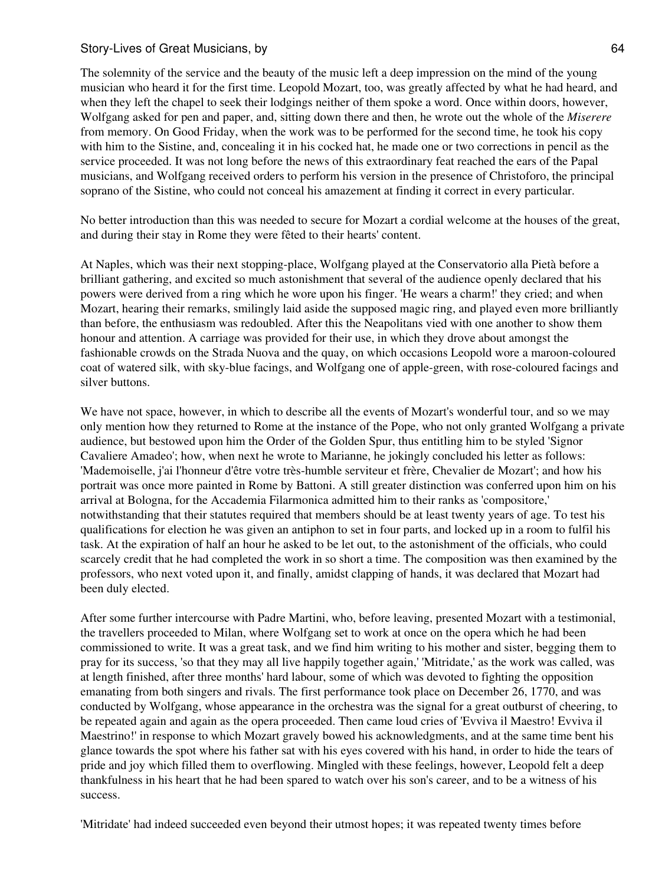The solemnity of the service and the beauty of the music left a deep impression on the mind of the young musician who heard it for the first time. Leopold Mozart, too, was greatly affected by what he had heard, and when they left the chapel to seek their lodgings neither of them spoke a word. Once within doors, however, Wolfgang asked for pen and paper, and, sitting down there and then, he wrote out the whole of the *Miserere* from memory. On Good Friday, when the work was to be performed for the second time, he took his copy with him to the Sistine, and, concealing it in his cocked hat, he made one or two corrections in pencil as the service proceeded. It was not long before the news of this extraordinary feat reached the ears of the Papal musicians, and Wolfgang received orders to perform his version in the presence of Christoforo, the principal soprano of the Sistine, who could not conceal his amazement at finding it correct in every particular.

No better introduction than this was needed to secure for Mozart a cordial welcome at the houses of the great, and during their stay in Rome they were fêted to their hearts' content.

At Naples, which was their next stopping-place, Wolfgang played at the Conservatorio alla Pietà before a brilliant gathering, and excited so much astonishment that several of the audience openly declared that his powers were derived from a ring which he wore upon his finger. 'He wears a charm!' they cried; and when Mozart, hearing their remarks, smilingly laid aside the supposed magic ring, and played even more brilliantly than before, the enthusiasm was redoubled. After this the Neapolitans vied with one another to show them honour and attention. A carriage was provided for their use, in which they drove about amongst the fashionable crowds on the Strada Nuova and the quay, on which occasions Leopold wore a maroon-coloured coat of watered silk, with sky-blue facings, and Wolfgang one of apple-green, with rose-coloured facings and silver buttons.

We have not space, however, in which to describe all the events of Mozart's wonderful tour, and so we may only mention how they returned to Rome at the instance of the Pope, who not only granted Wolfgang a private audience, but bestowed upon him the Order of the Golden Spur, thus entitling him to be styled 'Signor Cavaliere Amadeo'; how, when next he wrote to Marianne, he jokingly concluded his letter as follows: 'Mademoiselle, j'ai l'honneur d'être votre très-humble serviteur et frère, Chevalier de Mozart'; and how his portrait was once more painted in Rome by Battoni. A still greater distinction was conferred upon him on his arrival at Bologna, for the Accademia Filarmonica admitted him to their ranks as 'compositore,' notwithstanding that their statutes required that members should be at least twenty years of age. To test his qualifications for election he was given an antiphon to set in four parts, and locked up in a room to fulfil his task. At the expiration of half an hour he asked to be let out, to the astonishment of the officials, who could scarcely credit that he had completed the work in so short a time. The composition was then examined by the professors, who next voted upon it, and finally, amidst clapping of hands, it was declared that Mozart had been duly elected.

After some further intercourse with Padre Martini, who, before leaving, presented Mozart with a testimonial, the travellers proceeded to Milan, where Wolfgang set to work at once on the opera which he had been commissioned to write. It was a great task, and we find him writing to his mother and sister, begging them to pray for its success, 'so that they may all live happily together again,' 'Mitridate,' as the work was called, was at length finished, after three months' hard labour, some of which was devoted to fighting the opposition emanating from both singers and rivals. The first performance took place on December 26, 1770, and was conducted by Wolfgang, whose appearance in the orchestra was the signal for a great outburst of cheering, to be repeated again and again as the opera proceeded. Then came loud cries of 'Evviva il Maestro! Evviva il Maestrino!' in response to which Mozart gravely bowed his acknowledgments, and at the same time bent his glance towards the spot where his father sat with his eyes covered with his hand, in order to hide the tears of pride and joy which filled them to overflowing. Mingled with these feelings, however, Leopold felt a deep thankfulness in his heart that he had been spared to watch over his son's career, and to be a witness of his success.

'Mitridate' had indeed succeeded even beyond their utmost hopes; it was repeated twenty times before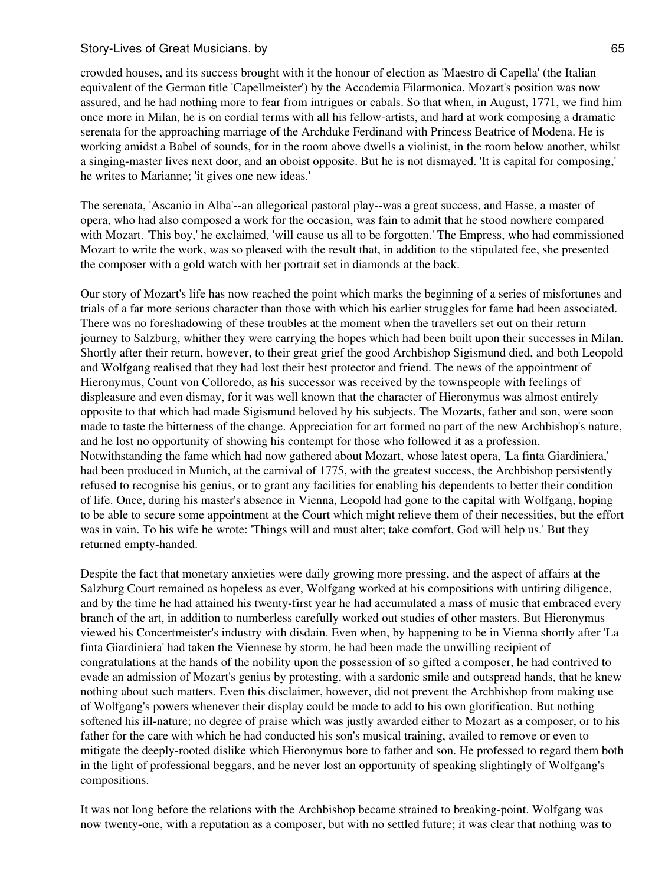crowded houses, and its success brought with it the honour of election as 'Maestro di Capella' (the Italian equivalent of the German title 'Capellmeister') by the Accademia Filarmonica. Mozart's position was now assured, and he had nothing more to fear from intrigues or cabals. So that when, in August, 1771, we find him once more in Milan, he is on cordial terms with all his fellow-artists, and hard at work composing a dramatic serenata for the approaching marriage of the Archduke Ferdinand with Princess Beatrice of Modena. He is working amidst a Babel of sounds, for in the room above dwells a violinist, in the room below another, whilst a singing-master lives next door, and an oboist opposite. But he is not dismayed. 'It is capital for composing,' he writes to Marianne; 'it gives one new ideas.'

The serenata, 'Ascanio in Alba'--an allegorical pastoral play--was a great success, and Hasse, a master of opera, who had also composed a work for the occasion, was fain to admit that he stood nowhere compared with Mozart. 'This boy,' he exclaimed, 'will cause us all to be forgotten.' The Empress, who had commissioned Mozart to write the work, was so pleased with the result that, in addition to the stipulated fee, she presented the composer with a gold watch with her portrait set in diamonds at the back.

Our story of Mozart's life has now reached the point which marks the beginning of a series of misfortunes and trials of a far more serious character than those with which his earlier struggles for fame had been associated. There was no foreshadowing of these troubles at the moment when the travellers set out on their return journey to Salzburg, whither they were carrying the hopes which had been built upon their successes in Milan. Shortly after their return, however, to their great grief the good Archbishop Sigismund died, and both Leopold and Wolfgang realised that they had lost their best protector and friend. The news of the appointment of Hieronymus, Count von Colloredo, as his successor was received by the townspeople with feelings of displeasure and even dismay, for it was well known that the character of Hieronymus was almost entirely opposite to that which had made Sigismund beloved by his subjects. The Mozarts, father and son, were soon made to taste the bitterness of the change. Appreciation for art formed no part of the new Archbishop's nature, and he lost no opportunity of showing his contempt for those who followed it as a profession. Notwithstanding the fame which had now gathered about Mozart, whose latest opera, 'La finta Giardiniera,' had been produced in Munich, at the carnival of 1775, with the greatest success, the Archbishop persistently refused to recognise his genius, or to grant any facilities for enabling his dependents to better their condition of life. Once, during his master's absence in Vienna, Leopold had gone to the capital with Wolfgang, hoping to be able to secure some appointment at the Court which might relieve them of their necessities, but the effort was in vain. To his wife he wrote: 'Things will and must alter; take comfort, God will help us.' But they returned empty-handed.

Despite the fact that monetary anxieties were daily growing more pressing, and the aspect of affairs at the Salzburg Court remained as hopeless as ever, Wolfgang worked at his compositions with untiring diligence, and by the time he had attained his twenty-first year he had accumulated a mass of music that embraced every branch of the art, in addition to numberless carefully worked out studies of other masters. But Hieronymus viewed his Concertmeister's industry with disdain. Even when, by happening to be in Vienna shortly after 'La finta Giardiniera' had taken the Viennese by storm, he had been made the unwilling recipient of congratulations at the hands of the nobility upon the possession of so gifted a composer, he had contrived to evade an admission of Mozart's genius by protesting, with a sardonic smile and outspread hands, that he knew nothing about such matters. Even this disclaimer, however, did not prevent the Archbishop from making use of Wolfgang's powers whenever their display could be made to add to his own glorification. But nothing softened his ill-nature; no degree of praise which was justly awarded either to Mozart as a composer, or to his father for the care with which he had conducted his son's musical training, availed to remove or even to mitigate the deeply-rooted dislike which Hieronymus bore to father and son. He professed to regard them both in the light of professional beggars, and he never lost an opportunity of speaking slightingly of Wolfgang's compositions.

It was not long before the relations with the Archbishop became strained to breaking-point. Wolfgang was now twenty-one, with a reputation as a composer, but with no settled future; it was clear that nothing was to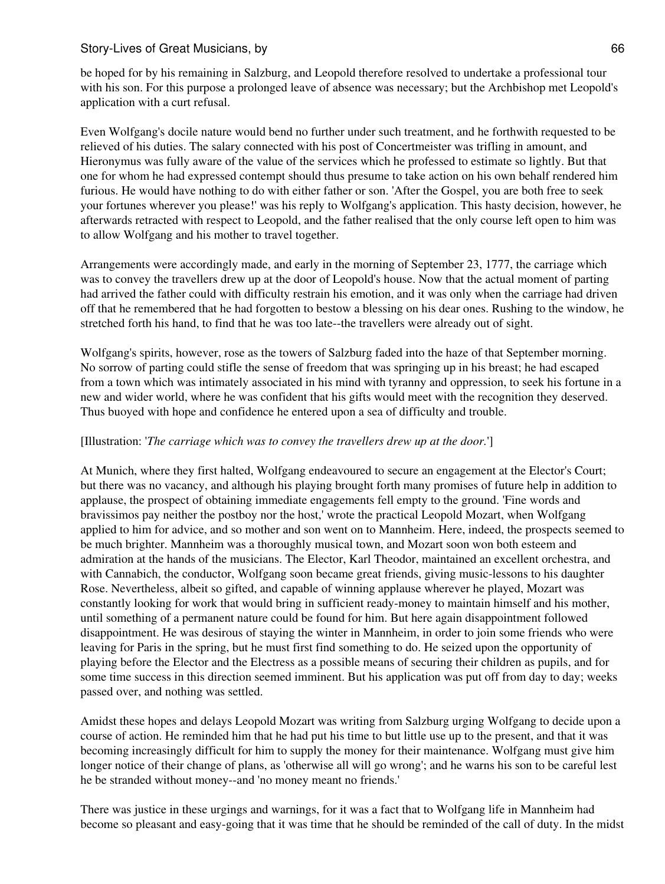be hoped for by his remaining in Salzburg, and Leopold therefore resolved to undertake a professional tour with his son. For this purpose a prolonged leave of absence was necessary; but the Archbishop met Leopold's application with a curt refusal.

Even Wolfgang's docile nature would bend no further under such treatment, and he forthwith requested to be relieved of his duties. The salary connected with his post of Concertmeister was trifling in amount, and Hieronymus was fully aware of the value of the services which he professed to estimate so lightly. But that one for whom he had expressed contempt should thus presume to take action on his own behalf rendered him furious. He would have nothing to do with either father or son. 'After the Gospel, you are both free to seek your fortunes wherever you please!' was his reply to Wolfgang's application. This hasty decision, however, he afterwards retracted with respect to Leopold, and the father realised that the only course left open to him was to allow Wolfgang and his mother to travel together.

Arrangements were accordingly made, and early in the morning of September 23, 1777, the carriage which was to convey the travellers drew up at the door of Leopold's house. Now that the actual moment of parting had arrived the father could with difficulty restrain his emotion, and it was only when the carriage had driven off that he remembered that he had forgotten to bestow a blessing on his dear ones. Rushing to the window, he stretched forth his hand, to find that he was too late--the travellers were already out of sight.

Wolfgang's spirits, however, rose as the towers of Salzburg faded into the haze of that September morning. No sorrow of parting could stifle the sense of freedom that was springing up in his breast; he had escaped from a town which was intimately associated in his mind with tyranny and oppression, to seek his fortune in a new and wider world, where he was confident that his gifts would meet with the recognition they deserved. Thus buoyed with hope and confidence he entered upon a sea of difficulty and trouble.

# [Illustration: '*The carriage which was to convey the travellers drew up at the door.*']

At Munich, where they first halted, Wolfgang endeavoured to secure an engagement at the Elector's Court; but there was no vacancy, and although his playing brought forth many promises of future help in addition to applause, the prospect of obtaining immediate engagements fell empty to the ground. 'Fine words and bravissimos pay neither the postboy nor the host,' wrote the practical Leopold Mozart, when Wolfgang applied to him for advice, and so mother and son went on to Mannheim. Here, indeed, the prospects seemed to be much brighter. Mannheim was a thoroughly musical town, and Mozart soon won both esteem and admiration at the hands of the musicians. The Elector, Karl Theodor, maintained an excellent orchestra, and with Cannabich, the conductor, Wolfgang soon became great friends, giving music-lessons to his daughter Rose. Nevertheless, albeit so gifted, and capable of winning applause wherever he played, Mozart was constantly looking for work that would bring in sufficient ready-money to maintain himself and his mother, until something of a permanent nature could be found for him. But here again disappointment followed disappointment. He was desirous of staying the winter in Mannheim, in order to join some friends who were leaving for Paris in the spring, but he must first find something to do. He seized upon the opportunity of playing before the Elector and the Electress as a possible means of securing their children as pupils, and for some time success in this direction seemed imminent. But his application was put off from day to day; weeks passed over, and nothing was settled.

Amidst these hopes and delays Leopold Mozart was writing from Salzburg urging Wolfgang to decide upon a course of action. He reminded him that he had put his time to but little use up to the present, and that it was becoming increasingly difficult for him to supply the money for their maintenance. Wolfgang must give him longer notice of their change of plans, as 'otherwise all will go wrong'; and he warns his son to be careful lest he be stranded without money--and 'no money meant no friends.'

There was justice in these urgings and warnings, for it was a fact that to Wolfgang life in Mannheim had become so pleasant and easy-going that it was time that he should be reminded of the call of duty. In the midst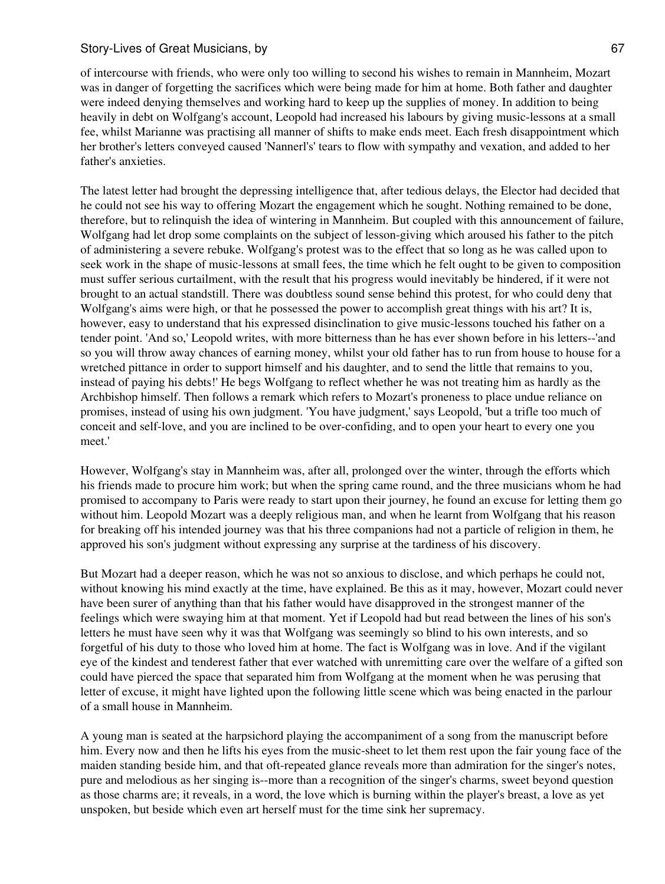of intercourse with friends, who were only too willing to second his wishes to remain in Mannheim, Mozart was in danger of forgetting the sacrifices which were being made for him at home. Both father and daughter were indeed denying themselves and working hard to keep up the supplies of money. In addition to being heavily in debt on Wolfgang's account, Leopold had increased his labours by giving music-lessons at a small fee, whilst Marianne was practising all manner of shifts to make ends meet. Each fresh disappointment which her brother's letters conveyed caused 'Nannerl's' tears to flow with sympathy and vexation, and added to her father's anxieties.

The latest letter had brought the depressing intelligence that, after tedious delays, the Elector had decided that he could not see his way to offering Mozart the engagement which he sought. Nothing remained to be done, therefore, but to relinquish the idea of wintering in Mannheim. But coupled with this announcement of failure, Wolfgang had let drop some complaints on the subject of lesson-giving which aroused his father to the pitch of administering a severe rebuke. Wolfgang's protest was to the effect that so long as he was called upon to seek work in the shape of music-lessons at small fees, the time which he felt ought to be given to composition must suffer serious curtailment, with the result that his progress would inevitably be hindered, if it were not brought to an actual standstill. There was doubtless sound sense behind this protest, for who could deny that Wolfgang's aims were high, or that he possessed the power to accomplish great things with his art? It is, however, easy to understand that his expressed disinclination to give music-lessons touched his father on a tender point. 'And so,' Leopold writes, with more bitterness than he has ever shown before in his letters--'and so you will throw away chances of earning money, whilst your old father has to run from house to house for a wretched pittance in order to support himself and his daughter, and to send the little that remains to you, instead of paying his debts!' He begs Wolfgang to reflect whether he was not treating him as hardly as the Archbishop himself. Then follows a remark which refers to Mozart's proneness to place undue reliance on promises, instead of using his own judgment. 'You have judgment,' says Leopold, 'but a trifle too much of conceit and self-love, and you are inclined to be over-confiding, and to open your heart to every one you meet.'

However, Wolfgang's stay in Mannheim was, after all, prolonged over the winter, through the efforts which his friends made to procure him work; but when the spring came round, and the three musicians whom he had promised to accompany to Paris were ready to start upon their journey, he found an excuse for letting them go without him. Leopold Mozart was a deeply religious man, and when he learnt from Wolfgang that his reason for breaking off his intended journey was that his three companions had not a particle of religion in them, he approved his son's judgment without expressing any surprise at the tardiness of his discovery.

But Mozart had a deeper reason, which he was not so anxious to disclose, and which perhaps he could not, without knowing his mind exactly at the time, have explained. Be this as it may, however, Mozart could never have been surer of anything than that his father would have disapproved in the strongest manner of the feelings which were swaying him at that moment. Yet if Leopold had but read between the lines of his son's letters he must have seen why it was that Wolfgang was seemingly so blind to his own interests, and so forgetful of his duty to those who loved him at home. The fact is Wolfgang was in love. And if the vigilant eye of the kindest and tenderest father that ever watched with unremitting care over the welfare of a gifted son could have pierced the space that separated him from Wolfgang at the moment when he was perusing that letter of excuse, it might have lighted upon the following little scene which was being enacted in the parlour of a small house in Mannheim.

A young man is seated at the harpsichord playing the accompaniment of a song from the manuscript before him. Every now and then he lifts his eyes from the music-sheet to let them rest upon the fair young face of the maiden standing beside him, and that oft-repeated glance reveals more than admiration for the singer's notes, pure and melodious as her singing is--more than a recognition of the singer's charms, sweet beyond question as those charms are; it reveals, in a word, the love which is burning within the player's breast, a love as yet unspoken, but beside which even art herself must for the time sink her supremacy.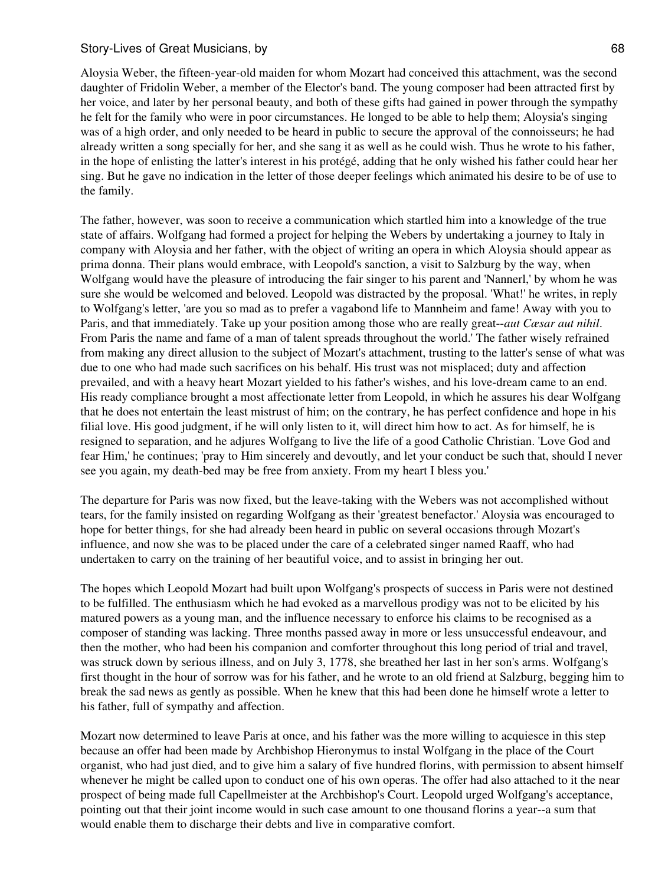Aloysia Weber, the fifteen-year-old maiden for whom Mozart had conceived this attachment, was the second daughter of Fridolin Weber, a member of the Elector's band. The young composer had been attracted first by her voice, and later by her personal beauty, and both of these gifts had gained in power through the sympathy he felt for the family who were in poor circumstances. He longed to be able to help them; Aloysia's singing was of a high order, and only needed to be heard in public to secure the approval of the connoisseurs; he had already written a song specially for her, and she sang it as well as he could wish. Thus he wrote to his father, in the hope of enlisting the latter's interest in his protégé, adding that he only wished his father could hear her sing. But he gave no indication in the letter of those deeper feelings which animated his desire to be of use to the family.

The father, however, was soon to receive a communication which startled him into a knowledge of the true state of affairs. Wolfgang had formed a project for helping the Webers by undertaking a journey to Italy in company with Aloysia and her father, with the object of writing an opera in which Aloysia should appear as prima donna. Their plans would embrace, with Leopold's sanction, a visit to Salzburg by the way, when Wolfgang would have the pleasure of introducing the fair singer to his parent and 'Nannerl,' by whom he was sure she would be welcomed and beloved. Leopold was distracted by the proposal. 'What!' he writes, in reply to Wolfgang's letter, 'are you so mad as to prefer a vagabond life to Mannheim and fame! Away with you to Paris, and that immediately. Take up your position among those who are really great--*aut Cæsar aut nihil*. From Paris the name and fame of a man of talent spreads throughout the world.' The father wisely refrained from making any direct allusion to the subject of Mozart's attachment, trusting to the latter's sense of what was due to one who had made such sacrifices on his behalf. His trust was not misplaced; duty and affection prevailed, and with a heavy heart Mozart yielded to his father's wishes, and his love-dream came to an end. His ready compliance brought a most affectionate letter from Leopold, in which he assures his dear Wolfgang that he does not entertain the least mistrust of him; on the contrary, he has perfect confidence and hope in his filial love. His good judgment, if he will only listen to it, will direct him how to act. As for himself, he is resigned to separation, and he adjures Wolfgang to live the life of a good Catholic Christian. 'Love God and fear Him,' he continues; 'pray to Him sincerely and devoutly, and let your conduct be such that, should I never see you again, my death-bed may be free from anxiety. From my heart I bless you.'

The departure for Paris was now fixed, but the leave-taking with the Webers was not accomplished without tears, for the family insisted on regarding Wolfgang as their 'greatest benefactor.' Aloysia was encouraged to hope for better things, for she had already been heard in public on several occasions through Mozart's influence, and now she was to be placed under the care of a celebrated singer named Raaff, who had undertaken to carry on the training of her beautiful voice, and to assist in bringing her out.

The hopes which Leopold Mozart had built upon Wolfgang's prospects of success in Paris were not destined to be fulfilled. The enthusiasm which he had evoked as a marvellous prodigy was not to be elicited by his matured powers as a young man, and the influence necessary to enforce his claims to be recognised as a composer of standing was lacking. Three months passed away in more or less unsuccessful endeavour, and then the mother, who had been his companion and comforter throughout this long period of trial and travel, was struck down by serious illness, and on July 3, 1778, she breathed her last in her son's arms. Wolfgang's first thought in the hour of sorrow was for his father, and he wrote to an old friend at Salzburg, begging him to break the sad news as gently as possible. When he knew that this had been done he himself wrote a letter to his father, full of sympathy and affection.

Mozart now determined to leave Paris at once, and his father was the more willing to acquiesce in this step because an offer had been made by Archbishop Hieronymus to instal Wolfgang in the place of the Court organist, who had just died, and to give him a salary of five hundred florins, with permission to absent himself whenever he might be called upon to conduct one of his own operas. The offer had also attached to it the near prospect of being made full Capellmeister at the Archbishop's Court. Leopold urged Wolfgang's acceptance, pointing out that their joint income would in such case amount to one thousand florins a year--a sum that would enable them to discharge their debts and live in comparative comfort.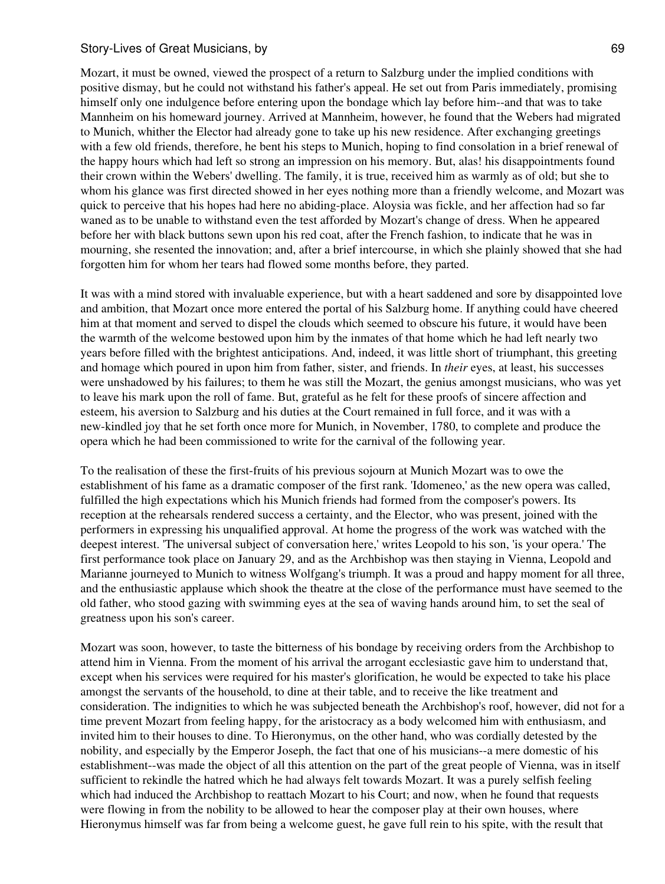Mozart, it must be owned, viewed the prospect of a return to Salzburg under the implied conditions with positive dismay, but he could not withstand his father's appeal. He set out from Paris immediately, promising himself only one indulgence before entering upon the bondage which lay before him--and that was to take Mannheim on his homeward journey. Arrived at Mannheim, however, he found that the Webers had migrated to Munich, whither the Elector had already gone to take up his new residence. After exchanging greetings with a few old friends, therefore, he bent his steps to Munich, hoping to find consolation in a brief renewal of the happy hours which had left so strong an impression on his memory. But, alas! his disappointments found their crown within the Webers' dwelling. The family, it is true, received him as warmly as of old; but she to whom his glance was first directed showed in her eyes nothing more than a friendly welcome, and Mozart was quick to perceive that his hopes had here no abiding-place. Aloysia was fickle, and her affection had so far waned as to be unable to withstand even the test afforded by Mozart's change of dress. When he appeared before her with black buttons sewn upon his red coat, after the French fashion, to indicate that he was in mourning, she resented the innovation; and, after a brief intercourse, in which she plainly showed that she had forgotten him for whom her tears had flowed some months before, they parted.

It was with a mind stored with invaluable experience, but with a heart saddened and sore by disappointed love and ambition, that Mozart once more entered the portal of his Salzburg home. If anything could have cheered him at that moment and served to dispel the clouds which seemed to obscure his future, it would have been the warmth of the welcome bestowed upon him by the inmates of that home which he had left nearly two years before filled with the brightest anticipations. And, indeed, it was little short of triumphant, this greeting and homage which poured in upon him from father, sister, and friends. In *their* eyes, at least, his successes were unshadowed by his failures; to them he was still the Mozart, the genius amongst musicians, who was yet to leave his mark upon the roll of fame. But, grateful as he felt for these proofs of sincere affection and esteem, his aversion to Salzburg and his duties at the Court remained in full force, and it was with a new-kindled joy that he set forth once more for Munich, in November, 1780, to complete and produce the opera which he had been commissioned to write for the carnival of the following year.

To the realisation of these the first-fruits of his previous sojourn at Munich Mozart was to owe the establishment of his fame as a dramatic composer of the first rank. 'Idomeneo,' as the new opera was called, fulfilled the high expectations which his Munich friends had formed from the composer's powers. Its reception at the rehearsals rendered success a certainty, and the Elector, who was present, joined with the performers in expressing his unqualified approval. At home the progress of the work was watched with the deepest interest. 'The universal subject of conversation here,' writes Leopold to his son, 'is your opera.' The first performance took place on January 29, and as the Archbishop was then staying in Vienna, Leopold and Marianne journeyed to Munich to witness Wolfgang's triumph. It was a proud and happy moment for all three, and the enthusiastic applause which shook the theatre at the close of the performance must have seemed to the old father, who stood gazing with swimming eyes at the sea of waving hands around him, to set the seal of greatness upon his son's career.

Mozart was soon, however, to taste the bitterness of his bondage by receiving orders from the Archbishop to attend him in Vienna. From the moment of his arrival the arrogant ecclesiastic gave him to understand that, except when his services were required for his master's glorification, he would be expected to take his place amongst the servants of the household, to dine at their table, and to receive the like treatment and consideration. The indignities to which he was subjected beneath the Archbishop's roof, however, did not for a time prevent Mozart from feeling happy, for the aristocracy as a body welcomed him with enthusiasm, and invited him to their houses to dine. To Hieronymus, on the other hand, who was cordially detested by the nobility, and especially by the Emperor Joseph, the fact that one of his musicians--a mere domestic of his establishment--was made the object of all this attention on the part of the great people of Vienna, was in itself sufficient to rekindle the hatred which he had always felt towards Mozart. It was a purely selfish feeling which had induced the Archbishop to reattach Mozart to his Court; and now, when he found that requests were flowing in from the nobility to be allowed to hear the composer play at their own houses, where Hieronymus himself was far from being a welcome guest, he gave full rein to his spite, with the result that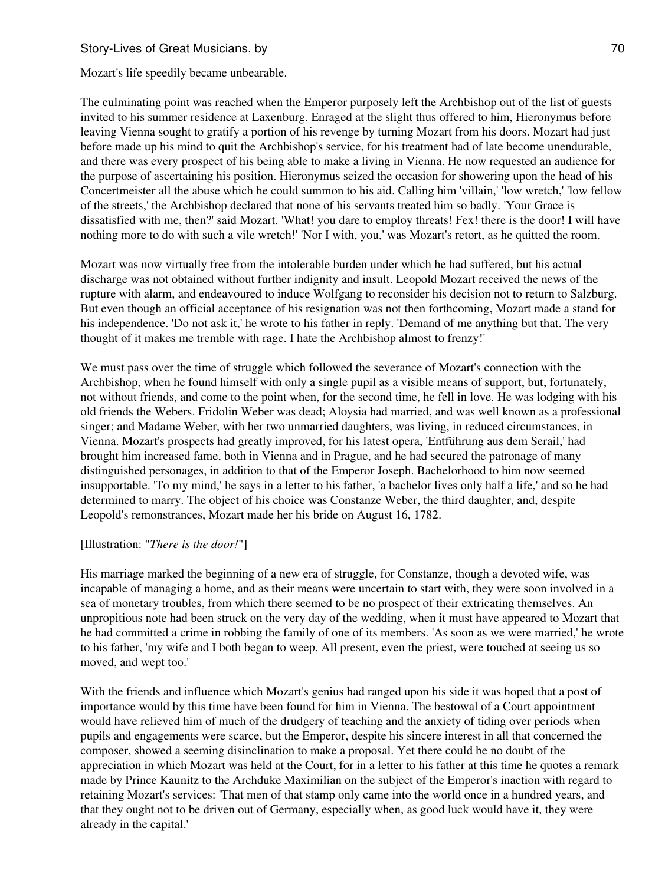Mozart's life speedily became unbearable.

The culminating point was reached when the Emperor purposely left the Archbishop out of the list of guests invited to his summer residence at Laxenburg. Enraged at the slight thus offered to him, Hieronymus before leaving Vienna sought to gratify a portion of his revenge by turning Mozart from his doors. Mozart had just before made up his mind to quit the Archbishop's service, for his treatment had of late become unendurable, and there was every prospect of his being able to make a living in Vienna. He now requested an audience for the purpose of ascertaining his position. Hieronymus seized the occasion for showering upon the head of his Concertmeister all the abuse which he could summon to his aid. Calling him 'villain,' 'low wretch,' 'low fellow of the streets,' the Archbishop declared that none of his servants treated him so badly. 'Your Grace is dissatisfied with me, then?' said Mozart. 'What! you dare to employ threats! Fex! there is the door! I will have nothing more to do with such a vile wretch!' 'Nor I with, you,' was Mozart's retort, as he quitted the room.

Mozart was now virtually free from the intolerable burden under which he had suffered, but his actual discharge was not obtained without further indignity and insult. Leopold Mozart received the news of the rupture with alarm, and endeavoured to induce Wolfgang to reconsider his decision not to return to Salzburg. But even though an official acceptance of his resignation was not then forthcoming, Mozart made a stand for his independence. 'Do not ask it,' he wrote to his father in reply. 'Demand of me anything but that. The very thought of it makes me tremble with rage. I hate the Archbishop almost to frenzy!'

We must pass over the time of struggle which followed the severance of Mozart's connection with the Archbishop, when he found himself with only a single pupil as a visible means of support, but, fortunately, not without friends, and come to the point when, for the second time, he fell in love. He was lodging with his old friends the Webers. Fridolin Weber was dead; Aloysia had married, and was well known as a professional singer; and Madame Weber, with her two unmarried daughters, was living, in reduced circumstances, in Vienna. Mozart's prospects had greatly improved, for his latest opera, 'Entführung aus dem Serail,' had brought him increased fame, both in Vienna and in Prague, and he had secured the patronage of many distinguished personages, in addition to that of the Emperor Joseph. Bachelorhood to him now seemed insupportable. 'To my mind,' he says in a letter to his father, 'a bachelor lives only half a life,' and so he had determined to marry. The object of his choice was Constanze Weber, the third daughter, and, despite Leopold's remonstrances, Mozart made her his bride on August 16, 1782.

#### [Illustration: "*There is the door!*"]

His marriage marked the beginning of a new era of struggle, for Constanze, though a devoted wife, was incapable of managing a home, and as their means were uncertain to start with, they were soon involved in a sea of monetary troubles, from which there seemed to be no prospect of their extricating themselves. An unpropitious note had been struck on the very day of the wedding, when it must have appeared to Mozart that he had committed a crime in robbing the family of one of its members. 'As soon as we were married,' he wrote to his father, 'my wife and I both began to weep. All present, even the priest, were touched at seeing us so moved, and wept too.'

With the friends and influence which Mozart's genius had ranged upon his side it was hoped that a post of importance would by this time have been found for him in Vienna. The bestowal of a Court appointment would have relieved him of much of the drudgery of teaching and the anxiety of tiding over periods when pupils and engagements were scarce, but the Emperor, despite his sincere interest in all that concerned the composer, showed a seeming disinclination to make a proposal. Yet there could be no doubt of the appreciation in which Mozart was held at the Court, for in a letter to his father at this time he quotes a remark made by Prince Kaunitz to the Archduke Maximilian on the subject of the Emperor's inaction with regard to retaining Mozart's services: 'That men of that stamp only came into the world once in a hundred years, and that they ought not to be driven out of Germany, especially when, as good luck would have it, they were already in the capital.'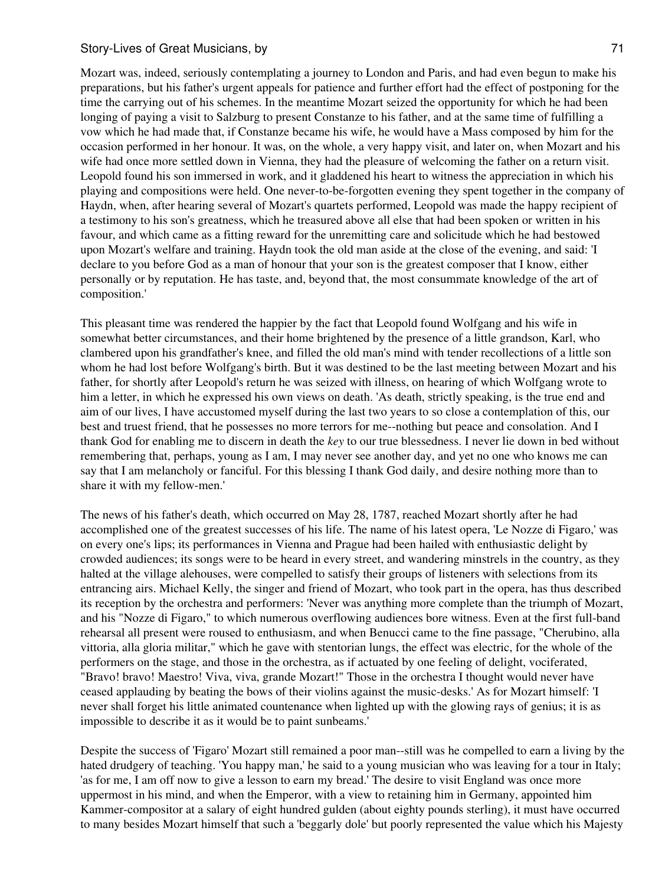Mozart was, indeed, seriously contemplating a journey to London and Paris, and had even begun to make his preparations, but his father's urgent appeals for patience and further effort had the effect of postponing for the time the carrying out of his schemes. In the meantime Mozart seized the opportunity for which he had been longing of paying a visit to Salzburg to present Constanze to his father, and at the same time of fulfilling a vow which he had made that, if Constanze became his wife, he would have a Mass composed by him for the occasion performed in her honour. It was, on the whole, a very happy visit, and later on, when Mozart and his wife had once more settled down in Vienna, they had the pleasure of welcoming the father on a return visit. Leopold found his son immersed in work, and it gladdened his heart to witness the appreciation in which his playing and compositions were held. One never-to-be-forgotten evening they spent together in the company of Haydn, when, after hearing several of Mozart's quartets performed, Leopold was made the happy recipient of a testimony to his son's greatness, which he treasured above all else that had been spoken or written in his favour, and which came as a fitting reward for the unremitting care and solicitude which he had bestowed upon Mozart's welfare and training. Haydn took the old man aside at the close of the evening, and said: 'I declare to you before God as a man of honour that your son is the greatest composer that I know, either personally or by reputation. He has taste, and, beyond that, the most consummate knowledge of the art of composition.'

This pleasant time was rendered the happier by the fact that Leopold found Wolfgang and his wife in somewhat better circumstances, and their home brightened by the presence of a little grandson, Karl, who clambered upon his grandfather's knee, and filled the old man's mind with tender recollections of a little son whom he had lost before Wolfgang's birth. But it was destined to be the last meeting between Mozart and his father, for shortly after Leopold's return he was seized with illness, on hearing of which Wolfgang wrote to him a letter, in which he expressed his own views on death. 'As death, strictly speaking, is the true end and aim of our lives, I have accustomed myself during the last two years to so close a contemplation of this, our best and truest friend, that he possesses no more terrors for me--nothing but peace and consolation. And I thank God for enabling me to discern in death the *key* to our true blessedness. I never lie down in bed without remembering that, perhaps, young as I am, I may never see another day, and yet no one who knows me can say that I am melancholy or fanciful. For this blessing I thank God daily, and desire nothing more than to share it with my fellow-men.'

The news of his father's death, which occurred on May 28, 1787, reached Mozart shortly after he had accomplished one of the greatest successes of his life. The name of his latest opera, 'Le Nozze di Figaro,' was on every one's lips; its performances in Vienna and Prague had been hailed with enthusiastic delight by crowded audiences; its songs were to be heard in every street, and wandering minstrels in the country, as they halted at the village alehouses, were compelled to satisfy their groups of listeners with selections from its entrancing airs. Michael Kelly, the singer and friend of Mozart, who took part in the opera, has thus described its reception by the orchestra and performers: 'Never was anything more complete than the triumph of Mozart, and his "Nozze di Figaro," to which numerous overflowing audiences bore witness. Even at the first full-band rehearsal all present were roused to enthusiasm, and when Benucci came to the fine passage, "Cherubino, alla vittoria, alla gloria militar," which he gave with stentorian lungs, the effect was electric, for the whole of the performers on the stage, and those in the orchestra, as if actuated by one feeling of delight, vociferated, "Bravo! bravo! Maestro! Viva, viva, grande Mozart!" Those in the orchestra I thought would never have ceased applauding by beating the bows of their violins against the music-desks.' As for Mozart himself: 'I never shall forget his little animated countenance when lighted up with the glowing rays of genius; it is as impossible to describe it as it would be to paint sunbeams.'

Despite the success of 'Figaro' Mozart still remained a poor man--still was he compelled to earn a living by the hated drudgery of teaching. 'You happy man,' he said to a young musician who was leaving for a tour in Italy; 'as for me, I am off now to give a lesson to earn my bread.' The desire to visit England was once more uppermost in his mind, and when the Emperor, with a view to retaining him in Germany, appointed him Kammer-compositor at a salary of eight hundred gulden (about eighty pounds sterling), it must have occurred to many besides Mozart himself that such a 'beggarly dole' but poorly represented the value which his Majesty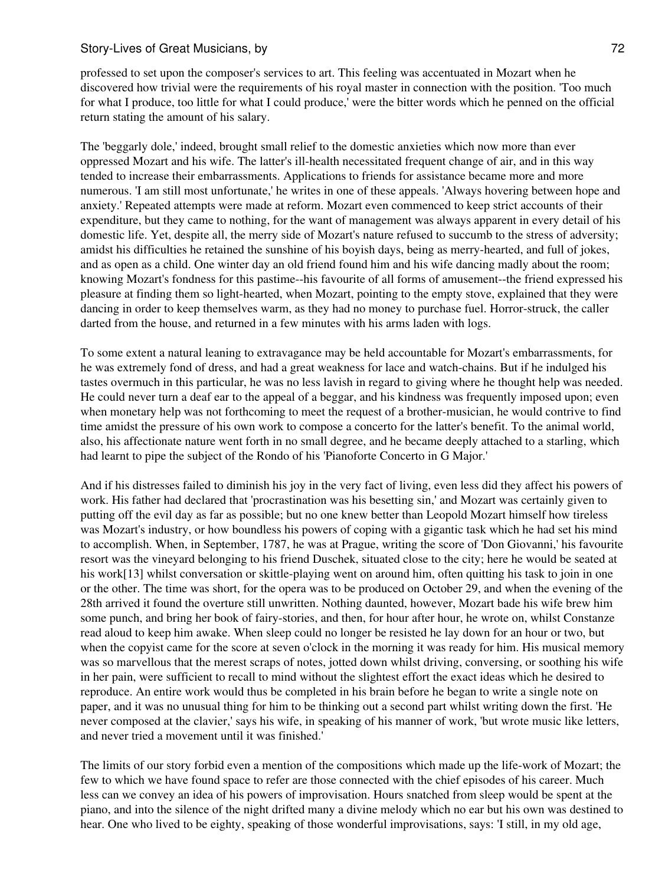professed to set upon the composer's services to art. This feeling was accentuated in Mozart when he discovered how trivial were the requirements of his royal master in connection with the position. 'Too much for what I produce, too little for what I could produce,' were the bitter words which he penned on the official return stating the amount of his salary.

The 'beggarly dole,' indeed, brought small relief to the domestic anxieties which now more than ever oppressed Mozart and his wife. The latter's ill-health necessitated frequent change of air, and in this way tended to increase their embarrassments. Applications to friends for assistance became more and more numerous. 'I am still most unfortunate,' he writes in one of these appeals. 'Always hovering between hope and anxiety.' Repeated attempts were made at reform. Mozart even commenced to keep strict accounts of their expenditure, but they came to nothing, for the want of management was always apparent in every detail of his domestic life. Yet, despite all, the merry side of Mozart's nature refused to succumb to the stress of adversity; amidst his difficulties he retained the sunshine of his boyish days, being as merry-hearted, and full of jokes, and as open as a child. One winter day an old friend found him and his wife dancing madly about the room; knowing Mozart's fondness for this pastime--his favourite of all forms of amusement--the friend expressed his pleasure at finding them so light-hearted, when Mozart, pointing to the empty stove, explained that they were dancing in order to keep themselves warm, as they had no money to purchase fuel. Horror-struck, the caller darted from the house, and returned in a few minutes with his arms laden with logs.

To some extent a natural leaning to extravagance may be held accountable for Mozart's embarrassments, for he was extremely fond of dress, and had a great weakness for lace and watch-chains. But if he indulged his tastes overmuch in this particular, he was no less lavish in regard to giving where he thought help was needed. He could never turn a deaf ear to the appeal of a beggar, and his kindness was frequently imposed upon; even when monetary help was not forthcoming to meet the request of a brother-musician, he would contrive to find time amidst the pressure of his own work to compose a concerto for the latter's benefit. To the animal world, also, his affectionate nature went forth in no small degree, and he became deeply attached to a starling, which had learnt to pipe the subject of the Rondo of his 'Pianoforte Concerto in G Major.'

And if his distresses failed to diminish his joy in the very fact of living, even less did they affect his powers of work. His father had declared that 'procrastination was his besetting sin,' and Mozart was certainly given to putting off the evil day as far as possible; but no one knew better than Leopold Mozart himself how tireless was Mozart's industry, or how boundless his powers of coping with a gigantic task which he had set his mind to accomplish. When, in September, 1787, he was at Prague, writing the score of 'Don Giovanni,' his favourite resort was the vineyard belonging to his friend Duschek, situated close to the city; here he would be seated at his work[13] whilst conversation or skittle-playing went on around him, often quitting his task to join in one or the other. The time was short, for the opera was to be produced on October 29, and when the evening of the 28th arrived it found the overture still unwritten. Nothing daunted, however, Mozart bade his wife brew him some punch, and bring her book of fairy-stories, and then, for hour after hour, he wrote on, whilst Constanze read aloud to keep him awake. When sleep could no longer be resisted he lay down for an hour or two, but when the copyist came for the score at seven o'clock in the morning it was ready for him. His musical memory was so marvellous that the merest scraps of notes, jotted down whilst driving, conversing, or soothing his wife in her pain, were sufficient to recall to mind without the slightest effort the exact ideas which he desired to reproduce. An entire work would thus be completed in his brain before he began to write a single note on paper, and it was no unusual thing for him to be thinking out a second part whilst writing down the first. 'He never composed at the clavier,' says his wife, in speaking of his manner of work, 'but wrote music like letters, and never tried a movement until it was finished.'

The limits of our story forbid even a mention of the compositions which made up the life-work of Mozart; the few to which we have found space to refer are those connected with the chief episodes of his career. Much less can we convey an idea of his powers of improvisation. Hours snatched from sleep would be spent at the piano, and into the silence of the night drifted many a divine melody which no ear but his own was destined to hear. One who lived to be eighty, speaking of those wonderful improvisations, says: 'I still, in my old age,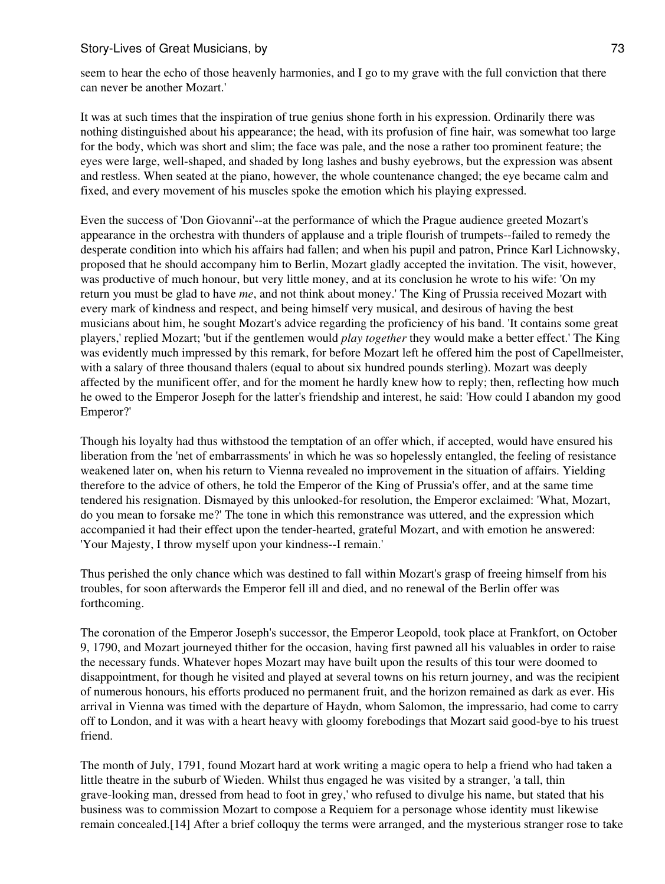seem to hear the echo of those heavenly harmonies, and I go to my grave with the full conviction that there can never be another Mozart.'

It was at such times that the inspiration of true genius shone forth in his expression. Ordinarily there was nothing distinguished about his appearance; the head, with its profusion of fine hair, was somewhat too large for the body, which was short and slim; the face was pale, and the nose a rather too prominent feature; the eyes were large, well-shaped, and shaded by long lashes and bushy eyebrows, but the expression was absent and restless. When seated at the piano, however, the whole countenance changed; the eye became calm and fixed, and every movement of his muscles spoke the emotion which his playing expressed.

Even the success of 'Don Giovanni'--at the performance of which the Prague audience greeted Mozart's appearance in the orchestra with thunders of applause and a triple flourish of trumpets--failed to remedy the desperate condition into which his affairs had fallen; and when his pupil and patron, Prince Karl Lichnowsky, proposed that he should accompany him to Berlin, Mozart gladly accepted the invitation. The visit, however, was productive of much honour, but very little money, and at its conclusion he wrote to his wife: 'On my return you must be glad to have *me*, and not think about money.' The King of Prussia received Mozart with every mark of kindness and respect, and being himself very musical, and desirous of having the best musicians about him, he sought Mozart's advice regarding the proficiency of his band. 'It contains some great players,' replied Mozart; 'but if the gentlemen would *play together* they would make a better effect.' The King was evidently much impressed by this remark, for before Mozart left he offered him the post of Capellmeister, with a salary of three thousand thalers (equal to about six hundred pounds sterling). Mozart was deeply affected by the munificent offer, and for the moment he hardly knew how to reply; then, reflecting how much he owed to the Emperor Joseph for the latter's friendship and interest, he said: 'How could I abandon my good Emperor?'

Though his loyalty had thus withstood the temptation of an offer which, if accepted, would have ensured his liberation from the 'net of embarrassments' in which he was so hopelessly entangled, the feeling of resistance weakened later on, when his return to Vienna revealed no improvement in the situation of affairs. Yielding therefore to the advice of others, he told the Emperor of the King of Prussia's offer, and at the same time tendered his resignation. Dismayed by this unlooked-for resolution, the Emperor exclaimed: 'What, Mozart, do you mean to forsake me?' The tone in which this remonstrance was uttered, and the expression which accompanied it had their effect upon the tender-hearted, grateful Mozart, and with emotion he answered: 'Your Majesty, I throw myself upon your kindness--I remain.'

Thus perished the only chance which was destined to fall within Mozart's grasp of freeing himself from his troubles, for soon afterwards the Emperor fell ill and died, and no renewal of the Berlin offer was forthcoming.

The coronation of the Emperor Joseph's successor, the Emperor Leopold, took place at Frankfort, on October 9, 1790, and Mozart journeyed thither for the occasion, having first pawned all his valuables in order to raise the necessary funds. Whatever hopes Mozart may have built upon the results of this tour were doomed to disappointment, for though he visited and played at several towns on his return journey, and was the recipient of numerous honours, his efforts produced no permanent fruit, and the horizon remained as dark as ever. His arrival in Vienna was timed with the departure of Haydn, whom Salomon, the impressario, had come to carry off to London, and it was with a heart heavy with gloomy forebodings that Mozart said good-bye to his truest friend.

The month of July, 1791, found Mozart hard at work writing a magic opera to help a friend who had taken a little theatre in the suburb of Wieden. Whilst thus engaged he was visited by a stranger, 'a tall, thin grave-looking man, dressed from head to foot in grey,' who refused to divulge his name, but stated that his business was to commission Mozart to compose a Requiem for a personage whose identity must likewise remain concealed.[14] After a brief colloquy the terms were arranged, and the mysterious stranger rose to take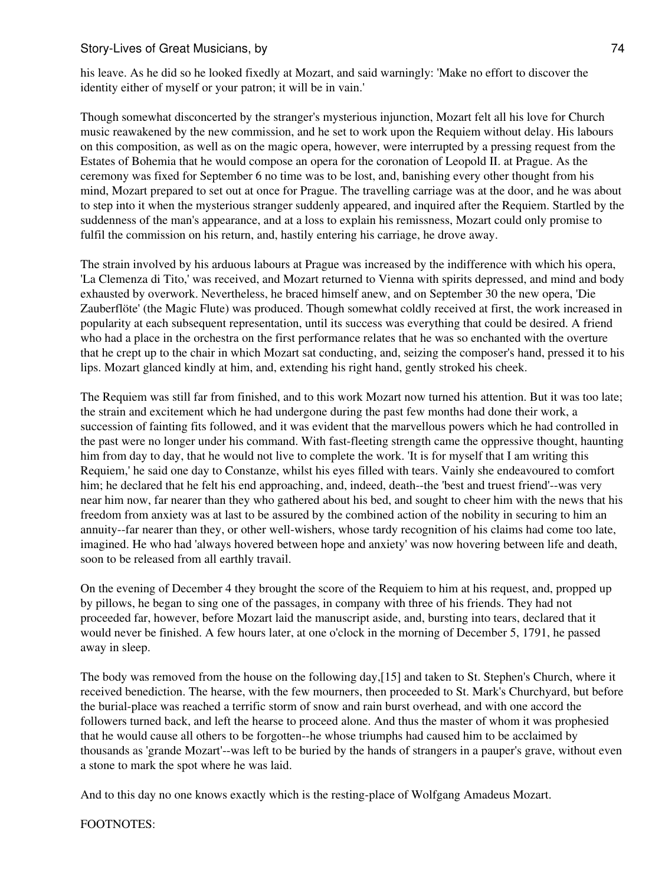his leave. As he did so he looked fixedly at Mozart, and said warningly: 'Make no effort to discover the identity either of myself or your patron; it will be in vain.'

Though somewhat disconcerted by the stranger's mysterious injunction, Mozart felt all his love for Church music reawakened by the new commission, and he set to work upon the Requiem without delay. His labours on this composition, as well as on the magic opera, however, were interrupted by a pressing request from the Estates of Bohemia that he would compose an opera for the coronation of Leopold II. at Prague. As the ceremony was fixed for September 6 no time was to be lost, and, banishing every other thought from his mind, Mozart prepared to set out at once for Prague. The travelling carriage was at the door, and he was about to step into it when the mysterious stranger suddenly appeared, and inquired after the Requiem. Startled by the suddenness of the man's appearance, and at a loss to explain his remissness, Mozart could only promise to fulfil the commission on his return, and, hastily entering his carriage, he drove away.

The strain involved by his arduous labours at Prague was increased by the indifference with which his opera, 'La Clemenza di Tito,' was received, and Mozart returned to Vienna with spirits depressed, and mind and body exhausted by overwork. Nevertheless, he braced himself anew, and on September 30 the new opera, 'Die Zauberflöte' (the Magic Flute) was produced. Though somewhat coldly received at first, the work increased in popularity at each subsequent representation, until its success was everything that could be desired. A friend who had a place in the orchestra on the first performance relates that he was so enchanted with the overture that he crept up to the chair in which Mozart sat conducting, and, seizing the composer's hand, pressed it to his lips. Mozart glanced kindly at him, and, extending his right hand, gently stroked his cheek.

The Requiem was still far from finished, and to this work Mozart now turned his attention. But it was too late; the strain and excitement which he had undergone during the past few months had done their work, a succession of fainting fits followed, and it was evident that the marvellous powers which he had controlled in the past were no longer under his command. With fast-fleeting strength came the oppressive thought, haunting him from day to day, that he would not live to complete the work. 'It is for myself that I am writing this Requiem,' he said one day to Constanze, whilst his eyes filled with tears. Vainly she endeavoured to comfort him; he declared that he felt his end approaching, and, indeed, death--the 'best and truest friend'--was very near him now, far nearer than they who gathered about his bed, and sought to cheer him with the news that his freedom from anxiety was at last to be assured by the combined action of the nobility in securing to him an annuity--far nearer than they, or other well-wishers, whose tardy recognition of his claims had come too late, imagined. He who had 'always hovered between hope and anxiety' was now hovering between life and death, soon to be released from all earthly travail.

On the evening of December 4 they brought the score of the Requiem to him at his request, and, propped up by pillows, he began to sing one of the passages, in company with three of his friends. They had not proceeded far, however, before Mozart laid the manuscript aside, and, bursting into tears, declared that it would never be finished. A few hours later, at one o'clock in the morning of December 5, 1791, he passed away in sleep.

The body was removed from the house on the following day,[15] and taken to St. Stephen's Church, where it received benediction. The hearse, with the few mourners, then proceeded to St. Mark's Churchyard, but before the burial-place was reached a terrific storm of snow and rain burst overhead, and with one accord the followers turned back, and left the hearse to proceed alone. And thus the master of whom it was prophesied that he would cause all others to be forgotten--he whose triumphs had caused him to be acclaimed by thousands as 'grande Mozart'--was left to be buried by the hands of strangers in a pauper's grave, without even a stone to mark the spot where he was laid.

And to this day no one knows exactly which is the resting-place of Wolfgang Amadeus Mozart.

FOOTNOTES: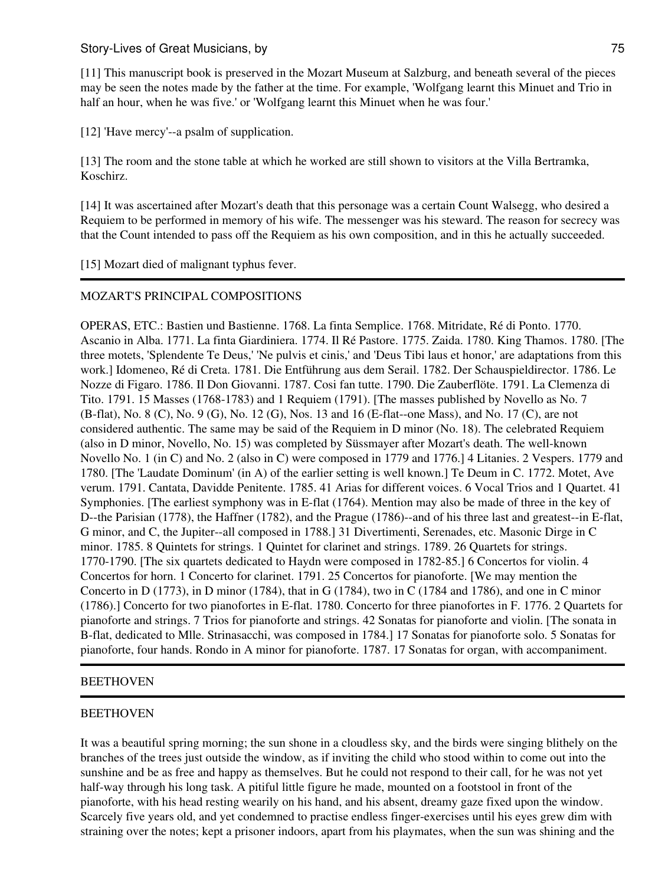[11] This manuscript book is preserved in the Mozart Museum at Salzburg, and beneath several of the pieces may be seen the notes made by the father at the time. For example, 'Wolfgang learnt this Minuet and Trio in half an hour, when he was five.' or 'Wolfgang learnt this Minuet when he was four.'

[12] 'Have mercy'--a psalm of supplication.

[13] The room and the stone table at which he worked are still shown to visitors at the Villa Bertramka, Koschirz.

[14] It was ascertained after Mozart's death that this personage was a certain Count Walsegg, who desired a Requiem to be performed in memory of his wife. The messenger was his steward. The reason for secrecy was that the Count intended to pass off the Requiem as his own composition, and in this he actually succeeded.

## [15] Mozart died of malignant typhus fever.

## MOZART'S PRINCIPAL COMPOSITIONS

OPERAS, ETC.: Bastien und Bastienne. 1768. La finta Semplice. 1768. Mitridate, Ré di Ponto. 1770. Ascanio in Alba. 1771. La finta Giardiniera. 1774. Il Ré Pastore. 1775. Zaida. 1780. King Thamos. 1780. [The three motets, 'Splendente Te Deus,' 'Ne pulvis et cinis,' and 'Deus Tibi laus et honor,' are adaptations from this work.] Idomeneo, Ré di Creta. 1781. Die Entführung aus dem Serail. 1782. Der Schauspieldirector. 1786. Le Nozze di Figaro. 1786. Il Don Giovanni. 1787. Cosi fan tutte. 1790. Die Zauberflöte. 1791. La Clemenza di Tito. 1791. 15 Masses (1768-1783) and 1 Requiem (1791). [The masses published by Novello as No. 7 (B-flat), No. 8 (C), No. 9 (G), No. 12 (G), Nos. 13 and 16 (E-flat--one Mass), and No. 17 (C), are not considered authentic. The same may be said of the Requiem in D minor (No. 18). The celebrated Requiem (also in D minor, Novello, No. 15) was completed by Süssmayer after Mozart's death. The well-known Novello No. 1 (in C) and No. 2 (also in C) were composed in 1779 and 1776.] 4 Litanies. 2 Vespers. 1779 and 1780. [The 'Laudate Dominum' (in A) of the earlier setting is well known.] Te Deum in C. 1772. Motet, Ave verum. 1791. Cantata, Davidde Penitente. 1785. 41 Arias for different voices. 6 Vocal Trios and 1 Quartet. 41 Symphonies. [The earliest symphony was in E-flat (1764). Mention may also be made of three in the key of D--the Parisian (1778), the Haffner (1782), and the Prague (1786)--and of his three last and greatest--in E-flat, G minor, and C, the Jupiter--all composed in 1788.] 31 Divertimenti, Serenades, etc. Masonic Dirge in C minor. 1785. 8 Quintets for strings. 1 Quintet for clarinet and strings. 1789. 26 Quartets for strings. 1770-1790. [The six quartets dedicated to Haydn were composed in 1782-85.] 6 Concertos for violin. 4 Concertos for horn. 1 Concerto for clarinet. 1791. 25 Concertos for pianoforte. [We may mention the Concerto in D (1773), in D minor (1784), that in G (1784), two in C (1784 and 1786), and one in C minor (1786).] Concerto for two pianofortes in E-flat. 1780. Concerto for three pianofortes in F. 1776. 2 Quartets for pianoforte and strings. 7 Trios for pianoforte and strings. 42 Sonatas for pianoforte and violin. [The sonata in B-flat, dedicated to Mlle. Strinasacchi, was composed in 1784.] 17 Sonatas for pianoforte solo. 5 Sonatas for pianoforte, four hands. Rondo in A minor for pianoforte. 1787. 17 Sonatas for organ, with accompaniment.

## BEETHOVEN

### BEETHOVEN

It was a beautiful spring morning; the sun shone in a cloudless sky, and the birds were singing blithely on the branches of the trees just outside the window, as if inviting the child who stood within to come out into the sunshine and be as free and happy as themselves. But he could not respond to their call, for he was not yet half-way through his long task. A pitiful little figure he made, mounted on a footstool in front of the pianoforte, with his head resting wearily on his hand, and his absent, dreamy gaze fixed upon the window. Scarcely five years old, and yet condemned to practise endless finger-exercises until his eyes grew dim with straining over the notes; kept a prisoner indoors, apart from his playmates, when the sun was shining and the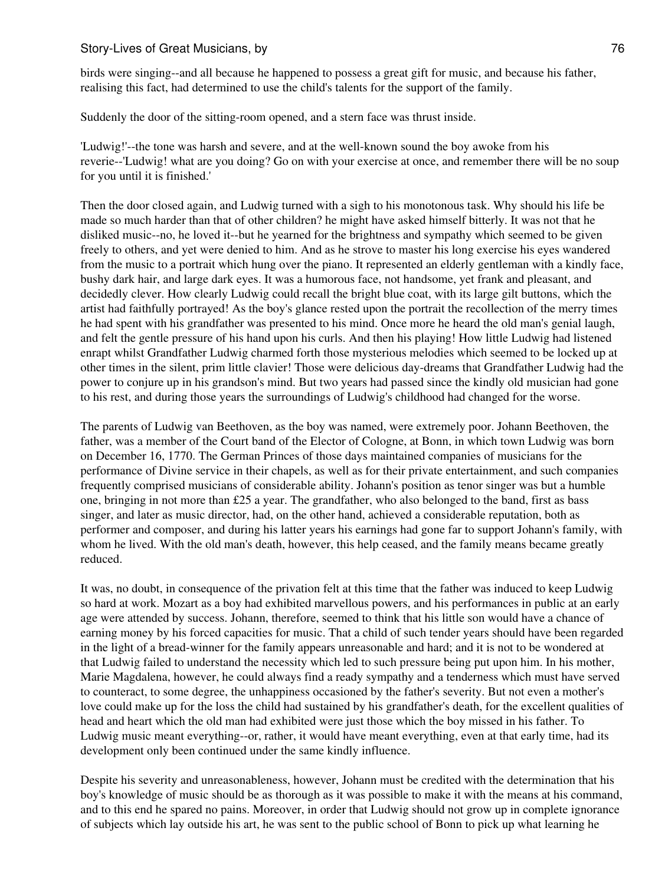birds were singing--and all because he happened to possess a great gift for music, and because his father, realising this fact, had determined to use the child's talents for the support of the family.

Suddenly the door of the sitting-room opened, and a stern face was thrust inside.

'Ludwig!'--the tone was harsh and severe, and at the well-known sound the boy awoke from his reverie--'Ludwig! what are you doing? Go on with your exercise at once, and remember there will be no soup for you until it is finished.'

Then the door closed again, and Ludwig turned with a sigh to his monotonous task. Why should his life be made so much harder than that of other children? he might have asked himself bitterly. It was not that he disliked music--no, he loved it--but he yearned for the brightness and sympathy which seemed to be given freely to others, and yet were denied to him. And as he strove to master his long exercise his eyes wandered from the music to a portrait which hung over the piano. It represented an elderly gentleman with a kindly face, bushy dark hair, and large dark eyes. It was a humorous face, not handsome, yet frank and pleasant, and decidedly clever. How clearly Ludwig could recall the bright blue coat, with its large gilt buttons, which the artist had faithfully portrayed! As the boy's glance rested upon the portrait the recollection of the merry times he had spent with his grandfather was presented to his mind. Once more he heard the old man's genial laugh, and felt the gentle pressure of his hand upon his curls. And then his playing! How little Ludwig had listened enrapt whilst Grandfather Ludwig charmed forth those mysterious melodies which seemed to be locked up at other times in the silent, prim little clavier! Those were delicious day-dreams that Grandfather Ludwig had the power to conjure up in his grandson's mind. But two years had passed since the kindly old musician had gone to his rest, and during those years the surroundings of Ludwig's childhood had changed for the worse.

The parents of Ludwig van Beethoven, as the boy was named, were extremely poor. Johann Beethoven, the father, was a member of the Court band of the Elector of Cologne, at Bonn, in which town Ludwig was born on December 16, 1770. The German Princes of those days maintained companies of musicians for the performance of Divine service in their chapels, as well as for their private entertainment, and such companies frequently comprised musicians of considerable ability. Johann's position as tenor singer was but a humble one, bringing in not more than £25 a year. The grandfather, who also belonged to the band, first as bass singer, and later as music director, had, on the other hand, achieved a considerable reputation, both as performer and composer, and during his latter years his earnings had gone far to support Johann's family, with whom he lived. With the old man's death, however, this help ceased, and the family means became greatly reduced.

It was, no doubt, in consequence of the privation felt at this time that the father was induced to keep Ludwig so hard at work. Mozart as a boy had exhibited marvellous powers, and his performances in public at an early age were attended by success. Johann, therefore, seemed to think that his little son would have a chance of earning money by his forced capacities for music. That a child of such tender years should have been regarded in the light of a bread-winner for the family appears unreasonable and hard; and it is not to be wondered at that Ludwig failed to understand the necessity which led to such pressure being put upon him. In his mother, Marie Magdalena, however, he could always find a ready sympathy and a tenderness which must have served to counteract, to some degree, the unhappiness occasioned by the father's severity. But not even a mother's love could make up for the loss the child had sustained by his grandfather's death, for the excellent qualities of head and heart which the old man had exhibited were just those which the boy missed in his father. To Ludwig music meant everything--or, rather, it would have meant everything, even at that early time, had its development only been continued under the same kindly influence.

Despite his severity and unreasonableness, however, Johann must be credited with the determination that his boy's knowledge of music should be as thorough as it was possible to make it with the means at his command, and to this end he spared no pains. Moreover, in order that Ludwig should not grow up in complete ignorance of subjects which lay outside his art, he was sent to the public school of Bonn to pick up what learning he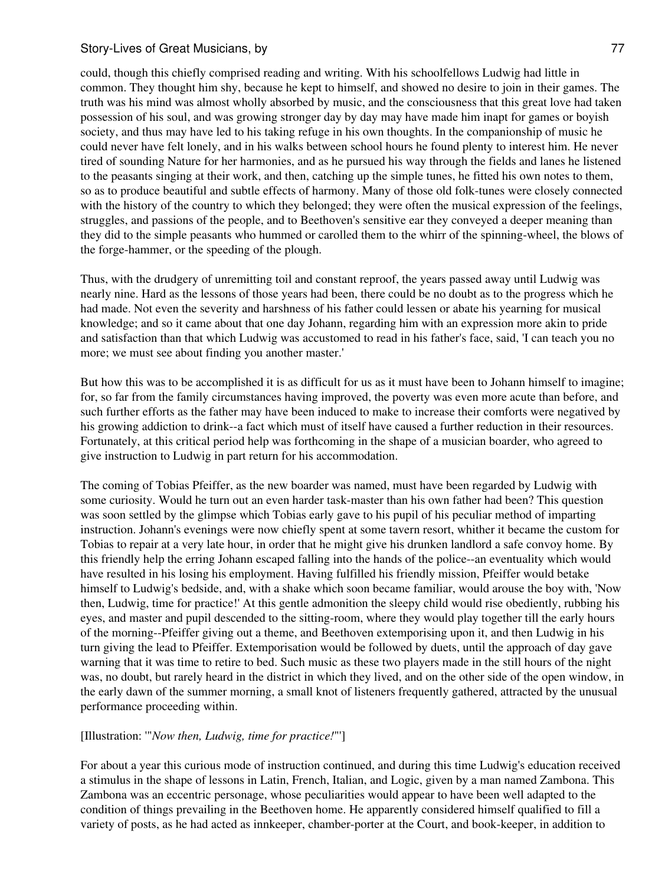could, though this chiefly comprised reading and writing. With his schoolfellows Ludwig had little in common. They thought him shy, because he kept to himself, and showed no desire to join in their games. The truth was his mind was almost wholly absorbed by music, and the consciousness that this great love had taken possession of his soul, and was growing stronger day by day may have made him inapt for games or boyish society, and thus may have led to his taking refuge in his own thoughts. In the companionship of music he could never have felt lonely, and in his walks between school hours he found plenty to interest him. He never tired of sounding Nature for her harmonies, and as he pursued his way through the fields and lanes he listened to the peasants singing at their work, and then, catching up the simple tunes, he fitted his own notes to them, so as to produce beautiful and subtle effects of harmony. Many of those old folk-tunes were closely connected with the history of the country to which they belonged; they were often the musical expression of the feelings, struggles, and passions of the people, and to Beethoven's sensitive ear they conveyed a deeper meaning than they did to the simple peasants who hummed or carolled them to the whirr of the spinning-wheel, the blows of the forge-hammer, or the speeding of the plough.

Thus, with the drudgery of unremitting toil and constant reproof, the years passed away until Ludwig was nearly nine. Hard as the lessons of those years had been, there could be no doubt as to the progress which he had made. Not even the severity and harshness of his father could lessen or abate his yearning for musical knowledge; and so it came about that one day Johann, regarding him with an expression more akin to pride and satisfaction than that which Ludwig was accustomed to read in his father's face, said, 'I can teach you no more; we must see about finding you another master.'

But how this was to be accomplished it is as difficult for us as it must have been to Johann himself to imagine; for, so far from the family circumstances having improved, the poverty was even more acute than before, and such further efforts as the father may have been induced to make to increase their comforts were negatived by his growing addiction to drink--a fact which must of itself have caused a further reduction in their resources. Fortunately, at this critical period help was forthcoming in the shape of a musician boarder, who agreed to give instruction to Ludwig in part return for his accommodation.

The coming of Tobias Pfeiffer, as the new boarder was named, must have been regarded by Ludwig with some curiosity. Would he turn out an even harder task-master than his own father had been? This question was soon settled by the glimpse which Tobias early gave to his pupil of his peculiar method of imparting instruction. Johann's evenings were now chiefly spent at some tavern resort, whither it became the custom for Tobias to repair at a very late hour, in order that he might give his drunken landlord a safe convoy home. By this friendly help the erring Johann escaped falling into the hands of the police--an eventuality which would have resulted in his losing his employment. Having fulfilled his friendly mission, Pfeiffer would betake himself to Ludwig's bedside, and, with a shake which soon became familiar, would arouse the boy with, 'Now then, Ludwig, time for practice!' At this gentle admonition the sleepy child would rise obediently, rubbing his eyes, and master and pupil descended to the sitting-room, where they would play together till the early hours of the morning--Pfeiffer giving out a theme, and Beethoven extemporising upon it, and then Ludwig in his turn giving the lead to Pfeiffer. Extemporisation would be followed by duets, until the approach of day gave warning that it was time to retire to bed. Such music as these two players made in the still hours of the night was, no doubt, but rarely heard in the district in which they lived, and on the other side of the open window, in the early dawn of the summer morning, a small knot of listeners frequently gathered, attracted by the unusual performance proceeding within.

## [Illustration: '"*Now then, Ludwig, time for practice!*"']

For about a year this curious mode of instruction continued, and during this time Ludwig's education received a stimulus in the shape of lessons in Latin, French, Italian, and Logic, given by a man named Zambona. This Zambona was an eccentric personage, whose peculiarities would appear to have been well adapted to the condition of things prevailing in the Beethoven home. He apparently considered himself qualified to fill a variety of posts, as he had acted as innkeeper, chamber-porter at the Court, and book-keeper, in addition to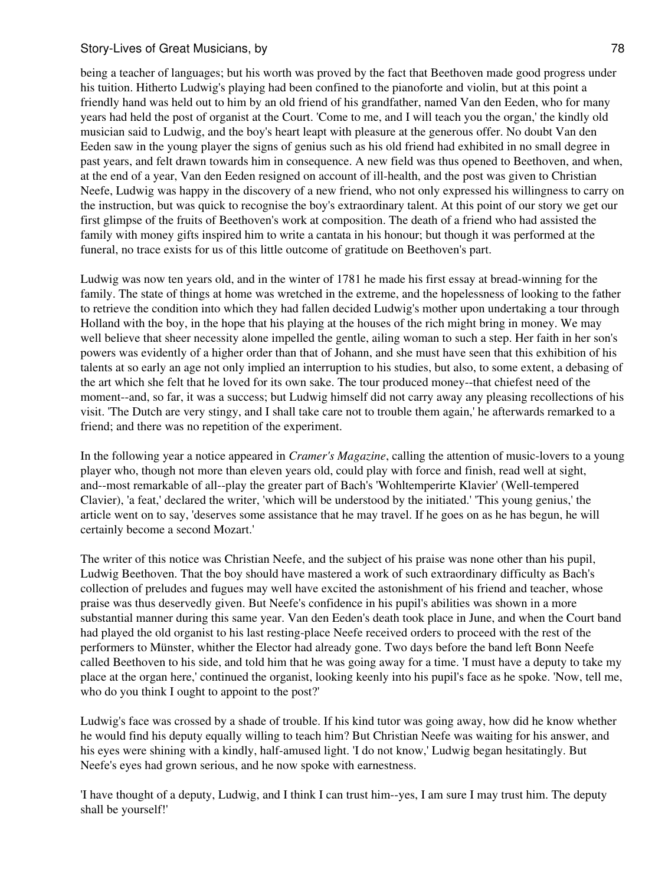being a teacher of languages; but his worth was proved by the fact that Beethoven made good progress under his tuition. Hitherto Ludwig's playing had been confined to the pianoforte and violin, but at this point a friendly hand was held out to him by an old friend of his grandfather, named Van den Eeden, who for many years had held the post of organist at the Court. 'Come to me, and I will teach you the organ,' the kindly old musician said to Ludwig, and the boy's heart leapt with pleasure at the generous offer. No doubt Van den Eeden saw in the young player the signs of genius such as his old friend had exhibited in no small degree in past years, and felt drawn towards him in consequence. A new field was thus opened to Beethoven, and when, at the end of a year, Van den Eeden resigned on account of ill-health, and the post was given to Christian Neefe, Ludwig was happy in the discovery of a new friend, who not only expressed his willingness to carry on the instruction, but was quick to recognise the boy's extraordinary talent. At this point of our story we get our first glimpse of the fruits of Beethoven's work at composition. The death of a friend who had assisted the family with money gifts inspired him to write a cantata in his honour; but though it was performed at the funeral, no trace exists for us of this little outcome of gratitude on Beethoven's part.

Ludwig was now ten years old, and in the winter of 1781 he made his first essay at bread-winning for the family. The state of things at home was wretched in the extreme, and the hopelessness of looking to the father to retrieve the condition into which they had fallen decided Ludwig's mother upon undertaking a tour through Holland with the boy, in the hope that his playing at the houses of the rich might bring in money. We may well believe that sheer necessity alone impelled the gentle, ailing woman to such a step. Her faith in her son's powers was evidently of a higher order than that of Johann, and she must have seen that this exhibition of his talents at so early an age not only implied an interruption to his studies, but also, to some extent, a debasing of the art which she felt that he loved for its own sake. The tour produced money--that chiefest need of the moment--and, so far, it was a success; but Ludwig himself did not carry away any pleasing recollections of his visit. 'The Dutch are very stingy, and I shall take care not to trouble them again,' he afterwards remarked to a friend; and there was no repetition of the experiment.

In the following year a notice appeared in *Cramer's Magazine*, calling the attention of music-lovers to a young player who, though not more than eleven years old, could play with force and finish, read well at sight, and--most remarkable of all--play the greater part of Bach's 'Wohltemperirte Klavier' (Well-tempered Clavier), 'a feat,' declared the writer, 'which will be understood by the initiated.' 'This young genius,' the article went on to say, 'deserves some assistance that he may travel. If he goes on as he has begun, he will certainly become a second Mozart.'

The writer of this notice was Christian Neefe, and the subject of his praise was none other than his pupil, Ludwig Beethoven. That the boy should have mastered a work of such extraordinary difficulty as Bach's collection of preludes and fugues may well have excited the astonishment of his friend and teacher, whose praise was thus deservedly given. But Neefe's confidence in his pupil's abilities was shown in a more substantial manner during this same year. Van den Eeden's death took place in June, and when the Court band had played the old organist to his last resting-place Neefe received orders to proceed with the rest of the performers to Münster, whither the Elector had already gone. Two days before the band left Bonn Neefe called Beethoven to his side, and told him that he was going away for a time. 'I must have a deputy to take my place at the organ here,' continued the organist, looking keenly into his pupil's face as he spoke. 'Now, tell me, who do you think I ought to appoint to the post?'

Ludwig's face was crossed by a shade of trouble. If his kind tutor was going away, how did he know whether he would find his deputy equally willing to teach him? But Christian Neefe was waiting for his answer, and his eyes were shining with a kindly, half-amused light. 'I do not know,' Ludwig began hesitatingly. But Neefe's eyes had grown serious, and he now spoke with earnestness.

'I have thought of a deputy, Ludwig, and I think I can trust him--yes, I am sure I may trust him. The deputy shall be yourself!'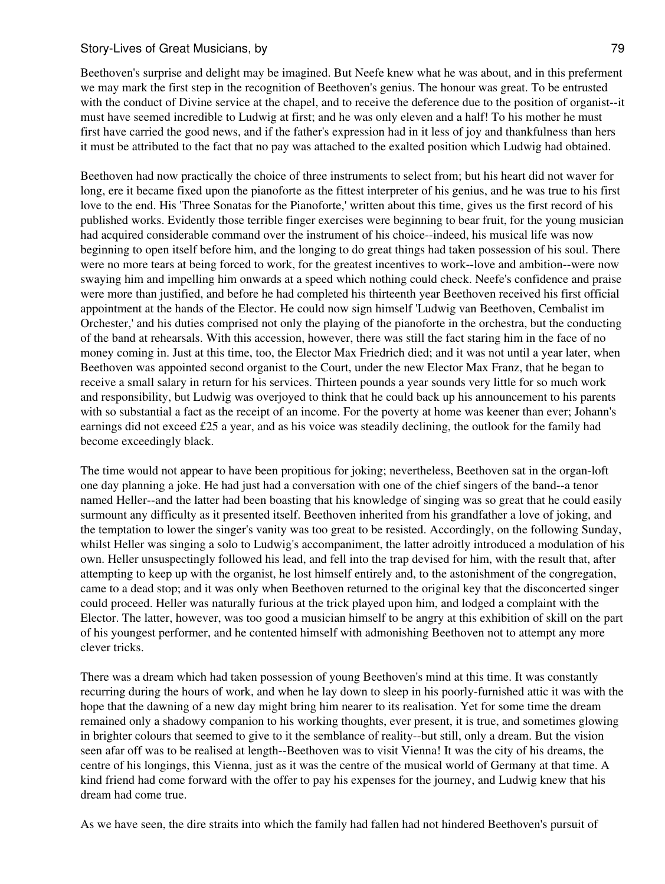Beethoven's surprise and delight may be imagined. But Neefe knew what he was about, and in this preferment we may mark the first step in the recognition of Beethoven's genius. The honour was great. To be entrusted with the conduct of Divine service at the chapel, and to receive the deference due to the position of organist--it must have seemed incredible to Ludwig at first; and he was only eleven and a half! To his mother he must first have carried the good news, and if the father's expression had in it less of joy and thankfulness than hers it must be attributed to the fact that no pay was attached to the exalted position which Ludwig had obtained.

Beethoven had now practically the choice of three instruments to select from; but his heart did not waver for long, ere it became fixed upon the pianoforte as the fittest interpreter of his genius, and he was true to his first love to the end. His 'Three Sonatas for the Pianoforte,' written about this time, gives us the first record of his published works. Evidently those terrible finger exercises were beginning to bear fruit, for the young musician had acquired considerable command over the instrument of his choice--indeed, his musical life was now beginning to open itself before him, and the longing to do great things had taken possession of his soul. There were no more tears at being forced to work, for the greatest incentives to work--love and ambition--were now swaying him and impelling him onwards at a speed which nothing could check. Neefe's confidence and praise were more than justified, and before he had completed his thirteenth year Beethoven received his first official appointment at the hands of the Elector. He could now sign himself 'Ludwig van Beethoven, Cembalist im Orchester,' and his duties comprised not only the playing of the pianoforte in the orchestra, but the conducting of the band at rehearsals. With this accession, however, there was still the fact staring him in the face of no money coming in. Just at this time, too, the Elector Max Friedrich died; and it was not until a year later, when Beethoven was appointed second organist to the Court, under the new Elector Max Franz, that he began to receive a small salary in return for his services. Thirteen pounds a year sounds very little for so much work and responsibility, but Ludwig was overjoyed to think that he could back up his announcement to his parents with so substantial a fact as the receipt of an income. For the poverty at home was keener than ever; Johann's earnings did not exceed  $£25$  a year, and as his voice was steadily declining, the outlook for the family had become exceedingly black.

The time would not appear to have been propitious for joking; nevertheless, Beethoven sat in the organ-loft one day planning a joke. He had just had a conversation with one of the chief singers of the band--a tenor named Heller--and the latter had been boasting that his knowledge of singing was so great that he could easily surmount any difficulty as it presented itself. Beethoven inherited from his grandfather a love of joking, and the temptation to lower the singer's vanity was too great to be resisted. Accordingly, on the following Sunday, whilst Heller was singing a solo to Ludwig's accompaniment, the latter adroitly introduced a modulation of his own. Heller unsuspectingly followed his lead, and fell into the trap devised for him, with the result that, after attempting to keep up with the organist, he lost himself entirely and, to the astonishment of the congregation, came to a dead stop; and it was only when Beethoven returned to the original key that the disconcerted singer could proceed. Heller was naturally furious at the trick played upon him, and lodged a complaint with the Elector. The latter, however, was too good a musician himself to be angry at this exhibition of skill on the part of his youngest performer, and he contented himself with admonishing Beethoven not to attempt any more clever tricks.

There was a dream which had taken possession of young Beethoven's mind at this time. It was constantly recurring during the hours of work, and when he lay down to sleep in his poorly-furnished attic it was with the hope that the dawning of a new day might bring him nearer to its realisation. Yet for some time the dream remained only a shadowy companion to his working thoughts, ever present, it is true, and sometimes glowing in brighter colours that seemed to give to it the semblance of reality--but still, only a dream. But the vision seen afar off was to be realised at length--Beethoven was to visit Vienna! It was the city of his dreams, the centre of his longings, this Vienna, just as it was the centre of the musical world of Germany at that time. A kind friend had come forward with the offer to pay his expenses for the journey, and Ludwig knew that his dream had come true.

As we have seen, the dire straits into which the family had fallen had not hindered Beethoven's pursuit of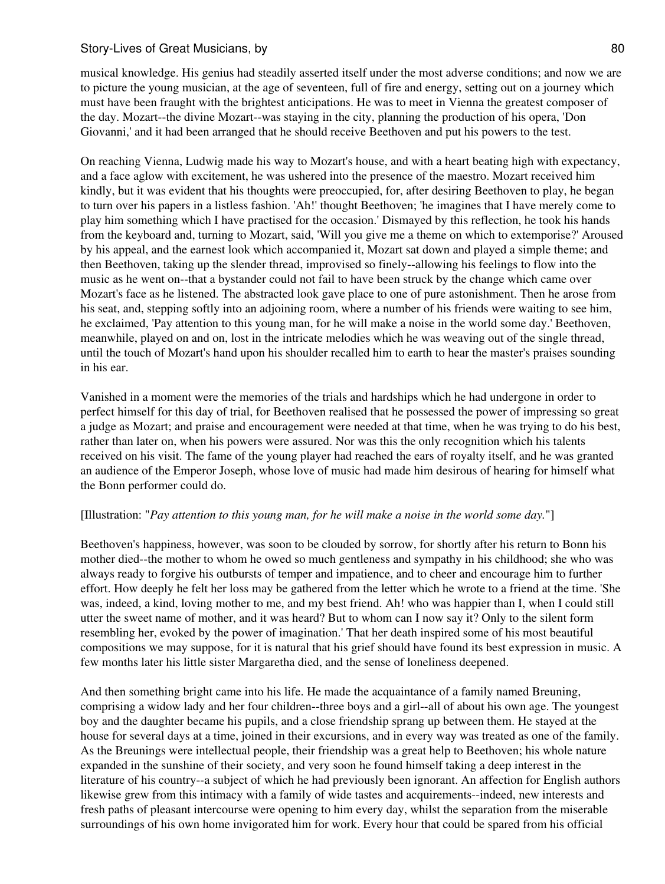musical knowledge. His genius had steadily asserted itself under the most adverse conditions; and now we are to picture the young musician, at the age of seventeen, full of fire and energy, setting out on a journey which must have been fraught with the brightest anticipations. He was to meet in Vienna the greatest composer of the day. Mozart--the divine Mozart--was staying in the city, planning the production of his opera, 'Don Giovanni,' and it had been arranged that he should receive Beethoven and put his powers to the test.

On reaching Vienna, Ludwig made his way to Mozart's house, and with a heart beating high with expectancy, and a face aglow with excitement, he was ushered into the presence of the maestro. Mozart received him kindly, but it was evident that his thoughts were preoccupied, for, after desiring Beethoven to play, he began to turn over his papers in a listless fashion. 'Ah!' thought Beethoven; 'he imagines that I have merely come to play him something which I have practised for the occasion.' Dismayed by this reflection, he took his hands from the keyboard and, turning to Mozart, said, 'Will you give me a theme on which to extemporise?' Aroused by his appeal, and the earnest look which accompanied it, Mozart sat down and played a simple theme; and then Beethoven, taking up the slender thread, improvised so finely--allowing his feelings to flow into the music as he went on--that a bystander could not fail to have been struck by the change which came over Mozart's face as he listened. The abstracted look gave place to one of pure astonishment. Then he arose from his seat, and, stepping softly into an adjoining room, where a number of his friends were waiting to see him, he exclaimed, 'Pay attention to this young man, for he will make a noise in the world some day.' Beethoven, meanwhile, played on and on, lost in the intricate melodies which he was weaving out of the single thread, until the touch of Mozart's hand upon his shoulder recalled him to earth to hear the master's praises sounding in his ear.

Vanished in a moment were the memories of the trials and hardships which he had undergone in order to perfect himself for this day of trial, for Beethoven realised that he possessed the power of impressing so great a judge as Mozart; and praise and encouragement were needed at that time, when he was trying to do his best, rather than later on, when his powers were assured. Nor was this the only recognition which his talents received on his visit. The fame of the young player had reached the ears of royalty itself, and he was granted an audience of the Emperor Joseph, whose love of music had made him desirous of hearing for himself what the Bonn performer could do.

## [Illustration: "*Pay attention to this young man, for he will make a noise in the world some day.*"]

Beethoven's happiness, however, was soon to be clouded by sorrow, for shortly after his return to Bonn his mother died--the mother to whom he owed so much gentleness and sympathy in his childhood; she who was always ready to forgive his outbursts of temper and impatience, and to cheer and encourage him to further effort. How deeply he felt her loss may be gathered from the letter which he wrote to a friend at the time. 'She was, indeed, a kind, loving mother to me, and my best friend. Ah! who was happier than I, when I could still utter the sweet name of mother, and it was heard? But to whom can I now say it? Only to the silent form resembling her, evoked by the power of imagination.' That her death inspired some of his most beautiful compositions we may suppose, for it is natural that his grief should have found its best expression in music. A few months later his little sister Margaretha died, and the sense of loneliness deepened.

And then something bright came into his life. He made the acquaintance of a family named Breuning, comprising a widow lady and her four children--three boys and a girl--all of about his own age. The youngest boy and the daughter became his pupils, and a close friendship sprang up between them. He stayed at the house for several days at a time, joined in their excursions, and in every way was treated as one of the family. As the Breunings were intellectual people, their friendship was a great help to Beethoven; his whole nature expanded in the sunshine of their society, and very soon he found himself taking a deep interest in the literature of his country--a subject of which he had previously been ignorant. An affection for English authors likewise grew from this intimacy with a family of wide tastes and acquirements--indeed, new interests and fresh paths of pleasant intercourse were opening to him every day, whilst the separation from the miserable surroundings of his own home invigorated him for work. Every hour that could be spared from his official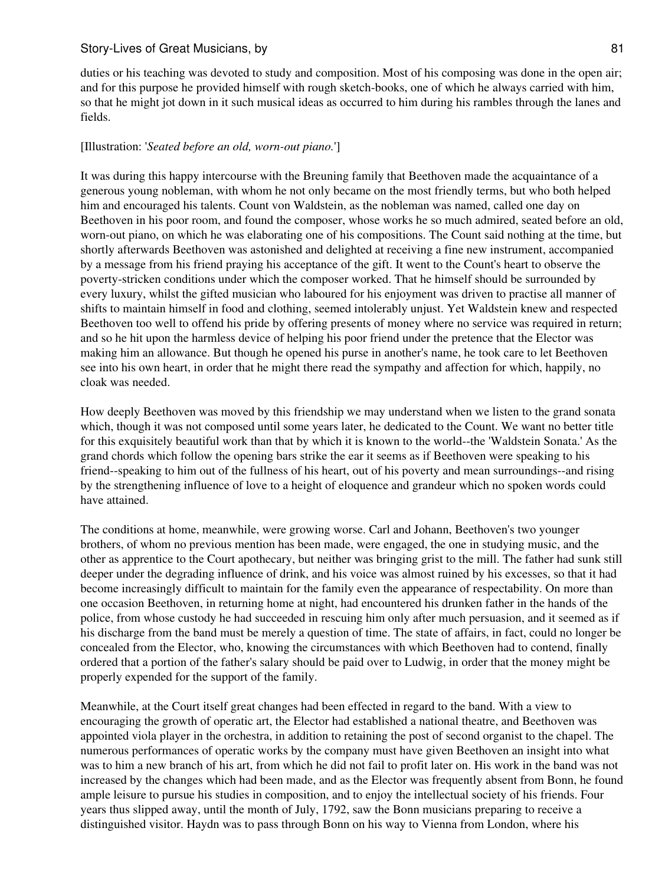duties or his teaching was devoted to study and composition. Most of his composing was done in the open air; and for this purpose he provided himself with rough sketch-books, one of which he always carried with him, so that he might jot down in it such musical ideas as occurred to him during his rambles through the lanes and fields.

### [Illustration: '*Seated before an old, worn-out piano.*']

It was during this happy intercourse with the Breuning family that Beethoven made the acquaintance of a generous young nobleman, with whom he not only became on the most friendly terms, but who both helped him and encouraged his talents. Count von Waldstein, as the nobleman was named, called one day on Beethoven in his poor room, and found the composer, whose works he so much admired, seated before an old, worn-out piano, on which he was elaborating one of his compositions. The Count said nothing at the time, but shortly afterwards Beethoven was astonished and delighted at receiving a fine new instrument, accompanied by a message from his friend praying his acceptance of the gift. It went to the Count's heart to observe the poverty-stricken conditions under which the composer worked. That he himself should be surrounded by every luxury, whilst the gifted musician who laboured for his enjoyment was driven to practise all manner of shifts to maintain himself in food and clothing, seemed intolerably unjust. Yet Waldstein knew and respected Beethoven too well to offend his pride by offering presents of money where no service was required in return; and so he hit upon the harmless device of helping his poor friend under the pretence that the Elector was making him an allowance. But though he opened his purse in another's name, he took care to let Beethoven see into his own heart, in order that he might there read the sympathy and affection for which, happily, no cloak was needed.

How deeply Beethoven was moved by this friendship we may understand when we listen to the grand sonata which, though it was not composed until some years later, he dedicated to the Count. We want no better title for this exquisitely beautiful work than that by which it is known to the world--the 'Waldstein Sonata.' As the grand chords which follow the opening bars strike the ear it seems as if Beethoven were speaking to his friend--speaking to him out of the fullness of his heart, out of his poverty and mean surroundings--and rising by the strengthening influence of love to a height of eloquence and grandeur which no spoken words could have attained.

The conditions at home, meanwhile, were growing worse. Carl and Johann, Beethoven's two younger brothers, of whom no previous mention has been made, were engaged, the one in studying music, and the other as apprentice to the Court apothecary, but neither was bringing grist to the mill. The father had sunk still deeper under the degrading influence of drink, and his voice was almost ruined by his excesses, so that it had become increasingly difficult to maintain for the family even the appearance of respectability. On more than one occasion Beethoven, in returning home at night, had encountered his drunken father in the hands of the police, from whose custody he had succeeded in rescuing him only after much persuasion, and it seemed as if his discharge from the band must be merely a question of time. The state of affairs, in fact, could no longer be concealed from the Elector, who, knowing the circumstances with which Beethoven had to contend, finally ordered that a portion of the father's salary should be paid over to Ludwig, in order that the money might be properly expended for the support of the family.

Meanwhile, at the Court itself great changes had been effected in regard to the band. With a view to encouraging the growth of operatic art, the Elector had established a national theatre, and Beethoven was appointed viola player in the orchestra, in addition to retaining the post of second organist to the chapel. The numerous performances of operatic works by the company must have given Beethoven an insight into what was to him a new branch of his art, from which he did not fail to profit later on. His work in the band was not increased by the changes which had been made, and as the Elector was frequently absent from Bonn, he found ample leisure to pursue his studies in composition, and to enjoy the intellectual society of his friends. Four years thus slipped away, until the month of July, 1792, saw the Bonn musicians preparing to receive a distinguished visitor. Haydn was to pass through Bonn on his way to Vienna from London, where his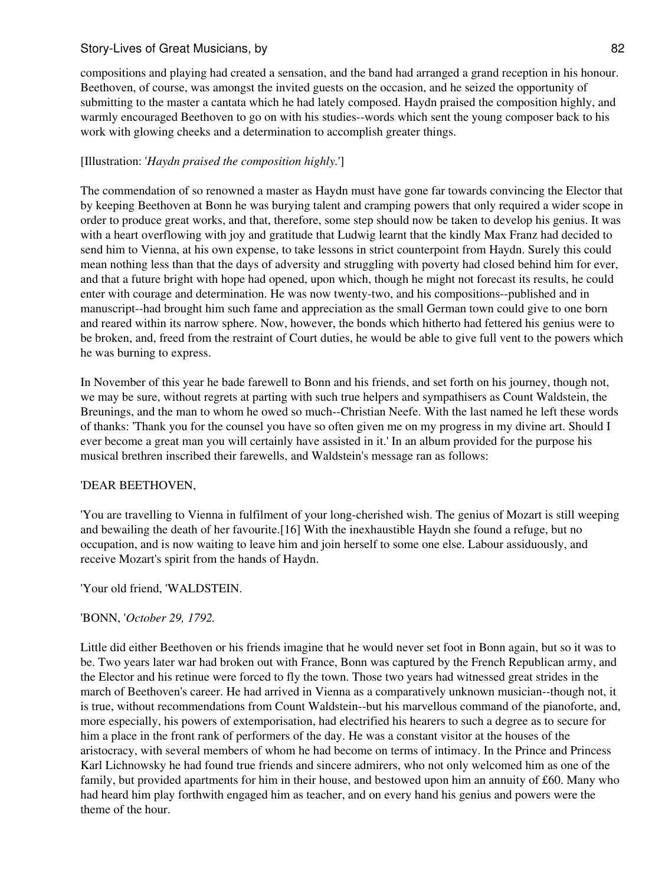compositions and playing had created a sensation, and the band had arranged a grand reception in his honour. Beethoven, of course, was amongst the invited guests on the occasion, and he seized the opportunity of submitting to the master a cantata which he had lately composed. Haydn praised the composition highly, and warmly encouraged Beethoven to go on with his studies--words which sent the young composer back to his work with glowing cheeks and a determination to accomplish greater things.

# [Illustration: '*Haydn praised the composition highly.*']

The commendation of so renowned a master as Haydn must have gone far towards convincing the Elector that by keeping Beethoven at Bonn he was burying talent and cramping powers that only required a wider scope in order to produce great works, and that, therefore, some step should now be taken to develop his genius. It was with a heart overflowing with joy and gratitude that Ludwig learnt that the kindly Max Franz had decided to send him to Vienna, at his own expense, to take lessons in strict counterpoint from Haydn. Surely this could mean nothing less than that the days of adversity and struggling with poverty had closed behind him for ever, and that a future bright with hope had opened, upon which, though he might not forecast its results, he could enter with courage and determination. He was now twenty-two, and his compositions--published and in manuscript--had brought him such fame and appreciation as the small German town could give to one born and reared within its narrow sphere. Now, however, the bonds which hitherto had fettered his genius were to be broken, and, freed from the restraint of Court duties, he would be able to give full vent to the powers which he was burning to express.

In November of this year he bade farewell to Bonn and his friends, and set forth on his journey, though not, we may be sure, without regrets at parting with such true helpers and sympathisers as Count Waldstein, the Breunings, and the man to whom he owed so much--Christian Neefe. With the last named he left these words of thanks: 'Thank you for the counsel you have so often given me on my progress in my divine art. Should I ever become a great man you will certainly have assisted in it.' In an album provided for the purpose his musical brethren inscribed their farewells, and Waldstein's message ran as follows:

## 'DEAR BEETHOVEN,

'You are travelling to Vienna in fulfilment of your long-cherished wish. The genius of Mozart is still weeping and bewailing the death of her favourite.[16] With the inexhaustible Haydn she found a refuge, but no occupation, and is now waiting to leave him and join herself to some one else. Labour assiduously, and receive Mozart's spirit from the hands of Haydn.

## 'Your old friend, 'WALDSTEIN.

## 'BONN, '*October 29, 1792.*

Little did either Beethoven or his friends imagine that he would never set foot in Bonn again, but so it was to be. Two years later war had broken out with France, Bonn was captured by the French Republican army, and the Elector and his retinue were forced to fly the town. Those two years had witnessed great strides in the march of Beethoven's career. He had arrived in Vienna as a comparatively unknown musician--though not, it is true, without recommendations from Count Waldstein--but his marvellous command of the pianoforte, and, more especially, his powers of extemporisation, had electrified his hearers to such a degree as to secure for him a place in the front rank of performers of the day. He was a constant visitor at the houses of the aristocracy, with several members of whom he had become on terms of intimacy. In the Prince and Princess Karl Lichnowsky he had found true friends and sincere admirers, who not only welcomed him as one of the family, but provided apartments for him in their house, and bestowed upon him an annuity of £60. Many who had heard him play forthwith engaged him as teacher, and on every hand his genius and powers were the theme of the hour.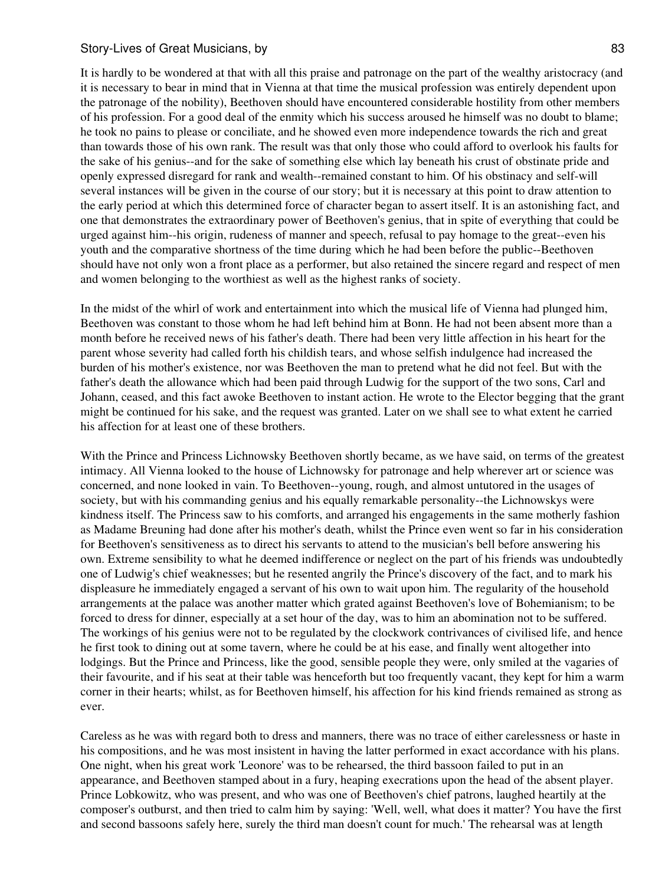It is hardly to be wondered at that with all this praise and patronage on the part of the wealthy aristocracy (and it is necessary to bear in mind that in Vienna at that time the musical profession was entirely dependent upon the patronage of the nobility), Beethoven should have encountered considerable hostility from other members of his profession. For a good deal of the enmity which his success aroused he himself was no doubt to blame; he took no pains to please or conciliate, and he showed even more independence towards the rich and great than towards those of his own rank. The result was that only those who could afford to overlook his faults for the sake of his genius--and for the sake of something else which lay beneath his crust of obstinate pride and openly expressed disregard for rank and wealth--remained constant to him. Of his obstinacy and self-will several instances will be given in the course of our story; but it is necessary at this point to draw attention to the early period at which this determined force of character began to assert itself. It is an astonishing fact, and one that demonstrates the extraordinary power of Beethoven's genius, that in spite of everything that could be urged against him--his origin, rudeness of manner and speech, refusal to pay homage to the great--even his youth and the comparative shortness of the time during which he had been before the public--Beethoven should have not only won a front place as a performer, but also retained the sincere regard and respect of men and women belonging to the worthiest as well as the highest ranks of society.

In the midst of the whirl of work and entertainment into which the musical life of Vienna had plunged him, Beethoven was constant to those whom he had left behind him at Bonn. He had not been absent more than a month before he received news of his father's death. There had been very little affection in his heart for the parent whose severity had called forth his childish tears, and whose selfish indulgence had increased the burden of his mother's existence, nor was Beethoven the man to pretend what he did not feel. But with the father's death the allowance which had been paid through Ludwig for the support of the two sons, Carl and Johann, ceased, and this fact awoke Beethoven to instant action. He wrote to the Elector begging that the grant might be continued for his sake, and the request was granted. Later on we shall see to what extent he carried his affection for at least one of these brothers.

With the Prince and Princess Lichnowsky Beethoven shortly became, as we have said, on terms of the greatest intimacy. All Vienna looked to the house of Lichnowsky for patronage and help wherever art or science was concerned, and none looked in vain. To Beethoven--young, rough, and almost untutored in the usages of society, but with his commanding genius and his equally remarkable personality--the Lichnowskys were kindness itself. The Princess saw to his comforts, and arranged his engagements in the same motherly fashion as Madame Breuning had done after his mother's death, whilst the Prince even went so far in his consideration for Beethoven's sensitiveness as to direct his servants to attend to the musician's bell before answering his own. Extreme sensibility to what he deemed indifference or neglect on the part of his friends was undoubtedly one of Ludwig's chief weaknesses; but he resented angrily the Prince's discovery of the fact, and to mark his displeasure he immediately engaged a servant of his own to wait upon him. The regularity of the household arrangements at the palace was another matter which grated against Beethoven's love of Bohemianism; to be forced to dress for dinner, especially at a set hour of the day, was to him an abomination not to be suffered. The workings of his genius were not to be regulated by the clockwork contrivances of civilised life, and hence he first took to dining out at some tavern, where he could be at his ease, and finally went altogether into lodgings. But the Prince and Princess, like the good, sensible people they were, only smiled at the vagaries of their favourite, and if his seat at their table was henceforth but too frequently vacant, they kept for him a warm corner in their hearts; whilst, as for Beethoven himself, his affection for his kind friends remained as strong as ever.

Careless as he was with regard both to dress and manners, there was no trace of either carelessness or haste in his compositions, and he was most insistent in having the latter performed in exact accordance with his plans. One night, when his great work 'Leonore' was to be rehearsed, the third bassoon failed to put in an appearance, and Beethoven stamped about in a fury, heaping execrations upon the head of the absent player. Prince Lobkowitz, who was present, and who was one of Beethoven's chief patrons, laughed heartily at the composer's outburst, and then tried to calm him by saying: 'Well, well, what does it matter? You have the first and second bassoons safely here, surely the third man doesn't count for much.' The rehearsal was at length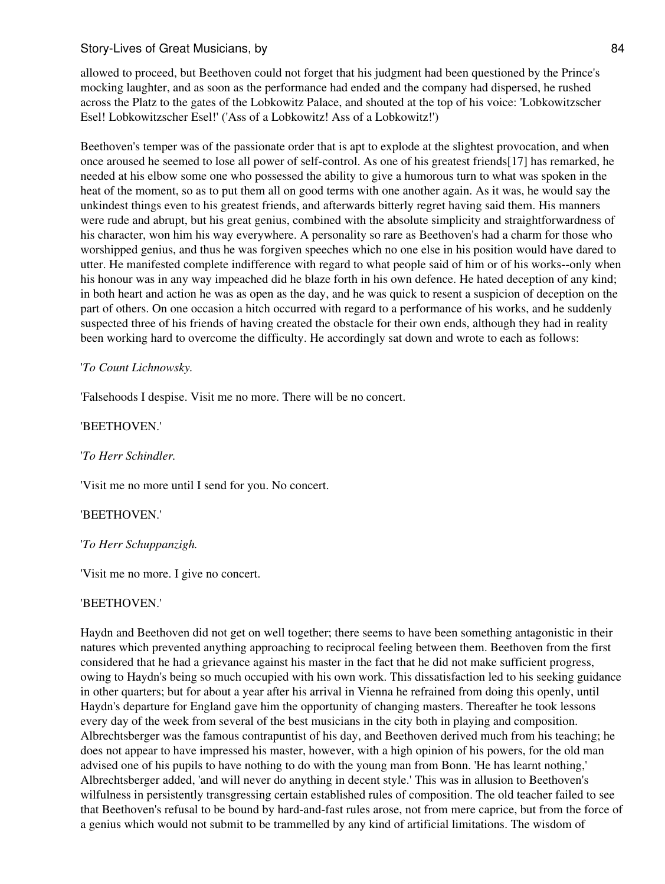allowed to proceed, but Beethoven could not forget that his judgment had been questioned by the Prince's mocking laughter, and as soon as the performance had ended and the company had dispersed, he rushed across the Platz to the gates of the Lobkowitz Palace, and shouted at the top of his voice: 'Lobkowitzscher Esel! Lobkowitzscher Esel!' ('Ass of a Lobkowitz! Ass of a Lobkowitz!')

Beethoven's temper was of the passionate order that is apt to explode at the slightest provocation, and when once aroused he seemed to lose all power of self-control. As one of his greatest friends[17] has remarked, he needed at his elbow some one who possessed the ability to give a humorous turn to what was spoken in the heat of the moment, so as to put them all on good terms with one another again. As it was, he would say the unkindest things even to his greatest friends, and afterwards bitterly regret having said them. His manners were rude and abrupt, but his great genius, combined with the absolute simplicity and straightforwardness of his character, won him his way everywhere. A personality so rare as Beethoven's had a charm for those who worshipped genius, and thus he was forgiven speeches which no one else in his position would have dared to utter. He manifested complete indifference with regard to what people said of him or of his works--only when his honour was in any way impeached did he blaze forth in his own defence. He hated deception of any kind; in both heart and action he was as open as the day, and he was quick to resent a suspicion of deception on the part of others. On one occasion a hitch occurred with regard to a performance of his works, and he suddenly suspected three of his friends of having created the obstacle for their own ends, although they had in reality been working hard to overcome the difficulty. He accordingly sat down and wrote to each as follows:

## '*To Count Lichnowsky.*

'Falsehoods I despise. Visit me no more. There will be no concert.

## 'BEETHOVEN.'

## '*To Herr Schindler.*

'Visit me no more until I send for you. No concert.

## 'BEETHOVEN.'

## '*To Herr Schuppanzigh.*

'Visit me no more. I give no concert.

### 'BEETHOVEN.'

Haydn and Beethoven did not get on well together; there seems to have been something antagonistic in their natures which prevented anything approaching to reciprocal feeling between them. Beethoven from the first considered that he had a grievance against his master in the fact that he did not make sufficient progress, owing to Haydn's being so much occupied with his own work. This dissatisfaction led to his seeking guidance in other quarters; but for about a year after his arrival in Vienna he refrained from doing this openly, until Haydn's departure for England gave him the opportunity of changing masters. Thereafter he took lessons every day of the week from several of the best musicians in the city both in playing and composition. Albrechtsberger was the famous contrapuntist of his day, and Beethoven derived much from his teaching; he does not appear to have impressed his master, however, with a high opinion of his powers, for the old man advised one of his pupils to have nothing to do with the young man from Bonn. 'He has learnt nothing,' Albrechtsberger added, 'and will never do anything in decent style.' This was in allusion to Beethoven's wilfulness in persistently transgressing certain established rules of composition. The old teacher failed to see that Beethoven's refusal to be bound by hard-and-fast rules arose, not from mere caprice, but from the force of a genius which would not submit to be trammelled by any kind of artificial limitations. The wisdom of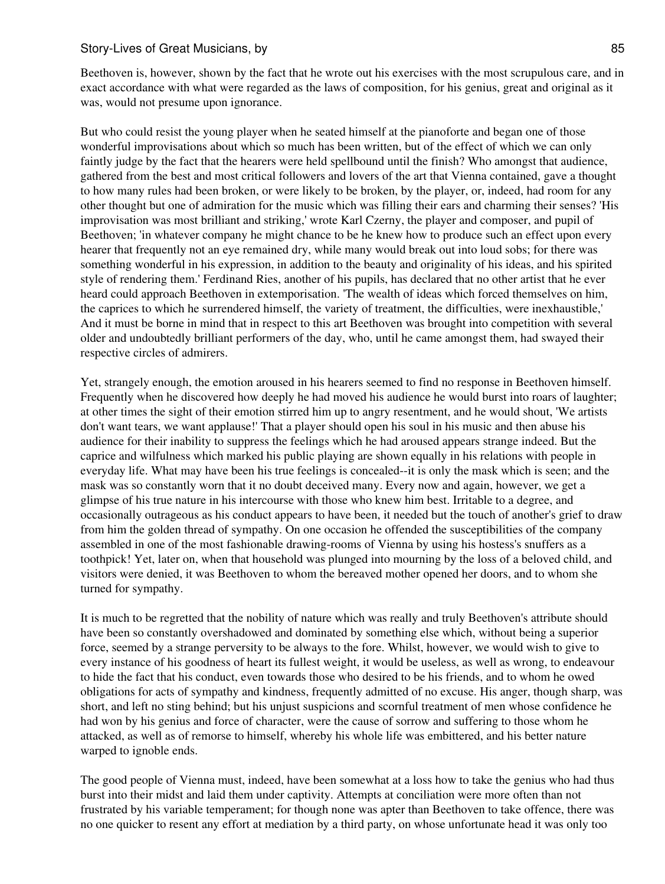Beethoven is, however, shown by the fact that he wrote out his exercises with the most scrupulous care, and in exact accordance with what were regarded as the laws of composition, for his genius, great and original as it was, would not presume upon ignorance.

But who could resist the young player when he seated himself at the pianoforte and began one of those wonderful improvisations about which so much has been written, but of the effect of which we can only faintly judge by the fact that the hearers were held spellbound until the finish? Who amongst that audience, gathered from the best and most critical followers and lovers of the art that Vienna contained, gave a thought to how many rules had been broken, or were likely to be broken, by the player, or, indeed, had room for any other thought but one of admiration for the music which was filling their ears and charming their senses? 'His improvisation was most brilliant and striking,' wrote Karl Czerny, the player and composer, and pupil of Beethoven; 'in whatever company he might chance to be he knew how to produce such an effect upon every hearer that frequently not an eye remained dry, while many would break out into loud sobs; for there was something wonderful in his expression, in addition to the beauty and originality of his ideas, and his spirited style of rendering them.' Ferdinand Ries, another of his pupils, has declared that no other artist that he ever heard could approach Beethoven in extemporisation. 'The wealth of ideas which forced themselves on him, the caprices to which he surrendered himself, the variety of treatment, the difficulties, were inexhaustible,' And it must be borne in mind that in respect to this art Beethoven was brought into competition with several older and undoubtedly brilliant performers of the day, who, until he came amongst them, had swayed their respective circles of admirers.

Yet, strangely enough, the emotion aroused in his hearers seemed to find no response in Beethoven himself. Frequently when he discovered how deeply he had moved his audience he would burst into roars of laughter; at other times the sight of their emotion stirred him up to angry resentment, and he would shout, 'We artists don't want tears, we want applause!' That a player should open his soul in his music and then abuse his audience for their inability to suppress the feelings which he had aroused appears strange indeed. But the caprice and wilfulness which marked his public playing are shown equally in his relations with people in everyday life. What may have been his true feelings is concealed--it is only the mask which is seen; and the mask was so constantly worn that it no doubt deceived many. Every now and again, however, we get a glimpse of his true nature in his intercourse with those who knew him best. Irritable to a degree, and occasionally outrageous as his conduct appears to have been, it needed but the touch of another's grief to draw from him the golden thread of sympathy. On one occasion he offended the susceptibilities of the company assembled in one of the most fashionable drawing-rooms of Vienna by using his hostess's snuffers as a toothpick! Yet, later on, when that household was plunged into mourning by the loss of a beloved child, and visitors were denied, it was Beethoven to whom the bereaved mother opened her doors, and to whom she turned for sympathy.

It is much to be regretted that the nobility of nature which was really and truly Beethoven's attribute should have been so constantly overshadowed and dominated by something else which, without being a superior force, seemed by a strange perversity to be always to the fore. Whilst, however, we would wish to give to every instance of his goodness of heart its fullest weight, it would be useless, as well as wrong, to endeavour to hide the fact that his conduct, even towards those who desired to be his friends, and to whom he owed obligations for acts of sympathy and kindness, frequently admitted of no excuse. His anger, though sharp, was short, and left no sting behind; but his unjust suspicions and scornful treatment of men whose confidence he had won by his genius and force of character, were the cause of sorrow and suffering to those whom he attacked, as well as of remorse to himself, whereby his whole life was embittered, and his better nature warped to ignoble ends.

The good people of Vienna must, indeed, have been somewhat at a loss how to take the genius who had thus burst into their midst and laid them under captivity. Attempts at conciliation were more often than not frustrated by his variable temperament; for though none was apter than Beethoven to take offence, there was no one quicker to resent any effort at mediation by a third party, on whose unfortunate head it was only too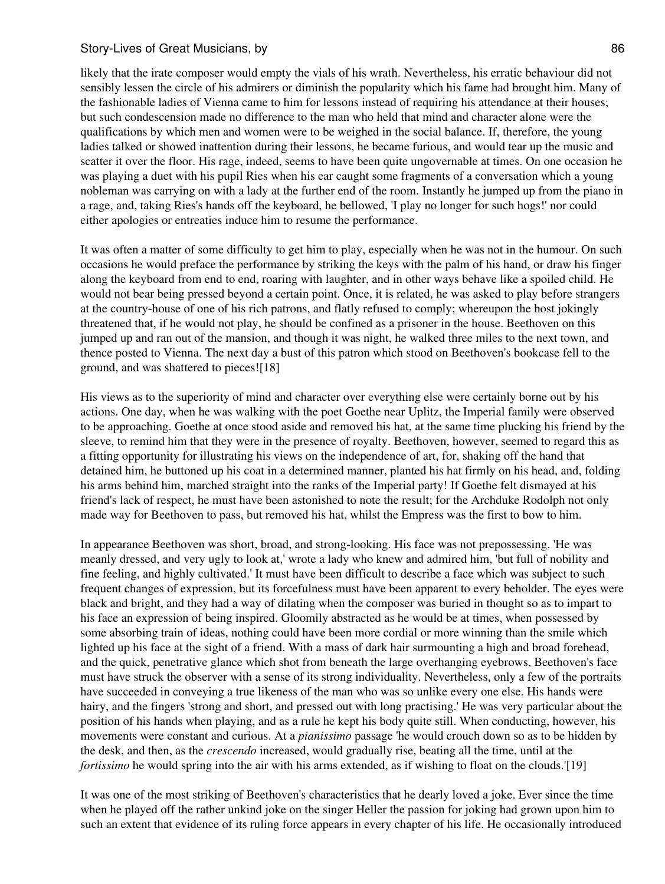likely that the irate composer would empty the vials of his wrath. Nevertheless, his erratic behaviour did not sensibly lessen the circle of his admirers or diminish the popularity which his fame had brought him. Many of the fashionable ladies of Vienna came to him for lessons instead of requiring his attendance at their houses; but such condescension made no difference to the man who held that mind and character alone were the qualifications by which men and women were to be weighed in the social balance. If, therefore, the young ladies talked or showed inattention during their lessons, he became furious, and would tear up the music and scatter it over the floor. His rage, indeed, seems to have been quite ungovernable at times. On one occasion he was playing a duet with his pupil Ries when his ear caught some fragments of a conversation which a young nobleman was carrying on with a lady at the further end of the room. Instantly he jumped up from the piano in a rage, and, taking Ries's hands off the keyboard, he bellowed, 'I play no longer for such hogs!' nor could either apologies or entreaties induce him to resume the performance.

It was often a matter of some difficulty to get him to play, especially when he was not in the humour. On such occasions he would preface the performance by striking the keys with the palm of his hand, or draw his finger along the keyboard from end to end, roaring with laughter, and in other ways behave like a spoiled child. He would not bear being pressed beyond a certain point. Once, it is related, he was asked to play before strangers at the country-house of one of his rich patrons, and flatly refused to comply; whereupon the host jokingly threatened that, if he would not play, he should be confined as a prisoner in the house. Beethoven on this jumped up and ran out of the mansion, and though it was night, he walked three miles to the next town, and thence posted to Vienna. The next day a bust of this patron which stood on Beethoven's bookcase fell to the ground, and was shattered to pieces![18]

His views as to the superiority of mind and character over everything else were certainly borne out by his actions. One day, when he was walking with the poet Goethe near Uplitz, the Imperial family were observed to be approaching. Goethe at once stood aside and removed his hat, at the same time plucking his friend by the sleeve, to remind him that they were in the presence of royalty. Beethoven, however, seemed to regard this as a fitting opportunity for illustrating his views on the independence of art, for, shaking off the hand that detained him, he buttoned up his coat in a determined manner, planted his hat firmly on his head, and, folding his arms behind him, marched straight into the ranks of the Imperial party! If Goethe felt dismayed at his friend's lack of respect, he must have been astonished to note the result; for the Archduke Rodolph not only made way for Beethoven to pass, but removed his hat, whilst the Empress was the first to bow to him.

In appearance Beethoven was short, broad, and strong-looking. His face was not prepossessing. 'He was meanly dressed, and very ugly to look at,' wrote a lady who knew and admired him, 'but full of nobility and fine feeling, and highly cultivated.' It must have been difficult to describe a face which was subject to such frequent changes of expression, but its forcefulness must have been apparent to every beholder. The eyes were black and bright, and they had a way of dilating when the composer was buried in thought so as to impart to his face an expression of being inspired. Gloomily abstracted as he would be at times, when possessed by some absorbing train of ideas, nothing could have been more cordial or more winning than the smile which lighted up his face at the sight of a friend. With a mass of dark hair surmounting a high and broad forehead, and the quick, penetrative glance which shot from beneath the large overhanging eyebrows, Beethoven's face must have struck the observer with a sense of its strong individuality. Nevertheless, only a few of the portraits have succeeded in conveying a true likeness of the man who was so unlike every one else. His hands were hairy, and the fingers 'strong and short, and pressed out with long practising.' He was very particular about the position of his hands when playing, and as a rule he kept his body quite still. When conducting, however, his movements were constant and curious. At a *pianissimo* passage 'he would crouch down so as to be hidden by the desk, and then, as the *crescendo* increased, would gradually rise, beating all the time, until at the *fortissimo* he would spring into the air with his arms extended, as if wishing to float on the clouds.'[19]

It was one of the most striking of Beethoven's characteristics that he dearly loved a joke. Ever since the time when he played off the rather unkind joke on the singer Heller the passion for joking had grown upon him to such an extent that evidence of its ruling force appears in every chapter of his life. He occasionally introduced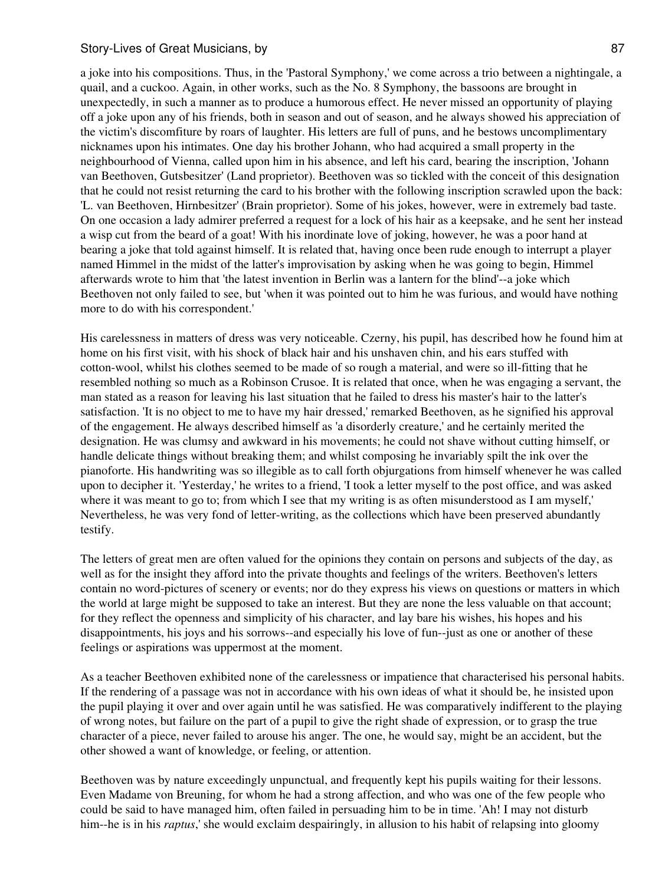a joke into his compositions. Thus, in the 'Pastoral Symphony,' we come across a trio between a nightingale, a quail, and a cuckoo. Again, in other works, such as the No. 8 Symphony, the bassoons are brought in unexpectedly, in such a manner as to produce a humorous effect. He never missed an opportunity of playing off a joke upon any of his friends, both in season and out of season, and he always showed his appreciation of the victim's discomfiture by roars of laughter. His letters are full of puns, and he bestows uncomplimentary nicknames upon his intimates. One day his brother Johann, who had acquired a small property in the neighbourhood of Vienna, called upon him in his absence, and left his card, bearing the inscription, 'Johann van Beethoven, Gutsbesitzer' (Land proprietor). Beethoven was so tickled with the conceit of this designation that he could not resist returning the card to his brother with the following inscription scrawled upon the back: 'L. van Beethoven, Hirnbesitzer' (Brain proprietor). Some of his jokes, however, were in extremely bad taste. On one occasion a lady admirer preferred a request for a lock of his hair as a keepsake, and he sent her instead a wisp cut from the beard of a goat! With his inordinate love of joking, however, he was a poor hand at bearing a joke that told against himself. It is related that, having once been rude enough to interrupt a player named Himmel in the midst of the latter's improvisation by asking when he was going to begin, Himmel afterwards wrote to him that 'the latest invention in Berlin was a lantern for the blind'--a joke which Beethoven not only failed to see, but 'when it was pointed out to him he was furious, and would have nothing more to do with his correspondent.'

His carelessness in matters of dress was very noticeable. Czerny, his pupil, has described how he found him at home on his first visit, with his shock of black hair and his unshaven chin, and his ears stuffed with cotton-wool, whilst his clothes seemed to be made of so rough a material, and were so ill-fitting that he resembled nothing so much as a Robinson Crusoe. It is related that once, when he was engaging a servant, the man stated as a reason for leaving his last situation that he failed to dress his master's hair to the latter's satisfaction. 'It is no object to me to have my hair dressed,' remarked Beethoven, as he signified his approval of the engagement. He always described himself as 'a disorderly creature,' and he certainly merited the designation. He was clumsy and awkward in his movements; he could not shave without cutting himself, or handle delicate things without breaking them; and whilst composing he invariably spilt the ink over the pianoforte. His handwriting was so illegible as to call forth objurgations from himself whenever he was called upon to decipher it. 'Yesterday,' he writes to a friend, 'I took a letter myself to the post office, and was asked where it was meant to go to; from which I see that my writing is as often misunderstood as I am myself, Nevertheless, he was very fond of letter-writing, as the collections which have been preserved abundantly testify.

The letters of great men are often valued for the opinions they contain on persons and subjects of the day, as well as for the insight they afford into the private thoughts and feelings of the writers. Beethoven's letters contain no word-pictures of scenery or events; nor do they express his views on questions or matters in which the world at large might be supposed to take an interest. But they are none the less valuable on that account; for they reflect the openness and simplicity of his character, and lay bare his wishes, his hopes and his disappointments, his joys and his sorrows--and especially his love of fun--just as one or another of these feelings or aspirations was uppermost at the moment.

As a teacher Beethoven exhibited none of the carelessness or impatience that characterised his personal habits. If the rendering of a passage was not in accordance with his own ideas of what it should be, he insisted upon the pupil playing it over and over again until he was satisfied. He was comparatively indifferent to the playing of wrong notes, but failure on the part of a pupil to give the right shade of expression, or to grasp the true character of a piece, never failed to arouse his anger. The one, he would say, might be an accident, but the other showed a want of knowledge, or feeling, or attention.

Beethoven was by nature exceedingly unpunctual, and frequently kept his pupils waiting for their lessons. Even Madame von Breuning, for whom he had a strong affection, and who was one of the few people who could be said to have managed him, often failed in persuading him to be in time. 'Ah! I may not disturb him--he is in his *raptus*,' she would exclaim despairingly, in allusion to his habit of relapsing into gloomy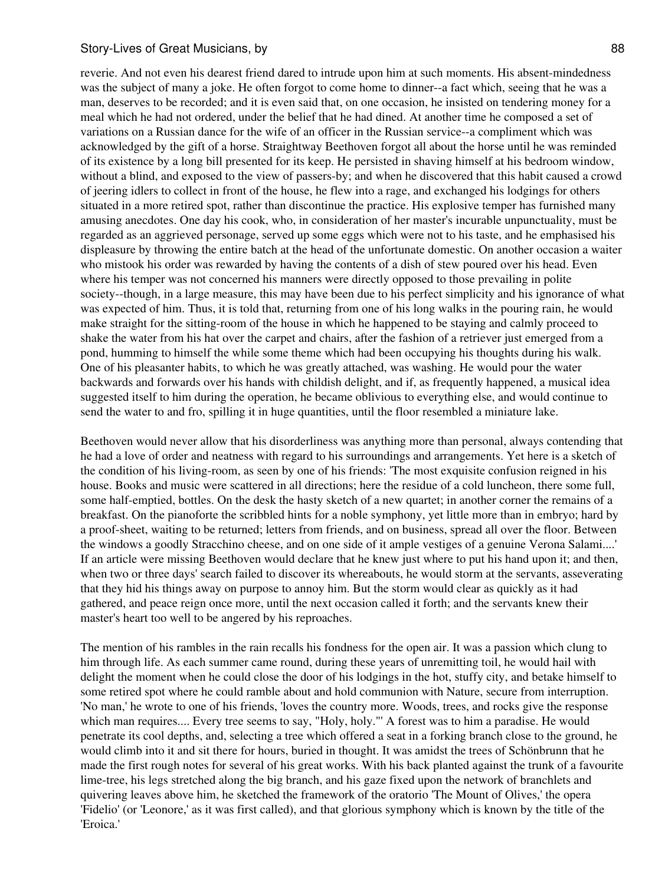reverie. And not even his dearest friend dared to intrude upon him at such moments. His absent-mindedness was the subject of many a joke. He often forgot to come home to dinner--a fact which, seeing that he was a man, deserves to be recorded; and it is even said that, on one occasion, he insisted on tendering money for a meal which he had not ordered, under the belief that he had dined. At another time he composed a set of variations on a Russian dance for the wife of an officer in the Russian service--a compliment which was acknowledged by the gift of a horse. Straightway Beethoven forgot all about the horse until he was reminded of its existence by a long bill presented for its keep. He persisted in shaving himself at his bedroom window, without a blind, and exposed to the view of passers-by; and when he discovered that this habit caused a crowd of jeering idlers to collect in front of the house, he flew into a rage, and exchanged his lodgings for others situated in a more retired spot, rather than discontinue the practice. His explosive temper has furnished many amusing anecdotes. One day his cook, who, in consideration of her master's incurable unpunctuality, must be regarded as an aggrieved personage, served up some eggs which were not to his taste, and he emphasised his displeasure by throwing the entire batch at the head of the unfortunate domestic. On another occasion a waiter who mistook his order was rewarded by having the contents of a dish of stew poured over his head. Even where his temper was not concerned his manners were directly opposed to those prevailing in polite society--though, in a large measure, this may have been due to his perfect simplicity and his ignorance of what was expected of him. Thus, it is told that, returning from one of his long walks in the pouring rain, he would make straight for the sitting-room of the house in which he happened to be staying and calmly proceed to shake the water from his hat over the carpet and chairs, after the fashion of a retriever just emerged from a pond, humming to himself the while some theme which had been occupying his thoughts during his walk. One of his pleasanter habits, to which he was greatly attached, was washing. He would pour the water backwards and forwards over his hands with childish delight, and if, as frequently happened, a musical idea suggested itself to him during the operation, he became oblivious to everything else, and would continue to send the water to and fro, spilling it in huge quantities, until the floor resembled a miniature lake.

Beethoven would never allow that his disorderliness was anything more than personal, always contending that he had a love of order and neatness with regard to his surroundings and arrangements. Yet here is a sketch of the condition of his living-room, as seen by one of his friends: 'The most exquisite confusion reigned in his house. Books and music were scattered in all directions; here the residue of a cold luncheon, there some full, some half-emptied, bottles. On the desk the hasty sketch of a new quartet; in another corner the remains of a breakfast. On the pianoforte the scribbled hints for a noble symphony, yet little more than in embryo; hard by a proof-sheet, waiting to be returned; letters from friends, and on business, spread all over the floor. Between the windows a goodly Stracchino cheese, and on one side of it ample vestiges of a genuine Verona Salami....' If an article were missing Beethoven would declare that he knew just where to put his hand upon it; and then, when two or three days' search failed to discover its whereabouts, he would storm at the servants, asseverating that they hid his things away on purpose to annoy him. But the storm would clear as quickly as it had gathered, and peace reign once more, until the next occasion called it forth; and the servants knew their master's heart too well to be angered by his reproaches.

The mention of his rambles in the rain recalls his fondness for the open air. It was a passion which clung to him through life. As each summer came round, during these years of unremitting toil, he would hail with delight the moment when he could close the door of his lodgings in the hot, stuffy city, and betake himself to some retired spot where he could ramble about and hold communion with Nature, secure from interruption. 'No man,' he wrote to one of his friends, 'loves the country more. Woods, trees, and rocks give the response which man requires.... Every tree seems to say, "Holy, holy."' A forest was to him a paradise. He would penetrate its cool depths, and, selecting a tree which offered a seat in a forking branch close to the ground, he would climb into it and sit there for hours, buried in thought. It was amidst the trees of Schönbrunn that he made the first rough notes for several of his great works. With his back planted against the trunk of a favourite lime-tree, his legs stretched along the big branch, and his gaze fixed upon the network of branchlets and quivering leaves above him, he sketched the framework of the oratorio 'The Mount of Olives,' the opera 'Fidelio' (or 'Leonore,' as it was first called), and that glorious symphony which is known by the title of the 'Eroica.'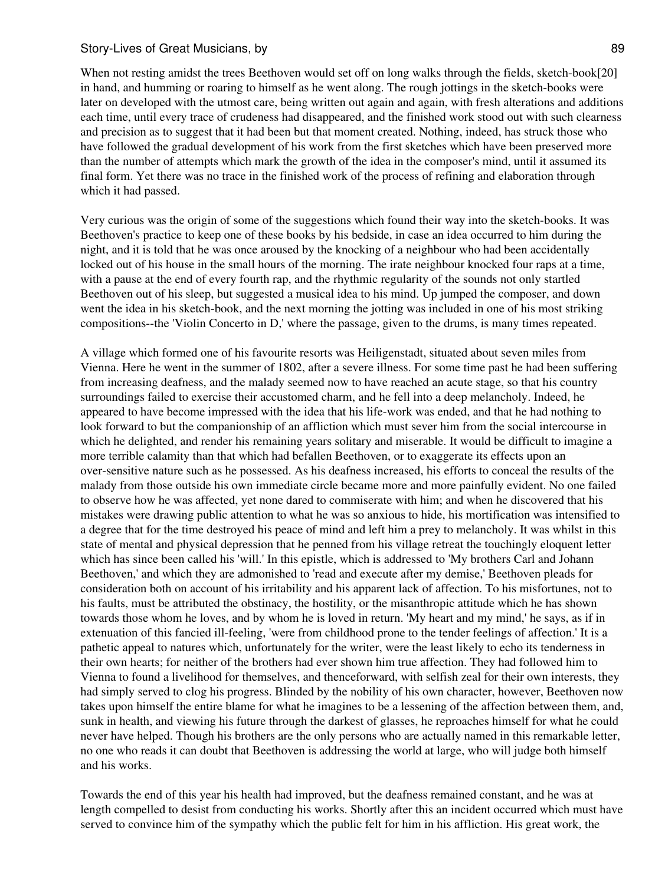When not resting amidst the trees Beethoven would set off on long walks through the fields, sketch-book[20] in hand, and humming or roaring to himself as he went along. The rough jottings in the sketch-books were later on developed with the utmost care, being written out again and again, with fresh alterations and additions each time, until every trace of crudeness had disappeared, and the finished work stood out with such clearness and precision as to suggest that it had been but that moment created. Nothing, indeed, has struck those who have followed the gradual development of his work from the first sketches which have been preserved more than the number of attempts which mark the growth of the idea in the composer's mind, until it assumed its final form. Yet there was no trace in the finished work of the process of refining and elaboration through which it had passed.

Very curious was the origin of some of the suggestions which found their way into the sketch-books. It was Beethoven's practice to keep one of these books by his bedside, in case an idea occurred to him during the night, and it is told that he was once aroused by the knocking of a neighbour who had been accidentally locked out of his house in the small hours of the morning. The irate neighbour knocked four raps at a time, with a pause at the end of every fourth rap, and the rhythmic regularity of the sounds not only startled Beethoven out of his sleep, but suggested a musical idea to his mind. Up jumped the composer, and down went the idea in his sketch-book, and the next morning the jotting was included in one of his most striking compositions--the 'Violin Concerto in D,' where the passage, given to the drums, is many times repeated.

A village which formed one of his favourite resorts was Heiligenstadt, situated about seven miles from Vienna. Here he went in the summer of 1802, after a severe illness. For some time past he had been suffering from increasing deafness, and the malady seemed now to have reached an acute stage, so that his country surroundings failed to exercise their accustomed charm, and he fell into a deep melancholy. Indeed, he appeared to have become impressed with the idea that his life-work was ended, and that he had nothing to look forward to but the companionship of an affliction which must sever him from the social intercourse in which he delighted, and render his remaining years solitary and miserable. It would be difficult to imagine a more terrible calamity than that which had befallen Beethoven, or to exaggerate its effects upon an over-sensitive nature such as he possessed. As his deafness increased, his efforts to conceal the results of the malady from those outside his own immediate circle became more and more painfully evident. No one failed to observe how he was affected, yet none dared to commiserate with him; and when he discovered that his mistakes were drawing public attention to what he was so anxious to hide, his mortification was intensified to a degree that for the time destroyed his peace of mind and left him a prey to melancholy. It was whilst in this state of mental and physical depression that he penned from his village retreat the touchingly eloquent letter which has since been called his 'will.' In this epistle, which is addressed to 'My brothers Carl and Johann Beethoven,' and which they are admonished to 'read and execute after my demise,' Beethoven pleads for consideration both on account of his irritability and his apparent lack of affection. To his misfortunes, not to his faults, must be attributed the obstinacy, the hostility, or the misanthropic attitude which he has shown towards those whom he loves, and by whom he is loved in return. 'My heart and my mind,' he says, as if in extenuation of this fancied ill-feeling, 'were from childhood prone to the tender feelings of affection.' It is a pathetic appeal to natures which, unfortunately for the writer, were the least likely to echo its tenderness in their own hearts; for neither of the brothers had ever shown him true affection. They had followed him to Vienna to found a livelihood for themselves, and thenceforward, with selfish zeal for their own interests, they had simply served to clog his progress. Blinded by the nobility of his own character, however, Beethoven now takes upon himself the entire blame for what he imagines to be a lessening of the affection between them, and, sunk in health, and viewing his future through the darkest of glasses, he reproaches himself for what he could never have helped. Though his brothers are the only persons who are actually named in this remarkable letter, no one who reads it can doubt that Beethoven is addressing the world at large, who will judge both himself and his works.

Towards the end of this year his health had improved, but the deafness remained constant, and he was at length compelled to desist from conducting his works. Shortly after this an incident occurred which must have served to convince him of the sympathy which the public felt for him in his affliction. His great work, the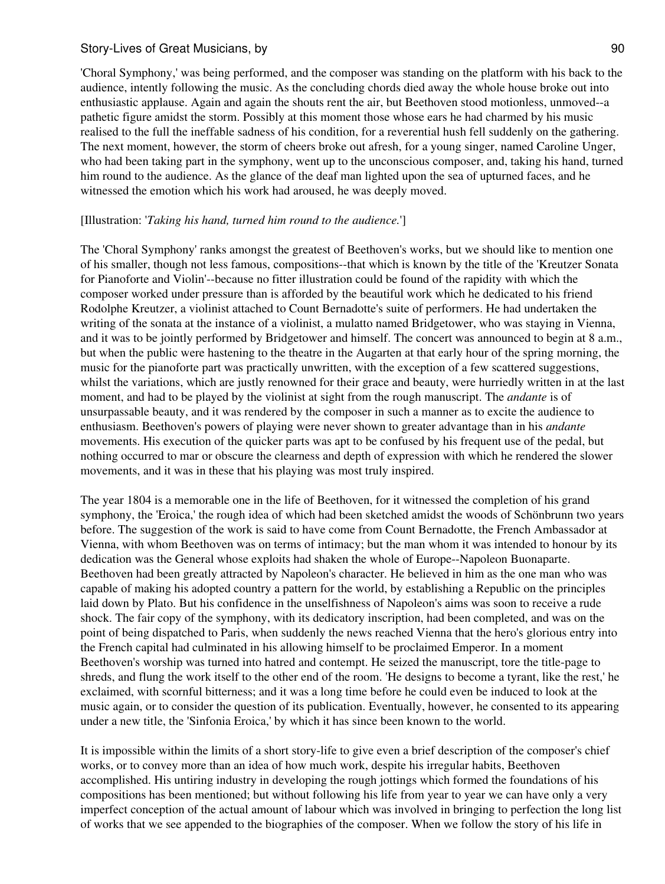'Choral Symphony,' was being performed, and the composer was standing on the platform with his back to the audience, intently following the music. As the concluding chords died away the whole house broke out into enthusiastic applause. Again and again the shouts rent the air, but Beethoven stood motionless, unmoved--a pathetic figure amidst the storm. Possibly at this moment those whose ears he had charmed by his music realised to the full the ineffable sadness of his condition, for a reverential hush fell suddenly on the gathering. The next moment, however, the storm of cheers broke out afresh, for a young singer, named Caroline Unger, who had been taking part in the symphony, went up to the unconscious composer, and, taking his hand, turned him round to the audience. As the glance of the deaf man lighted upon the sea of upturned faces, and he witnessed the emotion which his work had aroused, he was deeply moved.

### [Illustration: '*Taking his hand, turned him round to the audience.*']

The 'Choral Symphony' ranks amongst the greatest of Beethoven's works, but we should like to mention one of his smaller, though not less famous, compositions--that which is known by the title of the 'Kreutzer Sonata for Pianoforte and Violin'--because no fitter illustration could be found of the rapidity with which the composer worked under pressure than is afforded by the beautiful work which he dedicated to his friend Rodolphe Kreutzer, a violinist attached to Count Bernadotte's suite of performers. He had undertaken the writing of the sonata at the instance of a violinist, a mulatto named Bridgetower, who was staying in Vienna, and it was to be jointly performed by Bridgetower and himself. The concert was announced to begin at 8 a.m., but when the public were hastening to the theatre in the Augarten at that early hour of the spring morning, the music for the pianoforte part was practically unwritten, with the exception of a few scattered suggestions, whilst the variations, which are justly renowned for their grace and beauty, were hurriedly written in at the last moment, and had to be played by the violinist at sight from the rough manuscript. The *andante* is of unsurpassable beauty, and it was rendered by the composer in such a manner as to excite the audience to enthusiasm. Beethoven's powers of playing were never shown to greater advantage than in his *andante* movements. His execution of the quicker parts was apt to be confused by his frequent use of the pedal, but nothing occurred to mar or obscure the clearness and depth of expression with which he rendered the slower movements, and it was in these that his playing was most truly inspired.

The year 1804 is a memorable one in the life of Beethoven, for it witnessed the completion of his grand symphony, the 'Eroica,' the rough idea of which had been sketched amidst the woods of Schönbrunn two years before. The suggestion of the work is said to have come from Count Bernadotte, the French Ambassador at Vienna, with whom Beethoven was on terms of intimacy; but the man whom it was intended to honour by its dedication was the General whose exploits had shaken the whole of Europe--Napoleon Buonaparte. Beethoven had been greatly attracted by Napoleon's character. He believed in him as the one man who was capable of making his adopted country a pattern for the world, by establishing a Republic on the principles laid down by Plato. But his confidence in the unselfishness of Napoleon's aims was soon to receive a rude shock. The fair copy of the symphony, with its dedicatory inscription, had been completed, and was on the point of being dispatched to Paris, when suddenly the news reached Vienna that the hero's glorious entry into the French capital had culminated in his allowing himself to be proclaimed Emperor. In a moment Beethoven's worship was turned into hatred and contempt. He seized the manuscript, tore the title-page to shreds, and flung the work itself to the other end of the room. 'He designs to become a tyrant, like the rest,' he exclaimed, with scornful bitterness; and it was a long time before he could even be induced to look at the music again, or to consider the question of its publication. Eventually, however, he consented to its appearing under a new title, the 'Sinfonia Eroica,' by which it has since been known to the world.

It is impossible within the limits of a short story-life to give even a brief description of the composer's chief works, or to convey more than an idea of how much work, despite his irregular habits, Beethoven accomplished. His untiring industry in developing the rough jottings which formed the foundations of his compositions has been mentioned; but without following his life from year to year we can have only a very imperfect conception of the actual amount of labour which was involved in bringing to perfection the long list of works that we see appended to the biographies of the composer. When we follow the story of his life in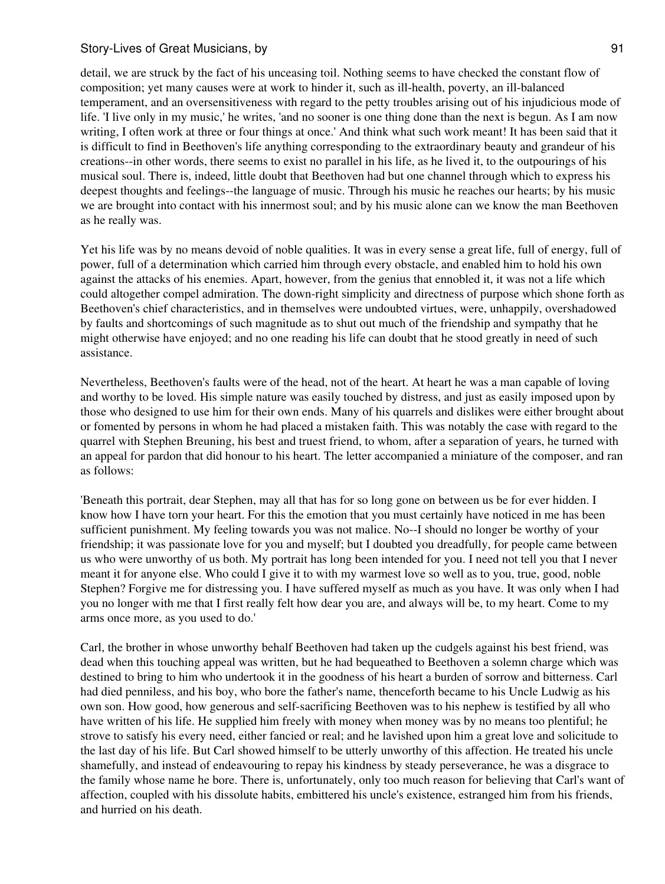detail, we are struck by the fact of his unceasing toil. Nothing seems to have checked the constant flow of composition; yet many causes were at work to hinder it, such as ill-health, poverty, an ill-balanced temperament, and an oversensitiveness with regard to the petty troubles arising out of his injudicious mode of life. 'I live only in my music,' he writes, 'and no sooner is one thing done than the next is begun. As I am now writing, I often work at three or four things at once.' And think what such work meant! It has been said that it is difficult to find in Beethoven's life anything corresponding to the extraordinary beauty and grandeur of his creations--in other words, there seems to exist no parallel in his life, as he lived it, to the outpourings of his musical soul. There is, indeed, little doubt that Beethoven had but one channel through which to express his deepest thoughts and feelings--the language of music. Through his music he reaches our hearts; by his music we are brought into contact with his innermost soul; and by his music alone can we know the man Beethoven as he really was.

Yet his life was by no means devoid of noble qualities. It was in every sense a great life, full of energy, full of power, full of a determination which carried him through every obstacle, and enabled him to hold his own against the attacks of his enemies. Apart, however, from the genius that ennobled it, it was not a life which could altogether compel admiration. The down-right simplicity and directness of purpose which shone forth as Beethoven's chief characteristics, and in themselves were undoubted virtues, were, unhappily, overshadowed by faults and shortcomings of such magnitude as to shut out much of the friendship and sympathy that he might otherwise have enjoyed; and no one reading his life can doubt that he stood greatly in need of such assistance.

Nevertheless, Beethoven's faults were of the head, not of the heart. At heart he was a man capable of loving and worthy to be loved. His simple nature was easily touched by distress, and just as easily imposed upon by those who designed to use him for their own ends. Many of his quarrels and dislikes were either brought about or fomented by persons in whom he had placed a mistaken faith. This was notably the case with regard to the quarrel with Stephen Breuning, his best and truest friend, to whom, after a separation of years, he turned with an appeal for pardon that did honour to his heart. The letter accompanied a miniature of the composer, and ran as follows:

'Beneath this portrait, dear Stephen, may all that has for so long gone on between us be for ever hidden. I know how I have torn your heart. For this the emotion that you must certainly have noticed in me has been sufficient punishment. My feeling towards you was not malice. No--I should no longer be worthy of your friendship; it was passionate love for you and myself; but I doubted you dreadfully, for people came between us who were unworthy of us both. My portrait has long been intended for you. I need not tell you that I never meant it for anyone else. Who could I give it to with my warmest love so well as to you, true, good, noble Stephen? Forgive me for distressing you. I have suffered myself as much as you have. It was only when I had you no longer with me that I first really felt how dear you are, and always will be, to my heart. Come to my arms once more, as you used to do.'

Carl, the brother in whose unworthy behalf Beethoven had taken up the cudgels against his best friend, was dead when this touching appeal was written, but he had bequeathed to Beethoven a solemn charge which was destined to bring to him who undertook it in the goodness of his heart a burden of sorrow and bitterness. Carl had died penniless, and his boy, who bore the father's name, thenceforth became to his Uncle Ludwig as his own son. How good, how generous and self-sacrificing Beethoven was to his nephew is testified by all who have written of his life. He supplied him freely with money when money was by no means too plentiful; he strove to satisfy his every need, either fancied or real; and he lavished upon him a great love and solicitude to the last day of his life. But Carl showed himself to be utterly unworthy of this affection. He treated his uncle shamefully, and instead of endeavouring to repay his kindness by steady perseverance, he was a disgrace to the family whose name he bore. There is, unfortunately, only too much reason for believing that Carl's want of affection, coupled with his dissolute habits, embittered his uncle's existence, estranged him from his friends, and hurried on his death.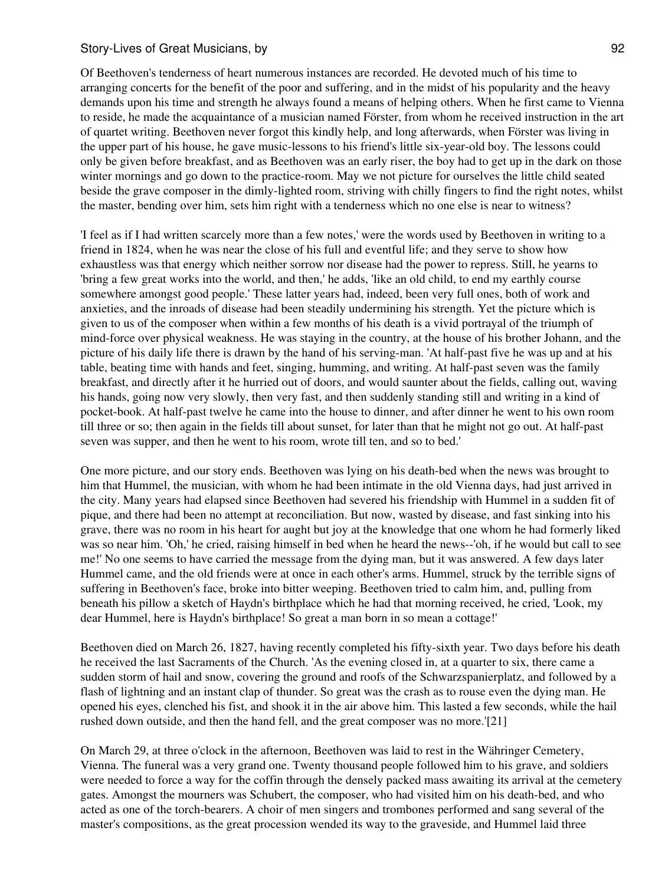Of Beethoven's tenderness of heart numerous instances are recorded. He devoted much of his time to arranging concerts for the benefit of the poor and suffering, and in the midst of his popularity and the heavy demands upon his time and strength he always found a means of helping others. When he first came to Vienna to reside, he made the acquaintance of a musician named Förster, from whom he received instruction in the art of quartet writing. Beethoven never forgot this kindly help, and long afterwards, when Förster was living in the upper part of his house, he gave music-lessons to his friend's little six-year-old boy. The lessons could only be given before breakfast, and as Beethoven was an early riser, the boy had to get up in the dark on those winter mornings and go down to the practice-room. May we not picture for ourselves the little child seated beside the grave composer in the dimly-lighted room, striving with chilly fingers to find the right notes, whilst the master, bending over him, sets him right with a tenderness which no one else is near to witness?

'I feel as if I had written scarcely more than a few notes,' were the words used by Beethoven in writing to a friend in 1824, when he was near the close of his full and eventful life; and they serve to show how exhaustless was that energy which neither sorrow nor disease had the power to repress. Still, he yearns to 'bring a few great works into the world, and then,' he adds, 'like an old child, to end my earthly course somewhere amongst good people.' These latter years had, indeed, been very full ones, both of work and anxieties, and the inroads of disease had been steadily undermining his strength. Yet the picture which is given to us of the composer when within a few months of his death is a vivid portrayal of the triumph of mind-force over physical weakness. He was staying in the country, at the house of his brother Johann, and the picture of his daily life there is drawn by the hand of his serving-man. 'At half-past five he was up and at his table, beating time with hands and feet, singing, humming, and writing. At half-past seven was the family breakfast, and directly after it he hurried out of doors, and would saunter about the fields, calling out, waving his hands, going now very slowly, then very fast, and then suddenly standing still and writing in a kind of pocket-book. At half-past twelve he came into the house to dinner, and after dinner he went to his own room till three or so; then again in the fields till about sunset, for later than that he might not go out. At half-past seven was supper, and then he went to his room, wrote till ten, and so to bed.'

One more picture, and our story ends. Beethoven was lying on his death-bed when the news was brought to him that Hummel, the musician, with whom he had been intimate in the old Vienna days, had just arrived in the city. Many years had elapsed since Beethoven had severed his friendship with Hummel in a sudden fit of pique, and there had been no attempt at reconciliation. But now, wasted by disease, and fast sinking into his grave, there was no room in his heart for aught but joy at the knowledge that one whom he had formerly liked was so near him. 'Oh,' he cried, raising himself in bed when he heard the news--'oh, if he would but call to see me!' No one seems to have carried the message from the dying man, but it was answered. A few days later Hummel came, and the old friends were at once in each other's arms. Hummel, struck by the terrible signs of suffering in Beethoven's face, broke into bitter weeping. Beethoven tried to calm him, and, pulling from beneath his pillow a sketch of Haydn's birthplace which he had that morning received, he cried, 'Look, my dear Hummel, here is Haydn's birthplace! So great a man born in so mean a cottage!'

Beethoven died on March 26, 1827, having recently completed his fifty-sixth year. Two days before his death he received the last Sacraments of the Church. 'As the evening closed in, at a quarter to six, there came a sudden storm of hail and snow, covering the ground and roofs of the Schwarzspanierplatz, and followed by a flash of lightning and an instant clap of thunder. So great was the crash as to rouse even the dying man. He opened his eyes, clenched his fist, and shook it in the air above him. This lasted a few seconds, while the hail rushed down outside, and then the hand fell, and the great composer was no more.'[21]

On March 29, at three o'clock in the afternoon, Beethoven was laid to rest in the Währinger Cemetery, Vienna. The funeral was a very grand one. Twenty thousand people followed him to his grave, and soldiers were needed to force a way for the coffin through the densely packed mass awaiting its arrival at the cemetery gates. Amongst the mourners was Schubert, the composer, who had visited him on his death-bed, and who acted as one of the torch-bearers. A choir of men singers and trombones performed and sang several of the master's compositions, as the great procession wended its way to the graveside, and Hummel laid three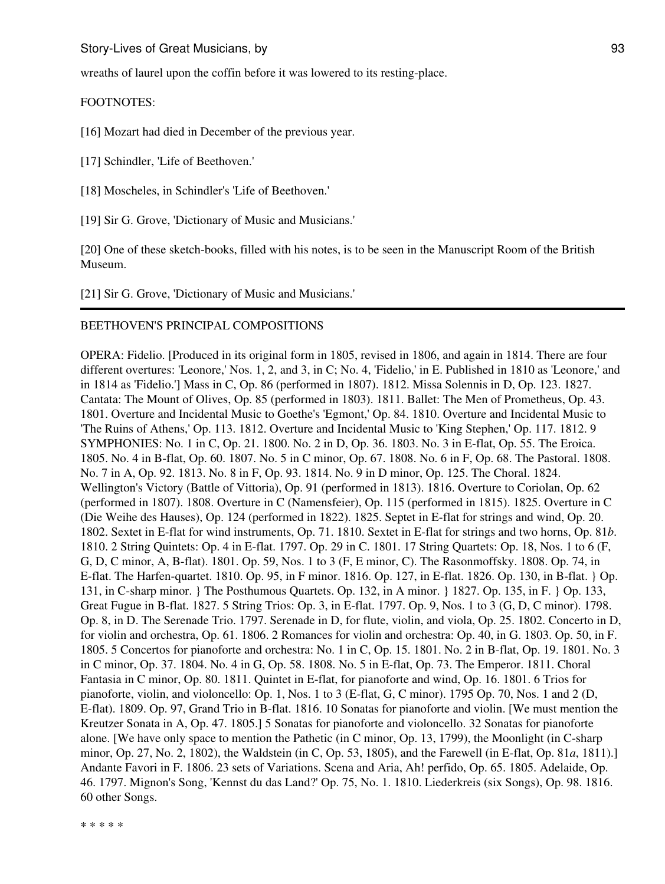wreaths of laurel upon the coffin before it was lowered to its resting-place.

#### FOOTNOTES:

[16] Mozart had died in December of the previous year.

[17] Schindler, 'Life of Beethoven.'

[18] Moscheles, in Schindler's 'Life of Beethoven.'

[19] Sir G. Grove, 'Dictionary of Music and Musicians.'

[20] One of these sketch-books, filled with his notes, is to be seen in the Manuscript Room of the British Museum.

[21] Sir G. Grove, 'Dictionary of Music and Musicians.'

## BEETHOVEN'S PRINCIPAL COMPOSITIONS

OPERA: Fidelio. [Produced in its original form in 1805, revised in 1806, and again in 1814. There are four different overtures: 'Leonore,' Nos. 1, 2, and 3, in C; No. 4, 'Fidelio,' in E. Published in 1810 as 'Leonore,' and in 1814 as 'Fidelio.'] Mass in C, Op. 86 (performed in 1807). 1812. Missa Solennis in D, Op. 123. 1827. Cantata: The Mount of Olives, Op. 85 (performed in 1803). 1811. Ballet: The Men of Prometheus, Op. 43. 1801. Overture and Incidental Music to Goethe's 'Egmont,' Op. 84. 1810. Overture and Incidental Music to 'The Ruins of Athens,' Op. 113. 1812. Overture and Incidental Music to 'King Stephen,' Op. 117. 1812. 9 SYMPHONIES: No. 1 in C, Op. 21. 1800. No. 2 in D, Op. 36. 1803. No. 3 in E-flat, Op. 55. The Eroica. 1805. No. 4 in B-flat, Op. 60. 1807. No. 5 in C minor, Op. 67. 1808. No. 6 in F, Op. 68. The Pastoral. 1808. No. 7 in A, Op. 92. 1813. No. 8 in F, Op. 93. 1814. No. 9 in D minor, Op. 125. The Choral. 1824. Wellington's Victory (Battle of Vittoria), Op. 91 (performed in 1813). 1816. Overture to Coriolan, Op. 62 (performed in 1807). 1808. Overture in C (Namensfeier), Op. 115 (performed in 1815). 1825. Overture in C (Die Weihe des Hauses), Op. 124 (performed in 1822). 1825. Septet in E-flat for strings and wind, Op. 20. 1802. Sextet in E-flat for wind instruments, Op. 71. 1810. Sextet in E-flat for strings and two horns, Op. 81*b*. 1810. 2 String Quintets: Op. 4 in E-flat. 1797. Op. 29 in C. 1801. 17 String Quartets: Op. 18, Nos. 1 to 6 (F, G, D, C minor, A, B-flat). 1801. Op. 59, Nos. 1 to 3 (F, E minor, C). The Rasonmoffsky. 1808. Op. 74, in E-flat. The Harfen-quartet. 1810. Op. 95, in F minor. 1816. Op. 127, in E-flat. 1826. Op. 130, in B-flat. } Op. 131, in C-sharp minor. } The Posthumous Quartets. Op. 132, in A minor. } 1827. Op. 135, in F. } Op. 133, Great Fugue in B-flat. 1827. 5 String Trios: Op. 3, in E-flat. 1797. Op. 9, Nos. 1 to 3 (G, D, C minor). 1798. Op. 8, in D. The Serenade Trio. 1797. Serenade in D, for flute, violin, and viola, Op. 25. 1802. Concerto in D, for violin and orchestra, Op. 61. 1806. 2 Romances for violin and orchestra: Op. 40, in G. 1803. Op. 50, in F. 1805. 5 Concertos for pianoforte and orchestra: No. 1 in C, Op. 15. 1801. No. 2 in B-flat, Op. 19. 1801. No. 3 in C minor, Op. 37. 1804. No. 4 in G, Op. 58. 1808. No. 5 in E-flat, Op. 73. The Emperor. 1811. Choral Fantasia in C minor, Op. 80. 1811. Quintet in E-flat, for pianoforte and wind, Op. 16. 1801. 6 Trios for pianoforte, violin, and violoncello: Op. 1, Nos. 1 to 3 (E-flat, G, C minor). 1795 Op. 70, Nos. 1 and 2 (D, E-flat). 1809. Op. 97, Grand Trio in B-flat. 1816. 10 Sonatas for pianoforte and violin. [We must mention the Kreutzer Sonata in A, Op. 47. 1805.] 5 Sonatas for pianoforte and violoncello. 32 Sonatas for pianoforte alone. [We have only space to mention the Pathetic (in C minor, Op. 13, 1799), the Moonlight (in C-sharp minor, Op. 27, No. 2, 1802), the Waldstein (in C, Op. 53, 1805), and the Farewell (in E-flat, Op. 81*a*, 1811).] Andante Favori in F. 1806. 23 sets of Variations. Scena and Aria, Ah! perfido, Op. 65. 1805. Adelaide, Op. 46. 1797. Mignon's Song, 'Kennst du das Land?' Op. 75, No. 1. 1810. Liederkreis (six Songs), Op. 98. 1816. 60 other Songs.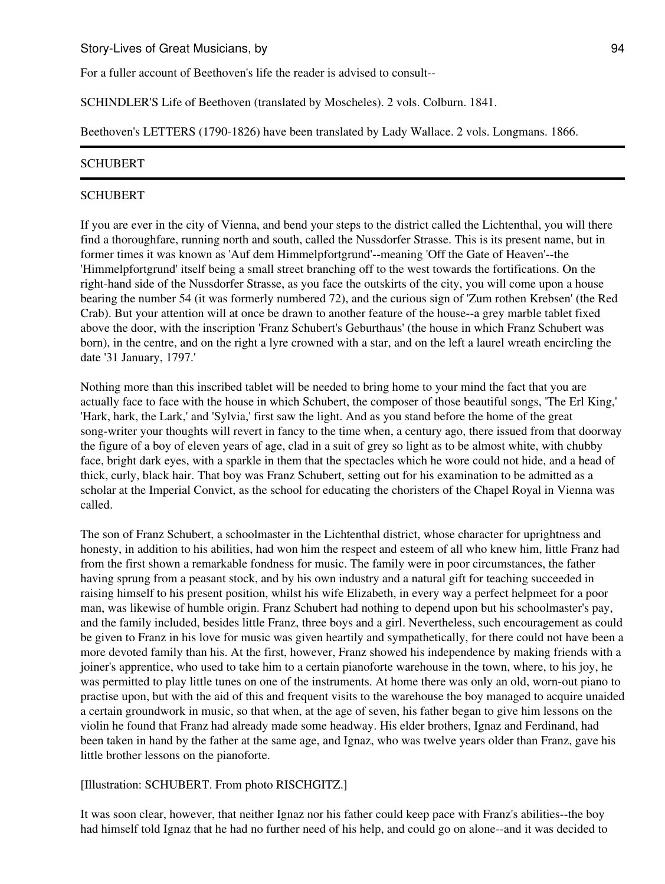For a fuller account of Beethoven's life the reader is advised to consult--

SCHINDLER'S Life of Beethoven (translated by Moscheles). 2 vols. Colburn. 1841.

Beethoven's LETTERS (1790-1826) have been translated by Lady Wallace. 2 vols. Longmans. 1866.

## **SCHUBERT**

### **SCHUBERT**

If you are ever in the city of Vienna, and bend your steps to the district called the Lichtenthal, you will there find a thoroughfare, running north and south, called the Nussdorfer Strasse. This is its present name, but in former times it was known as 'Auf dem Himmelpfortgrund'--meaning 'Off the Gate of Heaven'--the 'Himmelpfortgrund' itself being a small street branching off to the west towards the fortifications. On the right-hand side of the Nussdorfer Strasse, as you face the outskirts of the city, you will come upon a house bearing the number 54 (it was formerly numbered 72), and the curious sign of 'Zum rothen Krebsen' (the Red Crab). But your attention will at once be drawn to another feature of the house--a grey marble tablet fixed above the door, with the inscription 'Franz Schubert's Geburthaus' (the house in which Franz Schubert was born), in the centre, and on the right a lyre crowned with a star, and on the left a laurel wreath encircling the date '31 January, 1797.'

Nothing more than this inscribed tablet will be needed to bring home to your mind the fact that you are actually face to face with the house in which Schubert, the composer of those beautiful songs, 'The Erl King,' 'Hark, hark, the Lark,' and 'Sylvia,' first saw the light. And as you stand before the home of the great song-writer your thoughts will revert in fancy to the time when, a century ago, there issued from that doorway the figure of a boy of eleven years of age, clad in a suit of grey so light as to be almost white, with chubby face, bright dark eyes, with a sparkle in them that the spectacles which he wore could not hide, and a head of thick, curly, black hair. That boy was Franz Schubert, setting out for his examination to be admitted as a scholar at the Imperial Convict, as the school for educating the choristers of the Chapel Royal in Vienna was called.

The son of Franz Schubert, a schoolmaster in the Lichtenthal district, whose character for uprightness and honesty, in addition to his abilities, had won him the respect and esteem of all who knew him, little Franz had from the first shown a remarkable fondness for music. The family were in poor circumstances, the father having sprung from a peasant stock, and by his own industry and a natural gift for teaching succeeded in raising himself to his present position, whilst his wife Elizabeth, in every way a perfect helpmeet for a poor man, was likewise of humble origin. Franz Schubert had nothing to depend upon but his schoolmaster's pay, and the family included, besides little Franz, three boys and a girl. Nevertheless, such encouragement as could be given to Franz in his love for music was given heartily and sympathetically, for there could not have been a more devoted family than his. At the first, however, Franz showed his independence by making friends with a joiner's apprentice, who used to take him to a certain pianoforte warehouse in the town, where, to his joy, he was permitted to play little tunes on one of the instruments. At home there was only an old, worn-out piano to practise upon, but with the aid of this and frequent visits to the warehouse the boy managed to acquire unaided a certain groundwork in music, so that when, at the age of seven, his father began to give him lessons on the violin he found that Franz had already made some headway. His elder brothers, Ignaz and Ferdinand, had been taken in hand by the father at the same age, and Ignaz, who was twelve years older than Franz, gave his little brother lessons on the pianoforte.

## [Illustration: SCHUBERT. From photo RISCHGITZ.]

It was soon clear, however, that neither Ignaz nor his father could keep pace with Franz's abilities--the boy had himself told Ignaz that he had no further need of his help, and could go on alone--and it was decided to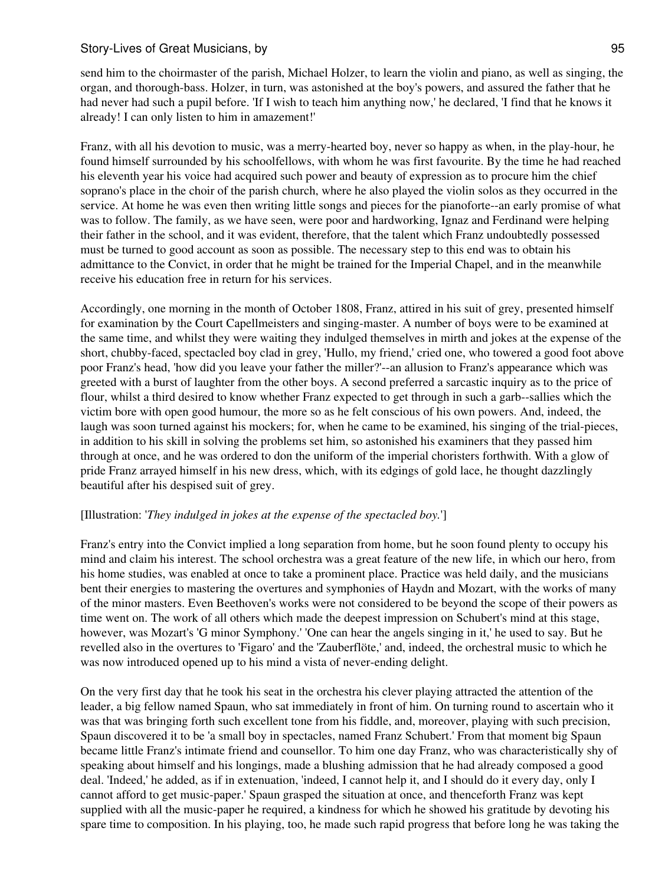send him to the choirmaster of the parish, Michael Holzer, to learn the violin and piano, as well as singing, the organ, and thorough-bass. Holzer, in turn, was astonished at the boy's powers, and assured the father that he had never had such a pupil before. 'If I wish to teach him anything now,' he declared, 'I find that he knows it already! I can only listen to him in amazement!'

Franz, with all his devotion to music, was a merry-hearted boy, never so happy as when, in the play-hour, he found himself surrounded by his schoolfellows, with whom he was first favourite. By the time he had reached his eleventh year his voice had acquired such power and beauty of expression as to procure him the chief soprano's place in the choir of the parish church, where he also played the violin solos as they occurred in the service. At home he was even then writing little songs and pieces for the pianoforte--an early promise of what was to follow. The family, as we have seen, were poor and hardworking, Ignaz and Ferdinand were helping their father in the school, and it was evident, therefore, that the talent which Franz undoubtedly possessed must be turned to good account as soon as possible. The necessary step to this end was to obtain his admittance to the Convict, in order that he might be trained for the Imperial Chapel, and in the meanwhile receive his education free in return for his services.

Accordingly, one morning in the month of October 1808, Franz, attired in his suit of grey, presented himself for examination by the Court Capellmeisters and singing-master. A number of boys were to be examined at the same time, and whilst they were waiting they indulged themselves in mirth and jokes at the expense of the short, chubby-faced, spectacled boy clad in grey, 'Hullo, my friend,' cried one, who towered a good foot above poor Franz's head, 'how did you leave your father the miller?'--an allusion to Franz's appearance which was greeted with a burst of laughter from the other boys. A second preferred a sarcastic inquiry as to the price of flour, whilst a third desired to know whether Franz expected to get through in such a garb--sallies which the victim bore with open good humour, the more so as he felt conscious of his own powers. And, indeed, the laugh was soon turned against his mockers; for, when he came to be examined, his singing of the trial-pieces, in addition to his skill in solving the problems set him, so astonished his examiners that they passed him through at once, and he was ordered to don the uniform of the imperial choristers forthwith. With a glow of pride Franz arrayed himself in his new dress, which, with its edgings of gold lace, he thought dazzlingly beautiful after his despised suit of grey.

## [Illustration: '*They indulged in jokes at the expense of the spectacled boy.*']

Franz's entry into the Convict implied a long separation from home, but he soon found plenty to occupy his mind and claim his interest. The school orchestra was a great feature of the new life, in which our hero, from his home studies, was enabled at once to take a prominent place. Practice was held daily, and the musicians bent their energies to mastering the overtures and symphonies of Haydn and Mozart, with the works of many of the minor masters. Even Beethoven's works were not considered to be beyond the scope of their powers as time went on. The work of all others which made the deepest impression on Schubert's mind at this stage, however, was Mozart's 'G minor Symphony.' 'One can hear the angels singing in it,' he used to say. But he revelled also in the overtures to 'Figaro' and the 'Zauberflöte,' and, indeed, the orchestral music to which he was now introduced opened up to his mind a vista of never-ending delight.

On the very first day that he took his seat in the orchestra his clever playing attracted the attention of the leader, a big fellow named Spaun, who sat immediately in front of him. On turning round to ascertain who it was that was bringing forth such excellent tone from his fiddle, and, moreover, playing with such precision, Spaun discovered it to be 'a small boy in spectacles, named Franz Schubert.' From that moment big Spaun became little Franz's intimate friend and counsellor. To him one day Franz, who was characteristically shy of speaking about himself and his longings, made a blushing admission that he had already composed a good deal. 'Indeed,' he added, as if in extenuation, 'indeed, I cannot help it, and I should do it every day, only I cannot afford to get music-paper.' Spaun grasped the situation at once, and thenceforth Franz was kept supplied with all the music-paper he required, a kindness for which he showed his gratitude by devoting his spare time to composition. In his playing, too, he made such rapid progress that before long he was taking the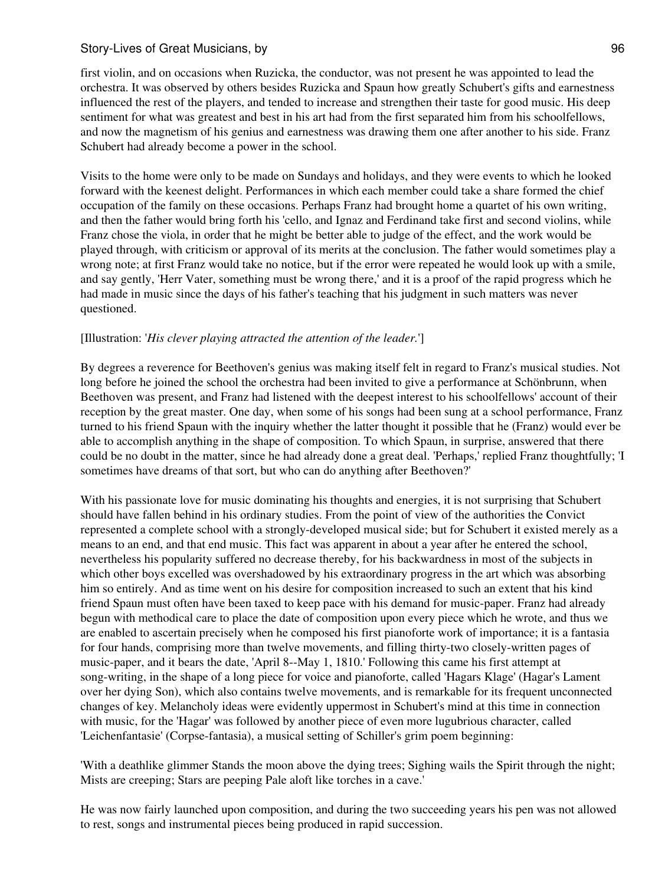first violin, and on occasions when Ruzicka, the conductor, was not present he was appointed to lead the orchestra. It was observed by others besides Ruzicka and Spaun how greatly Schubert's gifts and earnestness influenced the rest of the players, and tended to increase and strengthen their taste for good music. His deep sentiment for what was greatest and best in his art had from the first separated him from his schoolfellows, and now the magnetism of his genius and earnestness was drawing them one after another to his side. Franz Schubert had already become a power in the school.

Visits to the home were only to be made on Sundays and holidays, and they were events to which he looked forward with the keenest delight. Performances in which each member could take a share formed the chief occupation of the family on these occasions. Perhaps Franz had brought home a quartet of his own writing, and then the father would bring forth his 'cello, and Ignaz and Ferdinand take first and second violins, while Franz chose the viola, in order that he might be better able to judge of the effect, and the work would be played through, with criticism or approval of its merits at the conclusion. The father would sometimes play a wrong note; at first Franz would take no notice, but if the error were repeated he would look up with a smile, and say gently, 'Herr Vater, something must be wrong there,' and it is a proof of the rapid progress which he had made in music since the days of his father's teaching that his judgment in such matters was never questioned.

# [Illustration: '*His clever playing attracted the attention of the leader.*']

By degrees a reverence for Beethoven's genius was making itself felt in regard to Franz's musical studies. Not long before he joined the school the orchestra had been invited to give a performance at Schönbrunn, when Beethoven was present, and Franz had listened with the deepest interest to his schoolfellows' account of their reception by the great master. One day, when some of his songs had been sung at a school performance, Franz turned to his friend Spaun with the inquiry whether the latter thought it possible that he (Franz) would ever be able to accomplish anything in the shape of composition. To which Spaun, in surprise, answered that there could be no doubt in the matter, since he had already done a great deal. 'Perhaps,' replied Franz thoughtfully; 'I sometimes have dreams of that sort, but who can do anything after Beethoven?'

With his passionate love for music dominating his thoughts and energies, it is not surprising that Schubert should have fallen behind in his ordinary studies. From the point of view of the authorities the Convict represented a complete school with a strongly-developed musical side; but for Schubert it existed merely as a means to an end, and that end music. This fact was apparent in about a year after he entered the school, nevertheless his popularity suffered no decrease thereby, for his backwardness in most of the subjects in which other boys excelled was overshadowed by his extraordinary progress in the art which was absorbing him so entirely. And as time went on his desire for composition increased to such an extent that his kind friend Spaun must often have been taxed to keep pace with his demand for music-paper. Franz had already begun with methodical care to place the date of composition upon every piece which he wrote, and thus we are enabled to ascertain precisely when he composed his first pianoforte work of importance; it is a fantasia for four hands, comprising more than twelve movements, and filling thirty-two closely-written pages of music-paper, and it bears the date, 'April 8--May 1, 1810.' Following this came his first attempt at song-writing, in the shape of a long piece for voice and pianoforte, called 'Hagars Klage' (Hagar's Lament over her dying Son), which also contains twelve movements, and is remarkable for its frequent unconnected changes of key. Melancholy ideas were evidently uppermost in Schubert's mind at this time in connection with music, for the 'Hagar' was followed by another piece of even more lugubrious character, called 'Leichenfantasie' (Corpse-fantasia), a musical setting of Schiller's grim poem beginning:

'With a deathlike glimmer Stands the moon above the dying trees; Sighing wails the Spirit through the night; Mists are creeping; Stars are peeping Pale aloft like torches in a cave.'

He was now fairly launched upon composition, and during the two succeeding years his pen was not allowed to rest, songs and instrumental pieces being produced in rapid succession.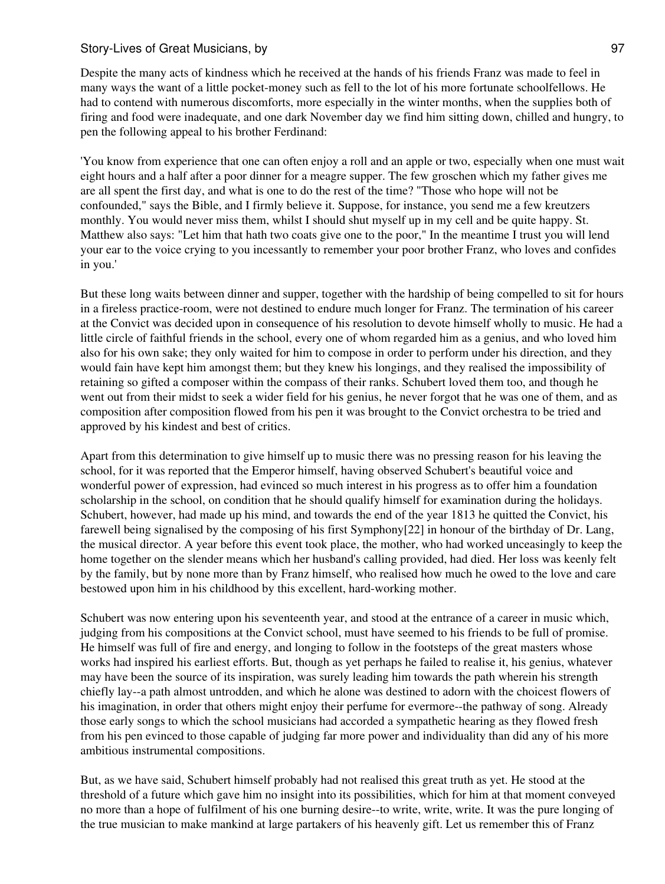Despite the many acts of kindness which he received at the hands of his friends Franz was made to feel in many ways the want of a little pocket-money such as fell to the lot of his more fortunate schoolfellows. He had to contend with numerous discomforts, more especially in the winter months, when the supplies both of firing and food were inadequate, and one dark November day we find him sitting down, chilled and hungry, to pen the following appeal to his brother Ferdinand:

'You know from experience that one can often enjoy a roll and an apple or two, especially when one must wait eight hours and a half after a poor dinner for a meagre supper. The few groschen which my father gives me are all spent the first day, and what is one to do the rest of the time? "Those who hope will not be confounded," says the Bible, and I firmly believe it. Suppose, for instance, you send me a few kreutzers monthly. You would never miss them, whilst I should shut myself up in my cell and be quite happy. St. Matthew also says: "Let him that hath two coats give one to the poor," In the meantime I trust you will lend your ear to the voice crying to you incessantly to remember your poor brother Franz, who loves and confides in you.'

But these long waits between dinner and supper, together with the hardship of being compelled to sit for hours in a fireless practice-room, were not destined to endure much longer for Franz. The termination of his career at the Convict was decided upon in consequence of his resolution to devote himself wholly to music. He had a little circle of faithful friends in the school, every one of whom regarded him as a genius, and who loved him also for his own sake; they only waited for him to compose in order to perform under his direction, and they would fain have kept him amongst them; but they knew his longings, and they realised the impossibility of retaining so gifted a composer within the compass of their ranks. Schubert loved them too, and though he went out from their midst to seek a wider field for his genius, he never forgot that he was one of them, and as composition after composition flowed from his pen it was brought to the Convict orchestra to be tried and approved by his kindest and best of critics.

Apart from this determination to give himself up to music there was no pressing reason for his leaving the school, for it was reported that the Emperor himself, having observed Schubert's beautiful voice and wonderful power of expression, had evinced so much interest in his progress as to offer him a foundation scholarship in the school, on condition that he should qualify himself for examination during the holidays. Schubert, however, had made up his mind, and towards the end of the year 1813 he quitted the Convict, his farewell being signalised by the composing of his first Symphony[22] in honour of the birthday of Dr. Lang, the musical director. A year before this event took place, the mother, who had worked unceasingly to keep the home together on the slender means which her husband's calling provided, had died. Her loss was keenly felt by the family, but by none more than by Franz himself, who realised how much he owed to the love and care bestowed upon him in his childhood by this excellent, hard-working mother.

Schubert was now entering upon his seventeenth year, and stood at the entrance of a career in music which, judging from his compositions at the Convict school, must have seemed to his friends to be full of promise. He himself was full of fire and energy, and longing to follow in the footsteps of the great masters whose works had inspired his earliest efforts. But, though as yet perhaps he failed to realise it, his genius, whatever may have been the source of its inspiration, was surely leading him towards the path wherein his strength chiefly lay--a path almost untrodden, and which he alone was destined to adorn with the choicest flowers of his imagination, in order that others might enjoy their perfume for evermore--the pathway of song. Already those early songs to which the school musicians had accorded a sympathetic hearing as they flowed fresh from his pen evinced to those capable of judging far more power and individuality than did any of his more ambitious instrumental compositions.

But, as we have said, Schubert himself probably had not realised this great truth as yet. He stood at the threshold of a future which gave him no insight into its possibilities, which for him at that moment conveyed no more than a hope of fulfilment of his one burning desire--to write, write, write. It was the pure longing of the true musician to make mankind at large partakers of his heavenly gift. Let us remember this of Franz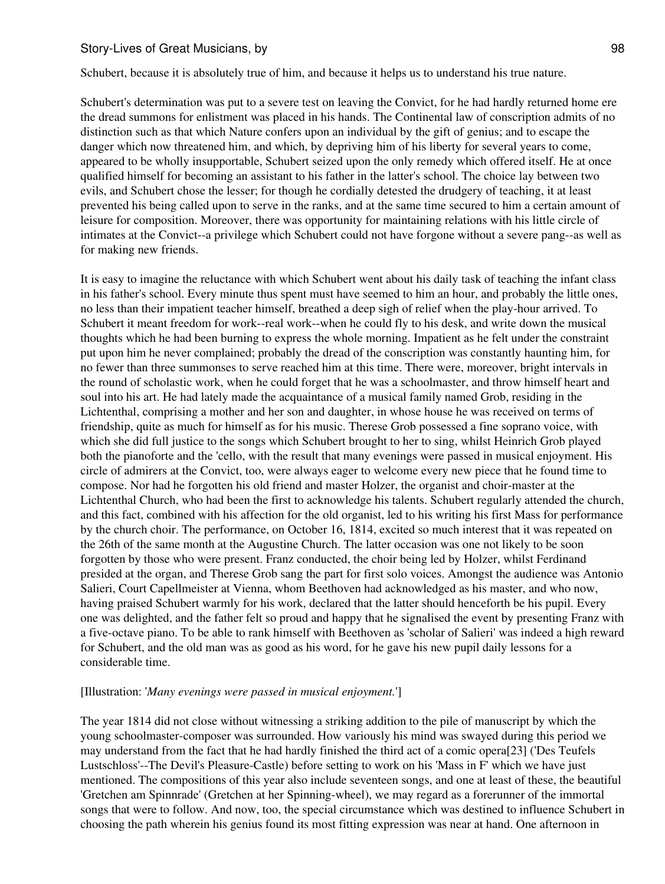Schubert, because it is absolutely true of him, and because it helps us to understand his true nature.

Schubert's determination was put to a severe test on leaving the Convict, for he had hardly returned home ere the dread summons for enlistment was placed in his hands. The Continental law of conscription admits of no distinction such as that which Nature confers upon an individual by the gift of genius; and to escape the danger which now threatened him, and which, by depriving him of his liberty for several years to come, appeared to be wholly insupportable, Schubert seized upon the only remedy which offered itself. He at once qualified himself for becoming an assistant to his father in the latter's school. The choice lay between two evils, and Schubert chose the lesser; for though he cordially detested the drudgery of teaching, it at least prevented his being called upon to serve in the ranks, and at the same time secured to him a certain amount of leisure for composition. Moreover, there was opportunity for maintaining relations with his little circle of intimates at the Convict--a privilege which Schubert could not have forgone without a severe pang--as well as for making new friends.

It is easy to imagine the reluctance with which Schubert went about his daily task of teaching the infant class in his father's school. Every minute thus spent must have seemed to him an hour, and probably the little ones, no less than their impatient teacher himself, breathed a deep sigh of relief when the play-hour arrived. To Schubert it meant freedom for work--real work--when he could fly to his desk, and write down the musical thoughts which he had been burning to express the whole morning. Impatient as he felt under the constraint put upon him he never complained; probably the dread of the conscription was constantly haunting him, for no fewer than three summonses to serve reached him at this time. There were, moreover, bright intervals in the round of scholastic work, when he could forget that he was a schoolmaster, and throw himself heart and soul into his art. He had lately made the acquaintance of a musical family named Grob, residing in the Lichtenthal, comprising a mother and her son and daughter, in whose house he was received on terms of friendship, quite as much for himself as for his music. Therese Grob possessed a fine soprano voice, with which she did full justice to the songs which Schubert brought to her to sing, whilst Heinrich Grob played both the pianoforte and the 'cello, with the result that many evenings were passed in musical enjoyment. His circle of admirers at the Convict, too, were always eager to welcome every new piece that he found time to compose. Nor had he forgotten his old friend and master Holzer, the organist and choir-master at the Lichtenthal Church, who had been the first to acknowledge his talents. Schubert regularly attended the church, and this fact, combined with his affection for the old organist, led to his writing his first Mass for performance by the church choir. The performance, on October 16, 1814, excited so much interest that it was repeated on the 26th of the same month at the Augustine Church. The latter occasion was one not likely to be soon forgotten by those who were present. Franz conducted, the choir being led by Holzer, whilst Ferdinand presided at the organ, and Therese Grob sang the part for first solo voices. Amongst the audience was Antonio Salieri, Court Capellmeister at Vienna, whom Beethoven had acknowledged as his master, and who now, having praised Schubert warmly for his work, declared that the latter should henceforth be his pupil. Every one was delighted, and the father felt so proud and happy that he signalised the event by presenting Franz with a five-octave piano. To be able to rank himself with Beethoven as 'scholar of Salieri' was indeed a high reward for Schubert, and the old man was as good as his word, for he gave his new pupil daily lessons for a considerable time.

#### [Illustration: '*Many evenings were passed in musical enjoyment.*']

The year 1814 did not close without witnessing a striking addition to the pile of manuscript by which the young schoolmaster-composer was surrounded. How variously his mind was swayed during this period we may understand from the fact that he had hardly finished the third act of a comic opera[23] ('Des Teufels Lustschloss'--The Devil's Pleasure-Castle) before setting to work on his 'Mass in F' which we have just mentioned. The compositions of this year also include seventeen songs, and one at least of these, the beautiful 'Gretchen am Spinnrade' (Gretchen at her Spinning-wheel), we may regard as a forerunner of the immortal songs that were to follow. And now, too, the special circumstance which was destined to influence Schubert in choosing the path wherein his genius found its most fitting expression was near at hand. One afternoon in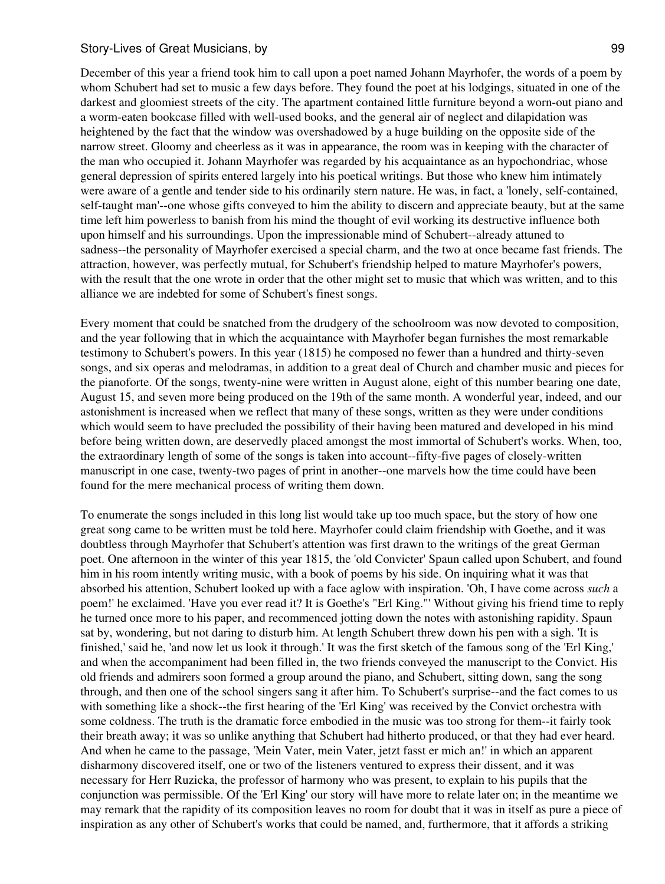December of this year a friend took him to call upon a poet named Johann Mayrhofer, the words of a poem by whom Schubert had set to music a few days before. They found the poet at his lodgings, situated in one of the darkest and gloomiest streets of the city. The apartment contained little furniture beyond a worn-out piano and a worm-eaten bookcase filled with well-used books, and the general air of neglect and dilapidation was heightened by the fact that the window was overshadowed by a huge building on the opposite side of the narrow street. Gloomy and cheerless as it was in appearance, the room was in keeping with the character of the man who occupied it. Johann Mayrhofer was regarded by his acquaintance as an hypochondriac, whose general depression of spirits entered largely into his poetical writings. But those who knew him intimately were aware of a gentle and tender side to his ordinarily stern nature. He was, in fact, a 'lonely, self-contained, self-taught man'--one whose gifts conveyed to him the ability to discern and appreciate beauty, but at the same time left him powerless to banish from his mind the thought of evil working its destructive influence both upon himself and his surroundings. Upon the impressionable mind of Schubert--already attuned to sadness--the personality of Mayrhofer exercised a special charm, and the two at once became fast friends. The attraction, however, was perfectly mutual, for Schubert's friendship helped to mature Mayrhofer's powers, with the result that the one wrote in order that the other might set to music that which was written, and to this alliance we are indebted for some of Schubert's finest songs.

Every moment that could be snatched from the drudgery of the schoolroom was now devoted to composition, and the year following that in which the acquaintance with Mayrhofer began furnishes the most remarkable testimony to Schubert's powers. In this year (1815) he composed no fewer than a hundred and thirty-seven songs, and six operas and melodramas, in addition to a great deal of Church and chamber music and pieces for the pianoforte. Of the songs, twenty-nine were written in August alone, eight of this number bearing one date, August 15, and seven more being produced on the 19th of the same month. A wonderful year, indeed, and our astonishment is increased when we reflect that many of these songs, written as they were under conditions which would seem to have precluded the possibility of their having been matured and developed in his mind before being written down, are deservedly placed amongst the most immortal of Schubert's works. When, too, the extraordinary length of some of the songs is taken into account--fifty-five pages of closely-written manuscript in one case, twenty-two pages of print in another--one marvels how the time could have been found for the mere mechanical process of writing them down.

To enumerate the songs included in this long list would take up too much space, but the story of how one great song came to be written must be told here. Mayrhofer could claim friendship with Goethe, and it was doubtless through Mayrhofer that Schubert's attention was first drawn to the writings of the great German poet. One afternoon in the winter of this year 1815, the 'old Convicter' Spaun called upon Schubert, and found him in his room intently writing music, with a book of poems by his side. On inquiring what it was that absorbed his attention, Schubert looked up with a face aglow with inspiration. 'Oh, I have come across *such* a poem!' he exclaimed. 'Have you ever read it? It is Goethe's "Erl King."' Without giving his friend time to reply he turned once more to his paper, and recommenced jotting down the notes with astonishing rapidity. Spaun sat by, wondering, but not daring to disturb him. At length Schubert threw down his pen with a sigh. 'It is finished,' said he, 'and now let us look it through.' It was the first sketch of the famous song of the 'Erl King,' and when the accompaniment had been filled in, the two friends conveyed the manuscript to the Convict. His old friends and admirers soon formed a group around the piano, and Schubert, sitting down, sang the song through, and then one of the school singers sang it after him. To Schubert's surprise--and the fact comes to us with something like a shock--the first hearing of the 'Erl King' was received by the Convict orchestra with some coldness. The truth is the dramatic force embodied in the music was too strong for them--it fairly took their breath away; it was so unlike anything that Schubert had hitherto produced, or that they had ever heard. And when he came to the passage, 'Mein Vater, mein Vater, jetzt fasst er mich an!' in which an apparent disharmony discovered itself, one or two of the listeners ventured to express their dissent, and it was necessary for Herr Ruzicka, the professor of harmony who was present, to explain to his pupils that the conjunction was permissible. Of the 'Erl King' our story will have more to relate later on; in the meantime we may remark that the rapidity of its composition leaves no room for doubt that it was in itself as pure a piece of inspiration as any other of Schubert's works that could be named, and, furthermore, that it affords a striking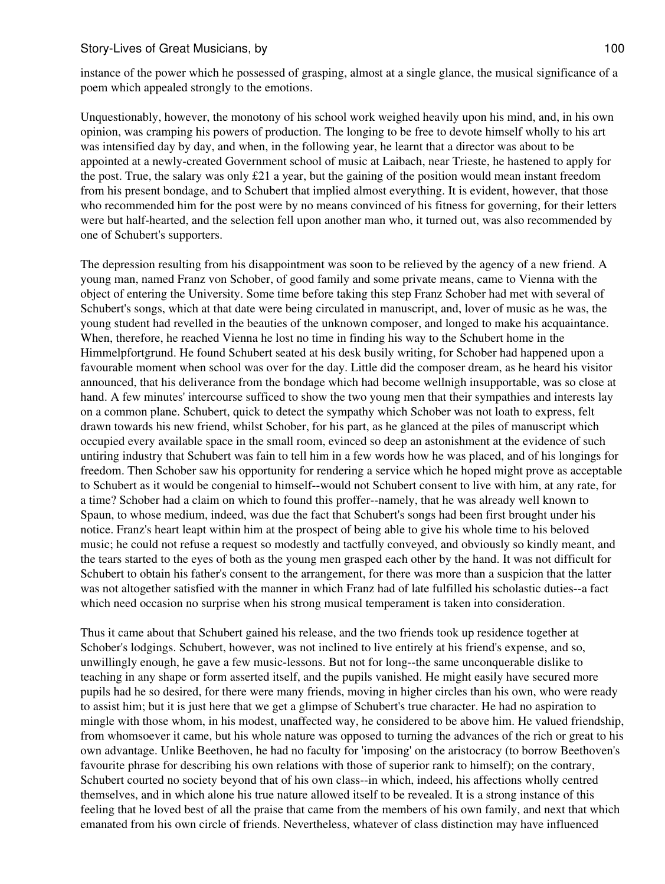instance of the power which he possessed of grasping, almost at a single glance, the musical significance of a poem which appealed strongly to the emotions.

Unquestionably, however, the monotony of his school work weighed heavily upon his mind, and, in his own opinion, was cramping his powers of production. The longing to be free to devote himself wholly to his art was intensified day by day, and when, in the following year, he learnt that a director was about to be appointed at a newly-created Government school of music at Laibach, near Trieste, he hastened to apply for the post. True, the salary was only  $\pounds 21$  a year, but the gaining of the position would mean instant freedom from his present bondage, and to Schubert that implied almost everything. It is evident, however, that those who recommended him for the post were by no means convinced of his fitness for governing, for their letters were but half-hearted, and the selection fell upon another man who, it turned out, was also recommended by one of Schubert's supporters.

The depression resulting from his disappointment was soon to be relieved by the agency of a new friend. A young man, named Franz von Schober, of good family and some private means, came to Vienna with the object of entering the University. Some time before taking this step Franz Schober had met with several of Schubert's songs, which at that date were being circulated in manuscript, and, lover of music as he was, the young student had revelled in the beauties of the unknown composer, and longed to make his acquaintance. When, therefore, he reached Vienna he lost no time in finding his way to the Schubert home in the Himmelpfortgrund. He found Schubert seated at his desk busily writing, for Schober had happened upon a favourable moment when school was over for the day. Little did the composer dream, as he heard his visitor announced, that his deliverance from the bondage which had become wellnigh insupportable, was so close at hand. A few minutes' intercourse sufficed to show the two young men that their sympathies and interests lay on a common plane. Schubert, quick to detect the sympathy which Schober was not loath to express, felt drawn towards his new friend, whilst Schober, for his part, as he glanced at the piles of manuscript which occupied every available space in the small room, evinced so deep an astonishment at the evidence of such untiring industry that Schubert was fain to tell him in a few words how he was placed, and of his longings for freedom. Then Schober saw his opportunity for rendering a service which he hoped might prove as acceptable to Schubert as it would be congenial to himself--would not Schubert consent to live with him, at any rate, for a time? Schober had a claim on which to found this proffer--namely, that he was already well known to Spaun, to whose medium, indeed, was due the fact that Schubert's songs had been first brought under his notice. Franz's heart leapt within him at the prospect of being able to give his whole time to his beloved music; he could not refuse a request so modestly and tactfully conveyed, and obviously so kindly meant, and the tears started to the eyes of both as the young men grasped each other by the hand. It was not difficult for Schubert to obtain his father's consent to the arrangement, for there was more than a suspicion that the latter was not altogether satisfied with the manner in which Franz had of late fulfilled his scholastic duties--a fact which need occasion no surprise when his strong musical temperament is taken into consideration.

Thus it came about that Schubert gained his release, and the two friends took up residence together at Schober's lodgings. Schubert, however, was not inclined to live entirely at his friend's expense, and so, unwillingly enough, he gave a few music-lessons. But not for long--the same unconquerable dislike to teaching in any shape or form asserted itself, and the pupils vanished. He might easily have secured more pupils had he so desired, for there were many friends, moving in higher circles than his own, who were ready to assist him; but it is just here that we get a glimpse of Schubert's true character. He had no aspiration to mingle with those whom, in his modest, unaffected way, he considered to be above him. He valued friendship, from whomsoever it came, but his whole nature was opposed to turning the advances of the rich or great to his own advantage. Unlike Beethoven, he had no faculty for 'imposing' on the aristocracy (to borrow Beethoven's favourite phrase for describing his own relations with those of superior rank to himself); on the contrary, Schubert courted no society beyond that of his own class--in which, indeed, his affections wholly centred themselves, and in which alone his true nature allowed itself to be revealed. It is a strong instance of this feeling that he loved best of all the praise that came from the members of his own family, and next that which emanated from his own circle of friends. Nevertheless, whatever of class distinction may have influenced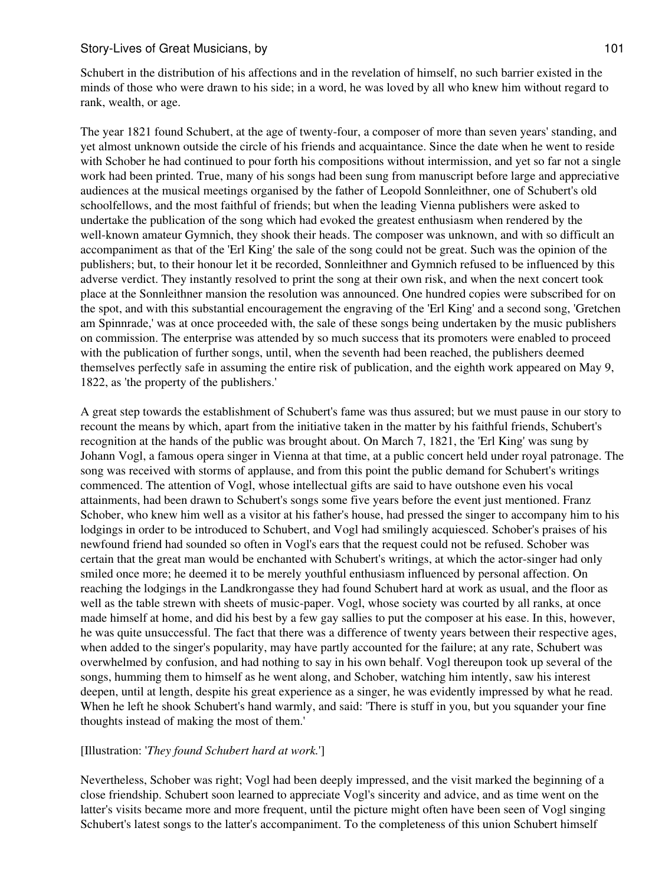Schubert in the distribution of his affections and in the revelation of himself, no such barrier existed in the minds of those who were drawn to his side; in a word, he was loved by all who knew him without regard to rank, wealth, or age.

The year 1821 found Schubert, at the age of twenty-four, a composer of more than seven years' standing, and yet almost unknown outside the circle of his friends and acquaintance. Since the date when he went to reside with Schober he had continued to pour forth his compositions without intermission, and yet so far not a single work had been printed. True, many of his songs had been sung from manuscript before large and appreciative audiences at the musical meetings organised by the father of Leopold Sonnleithner, one of Schubert's old schoolfellows, and the most faithful of friends; but when the leading Vienna publishers were asked to undertake the publication of the song which had evoked the greatest enthusiasm when rendered by the well-known amateur Gymnich, they shook their heads. The composer was unknown, and with so difficult an accompaniment as that of the 'Erl King' the sale of the song could not be great. Such was the opinion of the publishers; but, to their honour let it be recorded, Sonnleithner and Gymnich refused to be influenced by this adverse verdict. They instantly resolved to print the song at their own risk, and when the next concert took place at the Sonnleithner mansion the resolution was announced. One hundred copies were subscribed for on the spot, and with this substantial encouragement the engraving of the 'Erl King' and a second song, 'Gretchen am Spinnrade,' was at once proceeded with, the sale of these songs being undertaken by the music publishers on commission. The enterprise was attended by so much success that its promoters were enabled to proceed with the publication of further songs, until, when the seventh had been reached, the publishers deemed themselves perfectly safe in assuming the entire risk of publication, and the eighth work appeared on May 9, 1822, as 'the property of the publishers.'

A great step towards the establishment of Schubert's fame was thus assured; but we must pause in our story to recount the means by which, apart from the initiative taken in the matter by his faithful friends, Schubert's recognition at the hands of the public was brought about. On March 7, 1821, the 'Erl King' was sung by Johann Vogl, a famous opera singer in Vienna at that time, at a public concert held under royal patronage. The song was received with storms of applause, and from this point the public demand for Schubert's writings commenced. The attention of Vogl, whose intellectual gifts are said to have outshone even his vocal attainments, had been drawn to Schubert's songs some five years before the event just mentioned. Franz Schober, who knew him well as a visitor at his father's house, had pressed the singer to accompany him to his lodgings in order to be introduced to Schubert, and Vogl had smilingly acquiesced. Schober's praises of his newfound friend had sounded so often in Vogl's ears that the request could not be refused. Schober was certain that the great man would be enchanted with Schubert's writings, at which the actor-singer had only smiled once more; he deemed it to be merely youthful enthusiasm influenced by personal affection. On reaching the lodgings in the Landkrongasse they had found Schubert hard at work as usual, and the floor as well as the table strewn with sheets of music-paper. Vogl, whose society was courted by all ranks, at once made himself at home, and did his best by a few gay sallies to put the composer at his ease. In this, however, he was quite unsuccessful. The fact that there was a difference of twenty years between their respective ages, when added to the singer's popularity, may have partly accounted for the failure; at any rate, Schubert was overwhelmed by confusion, and had nothing to say in his own behalf. Vogl thereupon took up several of the songs, humming them to himself as he went along, and Schober, watching him intently, saw his interest deepen, until at length, despite his great experience as a singer, he was evidently impressed by what he read. When he left he shook Schubert's hand warmly, and said: 'There is stuff in you, but you squander your fine thoughts instead of making the most of them.'

## [Illustration: '*They found Schubert hard at work.*']

Nevertheless, Schober was right; Vogl had been deeply impressed, and the visit marked the beginning of a close friendship. Schubert soon learned to appreciate Vogl's sincerity and advice, and as time went on the latter's visits became more and more frequent, until the picture might often have been seen of Vogl singing Schubert's latest songs to the latter's accompaniment. To the completeness of this union Schubert himself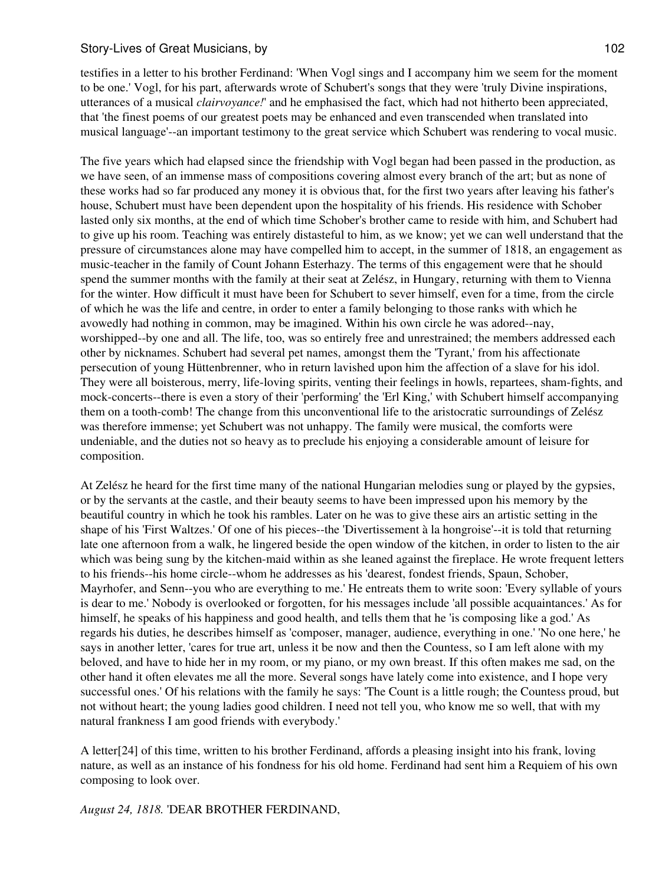testifies in a letter to his brother Ferdinand: 'When Vogl sings and I accompany him we seem for the moment to be one.' Vogl, for his part, afterwards wrote of Schubert's songs that they were 'truly Divine inspirations, utterances of a musical *clairvoyance!*' and he emphasised the fact, which had not hitherto been appreciated, that 'the finest poems of our greatest poets may be enhanced and even transcended when translated into musical language'--an important testimony to the great service which Schubert was rendering to vocal music.

The five years which had elapsed since the friendship with Vogl began had been passed in the production, as we have seen, of an immense mass of compositions covering almost every branch of the art; but as none of these works had so far produced any money it is obvious that, for the first two years after leaving his father's house, Schubert must have been dependent upon the hospitality of his friends. His residence with Schober lasted only six months, at the end of which time Schober's brother came to reside with him, and Schubert had to give up his room. Teaching was entirely distasteful to him, as we know; yet we can well understand that the pressure of circumstances alone may have compelled him to accept, in the summer of 1818, an engagement as music-teacher in the family of Count Johann Esterhazy. The terms of this engagement were that he should spend the summer months with the family at their seat at Zelész, in Hungary, returning with them to Vienna for the winter. How difficult it must have been for Schubert to sever himself, even for a time, from the circle of which he was the life and centre, in order to enter a family belonging to those ranks with which he avowedly had nothing in common, may be imagined. Within his own circle he was adored--nay, worshipped--by one and all. The life, too, was so entirely free and unrestrained; the members addressed each other by nicknames. Schubert had several pet names, amongst them the 'Tyrant,' from his affectionate persecution of young Hüttenbrenner, who in return lavished upon him the affection of a slave for his idol. They were all boisterous, merry, life-loving spirits, venting their feelings in howls, repartees, sham-fights, and mock-concerts--there is even a story of their 'performing' the 'Erl King,' with Schubert himself accompanying them on a tooth-comb! The change from this unconventional life to the aristocratic surroundings of Zelész was therefore immense; yet Schubert was not unhappy. The family were musical, the comforts were undeniable, and the duties not so heavy as to preclude his enjoying a considerable amount of leisure for composition.

At Zelész he heard for the first time many of the national Hungarian melodies sung or played by the gypsies, or by the servants at the castle, and their beauty seems to have been impressed upon his memory by the beautiful country in which he took his rambles. Later on he was to give these airs an artistic setting in the shape of his 'First Waltzes.' Of one of his pieces--the 'Divertissement à la hongroise'--it is told that returning late one afternoon from a walk, he lingered beside the open window of the kitchen, in order to listen to the air which was being sung by the kitchen-maid within as she leaned against the fireplace. He wrote frequent letters to his friends--his home circle--whom he addresses as his 'dearest, fondest friends, Spaun, Schober, Mayrhofer, and Senn--you who are everything to me.' He entreats them to write soon: 'Every syllable of yours is dear to me.' Nobody is overlooked or forgotten, for his messages include 'all possible acquaintances.' As for himself, he speaks of his happiness and good health, and tells them that he 'is composing like a god.' As regards his duties, he describes himself as 'composer, manager, audience, everything in one.' 'No one here,' he says in another letter, 'cares for true art, unless it be now and then the Countess, so I am left alone with my beloved, and have to hide her in my room, or my piano, or my own breast. If this often makes me sad, on the other hand it often elevates me all the more. Several songs have lately come into existence, and I hope very successful ones.' Of his relations with the family he says: 'The Count is a little rough; the Countess proud, but not without heart; the young ladies good children. I need not tell you, who know me so well, that with my natural frankness I am good friends with everybody.'

A letter[24] of this time, written to his brother Ferdinand, affords a pleasing insight into his frank, loving nature, as well as an instance of his fondness for his old home. Ferdinand had sent him a Requiem of his own composing to look over.

*August 24, 1818.* 'DEAR BROTHER FERDINAND,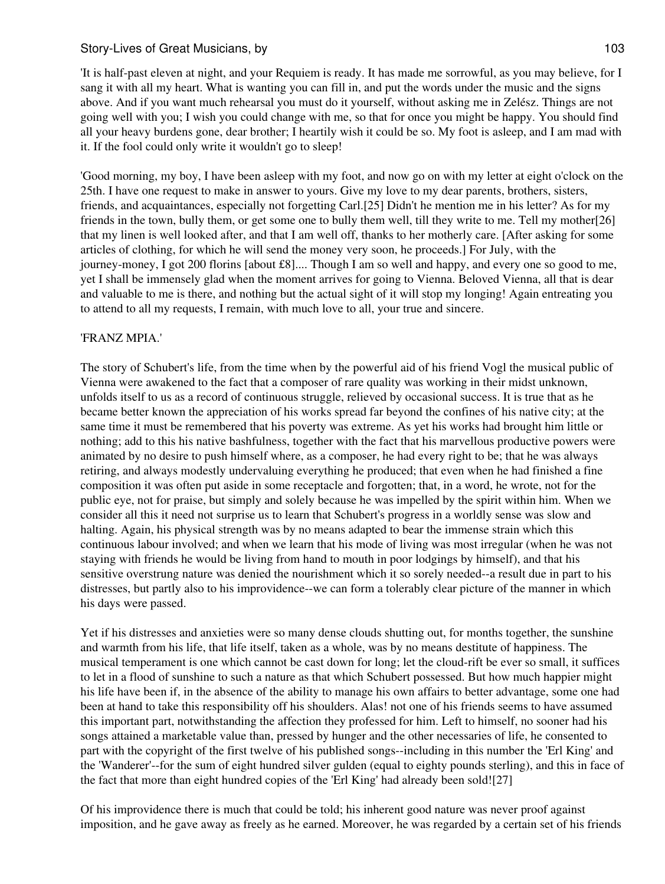'It is half-past eleven at night, and your Requiem is ready. It has made me sorrowful, as you may believe, for I sang it with all my heart. What is wanting you can fill in, and put the words under the music and the signs above. And if you want much rehearsal you must do it yourself, without asking me in Zelész. Things are not going well with you; I wish you could change with me, so that for once you might be happy. You should find all your heavy burdens gone, dear brother; I heartily wish it could be so. My foot is asleep, and I am mad with it. If the fool could only write it wouldn't go to sleep!

'Good morning, my boy, I have been asleep with my foot, and now go on with my letter at eight o'clock on the 25th. I have one request to make in answer to yours. Give my love to my dear parents, brothers, sisters, friends, and acquaintances, especially not forgetting Carl.[25] Didn't he mention me in his letter? As for my friends in the town, bully them, or get some one to bully them well, till they write to me. Tell my mother[26] that my linen is well looked after, and that I am well off, thanks to her motherly care. [After asking for some articles of clothing, for which he will send the money very soon, he proceeds.] For July, with the journey-money, I got 200 florins [about £8].... Though I am so well and happy, and every one so good to me, yet I shall be immensely glad when the moment arrives for going to Vienna. Beloved Vienna, all that is dear and valuable to me is there, and nothing but the actual sight of it will stop my longing! Again entreating you to attend to all my requests, I remain, with much love to all, your true and sincere.

## 'FRANZ MPIA.'

The story of Schubert's life, from the time when by the powerful aid of his friend Vogl the musical public of Vienna were awakened to the fact that a composer of rare quality was working in their midst unknown, unfolds itself to us as a record of continuous struggle, relieved by occasional success. It is true that as he became better known the appreciation of his works spread far beyond the confines of his native city; at the same time it must be remembered that his poverty was extreme. As yet his works had brought him little or nothing; add to this his native bashfulness, together with the fact that his marvellous productive powers were animated by no desire to push himself where, as a composer, he had every right to be; that he was always retiring, and always modestly undervaluing everything he produced; that even when he had finished a fine composition it was often put aside in some receptacle and forgotten; that, in a word, he wrote, not for the public eye, not for praise, but simply and solely because he was impelled by the spirit within him. When we consider all this it need not surprise us to learn that Schubert's progress in a worldly sense was slow and halting. Again, his physical strength was by no means adapted to bear the immense strain which this continuous labour involved; and when we learn that his mode of living was most irregular (when he was not staying with friends he would be living from hand to mouth in poor lodgings by himself), and that his sensitive overstrung nature was denied the nourishment which it so sorely needed--a result due in part to his distresses, but partly also to his improvidence--we can form a tolerably clear picture of the manner in which his days were passed.

Yet if his distresses and anxieties were so many dense clouds shutting out, for months together, the sunshine and warmth from his life, that life itself, taken as a whole, was by no means destitute of happiness. The musical temperament is one which cannot be cast down for long; let the cloud-rift be ever so small, it suffices to let in a flood of sunshine to such a nature as that which Schubert possessed. But how much happier might his life have been if, in the absence of the ability to manage his own affairs to better advantage, some one had been at hand to take this responsibility off his shoulders. Alas! not one of his friends seems to have assumed this important part, notwithstanding the affection they professed for him. Left to himself, no sooner had his songs attained a marketable value than, pressed by hunger and the other necessaries of life, he consented to part with the copyright of the first twelve of his published songs--including in this number the 'Erl King' and the 'Wanderer'--for the sum of eight hundred silver gulden (equal to eighty pounds sterling), and this in face of the fact that more than eight hundred copies of the 'Erl King' had already been sold![27]

Of his improvidence there is much that could be told; his inherent good nature was never proof against imposition, and he gave away as freely as he earned. Moreover, he was regarded by a certain set of his friends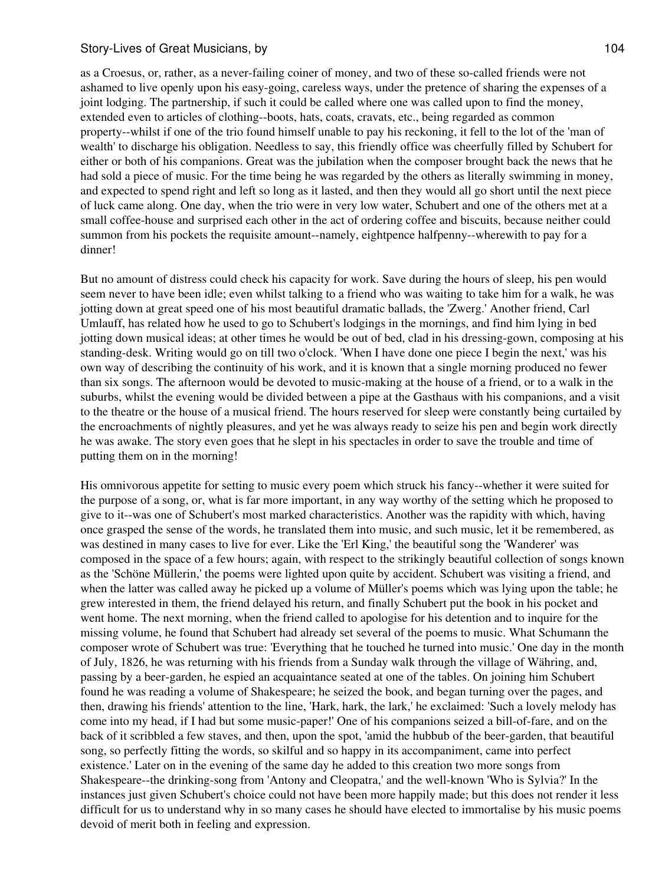as a Croesus, or, rather, as a never-failing coiner of money, and two of these so-called friends were not ashamed to live openly upon his easy-going, careless ways, under the pretence of sharing the expenses of a joint lodging. The partnership, if such it could be called where one was called upon to find the money, extended even to articles of clothing--boots, hats, coats, cravats, etc., being regarded as common property--whilst if one of the trio found himself unable to pay his reckoning, it fell to the lot of the 'man of wealth' to discharge his obligation. Needless to say, this friendly office was cheerfully filled by Schubert for either or both of his companions. Great was the jubilation when the composer brought back the news that he had sold a piece of music. For the time being he was regarded by the others as literally swimming in money, and expected to spend right and left so long as it lasted, and then they would all go short until the next piece of luck came along. One day, when the trio were in very low water, Schubert and one of the others met at a small coffee-house and surprised each other in the act of ordering coffee and biscuits, because neither could summon from his pockets the requisite amount--namely, eightpence halfpenny--wherewith to pay for a dinner!

But no amount of distress could check his capacity for work. Save during the hours of sleep, his pen would seem never to have been idle; even whilst talking to a friend who was waiting to take him for a walk, he was jotting down at great speed one of his most beautiful dramatic ballads, the 'Zwerg.' Another friend, Carl Umlauff, has related how he used to go to Schubert's lodgings in the mornings, and find him lying in bed jotting down musical ideas; at other times he would be out of bed, clad in his dressing-gown, composing at his standing-desk. Writing would go on till two o'clock. 'When I have done one piece I begin the next,' was his own way of describing the continuity of his work, and it is known that a single morning produced no fewer than six songs. The afternoon would be devoted to music-making at the house of a friend, or to a walk in the suburbs, whilst the evening would be divided between a pipe at the Gasthaus with his companions, and a visit to the theatre or the house of a musical friend. The hours reserved for sleep were constantly being curtailed by the encroachments of nightly pleasures, and yet he was always ready to seize his pen and begin work directly he was awake. The story even goes that he slept in his spectacles in order to save the trouble and time of putting them on in the morning!

His omnivorous appetite for setting to music every poem which struck his fancy--whether it were suited for the purpose of a song, or, what is far more important, in any way worthy of the setting which he proposed to give to it--was one of Schubert's most marked characteristics. Another was the rapidity with which, having once grasped the sense of the words, he translated them into music, and such music, let it be remembered, as was destined in many cases to live for ever. Like the 'Erl King,' the beautiful song the 'Wanderer' was composed in the space of a few hours; again, with respect to the strikingly beautiful collection of songs known as the 'Schöne Müllerin,' the poems were lighted upon quite by accident. Schubert was visiting a friend, and when the latter was called away he picked up a volume of Müller's poems which was lying upon the table; he grew interested in them, the friend delayed his return, and finally Schubert put the book in his pocket and went home. The next morning, when the friend called to apologise for his detention and to inquire for the missing volume, he found that Schubert had already set several of the poems to music. What Schumann the composer wrote of Schubert was true: 'Everything that he touched he turned into music.' One day in the month of July, 1826, he was returning with his friends from a Sunday walk through the village of Währing, and, passing by a beer-garden, he espied an acquaintance seated at one of the tables. On joining him Schubert found he was reading a volume of Shakespeare; he seized the book, and began turning over the pages, and then, drawing his friends' attention to the line, 'Hark, hark, the lark,' he exclaimed: 'Such a lovely melody has come into my head, if I had but some music-paper!' One of his companions seized a bill-of-fare, and on the back of it scribbled a few staves, and then, upon the spot, 'amid the hubbub of the beer-garden, that beautiful song, so perfectly fitting the words, so skilful and so happy in its accompaniment, came into perfect existence.' Later on in the evening of the same day he added to this creation two more songs from Shakespeare--the drinking-song from 'Antony and Cleopatra,' and the well-known 'Who is Sylvia?' In the instances just given Schubert's choice could not have been more happily made; but this does not render it less difficult for us to understand why in so many cases he should have elected to immortalise by his music poems devoid of merit both in feeling and expression.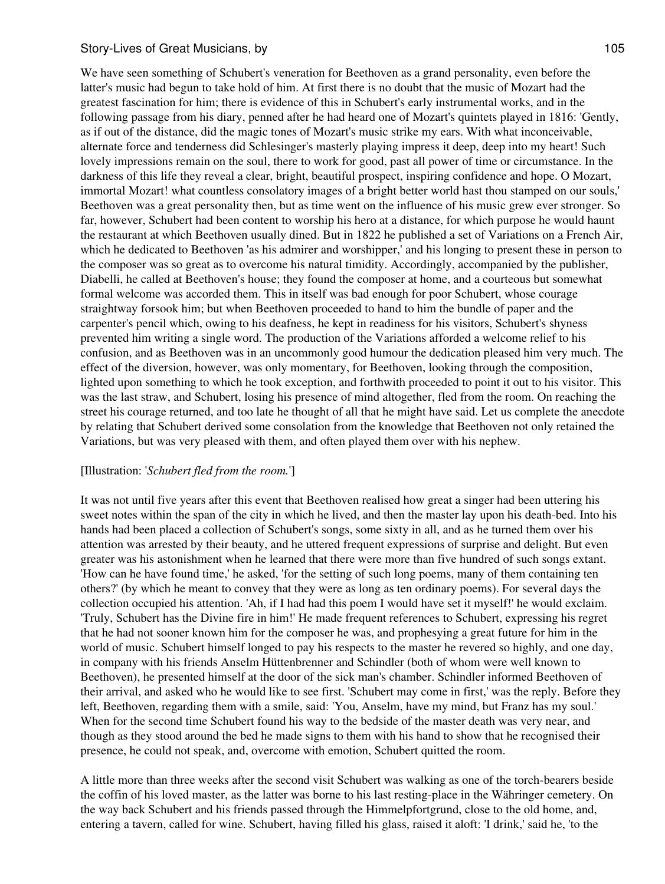We have seen something of Schubert's veneration for Beethoven as a grand personality, even before the latter's music had begun to take hold of him. At first there is no doubt that the music of Mozart had the greatest fascination for him; there is evidence of this in Schubert's early instrumental works, and in the following passage from his diary, penned after he had heard one of Mozart's quintets played in 1816: 'Gently, as if out of the distance, did the magic tones of Mozart's music strike my ears. With what inconceivable, alternate force and tenderness did Schlesinger's masterly playing impress it deep, deep into my heart! Such lovely impressions remain on the soul, there to work for good, past all power of time or circumstance. In the darkness of this life they reveal a clear, bright, beautiful prospect, inspiring confidence and hope. O Mozart, immortal Mozart! what countless consolatory images of a bright better world hast thou stamped on our souls,' Beethoven was a great personality then, but as time went on the influence of his music grew ever stronger. So far, however, Schubert had been content to worship his hero at a distance, for which purpose he would haunt the restaurant at which Beethoven usually dined. But in 1822 he published a set of Variations on a French Air, which he dedicated to Beethoven 'as his admirer and worshipper,' and his longing to present these in person to the composer was so great as to overcome his natural timidity. Accordingly, accompanied by the publisher, Diabelli, he called at Beethoven's house; they found the composer at home, and a courteous but somewhat formal welcome was accorded them. This in itself was bad enough for poor Schubert, whose courage straightway forsook him; but when Beethoven proceeded to hand to him the bundle of paper and the carpenter's pencil which, owing to his deafness, he kept in readiness for his visitors, Schubert's shyness prevented him writing a single word. The production of the Variations afforded a welcome relief to his confusion, and as Beethoven was in an uncommonly good humour the dedication pleased him very much. The effect of the diversion, however, was only momentary, for Beethoven, looking through the composition, lighted upon something to which he took exception, and forthwith proceeded to point it out to his visitor. This was the last straw, and Schubert, losing his presence of mind altogether, fled from the room. On reaching the street his courage returned, and too late he thought of all that he might have said. Let us complete the anecdote by relating that Schubert derived some consolation from the knowledge that Beethoven not only retained the Variations, but was very pleased with them, and often played them over with his nephew.

### [Illustration: '*Schubert fled from the room.*']

It was not until five years after this event that Beethoven realised how great a singer had been uttering his sweet notes within the span of the city in which he lived, and then the master lay upon his death-bed. Into his hands had been placed a collection of Schubert's songs, some sixty in all, and as he turned them over his attention was arrested by their beauty, and he uttered frequent expressions of surprise and delight. But even greater was his astonishment when he learned that there were more than five hundred of such songs extant. 'How can he have found time,' he asked, 'for the setting of such long poems, many of them containing ten others?' (by which he meant to convey that they were as long as ten ordinary poems). For several days the collection occupied his attention. 'Ah, if I had had this poem I would have set it myself!' he would exclaim. 'Truly, Schubert has the Divine fire in him!' He made frequent references to Schubert, expressing his regret that he had not sooner known him for the composer he was, and prophesying a great future for him in the world of music. Schubert himself longed to pay his respects to the master he revered so highly, and one day, in company with his friends Anselm Hüttenbrenner and Schindler (both of whom were well known to Beethoven), he presented himself at the door of the sick man's chamber. Schindler informed Beethoven of their arrival, and asked who he would like to see first. 'Schubert may come in first,' was the reply. Before they left, Beethoven, regarding them with a smile, said: 'You, Anselm, have my mind, but Franz has my soul.' When for the second time Schubert found his way to the bedside of the master death was very near, and though as they stood around the bed he made signs to them with his hand to show that he recognised their presence, he could not speak, and, overcome with emotion, Schubert quitted the room.

A little more than three weeks after the second visit Schubert was walking as one of the torch-bearers beside the coffin of his loved master, as the latter was borne to his last resting-place in the Währinger cemetery. On the way back Schubert and his friends passed through the Himmelpfortgrund, close to the old home, and, entering a tavern, called for wine. Schubert, having filled his glass, raised it aloft: 'I drink,' said he, 'to the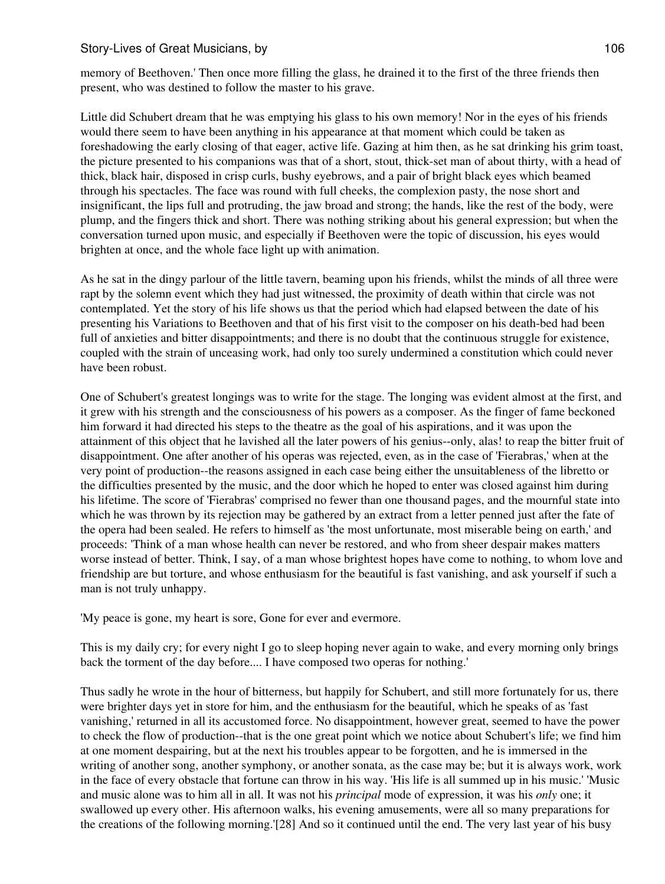memory of Beethoven.' Then once more filling the glass, he drained it to the first of the three friends then present, who was destined to follow the master to his grave.

Little did Schubert dream that he was emptying his glass to his own memory! Nor in the eyes of his friends would there seem to have been anything in his appearance at that moment which could be taken as foreshadowing the early closing of that eager, active life. Gazing at him then, as he sat drinking his grim toast, the picture presented to his companions was that of a short, stout, thick-set man of about thirty, with a head of thick, black hair, disposed in crisp curls, bushy eyebrows, and a pair of bright black eyes which beamed through his spectacles. The face was round with full cheeks, the complexion pasty, the nose short and insignificant, the lips full and protruding, the jaw broad and strong; the hands, like the rest of the body, were plump, and the fingers thick and short. There was nothing striking about his general expression; but when the conversation turned upon music, and especially if Beethoven were the topic of discussion, his eyes would brighten at once, and the whole face light up with animation.

As he sat in the dingy parlour of the little tavern, beaming upon his friends, whilst the minds of all three were rapt by the solemn event which they had just witnessed, the proximity of death within that circle was not contemplated. Yet the story of his life shows us that the period which had elapsed between the date of his presenting his Variations to Beethoven and that of his first visit to the composer on his death-bed had been full of anxieties and bitter disappointments; and there is no doubt that the continuous struggle for existence, coupled with the strain of unceasing work, had only too surely undermined a constitution which could never have been robust.

One of Schubert's greatest longings was to write for the stage. The longing was evident almost at the first, and it grew with his strength and the consciousness of his powers as a composer. As the finger of fame beckoned him forward it had directed his steps to the theatre as the goal of his aspirations, and it was upon the attainment of this object that he lavished all the later powers of his genius--only, alas! to reap the bitter fruit of disappointment. One after another of his operas was rejected, even, as in the case of 'Fierabras,' when at the very point of production--the reasons assigned in each case being either the unsuitableness of the libretto or the difficulties presented by the music, and the door which he hoped to enter was closed against him during his lifetime. The score of 'Fierabras' comprised no fewer than one thousand pages, and the mournful state into which he was thrown by its rejection may be gathered by an extract from a letter penned just after the fate of the opera had been sealed. He refers to himself as 'the most unfortunate, most miserable being on earth,' and proceeds: 'Think of a man whose health can never be restored, and who from sheer despair makes matters worse instead of better. Think, I say, of a man whose brightest hopes have come to nothing, to whom love and friendship are but torture, and whose enthusiasm for the beautiful is fast vanishing, and ask yourself if such a man is not truly unhappy.

'My peace is gone, my heart is sore, Gone for ever and evermore.

This is my daily cry; for every night I go to sleep hoping never again to wake, and every morning only brings back the torment of the day before.... I have composed two operas for nothing.'

Thus sadly he wrote in the hour of bitterness, but happily for Schubert, and still more fortunately for us, there were brighter days yet in store for him, and the enthusiasm for the beautiful, which he speaks of as 'fast vanishing,' returned in all its accustomed force. No disappointment, however great, seemed to have the power to check the flow of production--that is the one great point which we notice about Schubert's life; we find him at one moment despairing, but at the next his troubles appear to be forgotten, and he is immersed in the writing of another song, another symphony, or another sonata, as the case may be; but it is always work, work in the face of every obstacle that fortune can throw in his way. 'His life is all summed up in his music.' 'Music and music alone was to him all in all. It was not his *principal* mode of expression, it was his *only* one; it swallowed up every other. His afternoon walks, his evening amusements, were all so many preparations for the creations of the following morning.'[28] And so it continued until the end. The very last year of his busy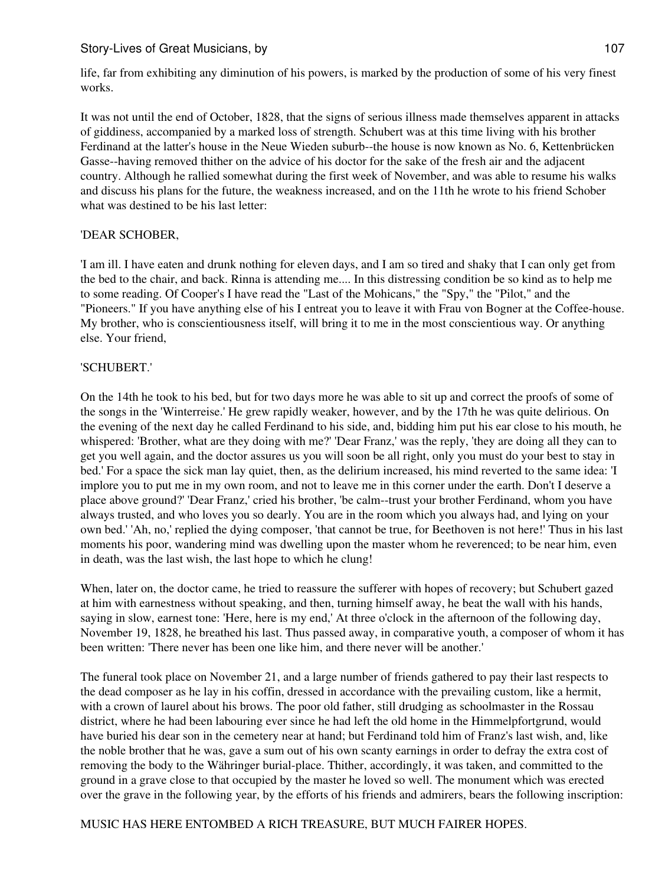life, far from exhibiting any diminution of his powers, is marked by the production of some of his very finest works.

It was not until the end of October, 1828, that the signs of serious illness made themselves apparent in attacks of giddiness, accompanied by a marked loss of strength. Schubert was at this time living with his brother Ferdinand at the latter's house in the Neue Wieden suburb--the house is now known as No. 6, Kettenbrücken Gasse--having removed thither on the advice of his doctor for the sake of the fresh air and the adjacent country. Although he rallied somewhat during the first week of November, and was able to resume his walks and discuss his plans for the future, the weakness increased, and on the 11th he wrote to his friend Schober what was destined to be his last letter:

## 'DEAR SCHOBER,

'I am ill. I have eaten and drunk nothing for eleven days, and I am so tired and shaky that I can only get from the bed to the chair, and back. Rinna is attending me.... In this distressing condition be so kind as to help me to some reading. Of Cooper's I have read the "Last of the Mohicans," the "Spy," the "Pilot," and the "Pioneers." If you have anything else of his I entreat you to leave it with Frau von Bogner at the Coffee-house. My brother, who is conscientiousness itself, will bring it to me in the most conscientious way. Or anything else. Your friend,

## 'SCHUBERT.'

On the 14th he took to his bed, but for two days more he was able to sit up and correct the proofs of some of the songs in the 'Winterreise.' He grew rapidly weaker, however, and by the 17th he was quite delirious. On the evening of the next day he called Ferdinand to his side, and, bidding him put his ear close to his mouth, he whispered: 'Brother, what are they doing with me?' 'Dear Franz,' was the reply, 'they are doing all they can to get you well again, and the doctor assures us you will soon be all right, only you must do your best to stay in bed.' For a space the sick man lay quiet, then, as the delirium increased, his mind reverted to the same idea: 'I implore you to put me in my own room, and not to leave me in this corner under the earth. Don't I deserve a place above ground?' 'Dear Franz,' cried his brother, 'be calm--trust your brother Ferdinand, whom you have always trusted, and who loves you so dearly. You are in the room which you always had, and lying on your own bed.' 'Ah, no,' replied the dying composer, 'that cannot be true, for Beethoven is not here!' Thus in his last moments his poor, wandering mind was dwelling upon the master whom he reverenced; to be near him, even in death, was the last wish, the last hope to which he clung!

When, later on, the doctor came, he tried to reassure the sufferer with hopes of recovery; but Schubert gazed at him with earnestness without speaking, and then, turning himself away, he beat the wall with his hands, saying in slow, earnest tone: 'Here, here is my end,' At three o'clock in the afternoon of the following day, November 19, 1828, he breathed his last. Thus passed away, in comparative youth, a composer of whom it has been written: 'There never has been one like him, and there never will be another.'

The funeral took place on November 21, and a large number of friends gathered to pay their last respects to the dead composer as he lay in his coffin, dressed in accordance with the prevailing custom, like a hermit, with a crown of laurel about his brows. The poor old father, still drudging as schoolmaster in the Rossau district, where he had been labouring ever since he had left the old home in the Himmelpfortgrund, would have buried his dear son in the cemetery near at hand; but Ferdinand told him of Franz's last wish, and, like the noble brother that he was, gave a sum out of his own scanty earnings in order to defray the extra cost of removing the body to the Währinger burial-place. Thither, accordingly, it was taken, and committed to the ground in a grave close to that occupied by the master he loved so well. The monument which was erected over the grave in the following year, by the efforts of his friends and admirers, bears the following inscription:

MUSIC HAS HERE ENTOMBED A RICH TREASURE, BUT MUCH FAIRER HOPES.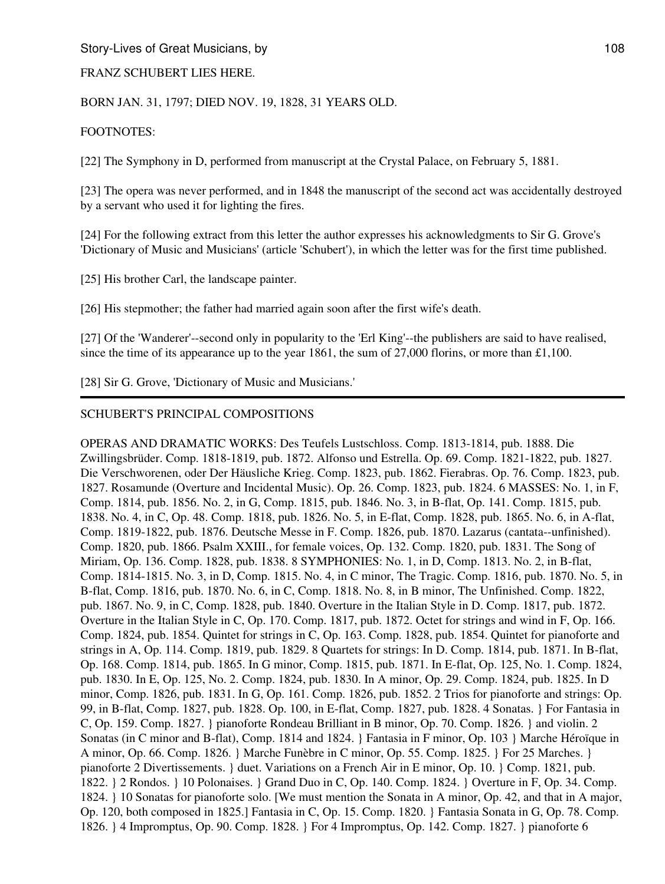## FRANZ SCHUBERT LIES HERE.

## BORN JAN. 31, 1797; DIED NOV. 19, 1828, 31 YEARS OLD.

## FOOTNOTES:

[22] The Symphony in D, performed from manuscript at the Crystal Palace, on February 5, 1881.

[23] The opera was never performed, and in 1848 the manuscript of the second act was accidentally destroyed by a servant who used it for lighting the fires.

[24] For the following extract from this letter the author expresses his acknowledgments to Sir G. Grove's 'Dictionary of Music and Musicians' (article 'Schubert'), in which the letter was for the first time published.

[25] His brother Carl, the landscape painter.

[26] His stepmother; the father had married again soon after the first wife's death.

[27] Of the 'Wanderer'--second only in popularity to the 'Erl King'--the publishers are said to have realised, since the time of its appearance up to the year 1861, the sum of 27,000 florins, or more than £1,100.

[28] Sir G. Grove, 'Dictionary of Music and Musicians.'

## SCHUBERT'S PRINCIPAL COMPOSITIONS

OPERAS AND DRAMATIC WORKS: Des Teufels Lustschloss. Comp. 1813-1814, pub. 1888. Die Zwillingsbrüder. Comp. 1818-1819, pub. 1872. Alfonso und Estrella. Op. 69. Comp. 1821-1822, pub. 1827. Die Verschworenen, oder Der Häusliche Krieg. Comp. 1823, pub. 1862. Fierabras. Op. 76. Comp. 1823, pub. 1827. Rosamunde (Overture and Incidental Music). Op. 26. Comp. 1823, pub. 1824. 6 MASSES: No. 1, in F, Comp. 1814, pub. 1856. No. 2, in G, Comp. 1815, pub. 1846. No. 3, in B-flat, Op. 141. Comp. 1815, pub. 1838. No. 4, in C, Op. 48. Comp. 1818, pub. 1826. No. 5, in E-flat, Comp. 1828, pub. 1865. No. 6, in A-flat, Comp. 1819-1822, pub. 1876. Deutsche Messe in F. Comp. 1826, pub. 1870. Lazarus (cantata--unfinished). Comp. 1820, pub. 1866. Psalm XXIII., for female voices, Op. 132. Comp. 1820, pub. 1831. The Song of Miriam, Op. 136. Comp. 1828, pub. 1838. 8 SYMPHONIES: No. 1, in D, Comp. 1813. No. 2, in B-flat, Comp. 1814-1815. No. 3, in D, Comp. 1815. No. 4, in C minor, The Tragic. Comp. 1816, pub. 1870. No. 5, in B-flat, Comp. 1816, pub. 1870. No. 6, in C, Comp. 1818. No. 8, in B minor, The Unfinished. Comp. 1822, pub. 1867. No. 9, in C, Comp. 1828, pub. 1840. Overture in the Italian Style in D. Comp. 1817, pub. 1872. Overture in the Italian Style in C, Op. 170. Comp. 1817, pub. 1872. Octet for strings and wind in F, Op. 166. Comp. 1824, pub. 1854. Quintet for strings in C, Op. 163. Comp. 1828, pub. 1854. Quintet for pianoforte and strings in A, Op. 114. Comp. 1819, pub. 1829. 8 Quartets for strings: In D. Comp. 1814, pub. 1871. In B-flat, Op. 168. Comp. 1814, pub. 1865. In G minor, Comp. 1815, pub. 1871. In E-flat, Op. 125, No. 1. Comp. 1824, pub. 1830. In E, Op. 125, No. 2. Comp. 1824, pub. 1830. In A minor, Op. 29. Comp. 1824, pub. 1825. In D minor, Comp. 1826, pub. 1831. In G, Op. 161. Comp. 1826, pub. 1852. 2 Trios for pianoforte and strings: Op. 99, in B-flat, Comp. 1827, pub. 1828. Op. 100, in E-flat, Comp. 1827, pub. 1828. 4 Sonatas. } For Fantasia in C, Op. 159. Comp. 1827. } pianoforte Rondeau Brilliant in B minor, Op. 70. Comp. 1826. } and violin. 2 Sonatas (in C minor and B-flat), Comp. 1814 and 1824. } Fantasia in F minor, Op. 103 } Marche Héroïque in A minor, Op. 66. Comp. 1826. } Marche Funèbre in C minor, Op. 55. Comp. 1825. } For 25 Marches. } pianoforte 2 Divertissements. } duet. Variations on a French Air in E minor, Op. 10. } Comp. 1821, pub. 1822. } 2 Rondos. } 10 Polonaises. } Grand Duo in C, Op. 140. Comp. 1824. } Overture in F, Op. 34. Comp. 1824. } 10 Sonatas for pianoforte solo. [We must mention the Sonata in A minor, Op. 42, and that in A major, Op. 120, both composed in 1825.] Fantasia in C, Op. 15. Comp. 1820. } Fantasia Sonata in G, Op. 78. Comp. 1826. } 4 Impromptus, Op. 90. Comp. 1828. } For 4 Impromptus, Op. 142. Comp. 1827. } pianoforte 6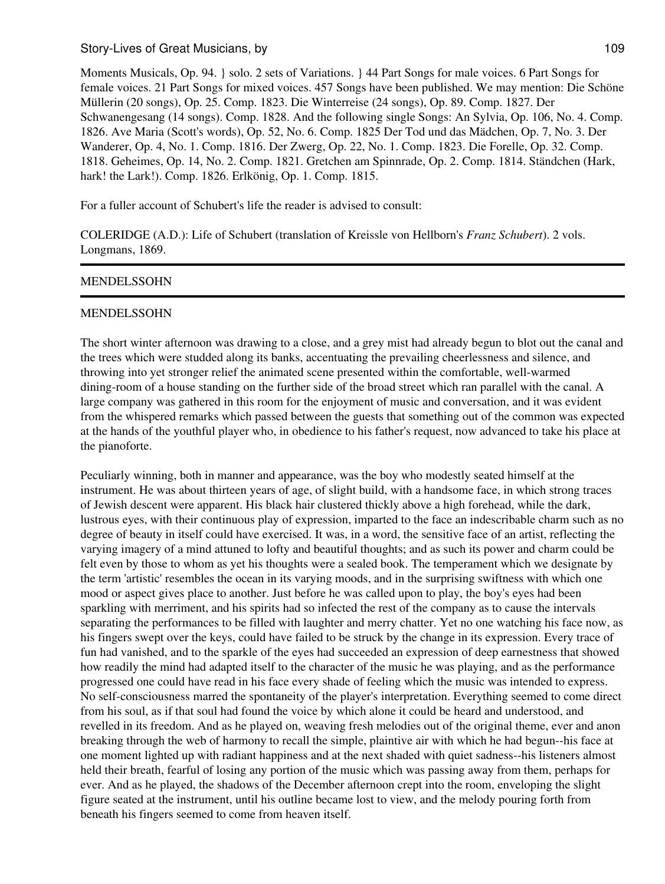Moments Musicals, Op. 94. } solo. 2 sets of Variations. } 44 Part Songs for male voices. 6 Part Songs for female voices. 21 Part Songs for mixed voices. 457 Songs have been published. We may mention: Die Schöne Müllerin (20 songs), Op. 25. Comp. 1823. Die Winterreise (24 songs), Op. 89. Comp. 1827. Der Schwanengesang (14 songs). Comp. 1828. And the following single Songs: An Sylvia, Op. 106, No. 4. Comp. 1826. Ave Maria (Scott's words), Op. 52, No. 6. Comp. 1825 Der Tod und das Mädchen, Op. 7, No. 3. Der Wanderer, Op. 4, No. 1. Comp. 1816. Der Zwerg, Op. 22, No. 1. Comp. 1823. Die Forelle, Op. 32. Comp. 1818. Geheimes, Op. 14, No. 2. Comp. 1821. Gretchen am Spinnrade, Op. 2. Comp. 1814. Ständchen (Hark, hark! the Lark!). Comp. 1826. Erlkönig, Op. 1. Comp. 1815.

For a fuller account of Schubert's life the reader is advised to consult:

COLERIDGE (A.D.): Life of Schubert (translation of Kreissle von Hellborn's *Franz Schubert*). 2 vols. Longmans, 1869.

#### MENDELSSOHN

#### MENDELSSOHN

The short winter afternoon was drawing to a close, and a grey mist had already begun to blot out the canal and the trees which were studded along its banks, accentuating the prevailing cheerlessness and silence, and throwing into yet stronger relief the animated scene presented within the comfortable, well-warmed dining-room of a house standing on the further side of the broad street which ran parallel with the canal. A large company was gathered in this room for the enjoyment of music and conversation, and it was evident from the whispered remarks which passed between the guests that something out of the common was expected at the hands of the youthful player who, in obedience to his father's request, now advanced to take his place at the pianoforte.

Peculiarly winning, both in manner and appearance, was the boy who modestly seated himself at the instrument. He was about thirteen years of age, of slight build, with a handsome face, in which strong traces of Jewish descent were apparent. His black hair clustered thickly above a high forehead, while the dark, lustrous eyes, with their continuous play of expression, imparted to the face an indescribable charm such as no degree of beauty in itself could have exercised. It was, in a word, the sensitive face of an artist, reflecting the varying imagery of a mind attuned to lofty and beautiful thoughts; and as such its power and charm could be felt even by those to whom as yet his thoughts were a sealed book. The temperament which we designate by the term 'artistic' resembles the ocean in its varying moods, and in the surprising swiftness with which one mood or aspect gives place to another. Just before he was called upon to play, the boy's eyes had been sparkling with merriment, and his spirits had so infected the rest of the company as to cause the intervals separating the performances to be filled with laughter and merry chatter. Yet no one watching his face now, as his fingers swept over the keys, could have failed to be struck by the change in its expression. Every trace of fun had vanished, and to the sparkle of the eyes had succeeded an expression of deep earnestness that showed how readily the mind had adapted itself to the character of the music he was playing, and as the performance progressed one could have read in his face every shade of feeling which the music was intended to express. No self-consciousness marred the spontaneity of the player's interpretation. Everything seemed to come direct from his soul, as if that soul had found the voice by which alone it could be heard and understood, and revelled in its freedom. And as he played on, weaving fresh melodies out of the original theme, ever and anon breaking through the web of harmony to recall the simple, plaintive air with which he had begun--his face at one moment lighted up with radiant happiness and at the next shaded with quiet sadness--his listeners almost held their breath, fearful of losing any portion of the music which was passing away from them, perhaps for ever. And as he played, the shadows of the December afternoon crept into the room, enveloping the slight figure seated at the instrument, until his outline became lost to view, and the melody pouring forth from beneath his fingers seemed to come from heaven itself.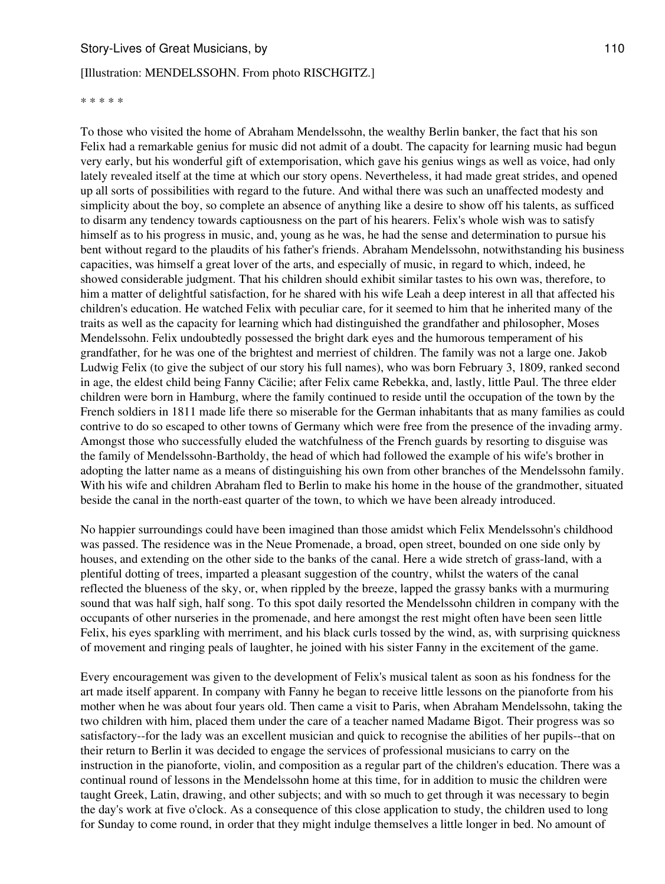#### [Illustration: MENDELSSOHN. From photo RISCHGITZ.]

\* \* \* \* \*

To those who visited the home of Abraham Mendelssohn, the wealthy Berlin banker, the fact that his son Felix had a remarkable genius for music did not admit of a doubt. The capacity for learning music had begun very early, but his wonderful gift of extemporisation, which gave his genius wings as well as voice, had only lately revealed itself at the time at which our story opens. Nevertheless, it had made great strides, and opened up all sorts of possibilities with regard to the future. And withal there was such an unaffected modesty and simplicity about the boy, so complete an absence of anything like a desire to show off his talents, as sufficed to disarm any tendency towards captiousness on the part of his hearers. Felix's whole wish was to satisfy himself as to his progress in music, and, young as he was, he had the sense and determination to pursue his bent without regard to the plaudits of his father's friends. Abraham Mendelssohn, notwithstanding his business capacities, was himself a great lover of the arts, and especially of music, in regard to which, indeed, he showed considerable judgment. That his children should exhibit similar tastes to his own was, therefore, to him a matter of delightful satisfaction, for he shared with his wife Leah a deep interest in all that affected his children's education. He watched Felix with peculiar care, for it seemed to him that he inherited many of the traits as well as the capacity for learning which had distinguished the grandfather and philosopher, Moses Mendelssohn. Felix undoubtedly possessed the bright dark eyes and the humorous temperament of his grandfather, for he was one of the brightest and merriest of children. The family was not a large one. Jakob Ludwig Felix (to give the subject of our story his full names), who was born February 3, 1809, ranked second in age, the eldest child being Fanny Cäcilie; after Felix came Rebekka, and, lastly, little Paul. The three elder children were born in Hamburg, where the family continued to reside until the occupation of the town by the French soldiers in 1811 made life there so miserable for the German inhabitants that as many families as could contrive to do so escaped to other towns of Germany which were free from the presence of the invading army. Amongst those who successfully eluded the watchfulness of the French guards by resorting to disguise was the family of Mendelssohn-Bartholdy, the head of which had followed the example of his wife's brother in adopting the latter name as a means of distinguishing his own from other branches of the Mendelssohn family. With his wife and children Abraham fled to Berlin to make his home in the house of the grandmother, situated beside the canal in the north-east quarter of the town, to which we have been already introduced.

No happier surroundings could have been imagined than those amidst which Felix Mendelssohn's childhood was passed. The residence was in the Neue Promenade, a broad, open street, bounded on one side only by houses, and extending on the other side to the banks of the canal. Here a wide stretch of grass-land, with a plentiful dotting of trees, imparted a pleasant suggestion of the country, whilst the waters of the canal reflected the blueness of the sky, or, when rippled by the breeze, lapped the grassy banks with a murmuring sound that was half sigh, half song. To this spot daily resorted the Mendelssohn children in company with the occupants of other nurseries in the promenade, and here amongst the rest might often have been seen little Felix, his eyes sparkling with merriment, and his black curls tossed by the wind, as, with surprising quickness of movement and ringing peals of laughter, he joined with his sister Fanny in the excitement of the game.

Every encouragement was given to the development of Felix's musical talent as soon as his fondness for the art made itself apparent. In company with Fanny he began to receive little lessons on the pianoforte from his mother when he was about four years old. Then came a visit to Paris, when Abraham Mendelssohn, taking the two children with him, placed them under the care of a teacher named Madame Bigot. Their progress was so satisfactory--for the lady was an excellent musician and quick to recognise the abilities of her pupils--that on their return to Berlin it was decided to engage the services of professional musicians to carry on the instruction in the pianoforte, violin, and composition as a regular part of the children's education. There was a continual round of lessons in the Mendelssohn home at this time, for in addition to music the children were taught Greek, Latin, drawing, and other subjects; and with so much to get through it was necessary to begin the day's work at five o'clock. As a consequence of this close application to study, the children used to long for Sunday to come round, in order that they might indulge themselves a little longer in bed. No amount of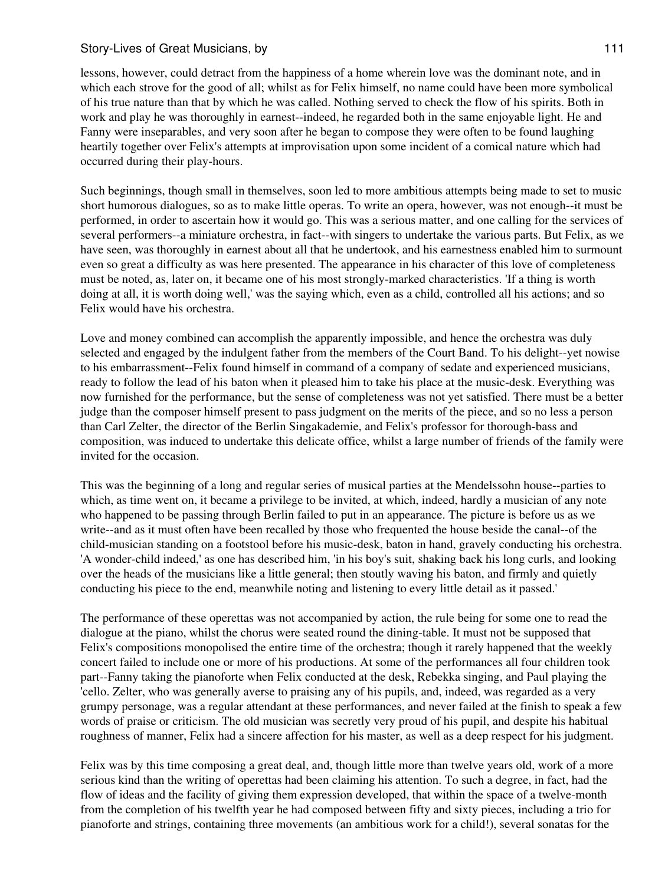### Story-Lives of Great Musicians, by 111 and the story of the state of the state of the state of the state of the state of the state of the state of the state of the state of the state of the state of the state of the state

lessons, however, could detract from the happiness of a home wherein love was the dominant note, and in which each strove for the good of all; whilst as for Felix himself, no name could have been more symbolical of his true nature than that by which he was called. Nothing served to check the flow of his spirits. Both in work and play he was thoroughly in earnest--indeed, he regarded both in the same enjoyable light. He and Fanny were inseparables, and very soon after he began to compose they were often to be found laughing heartily together over Felix's attempts at improvisation upon some incident of a comical nature which had occurred during their play-hours.

Such beginnings, though small in themselves, soon led to more ambitious attempts being made to set to music short humorous dialogues, so as to make little operas. To write an opera, however, was not enough--it must be performed, in order to ascertain how it would go. This was a serious matter, and one calling for the services of several performers--a miniature orchestra, in fact--with singers to undertake the various parts. But Felix, as we have seen, was thoroughly in earnest about all that he undertook, and his earnestness enabled him to surmount even so great a difficulty as was here presented. The appearance in his character of this love of completeness must be noted, as, later on, it became one of his most strongly-marked characteristics. 'If a thing is worth doing at all, it is worth doing well,' was the saying which, even as a child, controlled all his actions; and so Felix would have his orchestra.

Love and money combined can accomplish the apparently impossible, and hence the orchestra was duly selected and engaged by the indulgent father from the members of the Court Band. To his delight--yet nowise to his embarrassment--Felix found himself in command of a company of sedate and experienced musicians, ready to follow the lead of his baton when it pleased him to take his place at the music-desk. Everything was now furnished for the performance, but the sense of completeness was not yet satisfied. There must be a better judge than the composer himself present to pass judgment on the merits of the piece, and so no less a person than Carl Zelter, the director of the Berlin Singakademie, and Felix's professor for thorough-bass and composition, was induced to undertake this delicate office, whilst a large number of friends of the family were invited for the occasion.

This was the beginning of a long and regular series of musical parties at the Mendelssohn house--parties to which, as time went on, it became a privilege to be invited, at which, indeed, hardly a musician of any note who happened to be passing through Berlin failed to put in an appearance. The picture is before us as we write--and as it must often have been recalled by those who frequented the house beside the canal--of the child-musician standing on a footstool before his music-desk, baton in hand, gravely conducting his orchestra. 'A wonder-child indeed,' as one has described him, 'in his boy's suit, shaking back his long curls, and looking over the heads of the musicians like a little general; then stoutly waving his baton, and firmly and quietly conducting his piece to the end, meanwhile noting and listening to every little detail as it passed.'

The performance of these operettas was not accompanied by action, the rule being for some one to read the dialogue at the piano, whilst the chorus were seated round the dining-table. It must not be supposed that Felix's compositions monopolised the entire time of the orchestra; though it rarely happened that the weekly concert failed to include one or more of his productions. At some of the performances all four children took part--Fanny taking the pianoforte when Felix conducted at the desk, Rebekka singing, and Paul playing the 'cello. Zelter, who was generally averse to praising any of his pupils, and, indeed, was regarded as a very grumpy personage, was a regular attendant at these performances, and never failed at the finish to speak a few words of praise or criticism. The old musician was secretly very proud of his pupil, and despite his habitual roughness of manner, Felix had a sincere affection for his master, as well as a deep respect for his judgment.

Felix was by this time composing a great deal, and, though little more than twelve years old, work of a more serious kind than the writing of operettas had been claiming his attention. To such a degree, in fact, had the flow of ideas and the facility of giving them expression developed, that within the space of a twelve-month from the completion of his twelfth year he had composed between fifty and sixty pieces, including a trio for pianoforte and strings, containing three movements (an ambitious work for a child!), several sonatas for the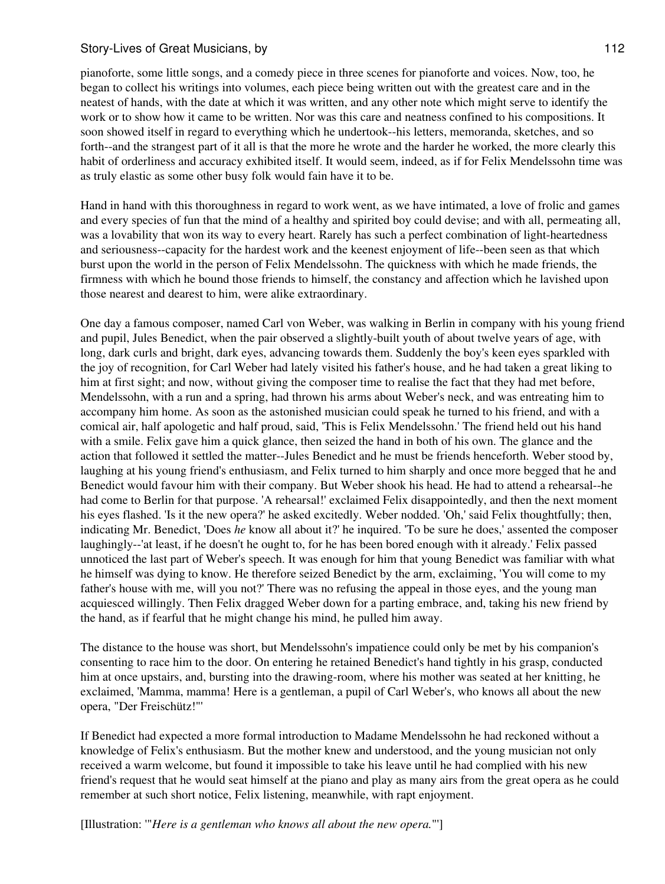pianoforte, some little songs, and a comedy piece in three scenes for pianoforte and voices. Now, too, he began to collect his writings into volumes, each piece being written out with the greatest care and in the neatest of hands, with the date at which it was written, and any other note which might serve to identify the work or to show how it came to be written. Nor was this care and neatness confined to his compositions. It soon showed itself in regard to everything which he undertook--his letters, memoranda, sketches, and so forth--and the strangest part of it all is that the more he wrote and the harder he worked, the more clearly this habit of orderliness and accuracy exhibited itself. It would seem, indeed, as if for Felix Mendelssohn time was as truly elastic as some other busy folk would fain have it to be.

Hand in hand with this thoroughness in regard to work went, as we have intimated, a love of frolic and games and every species of fun that the mind of a healthy and spirited boy could devise; and with all, permeating all, was a lovability that won its way to every heart. Rarely has such a perfect combination of light-heartedness and seriousness--capacity for the hardest work and the keenest enjoyment of life--been seen as that which burst upon the world in the person of Felix Mendelssohn. The quickness with which he made friends, the firmness with which he bound those friends to himself, the constancy and affection which he lavished upon those nearest and dearest to him, were alike extraordinary.

One day a famous composer, named Carl von Weber, was walking in Berlin in company with his young friend and pupil, Jules Benedict, when the pair observed a slightly-built youth of about twelve years of age, with long, dark curls and bright, dark eyes, advancing towards them. Suddenly the boy's keen eyes sparkled with the joy of recognition, for Carl Weber had lately visited his father's house, and he had taken a great liking to him at first sight; and now, without giving the composer time to realise the fact that they had met before, Mendelssohn, with a run and a spring, had thrown his arms about Weber's neck, and was entreating him to accompany him home. As soon as the astonished musician could speak he turned to his friend, and with a comical air, half apologetic and half proud, said, 'This is Felix Mendelssohn.' The friend held out his hand with a smile. Felix gave him a quick glance, then seized the hand in both of his own. The glance and the action that followed it settled the matter--Jules Benedict and he must be friends henceforth. Weber stood by, laughing at his young friend's enthusiasm, and Felix turned to him sharply and once more begged that he and Benedict would favour him with their company. But Weber shook his head. He had to attend a rehearsal--he had come to Berlin for that purpose. 'A rehearsal!' exclaimed Felix disappointedly, and then the next moment his eyes flashed. 'Is it the new opera?' he asked excitedly. Weber nodded. 'Oh,' said Felix thoughtfully; then, indicating Mr. Benedict, 'Does *he* know all about it?' he inquired. 'To be sure he does,' assented the composer laughingly--'at least, if he doesn't he ought to, for he has been bored enough with it already.' Felix passed unnoticed the last part of Weber's speech. It was enough for him that young Benedict was familiar with what he himself was dying to know. He therefore seized Benedict by the arm, exclaiming, 'You will come to my father's house with me, will you not?' There was no refusing the appeal in those eyes, and the young man acquiesced willingly. Then Felix dragged Weber down for a parting embrace, and, taking his new friend by the hand, as if fearful that he might change his mind, he pulled him away.

The distance to the house was short, but Mendelssohn's impatience could only be met by his companion's consenting to race him to the door. On entering he retained Benedict's hand tightly in his grasp, conducted him at once upstairs, and, bursting into the drawing-room, where his mother was seated at her knitting, he exclaimed, 'Mamma, mamma! Here is a gentleman, a pupil of Carl Weber's, who knows all about the new opera, "Der Freischütz!"'

If Benedict had expected a more formal introduction to Madame Mendelssohn he had reckoned without a knowledge of Felix's enthusiasm. But the mother knew and understood, and the young musician not only received a warm welcome, but found it impossible to take his leave until he had complied with his new friend's request that he would seat himself at the piano and play as many airs from the great opera as he could remember at such short notice, Felix listening, meanwhile, with rapt enjoyment.

[Illustration: '"*Here is a gentleman who knows all about the new opera.*"']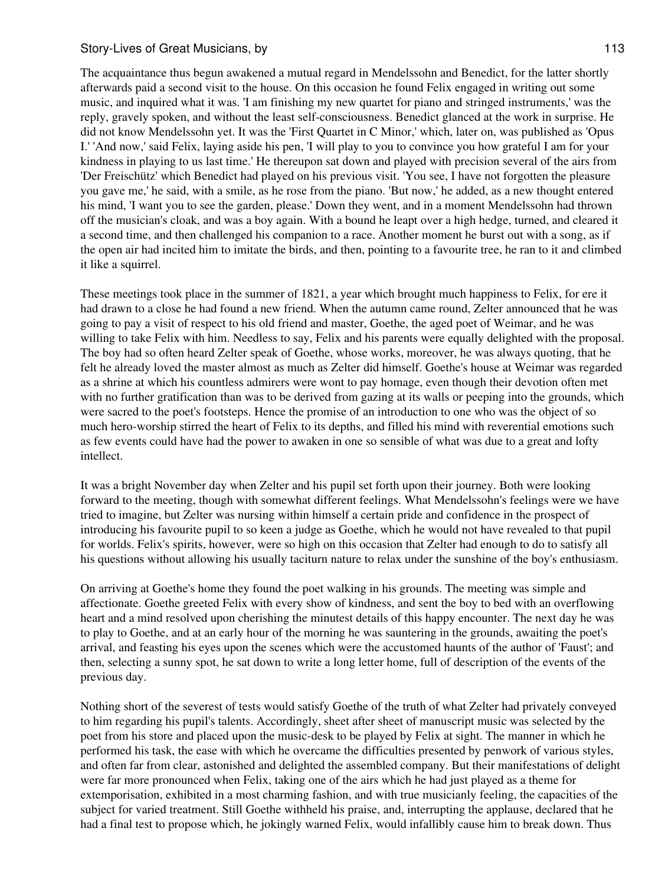The acquaintance thus begun awakened a mutual regard in Mendelssohn and Benedict, for the latter shortly afterwards paid a second visit to the house. On this occasion he found Felix engaged in writing out some music, and inquired what it was. 'I am finishing my new quartet for piano and stringed instruments,' was the reply, gravely spoken, and without the least self-consciousness. Benedict glanced at the work in surprise. He did not know Mendelssohn yet. It was the 'First Quartet in C Minor,' which, later on, was published as 'Opus I.' 'And now,' said Felix, laying aside his pen, 'I will play to you to convince you how grateful I am for your kindness in playing to us last time.' He thereupon sat down and played with precision several of the airs from 'Der Freischütz' which Benedict had played on his previous visit. 'You see, I have not forgotten the pleasure you gave me,' he said, with a smile, as he rose from the piano. 'But now,' he added, as a new thought entered his mind, 'I want you to see the garden, please.' Down they went, and in a moment Mendelssohn had thrown off the musician's cloak, and was a boy again. With a bound he leapt over a high hedge, turned, and cleared it a second time, and then challenged his companion to a race. Another moment he burst out with a song, as if the open air had incited him to imitate the birds, and then, pointing to a favourite tree, he ran to it and climbed it like a squirrel.

These meetings took place in the summer of 1821, a year which brought much happiness to Felix, for ere it had drawn to a close he had found a new friend. When the autumn came round, Zelter announced that he was going to pay a visit of respect to his old friend and master, Goethe, the aged poet of Weimar, and he was willing to take Felix with him. Needless to say, Felix and his parents were equally delighted with the proposal. The boy had so often heard Zelter speak of Goethe, whose works, moreover, he was always quoting, that he felt he already loved the master almost as much as Zelter did himself. Goethe's house at Weimar was regarded as a shrine at which his countless admirers were wont to pay homage, even though their devotion often met with no further gratification than was to be derived from gazing at its walls or peeping into the grounds, which were sacred to the poet's footsteps. Hence the promise of an introduction to one who was the object of so much hero-worship stirred the heart of Felix to its depths, and filled his mind with reverential emotions such as few events could have had the power to awaken in one so sensible of what was due to a great and lofty intellect.

It was a bright November day when Zelter and his pupil set forth upon their journey. Both were looking forward to the meeting, though with somewhat different feelings. What Mendelssohn's feelings were we have tried to imagine, but Zelter was nursing within himself a certain pride and confidence in the prospect of introducing his favourite pupil to so keen a judge as Goethe, which he would not have revealed to that pupil for worlds. Felix's spirits, however, were so high on this occasion that Zelter had enough to do to satisfy all his questions without allowing his usually taciturn nature to relax under the sunshine of the boy's enthusiasm.

On arriving at Goethe's home they found the poet walking in his grounds. The meeting was simple and affectionate. Goethe greeted Felix with every show of kindness, and sent the boy to bed with an overflowing heart and a mind resolved upon cherishing the minutest details of this happy encounter. The next day he was to play to Goethe, and at an early hour of the morning he was sauntering in the grounds, awaiting the poet's arrival, and feasting his eyes upon the scenes which were the accustomed haunts of the author of 'Faust'; and then, selecting a sunny spot, he sat down to write a long letter home, full of description of the events of the previous day.

Nothing short of the severest of tests would satisfy Goethe of the truth of what Zelter had privately conveyed to him regarding his pupil's talents. Accordingly, sheet after sheet of manuscript music was selected by the poet from his store and placed upon the music-desk to be played by Felix at sight. The manner in which he performed his task, the ease with which he overcame the difficulties presented by penwork of various styles, and often far from clear, astonished and delighted the assembled company. But their manifestations of delight were far more pronounced when Felix, taking one of the airs which he had just played as a theme for extemporisation, exhibited in a most charming fashion, and with true musicianly feeling, the capacities of the subject for varied treatment. Still Goethe withheld his praise, and, interrupting the applause, declared that he had a final test to propose which, he jokingly warned Felix, would infallibly cause him to break down. Thus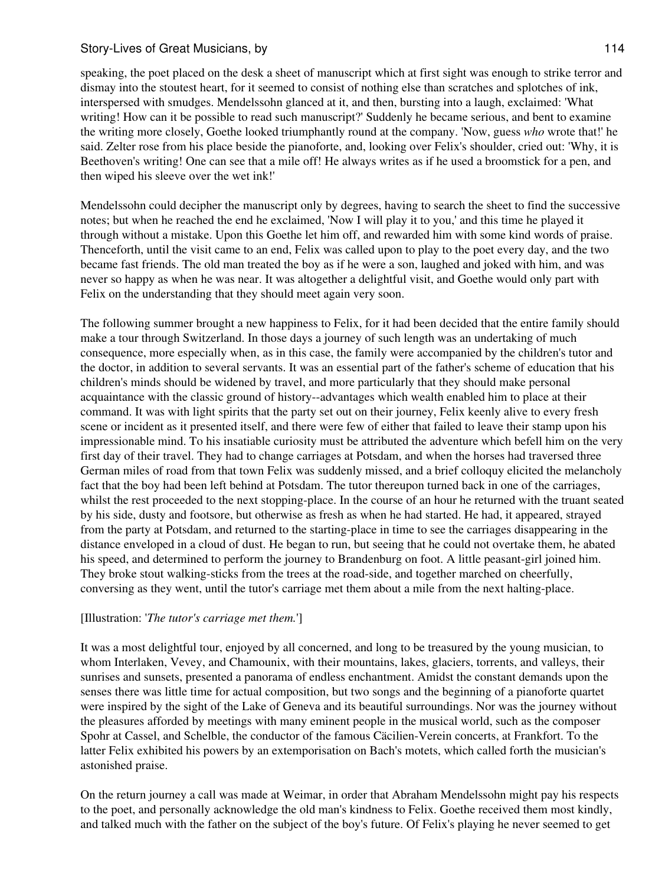speaking, the poet placed on the desk a sheet of manuscript which at first sight was enough to strike terror and dismay into the stoutest heart, for it seemed to consist of nothing else than scratches and splotches of ink, interspersed with smudges. Mendelssohn glanced at it, and then, bursting into a laugh, exclaimed: 'What writing! How can it be possible to read such manuscript?' Suddenly he became serious, and bent to examine the writing more closely, Goethe looked triumphantly round at the company. 'Now, guess *who* wrote that!' he said. Zelter rose from his place beside the pianoforte, and, looking over Felix's shoulder, cried out: 'Why, it is Beethoven's writing! One can see that a mile off! He always writes as if he used a broomstick for a pen, and then wiped his sleeve over the wet ink!'

Mendelssohn could decipher the manuscript only by degrees, having to search the sheet to find the successive notes; but when he reached the end he exclaimed, 'Now I will play it to you,' and this time he played it through without a mistake. Upon this Goethe let him off, and rewarded him with some kind words of praise. Thenceforth, until the visit came to an end, Felix was called upon to play to the poet every day, and the two became fast friends. The old man treated the boy as if he were a son, laughed and joked with him, and was never so happy as when he was near. It was altogether a delightful visit, and Goethe would only part with Felix on the understanding that they should meet again very soon.

The following summer brought a new happiness to Felix, for it had been decided that the entire family should make a tour through Switzerland. In those days a journey of such length was an undertaking of much consequence, more especially when, as in this case, the family were accompanied by the children's tutor and the doctor, in addition to several servants. It was an essential part of the father's scheme of education that his children's minds should be widened by travel, and more particularly that they should make personal acquaintance with the classic ground of history--advantages which wealth enabled him to place at their command. It was with light spirits that the party set out on their journey, Felix keenly alive to every fresh scene or incident as it presented itself, and there were few of either that failed to leave their stamp upon his impressionable mind. To his insatiable curiosity must be attributed the adventure which befell him on the very first day of their travel. They had to change carriages at Potsdam, and when the horses had traversed three German miles of road from that town Felix was suddenly missed, and a brief colloquy elicited the melancholy fact that the boy had been left behind at Potsdam. The tutor thereupon turned back in one of the carriages, whilst the rest proceeded to the next stopping-place. In the course of an hour he returned with the truant seated by his side, dusty and footsore, but otherwise as fresh as when he had started. He had, it appeared, strayed from the party at Potsdam, and returned to the starting-place in time to see the carriages disappearing in the distance enveloped in a cloud of dust. He began to run, but seeing that he could not overtake them, he abated his speed, and determined to perform the journey to Brandenburg on foot. A little peasant-girl joined him. They broke stout walking-sticks from the trees at the road-side, and together marched on cheerfully, conversing as they went, until the tutor's carriage met them about a mile from the next halting-place.

### [Illustration: '*The tutor's carriage met them.*']

It was a most delightful tour, enjoyed by all concerned, and long to be treasured by the young musician, to whom Interlaken, Vevey, and Chamounix, with their mountains, lakes, glaciers, torrents, and valleys, their sunrises and sunsets, presented a panorama of endless enchantment. Amidst the constant demands upon the senses there was little time for actual composition, but two songs and the beginning of a pianoforte quartet were inspired by the sight of the Lake of Geneva and its beautiful surroundings. Nor was the journey without the pleasures afforded by meetings with many eminent people in the musical world, such as the composer Spohr at Cassel, and Schelble, the conductor of the famous Cäcilien-Verein concerts, at Frankfort. To the latter Felix exhibited his powers by an extemporisation on Bach's motets, which called forth the musician's astonished praise.

On the return journey a call was made at Weimar, in order that Abraham Mendelssohn might pay his respects to the poet, and personally acknowledge the old man's kindness to Felix. Goethe received them most kindly, and talked much with the father on the subject of the boy's future. Of Felix's playing he never seemed to get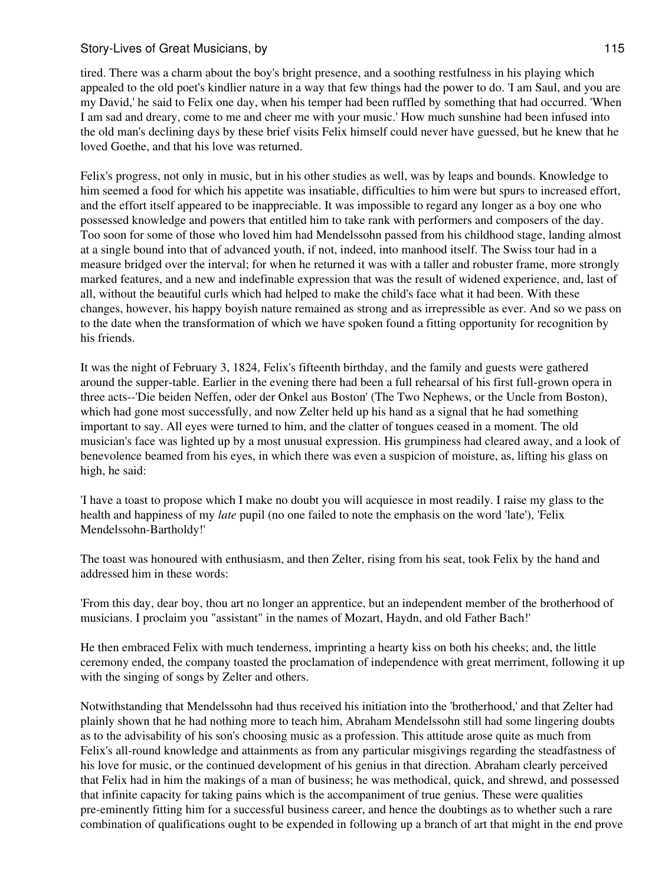tired. There was a charm about the boy's bright presence, and a soothing restfulness in his playing which appealed to the old poet's kindlier nature in a way that few things had the power to do. 'I am Saul, and you are my David,' he said to Felix one day, when his temper had been ruffled by something that had occurred. 'When I am sad and dreary, come to me and cheer me with your music.' How much sunshine had been infused into the old man's declining days by these brief visits Felix himself could never have guessed, but he knew that he loved Goethe, and that his love was returned.

Felix's progress, not only in music, but in his other studies as well, was by leaps and bounds. Knowledge to him seemed a food for which his appetite was insatiable, difficulties to him were but spurs to increased effort, and the effort itself appeared to be inappreciable. It was impossible to regard any longer as a boy one who possessed knowledge and powers that entitled him to take rank with performers and composers of the day. Too soon for some of those who loved him had Mendelssohn passed from his childhood stage, landing almost at a single bound into that of advanced youth, if not, indeed, into manhood itself. The Swiss tour had in a measure bridged over the interval; for when he returned it was with a taller and robuster frame, more strongly marked features, and a new and indefinable expression that was the result of widened experience, and, last of all, without the beautiful curls which had helped to make the child's face what it had been. With these changes, however, his happy boyish nature remained as strong and as irrepressible as ever. And so we pass on to the date when the transformation of which we have spoken found a fitting opportunity for recognition by his friends.

It was the night of February 3, 1824, Felix's fifteenth birthday, and the family and guests were gathered around the supper-table. Earlier in the evening there had been a full rehearsal of his first full-grown opera in three acts--'Die beiden Neffen, oder der Onkel aus Boston' (The Two Nephews, or the Uncle from Boston), which had gone most successfully, and now Zelter held up his hand as a signal that he had something important to say. All eyes were turned to him, and the clatter of tongues ceased in a moment. The old musician's face was lighted up by a most unusual expression. His grumpiness had cleared away, and a look of benevolence beamed from his eyes, in which there was even a suspicion of moisture, as, lifting his glass on high, he said:

'I have a toast to propose which I make no doubt you will acquiesce in most readily. I raise my glass to the health and happiness of my *late* pupil (no one failed to note the emphasis on the word 'late'), 'Felix Mendelssohn-Bartholdy!'

The toast was honoured with enthusiasm, and then Zelter, rising from his seat, took Felix by the hand and addressed him in these words:

'From this day, dear boy, thou art no longer an apprentice, but an independent member of the brotherhood of musicians. I proclaim you "assistant" in the names of Mozart, Haydn, and old Father Bach!'

He then embraced Felix with much tenderness, imprinting a hearty kiss on both his cheeks; and, the little ceremony ended, the company toasted the proclamation of independence with great merriment, following it up with the singing of songs by Zelter and others.

Notwithstanding that Mendelssohn had thus received his initiation into the 'brotherhood,' and that Zelter had plainly shown that he had nothing more to teach him, Abraham Mendelssohn still had some lingering doubts as to the advisability of his son's choosing music as a profession. This attitude arose quite as much from Felix's all-round knowledge and attainments as from any particular misgivings regarding the steadfastness of his love for music, or the continued development of his genius in that direction. Abraham clearly perceived that Felix had in him the makings of a man of business; he was methodical, quick, and shrewd, and possessed that infinite capacity for taking pains which is the accompaniment of true genius. These were qualities pre-eminently fitting him for a successful business career, and hence the doubtings as to whether such a rare combination of qualifications ought to be expended in following up a branch of art that might in the end prove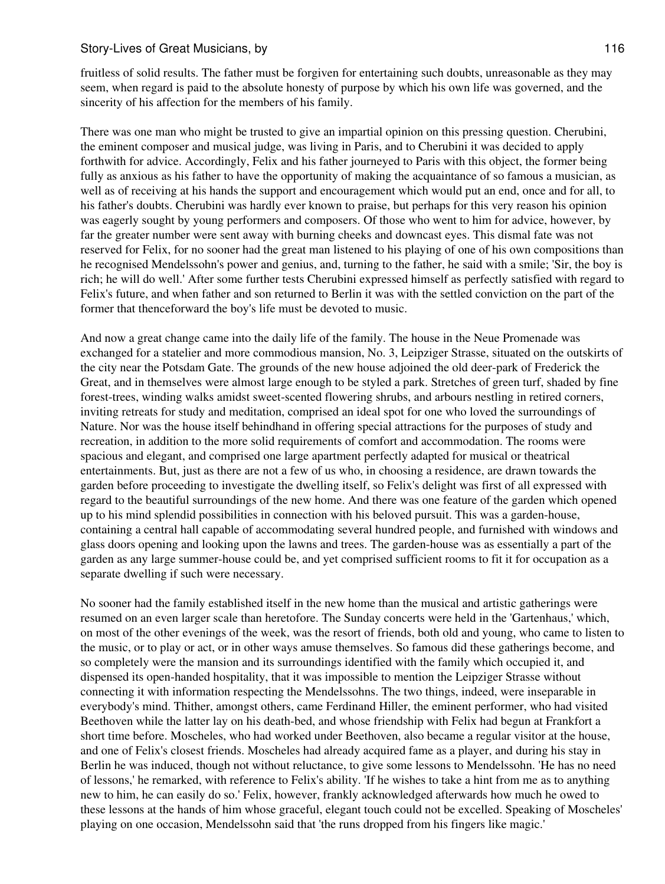fruitless of solid results. The father must be forgiven for entertaining such doubts, unreasonable as they may seem, when regard is paid to the absolute honesty of purpose by which his own life was governed, and the sincerity of his affection for the members of his family.

There was one man who might be trusted to give an impartial opinion on this pressing question. Cherubini, the eminent composer and musical judge, was living in Paris, and to Cherubini it was decided to apply forthwith for advice. Accordingly, Felix and his father journeyed to Paris with this object, the former being fully as anxious as his father to have the opportunity of making the acquaintance of so famous a musician, as well as of receiving at his hands the support and encouragement which would put an end, once and for all, to his father's doubts. Cherubini was hardly ever known to praise, but perhaps for this very reason his opinion was eagerly sought by young performers and composers. Of those who went to him for advice, however, by far the greater number were sent away with burning cheeks and downcast eyes. This dismal fate was not reserved for Felix, for no sooner had the great man listened to his playing of one of his own compositions than he recognised Mendelssohn's power and genius, and, turning to the father, he said with a smile; 'Sir, the boy is rich; he will do well.' After some further tests Cherubini expressed himself as perfectly satisfied with regard to Felix's future, and when father and son returned to Berlin it was with the settled conviction on the part of the former that thenceforward the boy's life must be devoted to music.

And now a great change came into the daily life of the family. The house in the Neue Promenade was exchanged for a statelier and more commodious mansion, No. 3, Leipziger Strasse, situated on the outskirts of the city near the Potsdam Gate. The grounds of the new house adjoined the old deer-park of Frederick the Great, and in themselves were almost large enough to be styled a park. Stretches of green turf, shaded by fine forest-trees, winding walks amidst sweet-scented flowering shrubs, and arbours nestling in retired corners, inviting retreats for study and meditation, comprised an ideal spot for one who loved the surroundings of Nature. Nor was the house itself behindhand in offering special attractions for the purposes of study and recreation, in addition to the more solid requirements of comfort and accommodation. The rooms were spacious and elegant, and comprised one large apartment perfectly adapted for musical or theatrical entertainments. But, just as there are not a few of us who, in choosing a residence, are drawn towards the garden before proceeding to investigate the dwelling itself, so Felix's delight was first of all expressed with regard to the beautiful surroundings of the new home. And there was one feature of the garden which opened up to his mind splendid possibilities in connection with his beloved pursuit. This was a garden-house, containing a central hall capable of accommodating several hundred people, and furnished with windows and glass doors opening and looking upon the lawns and trees. The garden-house was as essentially a part of the garden as any large summer-house could be, and yet comprised sufficient rooms to fit it for occupation as a separate dwelling if such were necessary.

No sooner had the family established itself in the new home than the musical and artistic gatherings were resumed on an even larger scale than heretofore. The Sunday concerts were held in the 'Gartenhaus,' which, on most of the other evenings of the week, was the resort of friends, both old and young, who came to listen to the music, or to play or act, or in other ways amuse themselves. So famous did these gatherings become, and so completely were the mansion and its surroundings identified with the family which occupied it, and dispensed its open-handed hospitality, that it was impossible to mention the Leipziger Strasse without connecting it with information respecting the Mendelssohns. The two things, indeed, were inseparable in everybody's mind. Thither, amongst others, came Ferdinand Hiller, the eminent performer, who had visited Beethoven while the latter lay on his death-bed, and whose friendship with Felix had begun at Frankfort a short time before. Moscheles, who had worked under Beethoven, also became a regular visitor at the house, and one of Felix's closest friends. Moscheles had already acquired fame as a player, and during his stay in Berlin he was induced, though not without reluctance, to give some lessons to Mendelssohn. 'He has no need of lessons,' he remarked, with reference to Felix's ability. 'If he wishes to take a hint from me as to anything new to him, he can easily do so.' Felix, however, frankly acknowledged afterwards how much he owed to these lessons at the hands of him whose graceful, elegant touch could not be excelled. Speaking of Moscheles' playing on one occasion, Mendelssohn said that 'the runs dropped from his fingers like magic.'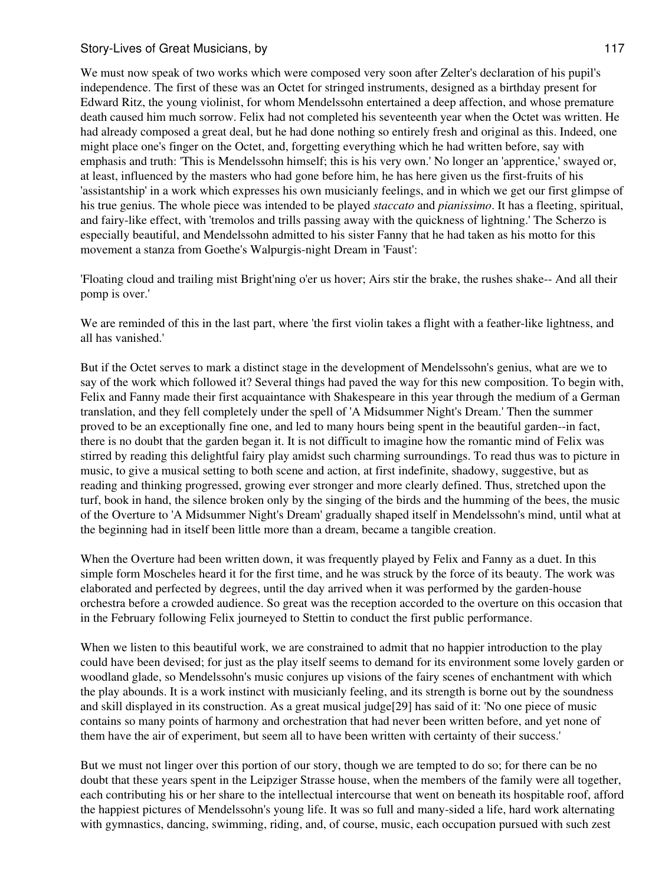We must now speak of two works which were composed very soon after Zelter's declaration of his pupil's independence. The first of these was an Octet for stringed instruments, designed as a birthday present for Edward Ritz, the young violinist, for whom Mendelssohn entertained a deep affection, and whose premature death caused him much sorrow. Felix had not completed his seventeenth year when the Octet was written. He had already composed a great deal, but he had done nothing so entirely fresh and original as this. Indeed, one might place one's finger on the Octet, and, forgetting everything which he had written before, say with emphasis and truth: 'This is Mendelssohn himself; this is his very own.' No longer an 'apprentice,' swayed or, at least, influenced by the masters who had gone before him, he has here given us the first-fruits of his 'assistantship' in a work which expresses his own musicianly feelings, and in which we get our first glimpse of his true genius. The whole piece was intended to be played *staccato* and *pianissimo*. It has a fleeting, spiritual, and fairy-like effect, with 'tremolos and trills passing away with the quickness of lightning.' The Scherzo is especially beautiful, and Mendelssohn admitted to his sister Fanny that he had taken as his motto for this movement a stanza from Goethe's Walpurgis-night Dream in 'Faust':

'Floating cloud and trailing mist Bright'ning o'er us hover; Airs stir the brake, the rushes shake-- And all their pomp is over.'

We are reminded of this in the last part, where 'the first violin takes a flight with a feather-like lightness, and all has vanished.'

But if the Octet serves to mark a distinct stage in the development of Mendelssohn's genius, what are we to say of the work which followed it? Several things had paved the way for this new composition. To begin with, Felix and Fanny made their first acquaintance with Shakespeare in this year through the medium of a German translation, and they fell completely under the spell of 'A Midsummer Night's Dream.' Then the summer proved to be an exceptionally fine one, and led to many hours being spent in the beautiful garden--in fact, there is no doubt that the garden began it. It is not difficult to imagine how the romantic mind of Felix was stirred by reading this delightful fairy play amidst such charming surroundings. To read thus was to picture in music, to give a musical setting to both scene and action, at first indefinite, shadowy, suggestive, but as reading and thinking progressed, growing ever stronger and more clearly defined. Thus, stretched upon the turf, book in hand, the silence broken only by the singing of the birds and the humming of the bees, the music of the Overture to 'A Midsummer Night's Dream' gradually shaped itself in Mendelssohn's mind, until what at the beginning had in itself been little more than a dream, became a tangible creation.

When the Overture had been written down, it was frequently played by Felix and Fanny as a duet. In this simple form Moscheles heard it for the first time, and he was struck by the force of its beauty. The work was elaborated and perfected by degrees, until the day arrived when it was performed by the garden-house orchestra before a crowded audience. So great was the reception accorded to the overture on this occasion that in the February following Felix journeyed to Stettin to conduct the first public performance.

When we listen to this beautiful work, we are constrained to admit that no happier introduction to the play could have been devised; for just as the play itself seems to demand for its environment some lovely garden or woodland glade, so Mendelssohn's music conjures up visions of the fairy scenes of enchantment with which the play abounds. It is a work instinct with musicianly feeling, and its strength is borne out by the soundness and skill displayed in its construction. As a great musical judge[29] has said of it: 'No one piece of music contains so many points of harmony and orchestration that had never been written before, and yet none of them have the air of experiment, but seem all to have been written with certainty of their success.'

But we must not linger over this portion of our story, though we are tempted to do so; for there can be no doubt that these years spent in the Leipziger Strasse house, when the members of the family were all together, each contributing his or her share to the intellectual intercourse that went on beneath its hospitable roof, afford the happiest pictures of Mendelssohn's young life. It was so full and many-sided a life, hard work alternating with gymnastics, dancing, swimming, riding, and, of course, music, each occupation pursued with such zest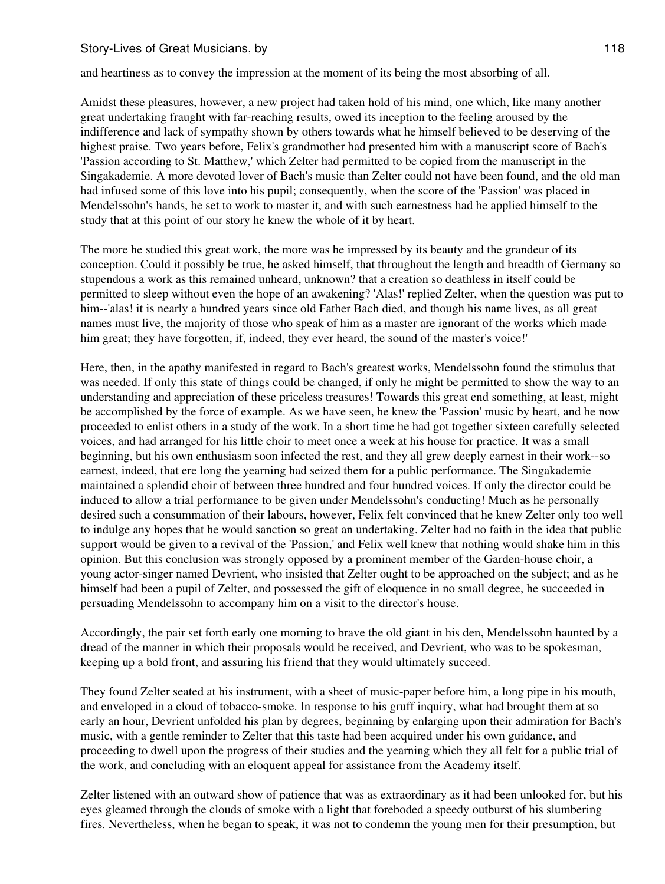and heartiness as to convey the impression at the moment of its being the most absorbing of all.

Amidst these pleasures, however, a new project had taken hold of his mind, one which, like many another great undertaking fraught with far-reaching results, owed its inception to the feeling aroused by the indifference and lack of sympathy shown by others towards what he himself believed to be deserving of the highest praise. Two years before, Felix's grandmother had presented him with a manuscript score of Bach's 'Passion according to St. Matthew,' which Zelter had permitted to be copied from the manuscript in the Singakademie. A more devoted lover of Bach's music than Zelter could not have been found, and the old man had infused some of this love into his pupil; consequently, when the score of the 'Passion' was placed in Mendelssohn's hands, he set to work to master it, and with such earnestness had he applied himself to the study that at this point of our story he knew the whole of it by heart.

The more he studied this great work, the more was he impressed by its beauty and the grandeur of its conception. Could it possibly be true, he asked himself, that throughout the length and breadth of Germany so stupendous a work as this remained unheard, unknown? that a creation so deathless in itself could be permitted to sleep without even the hope of an awakening? 'Alas!' replied Zelter, when the question was put to him--'alas! it is nearly a hundred years since old Father Bach died, and though his name lives, as all great names must live, the majority of those who speak of him as a master are ignorant of the works which made him great; they have forgotten, if, indeed, they ever heard, the sound of the master's voice!'

Here, then, in the apathy manifested in regard to Bach's greatest works, Mendelssohn found the stimulus that was needed. If only this state of things could be changed, if only he might be permitted to show the way to an understanding and appreciation of these priceless treasures! Towards this great end something, at least, might be accomplished by the force of example. As we have seen, he knew the 'Passion' music by heart, and he now proceeded to enlist others in a study of the work. In a short time he had got together sixteen carefully selected voices, and had arranged for his little choir to meet once a week at his house for practice. It was a small beginning, but his own enthusiasm soon infected the rest, and they all grew deeply earnest in their work--so earnest, indeed, that ere long the yearning had seized them for a public performance. The Singakademie maintained a splendid choir of between three hundred and four hundred voices. If only the director could be induced to allow a trial performance to be given under Mendelssohn's conducting! Much as he personally desired such a consummation of their labours, however, Felix felt convinced that he knew Zelter only too well to indulge any hopes that he would sanction so great an undertaking. Zelter had no faith in the idea that public support would be given to a revival of the 'Passion,' and Felix well knew that nothing would shake him in this opinion. But this conclusion was strongly opposed by a prominent member of the Garden-house choir, a young actor-singer named Devrient, who insisted that Zelter ought to be approached on the subject; and as he himself had been a pupil of Zelter, and possessed the gift of eloquence in no small degree, he succeeded in persuading Mendelssohn to accompany him on a visit to the director's house.

Accordingly, the pair set forth early one morning to brave the old giant in his den, Mendelssohn haunted by a dread of the manner in which their proposals would be received, and Devrient, who was to be spokesman, keeping up a bold front, and assuring his friend that they would ultimately succeed.

They found Zelter seated at his instrument, with a sheet of music-paper before him, a long pipe in his mouth, and enveloped in a cloud of tobacco-smoke. In response to his gruff inquiry, what had brought them at so early an hour, Devrient unfolded his plan by degrees, beginning by enlarging upon their admiration for Bach's music, with a gentle reminder to Zelter that this taste had been acquired under his own guidance, and proceeding to dwell upon the progress of their studies and the yearning which they all felt for a public trial of the work, and concluding with an eloquent appeal for assistance from the Academy itself.

Zelter listened with an outward show of patience that was as extraordinary as it had been unlooked for, but his eyes gleamed through the clouds of smoke with a light that foreboded a speedy outburst of his slumbering fires. Nevertheless, when he began to speak, it was not to condemn the young men for their presumption, but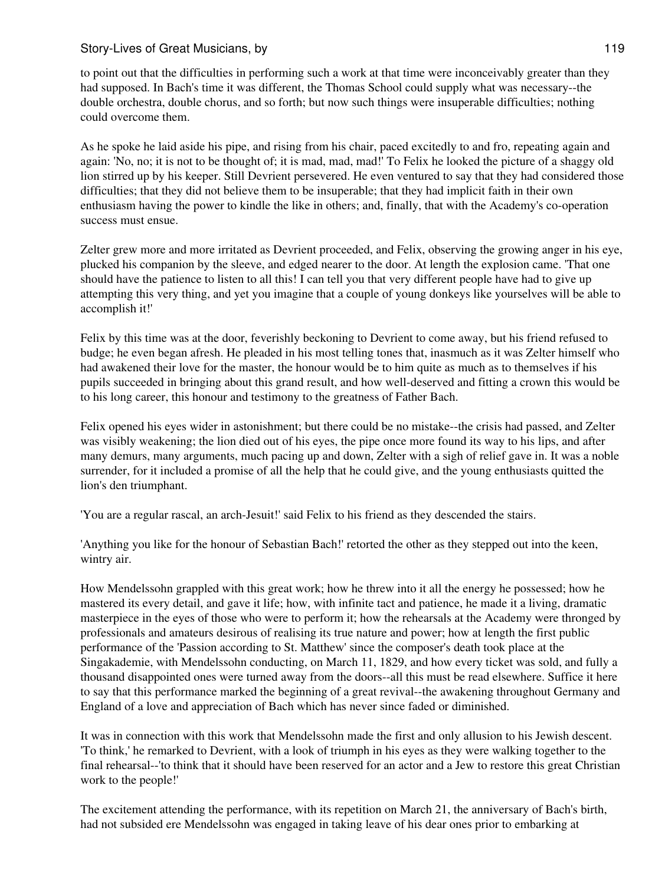to point out that the difficulties in performing such a work at that time were inconceivably greater than they had supposed. In Bach's time it was different, the Thomas School could supply what was necessary--the double orchestra, double chorus, and so forth; but now such things were insuperable difficulties; nothing could overcome them.

As he spoke he laid aside his pipe, and rising from his chair, paced excitedly to and fro, repeating again and again: 'No, no; it is not to be thought of; it is mad, mad, mad!' To Felix he looked the picture of a shaggy old lion stirred up by his keeper. Still Devrient persevered. He even ventured to say that they had considered those difficulties; that they did not believe them to be insuperable; that they had implicit faith in their own enthusiasm having the power to kindle the like in others; and, finally, that with the Academy's co-operation success must ensue.

Zelter grew more and more irritated as Devrient proceeded, and Felix, observing the growing anger in his eye, plucked his companion by the sleeve, and edged nearer to the door. At length the explosion came. 'That one should have the patience to listen to all this! I can tell you that very different people have had to give up attempting this very thing, and yet you imagine that a couple of young donkeys like yourselves will be able to accomplish it!'

Felix by this time was at the door, feverishly beckoning to Devrient to come away, but his friend refused to budge; he even began afresh. He pleaded in his most telling tones that, inasmuch as it was Zelter himself who had awakened their love for the master, the honour would be to him quite as much as to themselves if his pupils succeeded in bringing about this grand result, and how well-deserved and fitting a crown this would be to his long career, this honour and testimony to the greatness of Father Bach.

Felix opened his eyes wider in astonishment; but there could be no mistake--the crisis had passed, and Zelter was visibly weakening; the lion died out of his eyes, the pipe once more found its way to his lips, and after many demurs, many arguments, much pacing up and down, Zelter with a sigh of relief gave in. It was a noble surrender, for it included a promise of all the help that he could give, and the young enthusiasts quitted the lion's den triumphant.

'You are a regular rascal, an arch-Jesuit!' said Felix to his friend as they descended the stairs.

'Anything you like for the honour of Sebastian Bach!' retorted the other as they stepped out into the keen, wintry air.

How Mendelssohn grappled with this great work; how he threw into it all the energy he possessed; how he mastered its every detail, and gave it life; how, with infinite tact and patience, he made it a living, dramatic masterpiece in the eyes of those who were to perform it; how the rehearsals at the Academy were thronged by professionals and amateurs desirous of realising its true nature and power; how at length the first public performance of the 'Passion according to St. Matthew' since the composer's death took place at the Singakademie, with Mendelssohn conducting, on March 11, 1829, and how every ticket was sold, and fully a thousand disappointed ones were turned away from the doors--all this must be read elsewhere. Suffice it here to say that this performance marked the beginning of a great revival--the awakening throughout Germany and England of a love and appreciation of Bach which has never since faded or diminished.

It was in connection with this work that Mendelssohn made the first and only allusion to his Jewish descent. 'To think,' he remarked to Devrient, with a look of triumph in his eyes as they were walking together to the final rehearsal--'to think that it should have been reserved for an actor and a Jew to restore this great Christian work to the people!'

The excitement attending the performance, with its repetition on March 21, the anniversary of Bach's birth, had not subsided ere Mendelssohn was engaged in taking leave of his dear ones prior to embarking at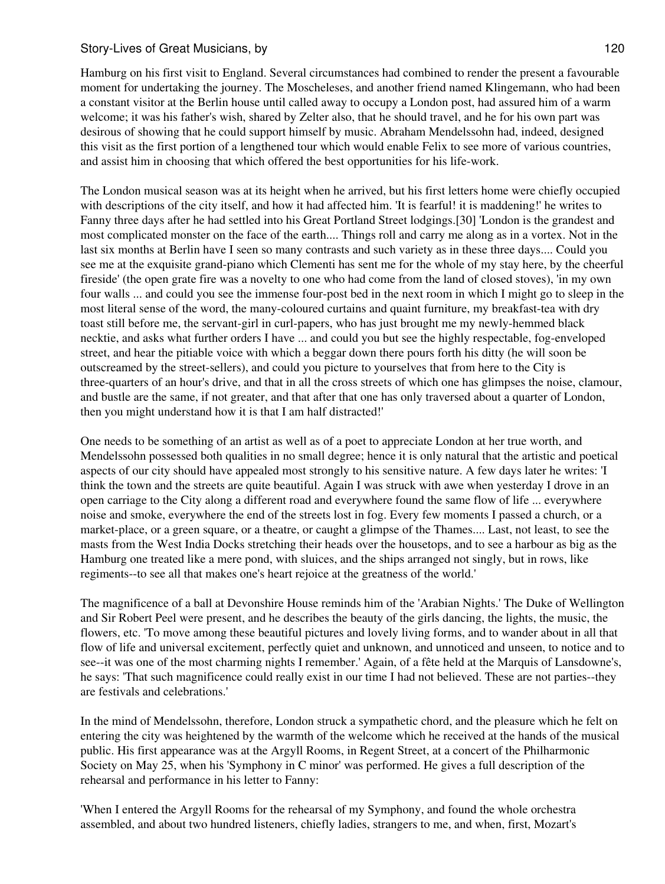Hamburg on his first visit to England. Several circumstances had combined to render the present a favourable moment for undertaking the journey. The Moscheleses, and another friend named Klingemann, who had been a constant visitor at the Berlin house until called away to occupy a London post, had assured him of a warm welcome; it was his father's wish, shared by Zelter also, that he should travel, and he for his own part was desirous of showing that he could support himself by music. Abraham Mendelssohn had, indeed, designed this visit as the first portion of a lengthened tour which would enable Felix to see more of various countries, and assist him in choosing that which offered the best opportunities for his life-work.

The London musical season was at its height when he arrived, but his first letters home were chiefly occupied with descriptions of the city itself, and how it had affected him. 'It is fearful! it is maddening!' he writes to Fanny three days after he had settled into his Great Portland Street lodgings.[30] 'London is the grandest and most complicated monster on the face of the earth.... Things roll and carry me along as in a vortex. Not in the last six months at Berlin have I seen so many contrasts and such variety as in these three days.... Could you see me at the exquisite grand-piano which Clementi has sent me for the whole of my stay here, by the cheerful fireside' (the open grate fire was a novelty to one who had come from the land of closed stoves), 'in my own four walls ... and could you see the immense four-post bed in the next room in which I might go to sleep in the most literal sense of the word, the many-coloured curtains and quaint furniture, my breakfast-tea with dry toast still before me, the servant-girl in curl-papers, who has just brought me my newly-hemmed black necktie, and asks what further orders I have ... and could you but see the highly respectable, fog-enveloped street, and hear the pitiable voice with which a beggar down there pours forth his ditty (he will soon be outscreamed by the street-sellers), and could you picture to yourselves that from here to the City is three-quarters of an hour's drive, and that in all the cross streets of which one has glimpses the noise, clamour, and bustle are the same, if not greater, and that after that one has only traversed about a quarter of London, then you might understand how it is that I am half distracted!'

One needs to be something of an artist as well as of a poet to appreciate London at her true worth, and Mendelssohn possessed both qualities in no small degree; hence it is only natural that the artistic and poetical aspects of our city should have appealed most strongly to his sensitive nature. A few days later he writes: 'I think the town and the streets are quite beautiful. Again I was struck with awe when yesterday I drove in an open carriage to the City along a different road and everywhere found the same flow of life ... everywhere noise and smoke, everywhere the end of the streets lost in fog. Every few moments I passed a church, or a market-place, or a green square, or a theatre, or caught a glimpse of the Thames.... Last, not least, to see the masts from the West India Docks stretching their heads over the housetops, and to see a harbour as big as the Hamburg one treated like a mere pond, with sluices, and the ships arranged not singly, but in rows, like regiments--to see all that makes one's heart rejoice at the greatness of the world.'

The magnificence of a ball at Devonshire House reminds him of the 'Arabian Nights.' The Duke of Wellington and Sir Robert Peel were present, and he describes the beauty of the girls dancing, the lights, the music, the flowers, etc. 'To move among these beautiful pictures and lovely living forms, and to wander about in all that flow of life and universal excitement, perfectly quiet and unknown, and unnoticed and unseen, to notice and to see--it was one of the most charming nights I remember.' Again, of a fête held at the Marquis of Lansdowne's, he says: 'That such magnificence could really exist in our time I had not believed. These are not parties--they are festivals and celebrations.'

In the mind of Mendelssohn, therefore, London struck a sympathetic chord, and the pleasure which he felt on entering the city was heightened by the warmth of the welcome which he received at the hands of the musical public. His first appearance was at the Argyll Rooms, in Regent Street, at a concert of the Philharmonic Society on May 25, when his 'Symphony in C minor' was performed. He gives a full description of the rehearsal and performance in his letter to Fanny:

'When I entered the Argyll Rooms for the rehearsal of my Symphony, and found the whole orchestra assembled, and about two hundred listeners, chiefly ladies, strangers to me, and when, first, Mozart's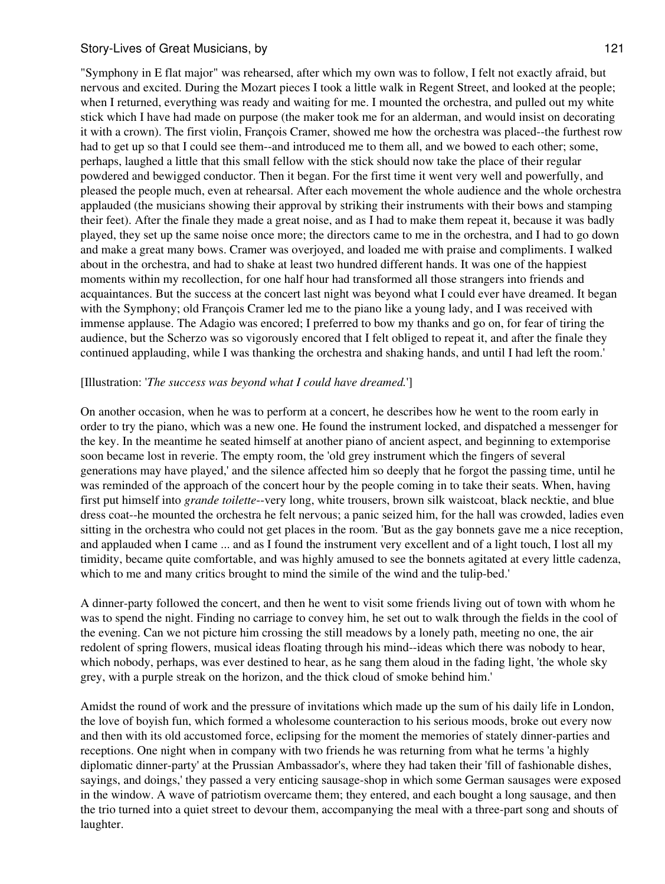"Symphony in E flat major" was rehearsed, after which my own was to follow, I felt not exactly afraid, but nervous and excited. During the Mozart pieces I took a little walk in Regent Street, and looked at the people; when I returned, everything was ready and waiting for me. I mounted the orchestra, and pulled out my white stick which I have had made on purpose (the maker took me for an alderman, and would insist on decorating it with a crown). The first violin, François Cramer, showed me how the orchestra was placed--the furthest row had to get up so that I could see them--and introduced me to them all, and we bowed to each other; some, perhaps, laughed a little that this small fellow with the stick should now take the place of their regular powdered and bewigged conductor. Then it began. For the first time it went very well and powerfully, and pleased the people much, even at rehearsal. After each movement the whole audience and the whole orchestra applauded (the musicians showing their approval by striking their instruments with their bows and stamping their feet). After the finale they made a great noise, and as I had to make them repeat it, because it was badly played, they set up the same noise once more; the directors came to me in the orchestra, and I had to go down and make a great many bows. Cramer was overjoyed, and loaded me with praise and compliments. I walked about in the orchestra, and had to shake at least two hundred different hands. It was one of the happiest moments within my recollection, for one half hour had transformed all those strangers into friends and acquaintances. But the success at the concert last night was beyond what I could ever have dreamed. It began with the Symphony; old François Cramer led me to the piano like a young lady, and I was received with immense applause. The Adagio was encored; I preferred to bow my thanks and go on, for fear of tiring the audience, but the Scherzo was so vigorously encored that I felt obliged to repeat it, and after the finale they continued applauding, while I was thanking the orchestra and shaking hands, and until I had left the room.'

### [Illustration: '*The success was beyond what I could have dreamed.*']

On another occasion, when he was to perform at a concert, he describes how he went to the room early in order to try the piano, which was a new one. He found the instrument locked, and dispatched a messenger for the key. In the meantime he seated himself at another piano of ancient aspect, and beginning to extemporise soon became lost in reverie. The empty room, the 'old grey instrument which the fingers of several generations may have played,' and the silence affected him so deeply that he forgot the passing time, until he was reminded of the approach of the concert hour by the people coming in to take their seats. When, having first put himself into *grande toilette*--very long, white trousers, brown silk waistcoat, black necktie, and blue dress coat--he mounted the orchestra he felt nervous; a panic seized him, for the hall was crowded, ladies even sitting in the orchestra who could not get places in the room. 'But as the gay bonnets gave me a nice reception, and applauded when I came ... and as I found the instrument very excellent and of a light touch, I lost all my timidity, became quite comfortable, and was highly amused to see the bonnets agitated at every little cadenza, which to me and many critics brought to mind the simile of the wind and the tulip-bed.'

A dinner-party followed the concert, and then he went to visit some friends living out of town with whom he was to spend the night. Finding no carriage to convey him, he set out to walk through the fields in the cool of the evening. Can we not picture him crossing the still meadows by a lonely path, meeting no one, the air redolent of spring flowers, musical ideas floating through his mind--ideas which there was nobody to hear, which nobody, perhaps, was ever destined to hear, as he sang them aloud in the fading light, 'the whole sky grey, with a purple streak on the horizon, and the thick cloud of smoke behind him.'

Amidst the round of work and the pressure of invitations which made up the sum of his daily life in London, the love of boyish fun, which formed a wholesome counteraction to his serious moods, broke out every now and then with its old accustomed force, eclipsing for the moment the memories of stately dinner-parties and receptions. One night when in company with two friends he was returning from what he terms 'a highly diplomatic dinner-party' at the Prussian Ambassador's, where they had taken their 'fill of fashionable dishes, sayings, and doings,' they passed a very enticing sausage-shop in which some German sausages were exposed in the window. A wave of patriotism overcame them; they entered, and each bought a long sausage, and then the trio turned into a quiet street to devour them, accompanying the meal with a three-part song and shouts of laughter.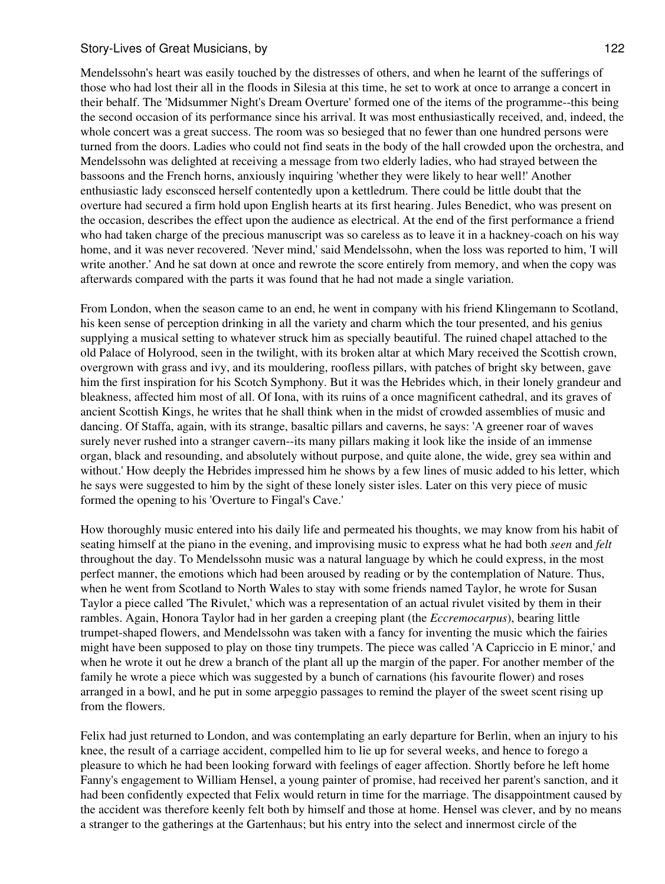Mendelssohn's heart was easily touched by the distresses of others, and when he learnt of the sufferings of those who had lost their all in the floods in Silesia at this time, he set to work at once to arrange a concert in their behalf. The 'Midsummer Night's Dream Overture' formed one of the items of the programme--this being the second occasion of its performance since his arrival. It was most enthusiastically received, and, indeed, the whole concert was a great success. The room was so besieged that no fewer than one hundred persons were turned from the doors. Ladies who could not find seats in the body of the hall crowded upon the orchestra, and Mendelssohn was delighted at receiving a message from two elderly ladies, who had strayed between the bassoons and the French horns, anxiously inquiring 'whether they were likely to hear well!' Another enthusiastic lady esconsced herself contentedly upon a kettledrum. There could be little doubt that the overture had secured a firm hold upon English hearts at its first hearing. Jules Benedict, who was present on the occasion, describes the effect upon the audience as electrical. At the end of the first performance a friend who had taken charge of the precious manuscript was so careless as to leave it in a hackney-coach on his way home, and it was never recovered. 'Never mind,' said Mendelssohn, when the loss was reported to him, 'I will write another.' And he sat down at once and rewrote the score entirely from memory, and when the copy was afterwards compared with the parts it was found that he had not made a single variation.

From London, when the season came to an end, he went in company with his friend Klingemann to Scotland, his keen sense of perception drinking in all the variety and charm which the tour presented, and his genius supplying a musical setting to whatever struck him as specially beautiful. The ruined chapel attached to the old Palace of Holyrood, seen in the twilight, with its broken altar at which Mary received the Scottish crown, overgrown with grass and ivy, and its mouldering, roofless pillars, with patches of bright sky between, gave him the first inspiration for his Scotch Symphony. But it was the Hebrides which, in their lonely grandeur and bleakness, affected him most of all. Of Iona, with its ruins of a once magnificent cathedral, and its graves of ancient Scottish Kings, he writes that he shall think when in the midst of crowded assemblies of music and dancing. Of Staffa, again, with its strange, basaltic pillars and caverns, he says: 'A greener roar of waves surely never rushed into a stranger cavern--its many pillars making it look like the inside of an immense organ, black and resounding, and absolutely without purpose, and quite alone, the wide, grey sea within and without.' How deeply the Hebrides impressed him he shows by a few lines of music added to his letter, which he says were suggested to him by the sight of these lonely sister isles. Later on this very piece of music formed the opening to his 'Overture to Fingal's Cave.'

How thoroughly music entered into his daily life and permeated his thoughts, we may know from his habit of seating himself at the piano in the evening, and improvising music to express what he had both *seen* and *felt* throughout the day. To Mendelssohn music was a natural language by which he could express, in the most perfect manner, the emotions which had been aroused by reading or by the contemplation of Nature. Thus, when he went from Scotland to North Wales to stay with some friends named Taylor, he wrote for Susan Taylor a piece called 'The Rivulet,' which was a representation of an actual rivulet visited by them in their rambles. Again, Honora Taylor had in her garden a creeping plant (the *Eccremocarpus*), bearing little trumpet-shaped flowers, and Mendelssohn was taken with a fancy for inventing the music which the fairies might have been supposed to play on those tiny trumpets. The piece was called 'A Capriccio in E minor,' and when he wrote it out he drew a branch of the plant all up the margin of the paper. For another member of the family he wrote a piece which was suggested by a bunch of carnations (his favourite flower) and roses arranged in a bowl, and he put in some arpeggio passages to remind the player of the sweet scent rising up from the flowers.

Felix had just returned to London, and was contemplating an early departure for Berlin, when an injury to his knee, the result of a carriage accident, compelled him to lie up for several weeks, and hence to forego a pleasure to which he had been looking forward with feelings of eager affection. Shortly before he left home Fanny's engagement to William Hensel, a young painter of promise, had received her parent's sanction, and it had been confidently expected that Felix would return in time for the marriage. The disappointment caused by the accident was therefore keenly felt both by himself and those at home. Hensel was clever, and by no means a stranger to the gatherings at the Gartenhaus; but his entry into the select and innermost circle of the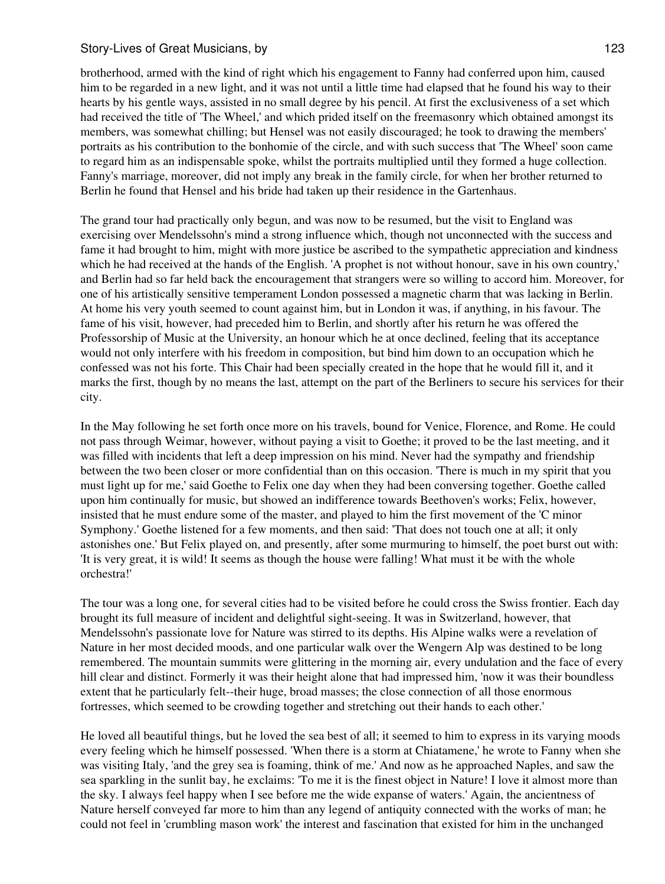brotherhood, armed with the kind of right which his engagement to Fanny had conferred upon him, caused him to be regarded in a new light, and it was not until a little time had elapsed that he found his way to their hearts by his gentle ways, assisted in no small degree by his pencil. At first the exclusiveness of a set which had received the title of 'The Wheel,' and which prided itself on the freemasonry which obtained amongst its members, was somewhat chilling; but Hensel was not easily discouraged; he took to drawing the members' portraits as his contribution to the bonhomie of the circle, and with such success that 'The Wheel' soon came to regard him as an indispensable spoke, whilst the portraits multiplied until they formed a huge collection. Fanny's marriage, moreover, did not imply any break in the family circle, for when her brother returned to Berlin he found that Hensel and his bride had taken up their residence in the Gartenhaus.

The grand tour had practically only begun, and was now to be resumed, but the visit to England was exercising over Mendelssohn's mind a strong influence which, though not unconnected with the success and fame it had brought to him, might with more justice be ascribed to the sympathetic appreciation and kindness which he had received at the hands of the English. 'A prophet is not without honour, save in his own country,' and Berlin had so far held back the encouragement that strangers were so willing to accord him. Moreover, for one of his artistically sensitive temperament London possessed a magnetic charm that was lacking in Berlin. At home his very youth seemed to count against him, but in London it was, if anything, in his favour. The fame of his visit, however, had preceded him to Berlin, and shortly after his return he was offered the Professorship of Music at the University, an honour which he at once declined, feeling that its acceptance would not only interfere with his freedom in composition, but bind him down to an occupation which he confessed was not his forte. This Chair had been specially created in the hope that he would fill it, and it marks the first, though by no means the last, attempt on the part of the Berliners to secure his services for their city.

In the May following he set forth once more on his travels, bound for Venice, Florence, and Rome. He could not pass through Weimar, however, without paying a visit to Goethe; it proved to be the last meeting, and it was filled with incidents that left a deep impression on his mind. Never had the sympathy and friendship between the two been closer or more confidential than on this occasion. 'There is much in my spirit that you must light up for me,' said Goethe to Felix one day when they had been conversing together. Goethe called upon him continually for music, but showed an indifference towards Beethoven's works; Felix, however, insisted that he must endure some of the master, and played to him the first movement of the 'C minor Symphony.' Goethe listened for a few moments, and then said: 'That does not touch one at all; it only astonishes one.' But Felix played on, and presently, after some murmuring to himself, the poet burst out with: 'It is very great, it is wild! It seems as though the house were falling! What must it be with the whole orchestra!'

The tour was a long one, for several cities had to be visited before he could cross the Swiss frontier. Each day brought its full measure of incident and delightful sight-seeing. It was in Switzerland, however, that Mendelssohn's passionate love for Nature was stirred to its depths. His Alpine walks were a revelation of Nature in her most decided moods, and one particular walk over the Wengern Alp was destined to be long remembered. The mountain summits were glittering in the morning air, every undulation and the face of every hill clear and distinct. Formerly it was their height alone that had impressed him, 'now it was their boundless extent that he particularly felt--their huge, broad masses; the close connection of all those enormous fortresses, which seemed to be crowding together and stretching out their hands to each other.'

He loved all beautiful things, but he loved the sea best of all; it seemed to him to express in its varying moods every feeling which he himself possessed. 'When there is a storm at Chiatamene,' he wrote to Fanny when she was visiting Italy, 'and the grey sea is foaming, think of me.' And now as he approached Naples, and saw the sea sparkling in the sunlit bay, he exclaims: 'To me it is the finest object in Nature! I love it almost more than the sky. I always feel happy when I see before me the wide expanse of waters.' Again, the ancientness of Nature herself conveyed far more to him than any legend of antiquity connected with the works of man; he could not feel in 'crumbling mason work' the interest and fascination that existed for him in the unchanged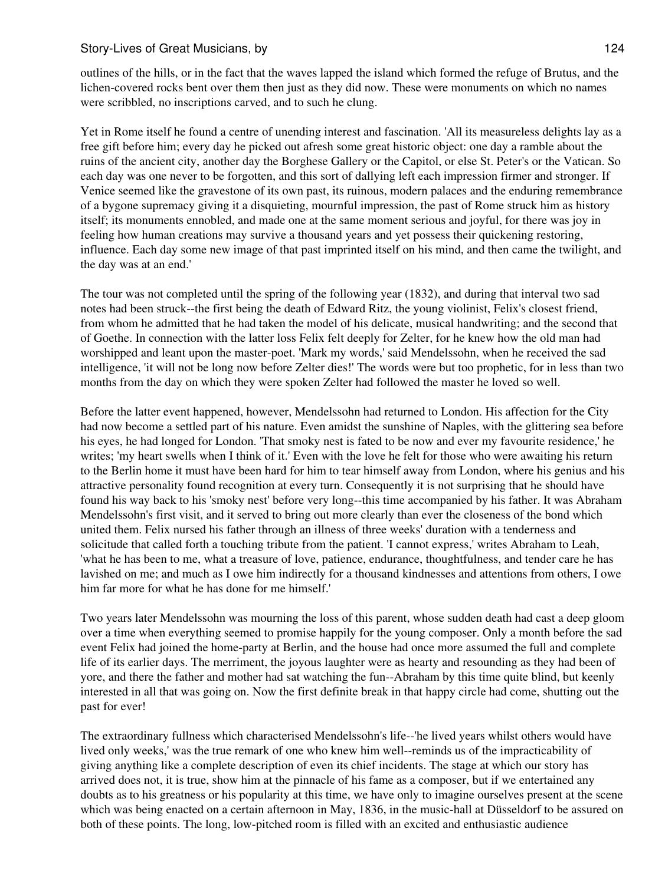outlines of the hills, or in the fact that the waves lapped the island which formed the refuge of Brutus, and the lichen-covered rocks bent over them then just as they did now. These were monuments on which no names were scribbled, no inscriptions carved, and to such he clung.

Yet in Rome itself he found a centre of unending interest and fascination. 'All its measureless delights lay as a free gift before him; every day he picked out afresh some great historic object: one day a ramble about the ruins of the ancient city, another day the Borghese Gallery or the Capitol, or else St. Peter's or the Vatican. So each day was one never to be forgotten, and this sort of dallying left each impression firmer and stronger. If Venice seemed like the gravestone of its own past, its ruinous, modern palaces and the enduring remembrance of a bygone supremacy giving it a disquieting, mournful impression, the past of Rome struck him as history itself; its monuments ennobled, and made one at the same moment serious and joyful, for there was joy in feeling how human creations may survive a thousand years and yet possess their quickening restoring, influence. Each day some new image of that past imprinted itself on his mind, and then came the twilight, and the day was at an end.'

The tour was not completed until the spring of the following year (1832), and during that interval two sad notes had been struck--the first being the death of Edward Ritz, the young violinist, Felix's closest friend, from whom he admitted that he had taken the model of his delicate, musical handwriting; and the second that of Goethe. In connection with the latter loss Felix felt deeply for Zelter, for he knew how the old man had worshipped and leant upon the master-poet. 'Mark my words,' said Mendelssohn, when he received the sad intelligence, 'it will not be long now before Zelter dies!' The words were but too prophetic, for in less than two months from the day on which they were spoken Zelter had followed the master he loved so well.

Before the latter event happened, however, Mendelssohn had returned to London. His affection for the City had now become a settled part of his nature. Even amidst the sunshine of Naples, with the glittering sea before his eyes, he had longed for London. 'That smoky nest is fated to be now and ever my favourite residence,' he writes; 'my heart swells when I think of it.' Even with the love he felt for those who were awaiting his return to the Berlin home it must have been hard for him to tear himself away from London, where his genius and his attractive personality found recognition at every turn. Consequently it is not surprising that he should have found his way back to his 'smoky nest' before very long--this time accompanied by his father. It was Abraham Mendelssohn's first visit, and it served to bring out more clearly than ever the closeness of the bond which united them. Felix nursed his father through an illness of three weeks' duration with a tenderness and solicitude that called forth a touching tribute from the patient. 'I cannot express,' writes Abraham to Leah, 'what he has been to me, what a treasure of love, patience, endurance, thoughtfulness, and tender care he has lavished on me; and much as I owe him indirectly for a thousand kindnesses and attentions from others, I owe him far more for what he has done for me himself.'

Two years later Mendelssohn was mourning the loss of this parent, whose sudden death had cast a deep gloom over a time when everything seemed to promise happily for the young composer. Only a month before the sad event Felix had joined the home-party at Berlin, and the house had once more assumed the full and complete life of its earlier days. The merriment, the joyous laughter were as hearty and resounding as they had been of yore, and there the father and mother had sat watching the fun--Abraham by this time quite blind, but keenly interested in all that was going on. Now the first definite break in that happy circle had come, shutting out the past for ever!

The extraordinary fullness which characterised Mendelssohn's life--'he lived years whilst others would have lived only weeks,' was the true remark of one who knew him well--reminds us of the impracticability of giving anything like a complete description of even its chief incidents. The stage at which our story has arrived does not, it is true, show him at the pinnacle of his fame as a composer, but if we entertained any doubts as to his greatness or his popularity at this time, we have only to imagine ourselves present at the scene which was being enacted on a certain afternoon in May, 1836, in the music-hall at Düsseldorf to be assured on both of these points. The long, low-pitched room is filled with an excited and enthusiastic audience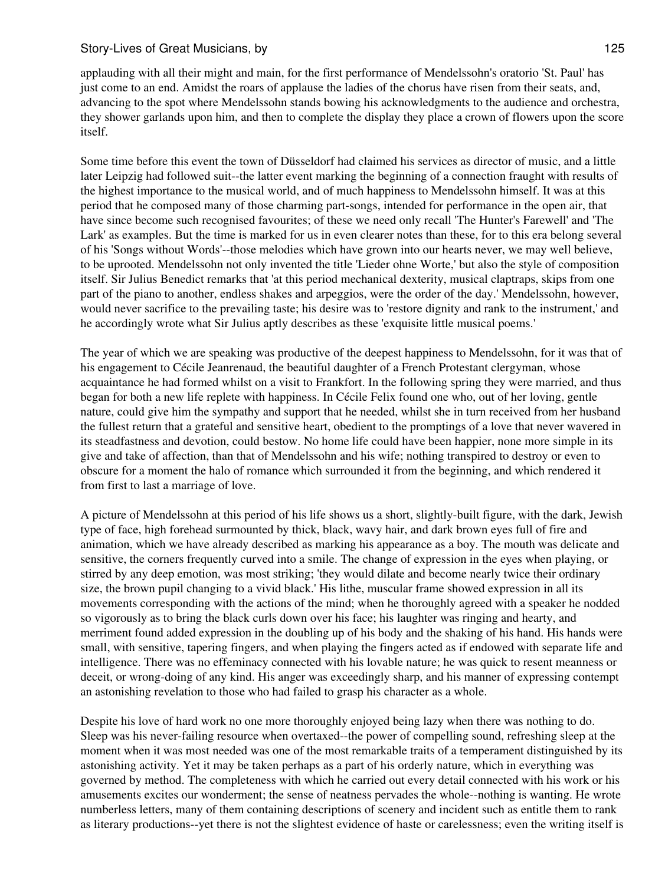applauding with all their might and main, for the first performance of Mendelssohn's oratorio 'St. Paul' has just come to an end. Amidst the roars of applause the ladies of the chorus have risen from their seats, and, advancing to the spot where Mendelssohn stands bowing his acknowledgments to the audience and orchestra, they shower garlands upon him, and then to complete the display they place a crown of flowers upon the score itself.

Some time before this event the town of Düsseldorf had claimed his services as director of music, and a little later Leipzig had followed suit--the latter event marking the beginning of a connection fraught with results of the highest importance to the musical world, and of much happiness to Mendelssohn himself. It was at this period that he composed many of those charming part-songs, intended for performance in the open air, that have since become such recognised favourites; of these we need only recall 'The Hunter's Farewell' and 'The Lark' as examples. But the time is marked for us in even clearer notes than these, for to this era belong several of his 'Songs without Words'--those melodies which have grown into our hearts never, we may well believe, to be uprooted. Mendelssohn not only invented the title 'Lieder ohne Worte,' but also the style of composition itself. Sir Julius Benedict remarks that 'at this period mechanical dexterity, musical claptraps, skips from one part of the piano to another, endless shakes and arpeggios, were the order of the day.' Mendelssohn, however, would never sacrifice to the prevailing taste; his desire was to 'restore dignity and rank to the instrument,' and he accordingly wrote what Sir Julius aptly describes as these 'exquisite little musical poems.'

The year of which we are speaking was productive of the deepest happiness to Mendelssohn, for it was that of his engagement to Cécile Jeanrenaud, the beautiful daughter of a French Protestant clergyman, whose acquaintance he had formed whilst on a visit to Frankfort. In the following spring they were married, and thus began for both a new life replete with happiness. In Cécile Felix found one who, out of her loving, gentle nature, could give him the sympathy and support that he needed, whilst she in turn received from her husband the fullest return that a grateful and sensitive heart, obedient to the promptings of a love that never wavered in its steadfastness and devotion, could bestow. No home life could have been happier, none more simple in its give and take of affection, than that of Mendelssohn and his wife; nothing transpired to destroy or even to obscure for a moment the halo of romance which surrounded it from the beginning, and which rendered it from first to last a marriage of love.

A picture of Mendelssohn at this period of his life shows us a short, slightly-built figure, with the dark, Jewish type of face, high forehead surmounted by thick, black, wavy hair, and dark brown eyes full of fire and animation, which we have already described as marking his appearance as a boy. The mouth was delicate and sensitive, the corners frequently curved into a smile. The change of expression in the eyes when playing, or stirred by any deep emotion, was most striking; 'they would dilate and become nearly twice their ordinary size, the brown pupil changing to a vivid black.' His lithe, muscular frame showed expression in all its movements corresponding with the actions of the mind; when he thoroughly agreed with a speaker he nodded so vigorously as to bring the black curls down over his face; his laughter was ringing and hearty, and merriment found added expression in the doubling up of his body and the shaking of his hand. His hands were small, with sensitive, tapering fingers, and when playing the fingers acted as if endowed with separate life and intelligence. There was no effeminacy connected with his lovable nature; he was quick to resent meanness or deceit, or wrong-doing of any kind. His anger was exceedingly sharp, and his manner of expressing contempt an astonishing revelation to those who had failed to grasp his character as a whole.

Despite his love of hard work no one more thoroughly enjoyed being lazy when there was nothing to do. Sleep was his never-failing resource when overtaxed--the power of compelling sound, refreshing sleep at the moment when it was most needed was one of the most remarkable traits of a temperament distinguished by its astonishing activity. Yet it may be taken perhaps as a part of his orderly nature, which in everything was governed by method. The completeness with which he carried out every detail connected with his work or his amusements excites our wonderment; the sense of neatness pervades the whole--nothing is wanting. He wrote numberless letters, many of them containing descriptions of scenery and incident such as entitle them to rank as literary productions--yet there is not the slightest evidence of haste or carelessness; even the writing itself is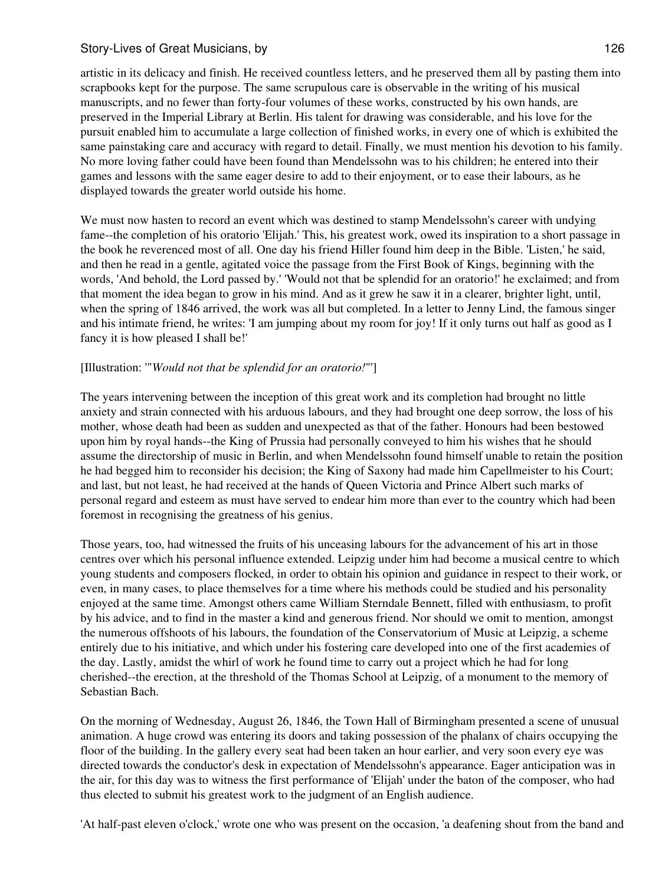artistic in its delicacy and finish. He received countless letters, and he preserved them all by pasting them into scrapbooks kept for the purpose. The same scrupulous care is observable in the writing of his musical manuscripts, and no fewer than forty-four volumes of these works, constructed by his own hands, are preserved in the Imperial Library at Berlin. His talent for drawing was considerable, and his love for the pursuit enabled him to accumulate a large collection of finished works, in every one of which is exhibited the same painstaking care and accuracy with regard to detail. Finally, we must mention his devotion to his family. No more loving father could have been found than Mendelssohn was to his children; he entered into their games and lessons with the same eager desire to add to their enjoyment, or to ease their labours, as he displayed towards the greater world outside his home.

We must now hasten to record an event which was destined to stamp Mendelssohn's career with undying fame--the completion of his oratorio 'Elijah.' This, his greatest work, owed its inspiration to a short passage in the book he reverenced most of all. One day his friend Hiller found him deep in the Bible. 'Listen,' he said, and then he read in a gentle, agitated voice the passage from the First Book of Kings, beginning with the words, 'And behold, the Lord passed by.' 'Would not that be splendid for an oratorio!' he exclaimed; and from that moment the idea began to grow in his mind. And as it grew he saw it in a clearer, brighter light, until, when the spring of 1846 arrived, the work was all but completed. In a letter to Jenny Lind, the famous singer and his intimate friend, he writes: 'I am jumping about my room for joy! If it only turns out half as good as I fancy it is how pleased I shall be!'

### [Illustration: '"*Would not that be splendid for an oratorio!*"']

The years intervening between the inception of this great work and its completion had brought no little anxiety and strain connected with his arduous labours, and they had brought one deep sorrow, the loss of his mother, whose death had been as sudden and unexpected as that of the father. Honours had been bestowed upon him by royal hands--the King of Prussia had personally conveyed to him his wishes that he should assume the directorship of music in Berlin, and when Mendelssohn found himself unable to retain the position he had begged him to reconsider his decision; the King of Saxony had made him Capellmeister to his Court; and last, but not least, he had received at the hands of Queen Victoria and Prince Albert such marks of personal regard and esteem as must have served to endear him more than ever to the country which had been foremost in recognising the greatness of his genius.

Those years, too, had witnessed the fruits of his unceasing labours for the advancement of his art in those centres over which his personal influence extended. Leipzig under him had become a musical centre to which young students and composers flocked, in order to obtain his opinion and guidance in respect to their work, or even, in many cases, to place themselves for a time where his methods could be studied and his personality enjoyed at the same time. Amongst others came William Sterndale Bennett, filled with enthusiasm, to profit by his advice, and to find in the master a kind and generous friend. Nor should we omit to mention, amongst the numerous offshoots of his labours, the foundation of the Conservatorium of Music at Leipzig, a scheme entirely due to his initiative, and which under his fostering care developed into one of the first academies of the day. Lastly, amidst the whirl of work he found time to carry out a project which he had for long cherished--the erection, at the threshold of the Thomas School at Leipzig, of a monument to the memory of Sebastian Bach.

On the morning of Wednesday, August 26, 1846, the Town Hall of Birmingham presented a scene of unusual animation. A huge crowd was entering its doors and taking possession of the phalanx of chairs occupying the floor of the building. In the gallery every seat had been taken an hour earlier, and very soon every eye was directed towards the conductor's desk in expectation of Mendelssohn's appearance. Eager anticipation was in the air, for this day was to witness the first performance of 'Elijah' under the baton of the composer, who had thus elected to submit his greatest work to the judgment of an English audience.

'At half-past eleven o'clock,' wrote one who was present on the occasion, 'a deafening shout from the band and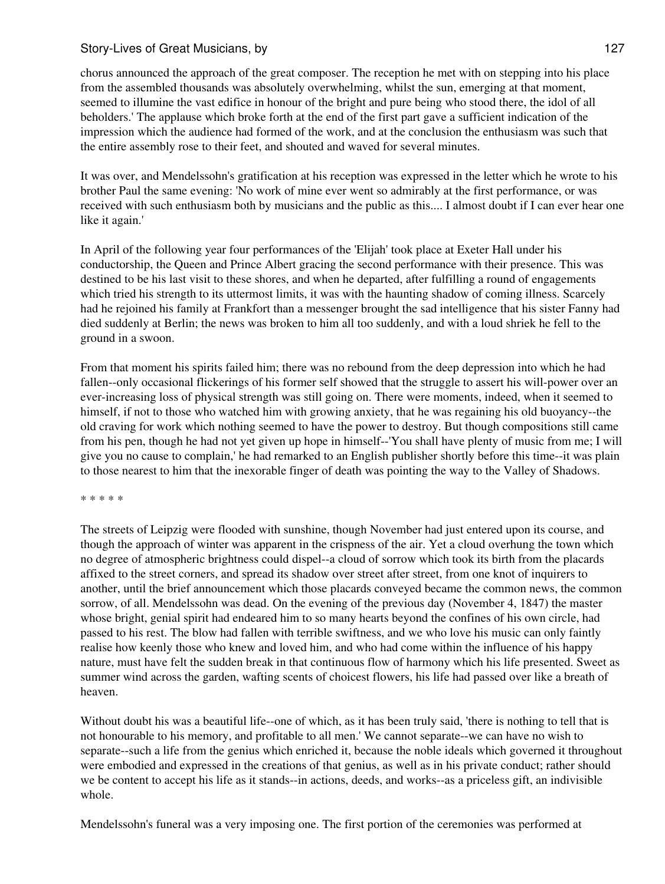chorus announced the approach of the great composer. The reception he met with on stepping into his place from the assembled thousands was absolutely overwhelming, whilst the sun, emerging at that moment, seemed to illumine the vast edifice in honour of the bright and pure being who stood there, the idol of all beholders.' The applause which broke forth at the end of the first part gave a sufficient indication of the impression which the audience had formed of the work, and at the conclusion the enthusiasm was such that the entire assembly rose to their feet, and shouted and waved for several minutes.

It was over, and Mendelssohn's gratification at his reception was expressed in the letter which he wrote to his brother Paul the same evening: 'No work of mine ever went so admirably at the first performance, or was received with such enthusiasm both by musicians and the public as this.... I almost doubt if I can ever hear one like it again.'

In April of the following year four performances of the 'Elijah' took place at Exeter Hall under his conductorship, the Queen and Prince Albert gracing the second performance with their presence. This was destined to be his last visit to these shores, and when he departed, after fulfilling a round of engagements which tried his strength to its uttermost limits, it was with the haunting shadow of coming illness. Scarcely had he rejoined his family at Frankfort than a messenger brought the sad intelligence that his sister Fanny had died suddenly at Berlin; the news was broken to him all too suddenly, and with a loud shriek he fell to the ground in a swoon.

From that moment his spirits failed him; there was no rebound from the deep depression into which he had fallen--only occasional flickerings of his former self showed that the struggle to assert his will-power over an ever-increasing loss of physical strength was still going on. There were moments, indeed, when it seemed to himself, if not to those who watched him with growing anxiety, that he was regaining his old buoyancy--the old craving for work which nothing seemed to have the power to destroy. But though compositions still came from his pen, though he had not yet given up hope in himself--'You shall have plenty of music from me; I will give you no cause to complain,' he had remarked to an English publisher shortly before this time--it was plain to those nearest to him that the inexorable finger of death was pointing the way to the Valley of Shadows.

\* \* \* \* \*

The streets of Leipzig were flooded with sunshine, though November had just entered upon its course, and though the approach of winter was apparent in the crispness of the air. Yet a cloud overhung the town which no degree of atmospheric brightness could dispel--a cloud of sorrow which took its birth from the placards affixed to the street corners, and spread its shadow over street after street, from one knot of inquirers to another, until the brief announcement which those placards conveyed became the common news, the common sorrow, of all. Mendelssohn was dead. On the evening of the previous day (November 4, 1847) the master whose bright, genial spirit had endeared him to so many hearts beyond the confines of his own circle, had passed to his rest. The blow had fallen with terrible swiftness, and we who love his music can only faintly realise how keenly those who knew and loved him, and who had come within the influence of his happy nature, must have felt the sudden break in that continuous flow of harmony which his life presented. Sweet as summer wind across the garden, wafting scents of choicest flowers, his life had passed over like a breath of heaven.

Without doubt his was a beautiful life--one of which, as it has been truly said, 'there is nothing to tell that is not honourable to his memory, and profitable to all men.' We cannot separate--we can have no wish to separate--such a life from the genius which enriched it, because the noble ideals which governed it throughout were embodied and expressed in the creations of that genius, as well as in his private conduct; rather should we be content to accept his life as it stands--in actions, deeds, and works--as a priceless gift, an indivisible whole.

Mendelssohn's funeral was a very imposing one. The first portion of the ceremonies was performed at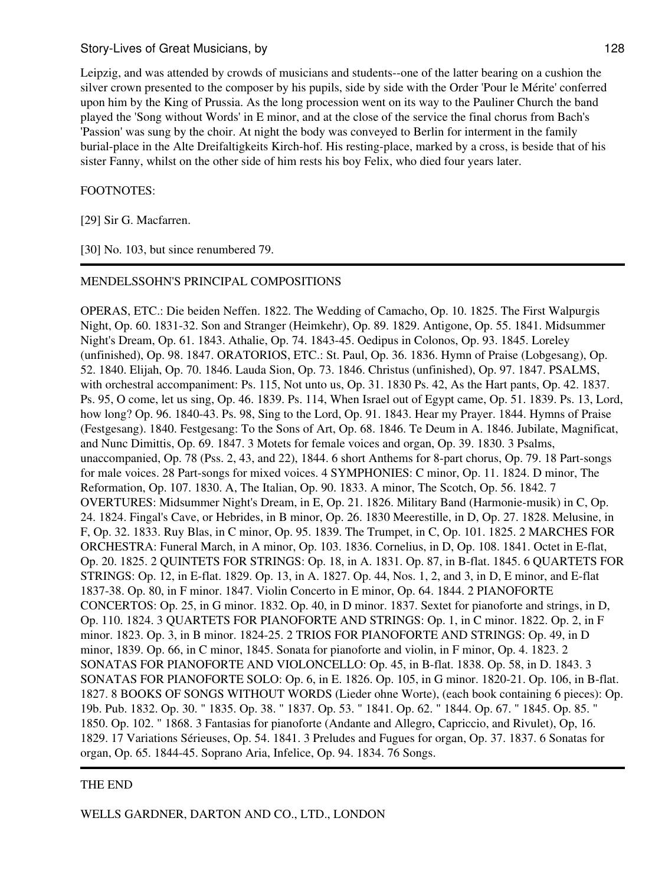Leipzig, and was attended by crowds of musicians and students--one of the latter bearing on a cushion the silver crown presented to the composer by his pupils, side by side with the Order 'Pour le Mérite' conferred upon him by the King of Prussia. As the long procession went on its way to the Pauliner Church the band played the 'Song without Words' in E minor, and at the close of the service the final chorus from Bach's 'Passion' was sung by the choir. At night the body was conveyed to Berlin for interment in the family burial-place in the Alte Dreifaltigkeits Kirch-hof. His resting-place, marked by a cross, is beside that of his sister Fanny, whilst on the other side of him rests his boy Felix, who died four years later.

#### FOOTNOTES:

[29] Sir G. Macfarren.

[30] No. 103, but since renumbered 79.

#### MENDELSSOHN'S PRINCIPAL COMPOSITIONS

OPERAS, ETC.: Die beiden Neffen. 1822. The Wedding of Camacho, Op. 10. 1825. The First Walpurgis Night, Op. 60. 1831-32. Son and Stranger (Heimkehr), Op. 89. 1829. Antigone, Op. 55. 1841. Midsummer Night's Dream, Op. 61. 1843. Athalie, Op. 74. 1843-45. Oedipus in Colonos, Op. 93. 1845. Loreley (unfinished), Op. 98. 1847. ORATORIOS, ETC.: St. Paul, Op. 36. 1836. Hymn of Praise (Lobgesang), Op. 52. 1840. Elijah, Op. 70. 1846. Lauda Sion, Op. 73. 1846. Christus (unfinished), Op. 97. 1847. PSALMS, with orchestral accompaniment: Ps. 115, Not unto us, Op. 31. 1830 Ps. 42, As the Hart pants, Op. 42. 1837. Ps. 95, O come, let us sing, Op. 46. 1839. Ps. 114, When Israel out of Egypt came, Op. 51. 1839. Ps. 13, Lord, how long? Op. 96. 1840-43. Ps. 98, Sing to the Lord, Op. 91. 1843. Hear my Prayer. 1844. Hymns of Praise (Festgesang). 1840. Festgesang: To the Sons of Art, Op. 68. 1846. Te Deum in A. 1846. Jubilate, Magnificat, and Nunc Dimittis, Op. 69. 1847. 3 Motets for female voices and organ, Op. 39. 1830. 3 Psalms, unaccompanied, Op. 78 (Pss. 2, 43, and 22), 1844. 6 short Anthems for 8-part chorus, Op. 79. 18 Part-songs for male voices. 28 Part-songs for mixed voices. 4 SYMPHONIES: C minor, Op. 11. 1824. D minor, The Reformation, Op. 107. 1830. A, The Italian, Op. 90. 1833. A minor, The Scotch, Op. 56. 1842. 7 OVERTURES: Midsummer Night's Dream, in E, Op. 21. 1826. Military Band (Harmonie-musik) in C, Op. 24. 1824. Fingal's Cave, or Hebrides, in B minor, Op. 26. 1830 Meerestille, in D, Op. 27. 1828. Melusine, in F, Op. 32. 1833. Ruy Blas, in C minor, Op. 95. 1839. The Trumpet, in C, Op. 101. 1825. 2 MARCHES FOR ORCHESTRA: Funeral March, in A minor, Op. 103. 1836. Cornelius, in D, Op. 108. 1841. Octet in E-flat, Op. 20. 1825. 2 QUINTETS FOR STRINGS: Op. 18, in A. 1831. Op. 87, in B-flat. 1845. 6 QUARTETS FOR STRINGS: Op. 12, in E-flat. 1829. Op. 13, in A. 1827. Op. 44, Nos. 1, 2, and 3, in D, E minor, and E-flat 1837-38. Op. 80, in F minor. 1847. Violin Concerto in E minor, Op. 64. 1844. 2 PIANOFORTE CONCERTOS: Op. 25, in G minor. 1832. Op. 40, in D minor. 1837. Sextet for pianoforte and strings, in D, Op. 110. 1824. 3 QUARTETS FOR PIANOFORTE AND STRINGS: Op. 1, in C minor. 1822. Op. 2, in F minor. 1823. Op. 3, in B minor. 1824-25. 2 TRIOS FOR PIANOFORTE AND STRINGS: Op. 49, in D minor, 1839. Op. 66, in C minor, 1845. Sonata for pianoforte and violin, in F minor, Op. 4. 1823. 2 SONATAS FOR PIANOFORTE AND VIOLONCELLO: Op. 45, in B-flat. 1838. Op. 58, in D. 1843. 3 SONATAS FOR PIANOFORTE SOLO: Op. 6, in E. 1826. Op. 105, in G minor. 1820-21. Op. 106, in B-flat. 1827. 8 BOOKS OF SONGS WITHOUT WORDS (Lieder ohne Worte), (each book containing 6 pieces): Op. 19b. Pub. 1832. Op. 30. " 1835. Op. 38. " 1837. Op. 53. " 1841. Op. 62. " 1844. Op. 67. " 1845. Op. 85. " 1850. Op. 102. " 1868. 3 Fantasias for pianoforte (Andante and Allegro, Capriccio, and Rivulet), Op, 16. 1829. 17 Variations Sérieuses, Op. 54. 1841. 3 Preludes and Fugues for organ, Op. 37. 1837. 6 Sonatas for organ, Op. 65. 1844-45. Soprano Aria, Infelice, Op. 94. 1834. 76 Songs.

### THE END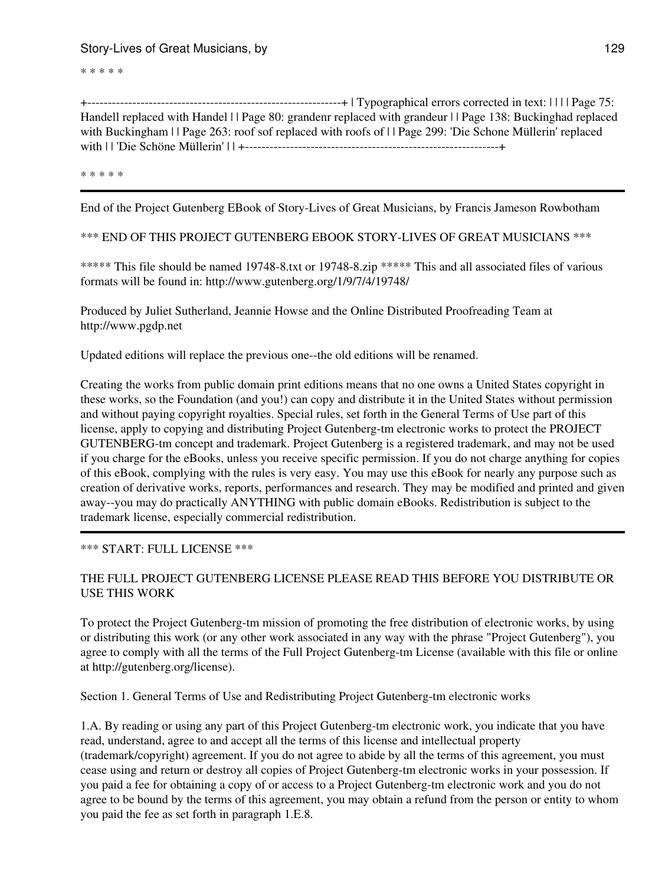\* \* \* \* \*

+--------------------------------------------------------------+ | Typographical errors corrected in text: | | | | Page 75: Handell replaced with Handel | | Page 80: grandenr replaced with grandeur | | Page 138: Buckinghad replaced with Buckingham | | Page 263: roof sof replaced with roofs of | | Page 299: 'Die Schone Müllerin' replaced with | | 'Die Schöne Müllerin' | | +--------------------------------------------------------------+

\* \* \* \* \*

End of the Project Gutenberg EBook of Story-Lives of Great Musicians, by Francis Jameson Rowbotham

\*\*\* END OF THIS PROJECT GUTENBERG EBOOK STORY-LIVES OF GREAT MUSICIANS \*\*\*

\*\*\*\*\* This file should be named 19748-8.txt or 19748-8.zip \*\*\*\*\* This and all associated files of various formats will be found in: http://www.gutenberg.org/1/9/7/4/19748/

Produced by Juliet Sutherland, Jeannie Howse and the Online Distributed Proofreading Team at http://www.pgdp.net

Updated editions will replace the previous one--the old editions will be renamed.

Creating the works from public domain print editions means that no one owns a United States copyright in these works, so the Foundation (and you!) can copy and distribute it in the United States without permission and without paying copyright royalties. Special rules, set forth in the General Terms of Use part of this license, apply to copying and distributing Project Gutenberg-tm electronic works to protect the PROJECT GUTENBERG-tm concept and trademark. Project Gutenberg is a registered trademark, and may not be used if you charge for the eBooks, unless you receive specific permission. If you do not charge anything for copies of this eBook, complying with the rules is very easy. You may use this eBook for nearly any purpose such as creation of derivative works, reports, performances and research. They may be modified and printed and given away--you may do practically ANYTHING with public domain eBooks. Redistribution is subject to the trademark license, especially commercial redistribution.

### \*\*\* START: FULL LICENSE \*\*\*

# THE FULL PROJECT GUTENBERG LICENSE PLEASE READ THIS BEFORE YOU DISTRIBUTE OR USE THIS WORK

To protect the Project Gutenberg-tm mission of promoting the free distribution of electronic works, by using or distributing this work (or any other work associated in any way with the phrase "Project Gutenberg"), you agree to comply with all the terms of the Full Project Gutenberg-tm License (available with this file or online at http://gutenberg.org/license).

Section 1. General Terms of Use and Redistributing Project Gutenberg-tm electronic works

1.A. By reading or using any part of this Project Gutenberg-tm electronic work, you indicate that you have read, understand, agree to and accept all the terms of this license and intellectual property (trademark/copyright) agreement. If you do not agree to abide by all the terms of this agreement, you must cease using and return or destroy all copies of Project Gutenberg-tm electronic works in your possession. If you paid a fee for obtaining a copy of or access to a Project Gutenberg-tm electronic work and you do not agree to be bound by the terms of this agreement, you may obtain a refund from the person or entity to whom you paid the fee as set forth in paragraph 1.E.8.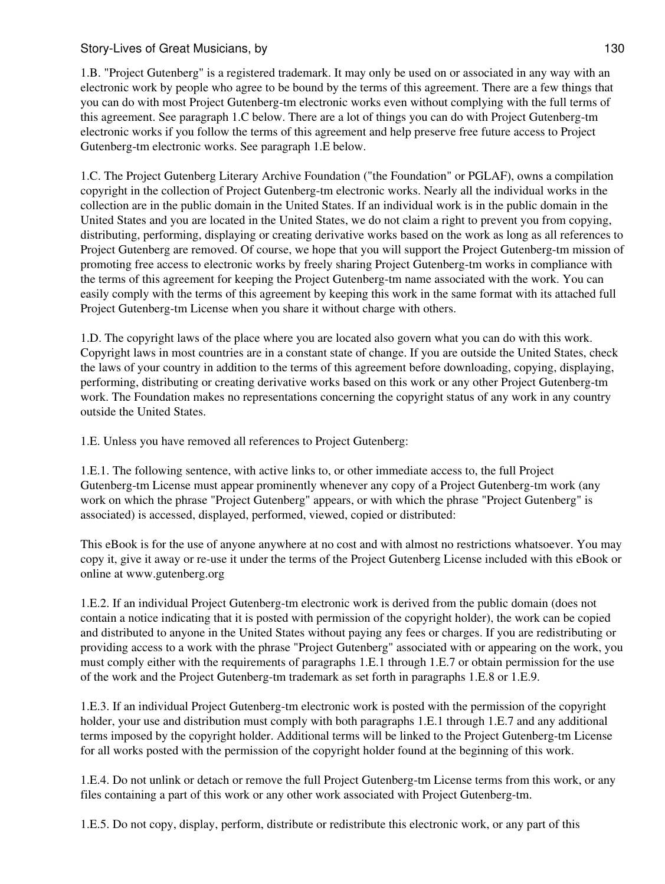1.B. "Project Gutenberg" is a registered trademark. It may only be used on or associated in any way with an electronic work by people who agree to be bound by the terms of this agreement. There are a few things that you can do with most Project Gutenberg-tm electronic works even without complying with the full terms of this agreement. See paragraph 1.C below. There are a lot of things you can do with Project Gutenberg-tm electronic works if you follow the terms of this agreement and help preserve free future access to Project Gutenberg-tm electronic works. See paragraph 1.E below.

1.C. The Project Gutenberg Literary Archive Foundation ("the Foundation" or PGLAF), owns a compilation copyright in the collection of Project Gutenberg-tm electronic works. Nearly all the individual works in the collection are in the public domain in the United States. If an individual work is in the public domain in the United States and you are located in the United States, we do not claim a right to prevent you from copying, distributing, performing, displaying or creating derivative works based on the work as long as all references to Project Gutenberg are removed. Of course, we hope that you will support the Project Gutenberg-tm mission of promoting free access to electronic works by freely sharing Project Gutenberg-tm works in compliance with the terms of this agreement for keeping the Project Gutenberg-tm name associated with the work. You can easily comply with the terms of this agreement by keeping this work in the same format with its attached full Project Gutenberg-tm License when you share it without charge with others.

1.D. The copyright laws of the place where you are located also govern what you can do with this work. Copyright laws in most countries are in a constant state of change. If you are outside the United States, check the laws of your country in addition to the terms of this agreement before downloading, copying, displaying, performing, distributing or creating derivative works based on this work or any other Project Gutenberg-tm work. The Foundation makes no representations concerning the copyright status of any work in any country outside the United States.

1.E. Unless you have removed all references to Project Gutenberg:

1.E.1. The following sentence, with active links to, or other immediate access to, the full Project Gutenberg-tm License must appear prominently whenever any copy of a Project Gutenberg-tm work (any work on which the phrase "Project Gutenberg" appears, or with which the phrase "Project Gutenberg" is associated) is accessed, displayed, performed, viewed, copied or distributed:

This eBook is for the use of anyone anywhere at no cost and with almost no restrictions whatsoever. You may copy it, give it away or re-use it under the terms of the Project Gutenberg License included with this eBook or online at www.gutenberg.org

1.E.2. If an individual Project Gutenberg-tm electronic work is derived from the public domain (does not contain a notice indicating that it is posted with permission of the copyright holder), the work can be copied and distributed to anyone in the United States without paying any fees or charges. If you are redistributing or providing access to a work with the phrase "Project Gutenberg" associated with or appearing on the work, you must comply either with the requirements of paragraphs 1.E.1 through 1.E.7 or obtain permission for the use of the work and the Project Gutenberg-tm trademark as set forth in paragraphs 1.E.8 or 1.E.9.

1.E.3. If an individual Project Gutenberg-tm electronic work is posted with the permission of the copyright holder, your use and distribution must comply with both paragraphs 1.E.1 through 1.E.7 and any additional terms imposed by the copyright holder. Additional terms will be linked to the Project Gutenberg-tm License for all works posted with the permission of the copyright holder found at the beginning of this work.

1.E.4. Do not unlink or detach or remove the full Project Gutenberg-tm License terms from this work, or any files containing a part of this work or any other work associated with Project Gutenberg-tm.

1.E.5. Do not copy, display, perform, distribute or redistribute this electronic work, or any part of this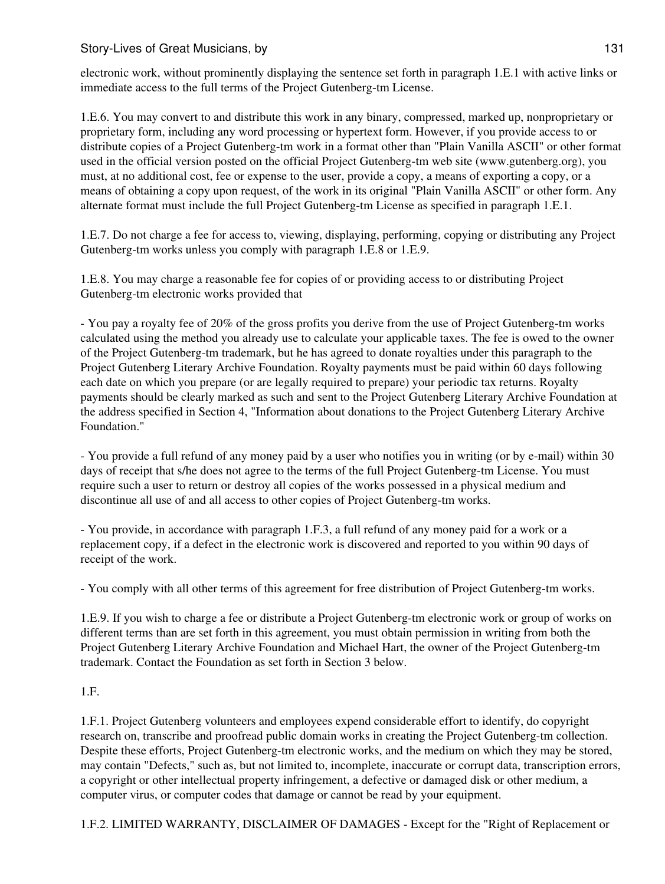electronic work, without prominently displaying the sentence set forth in paragraph 1.E.1 with active links or immediate access to the full terms of the Project Gutenberg-tm License.

1.E.6. You may convert to and distribute this work in any binary, compressed, marked up, nonproprietary or proprietary form, including any word processing or hypertext form. However, if you provide access to or distribute copies of a Project Gutenberg-tm work in a format other than "Plain Vanilla ASCII" or other format used in the official version posted on the official Project Gutenberg-tm web site (www.gutenberg.org), you must, at no additional cost, fee or expense to the user, provide a copy, a means of exporting a copy, or a means of obtaining a copy upon request, of the work in its original "Plain Vanilla ASCII" or other form. Any alternate format must include the full Project Gutenberg-tm License as specified in paragraph 1.E.1.

1.E.7. Do not charge a fee for access to, viewing, displaying, performing, copying or distributing any Project Gutenberg-tm works unless you comply with paragraph 1.E.8 or 1.E.9.

1.E.8. You may charge a reasonable fee for copies of or providing access to or distributing Project Gutenberg-tm electronic works provided that

- You pay a royalty fee of 20% of the gross profits you derive from the use of Project Gutenberg-tm works calculated using the method you already use to calculate your applicable taxes. The fee is owed to the owner of the Project Gutenberg-tm trademark, but he has agreed to donate royalties under this paragraph to the Project Gutenberg Literary Archive Foundation. Royalty payments must be paid within 60 days following each date on which you prepare (or are legally required to prepare) your periodic tax returns. Royalty payments should be clearly marked as such and sent to the Project Gutenberg Literary Archive Foundation at the address specified in Section 4, "Information about donations to the Project Gutenberg Literary Archive Foundation."

- You provide a full refund of any money paid by a user who notifies you in writing (or by e-mail) within 30 days of receipt that s/he does not agree to the terms of the full Project Gutenberg-tm License. You must require such a user to return or destroy all copies of the works possessed in a physical medium and discontinue all use of and all access to other copies of Project Gutenberg-tm works.

- You provide, in accordance with paragraph 1.F.3, a full refund of any money paid for a work or a replacement copy, if a defect in the electronic work is discovered and reported to you within 90 days of receipt of the work.

- You comply with all other terms of this agreement for free distribution of Project Gutenberg-tm works.

1.E.9. If you wish to charge a fee or distribute a Project Gutenberg-tm electronic work or group of works on different terms than are set forth in this agreement, you must obtain permission in writing from both the Project Gutenberg Literary Archive Foundation and Michael Hart, the owner of the Project Gutenberg-tm trademark. Contact the Foundation as set forth in Section 3 below.

# 1.F.

1.F.1. Project Gutenberg volunteers and employees expend considerable effort to identify, do copyright research on, transcribe and proofread public domain works in creating the Project Gutenberg-tm collection. Despite these efforts, Project Gutenberg-tm electronic works, and the medium on which they may be stored, may contain "Defects," such as, but not limited to, incomplete, inaccurate or corrupt data, transcription errors, a copyright or other intellectual property infringement, a defective or damaged disk or other medium, a computer virus, or computer codes that damage or cannot be read by your equipment.

1.F.2. LIMITED WARRANTY, DISCLAIMER OF DAMAGES - Except for the "Right of Replacement or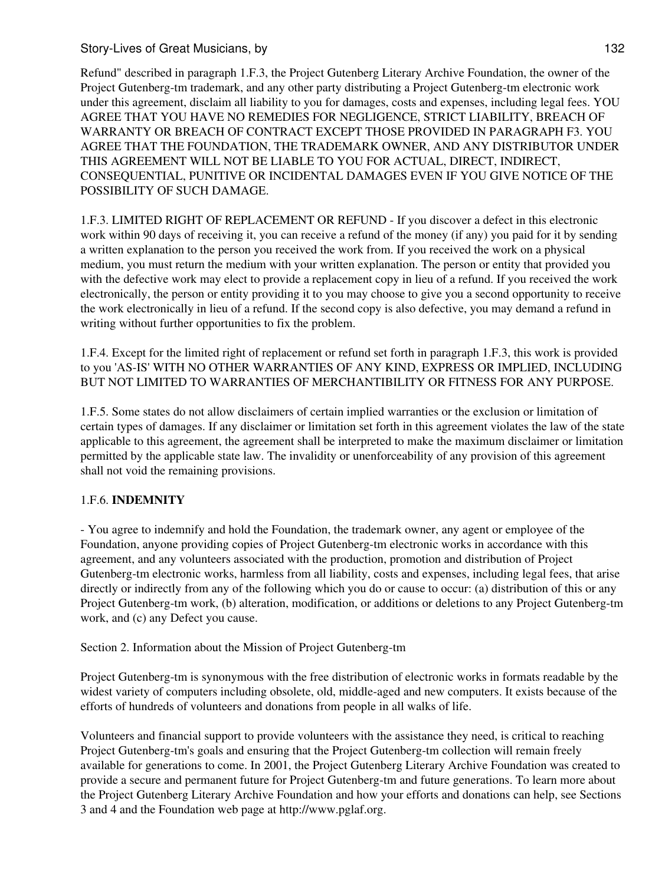Refund" described in paragraph 1.F.3, the Project Gutenberg Literary Archive Foundation, the owner of the Project Gutenberg-tm trademark, and any other party distributing a Project Gutenberg-tm electronic work under this agreement, disclaim all liability to you for damages, costs and expenses, including legal fees. YOU AGREE THAT YOU HAVE NO REMEDIES FOR NEGLIGENCE, STRICT LIABILITY, BREACH OF WARRANTY OR BREACH OF CONTRACT EXCEPT THOSE PROVIDED IN PARAGRAPH F3. YOU AGREE THAT THE FOUNDATION, THE TRADEMARK OWNER, AND ANY DISTRIBUTOR UNDER THIS AGREEMENT WILL NOT BE LIABLE TO YOU FOR ACTUAL, DIRECT, INDIRECT, CONSEQUENTIAL, PUNITIVE OR INCIDENTAL DAMAGES EVEN IF YOU GIVE NOTICE OF THE POSSIBILITY OF SUCH DAMAGE.

1.F.3. LIMITED RIGHT OF REPLACEMENT OR REFUND - If you discover a defect in this electronic work within 90 days of receiving it, you can receive a refund of the money (if any) you paid for it by sending a written explanation to the person you received the work from. If you received the work on a physical medium, you must return the medium with your written explanation. The person or entity that provided you with the defective work may elect to provide a replacement copy in lieu of a refund. If you received the work electronically, the person or entity providing it to you may choose to give you a second opportunity to receive the work electronically in lieu of a refund. If the second copy is also defective, you may demand a refund in writing without further opportunities to fix the problem.

1.F.4. Except for the limited right of replacement or refund set forth in paragraph 1.F.3, this work is provided to you 'AS-IS' WITH NO OTHER WARRANTIES OF ANY KIND, EXPRESS OR IMPLIED, INCLUDING BUT NOT LIMITED TO WARRANTIES OF MERCHANTIBILITY OR FITNESS FOR ANY PURPOSE.

1.F.5. Some states do not allow disclaimers of certain implied warranties or the exclusion or limitation of certain types of damages. If any disclaimer or limitation set forth in this agreement violates the law of the state applicable to this agreement, the agreement shall be interpreted to make the maximum disclaimer or limitation permitted by the applicable state law. The invalidity or unenforceability of any provision of this agreement shall not void the remaining provisions.

# 1.F.6. **INDEMNITY**

- You agree to indemnify and hold the Foundation, the trademark owner, any agent or employee of the Foundation, anyone providing copies of Project Gutenberg-tm electronic works in accordance with this agreement, and any volunteers associated with the production, promotion and distribution of Project Gutenberg-tm electronic works, harmless from all liability, costs and expenses, including legal fees, that arise directly or indirectly from any of the following which you do or cause to occur: (a) distribution of this or any Project Gutenberg-tm work, (b) alteration, modification, or additions or deletions to any Project Gutenberg-tm work, and (c) any Defect you cause.

Section 2. Information about the Mission of Project Gutenberg-tm

Project Gutenberg-tm is synonymous with the free distribution of electronic works in formats readable by the widest variety of computers including obsolete, old, middle-aged and new computers. It exists because of the efforts of hundreds of volunteers and donations from people in all walks of life.

Volunteers and financial support to provide volunteers with the assistance they need, is critical to reaching Project Gutenberg-tm's goals and ensuring that the Project Gutenberg-tm collection will remain freely available for generations to come. In 2001, the Project Gutenberg Literary Archive Foundation was created to provide a secure and permanent future for Project Gutenberg-tm and future generations. To learn more about the Project Gutenberg Literary Archive Foundation and how your efforts and donations can help, see Sections 3 and 4 and the Foundation web page at http://www.pglaf.org.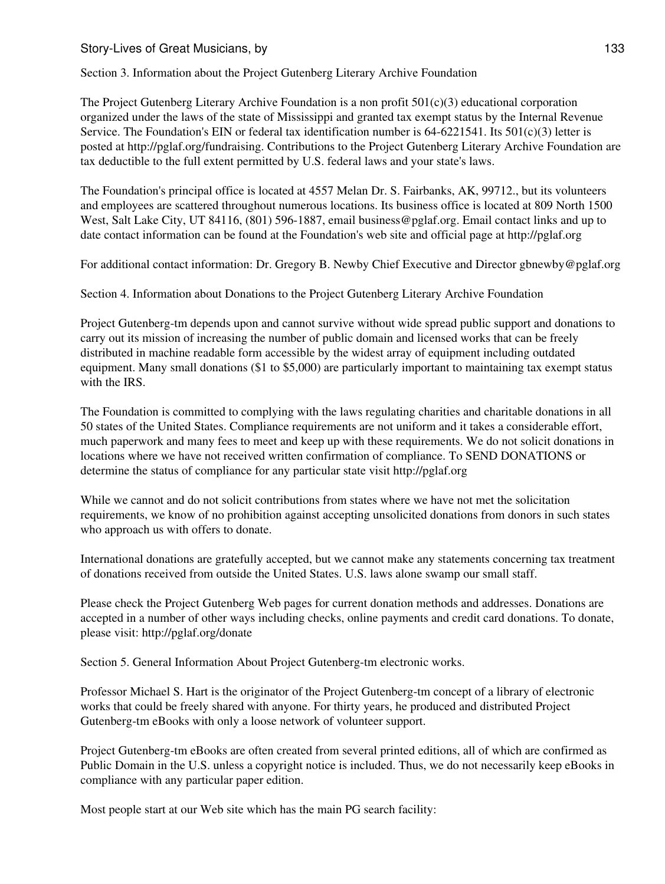Section 3. Information about the Project Gutenberg Literary Archive Foundation

The Project Gutenberg Literary Archive Foundation is a non profit  $501(c)(3)$  educational corporation organized under the laws of the state of Mississippi and granted tax exempt status by the Internal Revenue Service. The Foundation's EIN or federal tax identification number is  $64-6221541$ . Its  $501(c)(3)$  letter is posted at http://pglaf.org/fundraising. Contributions to the Project Gutenberg Literary Archive Foundation are tax deductible to the full extent permitted by U.S. federal laws and your state's laws.

The Foundation's principal office is located at 4557 Melan Dr. S. Fairbanks, AK, 99712., but its volunteers and employees are scattered throughout numerous locations. Its business office is located at 809 North 1500 West, Salt Lake City, UT 84116, (801) 596-1887, email business@pglaf.org. Email contact links and up to date contact information can be found at the Foundation's web site and official page at http://pglaf.org

For additional contact information: Dr. Gregory B. Newby Chief Executive and Director gbnewby@pglaf.org

Section 4. Information about Donations to the Project Gutenberg Literary Archive Foundation

Project Gutenberg-tm depends upon and cannot survive without wide spread public support and donations to carry out its mission of increasing the number of public domain and licensed works that can be freely distributed in machine readable form accessible by the widest array of equipment including outdated equipment. Many small donations (\$1 to \$5,000) are particularly important to maintaining tax exempt status with the IRS.

The Foundation is committed to complying with the laws regulating charities and charitable donations in all 50 states of the United States. Compliance requirements are not uniform and it takes a considerable effort, much paperwork and many fees to meet and keep up with these requirements. We do not solicit donations in locations where we have not received written confirmation of compliance. To SEND DONATIONS or determine the status of compliance for any particular state visit http://pglaf.org

While we cannot and do not solicit contributions from states where we have not met the solicitation requirements, we know of no prohibition against accepting unsolicited donations from donors in such states who approach us with offers to donate.

International donations are gratefully accepted, but we cannot make any statements concerning tax treatment of donations received from outside the United States. U.S. laws alone swamp our small staff.

Please check the Project Gutenberg Web pages for current donation methods and addresses. Donations are accepted in a number of other ways including checks, online payments and credit card donations. To donate, please visit: http://pglaf.org/donate

Section 5. General Information About Project Gutenberg-tm electronic works.

Professor Michael S. Hart is the originator of the Project Gutenberg-tm concept of a library of electronic works that could be freely shared with anyone. For thirty years, he produced and distributed Project Gutenberg-tm eBooks with only a loose network of volunteer support.

Project Gutenberg-tm eBooks are often created from several printed editions, all of which are confirmed as Public Domain in the U.S. unless a copyright notice is included. Thus, we do not necessarily keep eBooks in compliance with any particular paper edition.

Most people start at our Web site which has the main PG search facility: